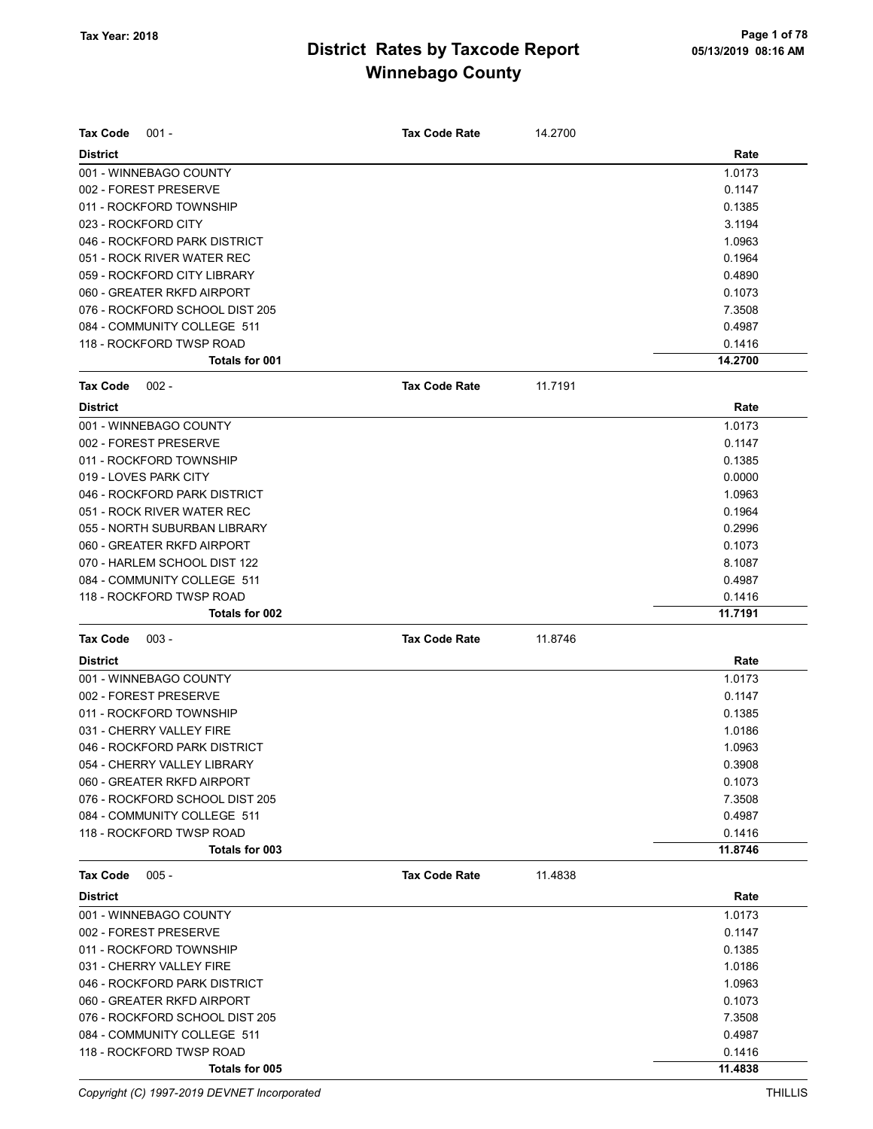| <b>Tax Code</b><br>$001 -$     | <b>Tax Code Rate</b> | 14.2700 |         |
|--------------------------------|----------------------|---------|---------|
| <b>District</b>                |                      |         | Rate    |
| 001 - WINNEBAGO COUNTY         |                      |         | 1.0173  |
| 002 - FOREST PRESERVE          |                      |         | 0.1147  |
| 011 - ROCKFORD TOWNSHIP        |                      |         | 0.1385  |
| 023 - ROCKFORD CITY            |                      |         | 3.1194  |
| 046 - ROCKFORD PARK DISTRICT   |                      |         | 1.0963  |
| 051 - ROCK RIVER WATER REC     |                      |         | 0.1964  |
| 059 - ROCKFORD CITY LIBRARY    |                      |         | 0.4890  |
| 060 - GREATER RKFD AIRPORT     |                      |         | 0.1073  |
| 076 - ROCKFORD SCHOOL DIST 205 |                      |         | 7.3508  |
| 084 - COMMUNITY COLLEGE 511    |                      |         | 0.4987  |
| 118 - ROCKFORD TWSP ROAD       |                      |         | 0.1416  |
| Totals for 001                 |                      |         | 14.2700 |
| <b>Tax Code</b><br>$002 -$     | <b>Tax Code Rate</b> | 11.7191 |         |
| <b>District</b>                |                      |         | Rate    |
| 001 - WINNEBAGO COUNTY         |                      |         | 1.0173  |
| 002 - FOREST PRESERVE          |                      |         | 0.1147  |
|                                |                      |         |         |
| 011 - ROCKFORD TOWNSHIP        |                      |         | 0.1385  |
| 019 - LOVES PARK CITY          |                      |         | 0.0000  |
| 046 - ROCKFORD PARK DISTRICT   |                      |         | 1.0963  |
| 051 - ROCK RIVER WATER REC     |                      |         | 0.1964  |
| 055 - NORTH SUBURBAN LIBRARY   |                      |         | 0.2996  |
| 060 - GREATER RKFD AIRPORT     |                      |         | 0.1073  |
| 070 - HARLEM SCHOOL DIST 122   |                      |         | 8.1087  |
| 084 - COMMUNITY COLLEGE 511    |                      |         | 0.4987  |
| 118 - ROCKFORD TWSP ROAD       |                      |         | 0.1416  |
| Totals for 002                 |                      |         | 11.7191 |
| $003 -$<br><b>Tax Code</b>     | <b>Tax Code Rate</b> | 11.8746 |         |
| <b>District</b>                |                      |         | Rate    |
| 001 - WINNEBAGO COUNTY         |                      |         | 1.0173  |
| 002 - FOREST PRESERVE          |                      |         | 0.1147  |
| 011 - ROCKFORD TOWNSHIP        |                      |         | 0.1385  |
| 031 - CHERRY VALLEY FIRE       |                      |         | 1.0186  |
| 046 - ROCKFORD PARK DISTRICT   |                      |         | 1.0963  |
| 054 - CHERRY VALLEY LIBRARY    |                      |         | 0.3908  |
| 060 - GREATER RKFD AIRPORT     |                      |         | 0.1073  |
| 076 - ROCKFORD SCHOOL DIST 205 |                      |         | 7.3508  |
| 084 - COMMUNITY COLLEGE 511    |                      |         | 0.4987  |
| 118 - ROCKFORD TWSP ROAD       |                      |         | 0.1416  |
| Totals for 003                 |                      |         | 11.8746 |
| <b>Tax Code</b><br>$005 -$     | <b>Tax Code Rate</b> | 11.4838 |         |
| <b>District</b>                |                      |         | Rate    |
| 001 - WINNEBAGO COUNTY         |                      |         | 1.0173  |
| 002 - FOREST PRESERVE          |                      |         | 0.1147  |
| 011 - ROCKFORD TOWNSHIP        |                      |         | 0.1385  |
| 031 - CHERRY VALLEY FIRE       |                      |         | 1.0186  |
| 046 - ROCKFORD PARK DISTRICT   |                      |         | 1.0963  |
| 060 - GREATER RKFD AIRPORT     |                      |         | 0.1073  |
| 076 - ROCKFORD SCHOOL DIST 205 |                      |         | 7.3508  |
|                                |                      |         |         |
| 084 - COMMUNITY COLLEGE 511    |                      |         | 0.4987  |
| 118 - ROCKFORD TWSP ROAD       |                      |         | 0.1416  |
| Totals for 005                 |                      |         | 11.4838 |

Copyright (C) 1997-2019 DEVNET Incorporated THILLIS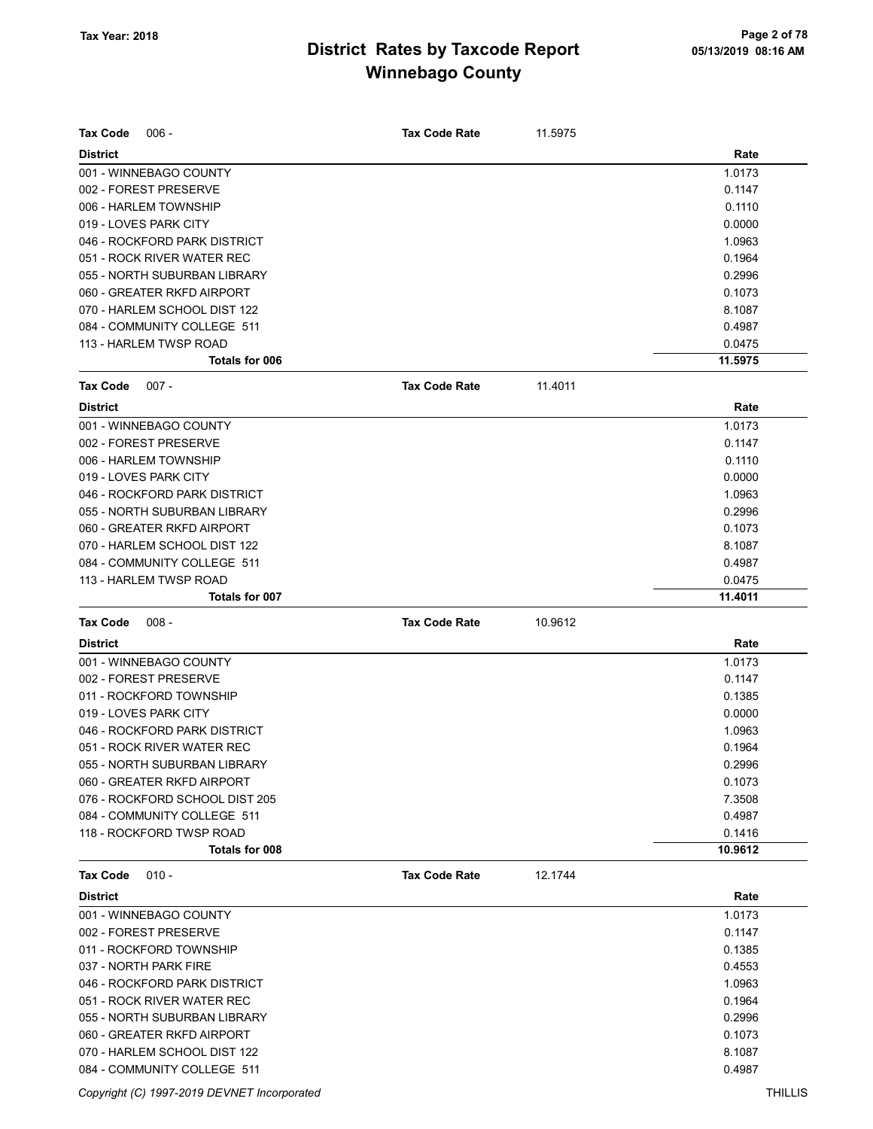| <b>Tax Code</b><br>$006 -$                                    | <b>Tax Code Rate</b> | 11.5975 |                   |
|---------------------------------------------------------------|----------------------|---------|-------------------|
| <b>District</b>                                               |                      |         | Rate              |
| 001 - WINNEBAGO COUNTY                                        |                      |         | 1.0173            |
| 002 - FOREST PRESERVE                                         |                      |         | 0.1147            |
| 006 - HARLEM TOWNSHIP                                         |                      |         | 0.1110            |
| 019 - LOVES PARK CITY                                         |                      |         | 0.0000            |
| 046 - ROCKFORD PARK DISTRICT                                  |                      |         | 1.0963            |
| 051 - ROCK RIVER WATER REC                                    |                      |         | 0.1964            |
| 055 - NORTH SUBURBAN LIBRARY                                  |                      |         | 0.2996            |
| 060 - GREATER RKFD AIRPORT                                    |                      |         | 0.1073            |
| 070 - HARLEM SCHOOL DIST 122                                  |                      |         | 8.1087            |
| 084 - COMMUNITY COLLEGE 511                                   |                      |         | 0.4987            |
| 113 - HARLEM TWSP ROAD                                        |                      |         | 0.0475            |
| Totals for 006                                                |                      |         | 11.5975           |
| Tax Code<br>$007 -$                                           | <b>Tax Code Rate</b> | 11.4011 |                   |
| <b>District</b>                                               |                      |         | Rate              |
| 001 - WINNEBAGO COUNTY                                        |                      |         | 1.0173            |
| 002 - FOREST PRESERVE                                         |                      |         | 0.1147            |
| 006 - HARLEM TOWNSHIP                                         |                      |         | 0.1110            |
| 019 - LOVES PARK CITY                                         |                      |         | 0.0000            |
| 046 - ROCKFORD PARK DISTRICT                                  |                      |         | 1.0963            |
| 055 - NORTH SUBURBAN LIBRARY                                  |                      |         | 0.2996            |
| 060 - GREATER RKFD AIRPORT                                    |                      |         | 0.1073            |
| 070 - HARLEM SCHOOL DIST 122                                  |                      |         | 8.1087            |
| 084 - COMMUNITY COLLEGE 511                                   |                      |         | 0.4987            |
| 113 - HARLEM TWSP ROAD                                        |                      |         | 0.0475            |
| <b>Totals for 007</b>                                         |                      |         | 11.4011           |
| <b>Tax Code</b><br>$008 -$                                    | <b>Tax Code Rate</b> | 10.9612 |                   |
|                                                               |                      |         |                   |
| <b>District</b>                                               |                      |         | Rate              |
|                                                               |                      |         | 1.0173            |
| 001 - WINNEBAGO COUNTY<br>002 - FOREST PRESERVE               |                      |         | 0.1147            |
| 011 - ROCKFORD TOWNSHIP                                       |                      |         | 0.1385            |
| 019 - LOVES PARK CITY                                         |                      |         | 0.0000            |
| 046 - ROCKFORD PARK DISTRICT                                  |                      |         | 1.0963            |
|                                                               |                      |         | 0.1964            |
| 051 - ROCK RIVER WATER REC<br>055 - NORTH SUBURBAN LIBRARY    |                      |         | 0.2996            |
| 060 - GREATER RKFD AIRPORT                                    |                      |         | 0.1073            |
|                                                               |                      |         | 7.3508            |
| 076 - ROCKFORD SCHOOL DIST 205<br>084 - COMMUNITY COLLEGE 511 |                      |         | 0.4987            |
| 118 - ROCKFORD TWSP ROAD                                      |                      |         |                   |
| Totals for 008                                                |                      |         | 0.1416<br>10.9612 |
| $010 -$<br>Tax Code                                           | <b>Tax Code Rate</b> | 12.1744 |                   |
| <b>District</b>                                               |                      |         | Rate              |
| 001 - WINNEBAGO COUNTY                                        |                      |         | 1.0173            |
| 002 - FOREST PRESERVE                                         |                      |         | 0.1147            |
| 011 - ROCKFORD TOWNSHIP                                       |                      |         | 0.1385            |
| 037 - NORTH PARK FIRE                                         |                      |         | 0.4553            |
| 046 - ROCKFORD PARK DISTRICT                                  |                      |         | 1.0963            |
| 051 - ROCK RIVER WATER REC                                    |                      |         | 0.1964            |
| 055 - NORTH SUBURBAN LIBRARY                                  |                      |         | 0.2996            |
| 060 - GREATER RKFD AIRPORT                                    |                      |         | 0.1073            |
| 070 - HARLEM SCHOOL DIST 122                                  |                      |         | 8.1087            |

Copyright (C) 1997-2019 DEVNET Incorporated THILLIS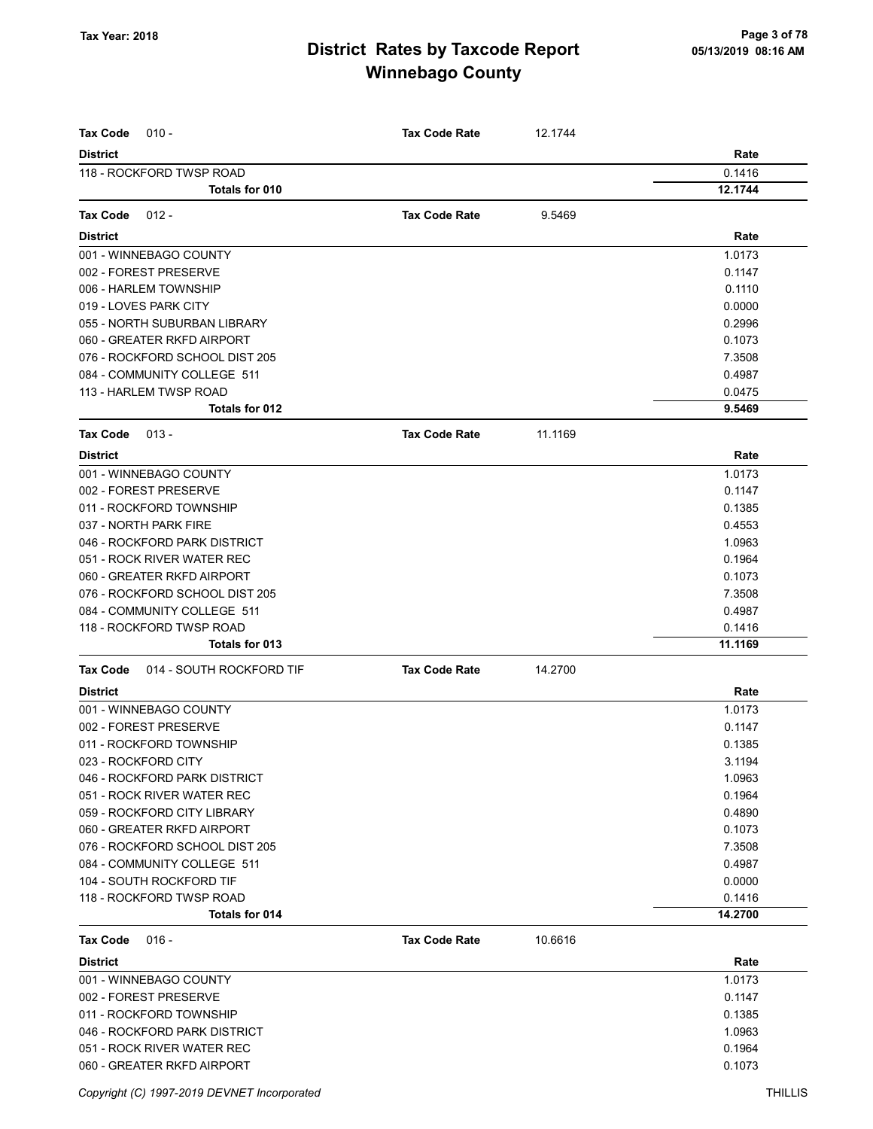| <b>Tax Code</b><br>$010 -$           | <b>Tax Code Rate</b> | 12.1744 |         |
|--------------------------------------|----------------------|---------|---------|
| <b>District</b>                      |                      |         | Rate    |
| 118 - ROCKFORD TWSP ROAD             |                      |         | 0.1416  |
| Totals for 010                       |                      |         | 12.1744 |
| Tax Code<br>$012 -$                  | <b>Tax Code Rate</b> | 9.5469  |         |
| <b>District</b>                      |                      |         | Rate    |
| 001 - WINNEBAGO COUNTY               |                      |         | 1.0173  |
| 002 - FOREST PRESERVE                |                      |         | 0.1147  |
| 006 - HARLEM TOWNSHIP                |                      |         | 0.1110  |
| 019 - LOVES PARK CITY                |                      |         | 0.0000  |
| 055 - NORTH SUBURBAN LIBRARY         |                      |         | 0.2996  |
| 060 - GREATER RKFD AIRPORT           |                      |         | 0.1073  |
| 076 - ROCKFORD SCHOOL DIST 205       |                      |         | 7.3508  |
| 084 - COMMUNITY COLLEGE 511          |                      |         | 0.4987  |
| 113 - HARLEM TWSP ROAD               |                      |         | 0.0475  |
| Totals for 012                       |                      |         | 9.5469  |
| <b>Tax Code</b><br>$013 -$           | <b>Tax Code Rate</b> | 11.1169 |         |
| <b>District</b>                      |                      |         | Rate    |
| 001 - WINNEBAGO COUNTY               |                      |         | 1.0173  |
| 002 - FOREST PRESERVE                |                      |         | 0.1147  |
| 011 - ROCKFORD TOWNSHIP              |                      |         | 0.1385  |
| 037 - NORTH PARK FIRE                |                      |         | 0.4553  |
| 046 - ROCKFORD PARK DISTRICT         |                      |         | 1.0963  |
| 051 - ROCK RIVER WATER REC           |                      |         | 0.1964  |
| 060 - GREATER RKFD AIRPORT           |                      |         | 0.1073  |
| 076 - ROCKFORD SCHOOL DIST 205       |                      |         | 7.3508  |
| 084 - COMMUNITY COLLEGE 511          |                      |         | 0.4987  |
| 118 - ROCKFORD TWSP ROAD             |                      |         | 0.1416  |
| Totals for 013                       |                      |         | 11.1169 |
| 014 - SOUTH ROCKFORD TIF<br>Tax Code | <b>Tax Code Rate</b> | 14.2700 |         |
| <b>District</b>                      |                      |         | Rate    |
| 001 - WINNEBAGO COUNTY               |                      |         | 1.0173  |
| 002 - FOREST PRESERVE                |                      |         | 0.1147  |
| 011 - ROCKFORD TOWNSHIP              |                      |         | 0.1385  |
| 023 - ROCKFORD CITY                  |                      |         | 3.1194  |
| 046 - ROCKFORD PARK DISTRICT         |                      |         | 1.0963  |
| 051 - ROCK RIVER WATER REC           |                      |         | 0.1964  |
| 059 - ROCKFORD CITY LIBRARY          |                      |         | 0.4890  |
| 060 - GREATER RKFD AIRPORT           |                      |         | 0.1073  |
| 076 - ROCKFORD SCHOOL DIST 205       |                      |         | 7.3508  |
| 084 - COMMUNITY COLLEGE 511          |                      |         | 0.4987  |
| 104 - SOUTH ROCKFORD TIF             |                      |         | 0.0000  |
| 118 - ROCKFORD TWSP ROAD             |                      |         | 0.1416  |
| Totals for 014                       |                      |         | 14.2700 |
| Tax Code<br>$016 -$                  | <b>Tax Code Rate</b> | 10.6616 |         |
| <b>District</b>                      |                      |         | Rate    |
| 001 - WINNEBAGO COUNTY               |                      |         | 1.0173  |
| 002 - FOREST PRESERVE                |                      |         | 0.1147  |
| 011 - ROCKFORD TOWNSHIP              |                      |         | 0.1385  |
| 046 - ROCKFORD PARK DISTRICT         |                      |         | 1.0963  |
| 051 - ROCK RIVER WATER REC           |                      |         | 0.1964  |
| 060 - GREATER RKFD AIRPORT           |                      |         | 0.1073  |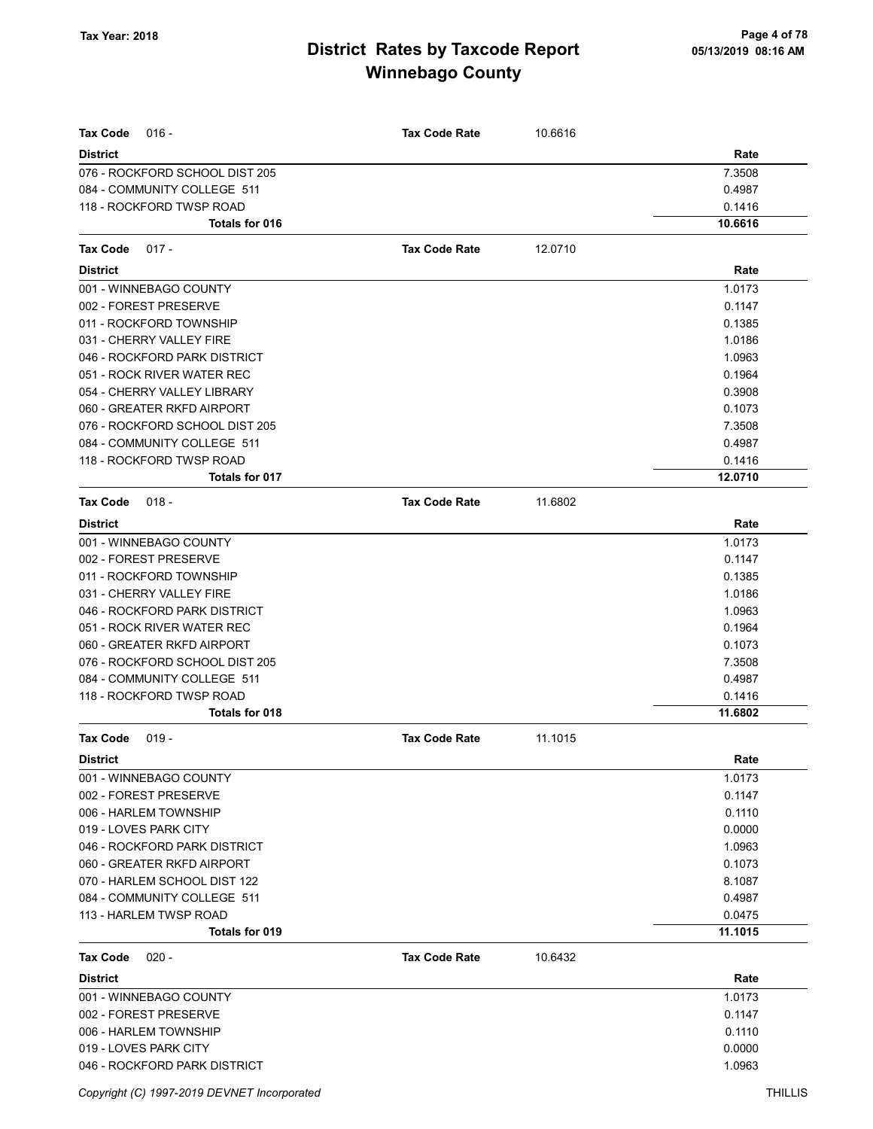| $016 -$                                                       |                      |         |                  |
|---------------------------------------------------------------|----------------------|---------|------------------|
| <b>Tax Code</b>                                               | <b>Tax Code Rate</b> | 10.6616 |                  |
| <b>District</b>                                               |                      |         | Rate             |
| 076 - ROCKFORD SCHOOL DIST 205<br>084 - COMMUNITY COLLEGE 511 |                      |         | 7.3508<br>0.4987 |
| 118 - ROCKFORD TWSP ROAD                                      |                      |         | 0.1416           |
| Totals for 016                                                |                      |         | 10.6616          |
|                                                               |                      |         |                  |
| Tax Code<br>$017 -$                                           | <b>Tax Code Rate</b> | 12.0710 |                  |
| <b>District</b>                                               |                      |         | Rate             |
| 001 - WINNEBAGO COUNTY                                        |                      |         | 1.0173           |
| 002 - FOREST PRESERVE                                         |                      |         | 0.1147           |
| 011 - ROCKFORD TOWNSHIP                                       |                      |         | 0.1385           |
| 031 - CHERRY VALLEY FIRE                                      |                      |         | 1.0186           |
| 046 - ROCKFORD PARK DISTRICT                                  |                      |         | 1.0963           |
| 051 - ROCK RIVER WATER REC                                    |                      |         | 0.1964           |
| 054 - CHERRY VALLEY LIBRARY                                   |                      |         | 0.3908           |
| 060 - GREATER RKFD AIRPORT                                    |                      |         | 0.1073           |
| 076 - ROCKFORD SCHOOL DIST 205                                |                      |         | 7.3508           |
| 084 - COMMUNITY COLLEGE 511                                   |                      |         | 0.4987           |
| 118 - ROCKFORD TWSP ROAD                                      |                      |         | 0.1416           |
| Totals for 017                                                |                      |         | 12.0710          |
| <b>Tax Code</b><br>$018 -$                                    | <b>Tax Code Rate</b> | 11.6802 |                  |
| <b>District</b>                                               |                      |         | Rate             |
| 001 - WINNEBAGO COUNTY                                        |                      |         | 1.0173           |
| 002 - FOREST PRESERVE                                         |                      |         | 0.1147           |
| 011 - ROCKFORD TOWNSHIP                                       |                      |         | 0.1385           |
| 031 - CHERRY VALLEY FIRE                                      |                      |         | 1.0186           |
| 046 - ROCKFORD PARK DISTRICT                                  |                      |         | 1.0963           |
| 051 - ROCK RIVER WATER REC                                    |                      |         | 0.1964           |
| 060 - GREATER RKFD AIRPORT                                    |                      |         | 0.1073           |
| 076 - ROCKFORD SCHOOL DIST 205                                |                      |         | 7.3508           |
| 084 - COMMUNITY COLLEGE 511                                   |                      |         | 0.4987           |
| 118 - ROCKFORD TWSP ROAD                                      |                      |         | 0.1416           |
| Totals for 018                                                |                      |         | 11.6802          |
| <b>Tax Code</b><br>$019 -$                                    | <b>Tax Code Rate</b> | 11.1015 |                  |
| <b>District</b>                                               |                      |         | Rate             |
| 001 - WINNEBAGO COUNTY                                        |                      |         | 1.0173           |
| 002 - FOREST PRESERVE                                         |                      |         | 0.1147           |
| 006 - HARLEM TOWNSHIP                                         |                      |         | 0.1110           |
| 019 - LOVES PARK CITY                                         |                      |         | 0.0000           |
| 046 - ROCKFORD PARK DISTRICT                                  |                      |         | 1.0963           |
| 060 - GREATER RKFD AIRPORT                                    |                      |         | 0.1073           |
| 070 - HARLEM SCHOOL DIST 122                                  |                      |         | 8.1087           |
| 084 - COMMUNITY COLLEGE 511                                   |                      |         | 0.4987           |
| 113 - HARLEM TWSP ROAD                                        |                      |         | 0.0475           |
| Totals for 019                                                |                      |         | 11.1015          |
| $020 -$<br>Tax Code                                           | <b>Tax Code Rate</b> | 10.6432 |                  |
| <b>District</b>                                               |                      |         | Rate             |
| 001 - WINNEBAGO COUNTY                                        |                      |         | 1.0173           |
| 002 - FOREST PRESERVE                                         |                      |         | 0.1147           |
| 006 - HARLEM TOWNSHIP                                         |                      |         | 0.1110           |
| 019 - LOVES PARK CITY                                         |                      |         | 0.0000           |
| 046 - ROCKFORD PARK DISTRICT                                  |                      |         | 1.0963           |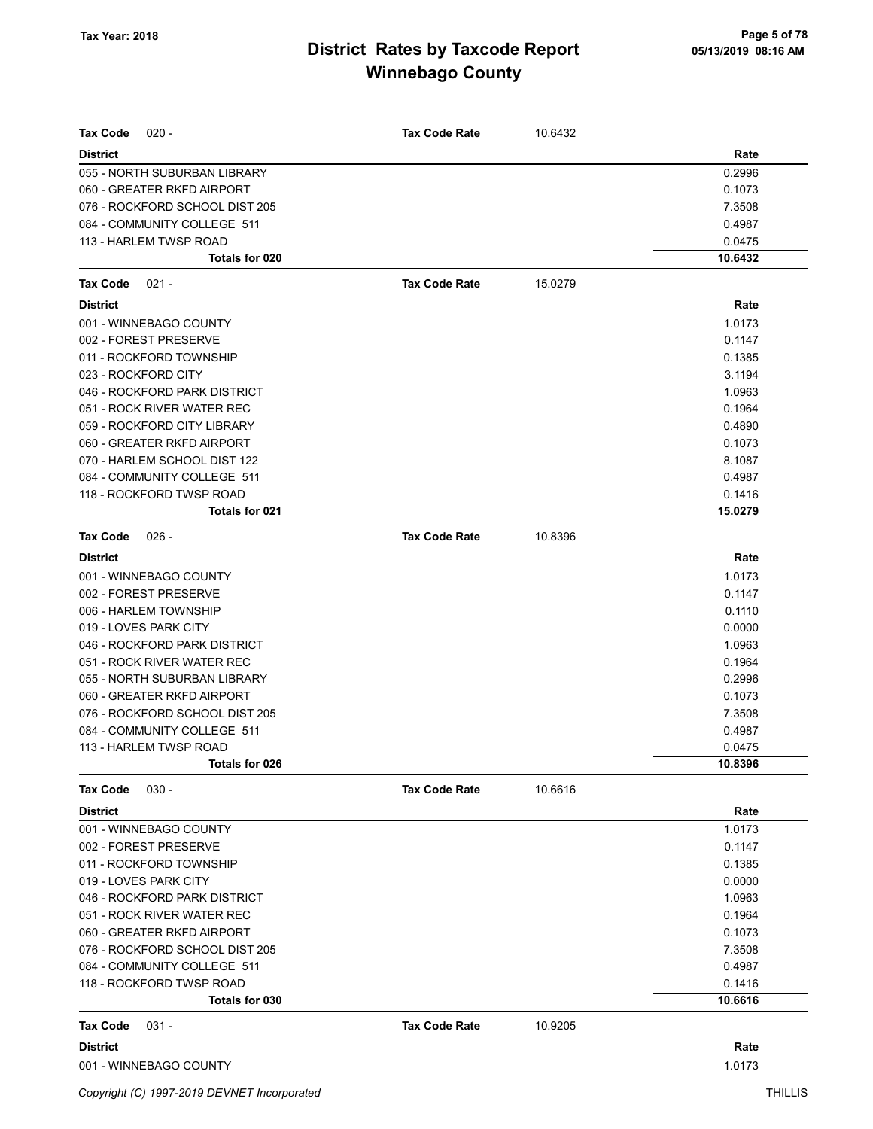| <b>Tax Code</b><br>$020 -$     | <b>Tax Code Rate</b> | 10.6432 |         |
|--------------------------------|----------------------|---------|---------|
| <b>District</b>                |                      |         | Rate    |
| 055 - NORTH SUBURBAN LIBRARY   |                      |         | 0.2996  |
| 060 - GREATER RKFD AIRPORT     |                      |         | 0.1073  |
| 076 - ROCKFORD SCHOOL DIST 205 |                      |         | 7.3508  |
| 084 - COMMUNITY COLLEGE 511    |                      |         | 0.4987  |
| 113 - HARLEM TWSP ROAD         |                      |         | 0.0475  |
| Totals for 020                 |                      |         | 10.6432 |
| $021 -$<br><b>Tax Code</b>     | <b>Tax Code Rate</b> | 15.0279 |         |
| <b>District</b>                |                      |         | Rate    |
| 001 - WINNEBAGO COUNTY         |                      |         | 1.0173  |
| 002 - FOREST PRESERVE          |                      |         | 0.1147  |
| 011 - ROCKFORD TOWNSHIP        |                      |         | 0.1385  |
| 023 - ROCKFORD CITY            |                      |         | 3.1194  |
| 046 - ROCKFORD PARK DISTRICT   |                      |         | 1.0963  |
| 051 - ROCK RIVER WATER REC     |                      |         | 0.1964  |
| 059 - ROCKFORD CITY LIBRARY    |                      |         | 0.4890  |
| 060 - GREATER RKFD AIRPORT     |                      |         | 0.1073  |
| 070 - HARLEM SCHOOL DIST 122   |                      |         | 8.1087  |
| 084 - COMMUNITY COLLEGE 511    |                      |         | 0.4987  |
| 118 - ROCKFORD TWSP ROAD       |                      |         | 0.1416  |
| Totals for 021                 |                      |         | 15.0279 |
| <b>Tax Code</b><br>026 -       | <b>Tax Code Rate</b> | 10.8396 |         |
| <b>District</b>                |                      |         | Rate    |
| 001 - WINNEBAGO COUNTY         |                      |         | 1.0173  |
| 002 - FOREST PRESERVE          |                      |         | 0.1147  |
| 006 - HARLEM TOWNSHIP          |                      |         | 0.1110  |
| 019 - LOVES PARK CITY          |                      |         | 0.0000  |
| 046 - ROCKFORD PARK DISTRICT   |                      |         | 1.0963  |
| 051 - ROCK RIVER WATER REC     |                      |         | 0.1964  |
| 055 - NORTH SUBURBAN LIBRARY   |                      |         | 0.2996  |
| 060 - GREATER RKFD AIRPORT     |                      |         | 0.1073  |
| 076 - ROCKFORD SCHOOL DIST 205 |                      |         | 7.3508  |
| 084 - COMMUNITY COLLEGE 511    |                      |         | 0.4987  |
| 113 - HARLEM TWSP ROAD         |                      |         | 0.0475  |
| Totals for 026                 |                      |         | 10.8396 |
| <b>Tax Code</b><br>$030 -$     | <b>Tax Code Rate</b> | 10.6616 |         |
| <b>District</b>                |                      |         | Rate    |
| 001 - WINNEBAGO COUNTY         |                      |         | 1.0173  |
| 002 - FOREST PRESERVE          |                      |         | 0.1147  |
| 011 - ROCKFORD TOWNSHIP        |                      |         | 0.1385  |
| 019 - LOVES PARK CITY          |                      |         | 0.0000  |
| 046 - ROCKFORD PARK DISTRICT   |                      |         | 1.0963  |
| 051 - ROCK RIVER WATER REC     |                      |         | 0.1964  |
| 060 - GREATER RKFD AIRPORT     |                      |         | 0.1073  |
| 076 - ROCKFORD SCHOOL DIST 205 |                      |         | 7.3508  |
| 084 - COMMUNITY COLLEGE 511    |                      |         | 0.4987  |
| 118 - ROCKFORD TWSP ROAD       |                      |         | 0.1416  |
| Totals for 030                 |                      |         | 10.6616 |
| Tax Code<br>$031 -$            | <b>Tax Code Rate</b> | 10.9205 |         |
| <b>District</b>                |                      |         | Rate    |
| 001 - WINNEBAGO COUNTY         |                      |         | 1.0173  |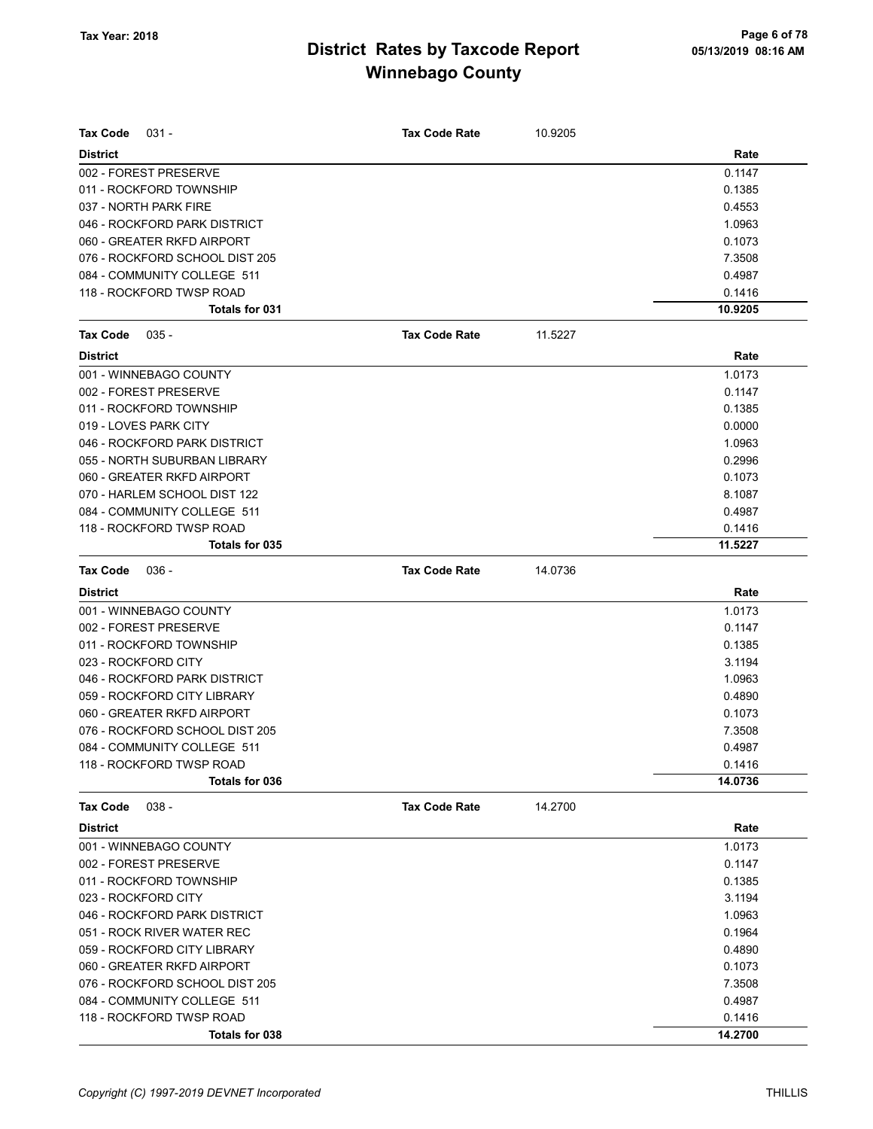| Tax Code<br>$031 -$            | <b>Tax Code Rate</b> | 10.9205 |         |
|--------------------------------|----------------------|---------|---------|
| <b>District</b>                |                      |         | Rate    |
| 002 - FOREST PRESERVE          |                      |         | 0.1147  |
| 011 - ROCKFORD TOWNSHIP        |                      |         | 0.1385  |
| 037 - NORTH PARK FIRE          |                      |         | 0.4553  |
| 046 - ROCKFORD PARK DISTRICT   |                      |         | 1.0963  |
| 060 - GREATER RKFD AIRPORT     |                      |         | 0.1073  |
| 076 - ROCKFORD SCHOOL DIST 205 |                      |         | 7.3508  |
| 084 - COMMUNITY COLLEGE 511    |                      |         | 0.4987  |
| 118 - ROCKFORD TWSP ROAD       |                      |         | 0.1416  |
| Totals for 031                 |                      |         | 10.9205 |
| Tax Code<br>$035 -$            | <b>Tax Code Rate</b> | 11.5227 |         |
| <b>District</b>                |                      |         | Rate    |
| 001 - WINNEBAGO COUNTY         |                      |         | 1.0173  |
| 002 - FOREST PRESERVE          |                      |         | 0.1147  |
| 011 - ROCKFORD TOWNSHIP        |                      |         | 0.1385  |
| 019 - LOVES PARK CITY          |                      |         | 0.0000  |
| 046 - ROCKFORD PARK DISTRICT   |                      |         | 1.0963  |
| 055 - NORTH SUBURBAN LIBRARY   |                      |         | 0.2996  |
| 060 - GREATER RKFD AIRPORT     |                      |         | 0.1073  |
| 070 - HARLEM SCHOOL DIST 122   |                      |         | 8.1087  |
| 084 - COMMUNITY COLLEGE 511    |                      |         | 0.4987  |
| 118 - ROCKFORD TWSP ROAD       |                      |         | 0.1416  |
| Totals for 035                 |                      |         | 11.5227 |
| <b>Tax Code</b><br>$036 -$     | <b>Tax Code Rate</b> | 14.0736 |         |
| <b>District</b>                |                      |         | Rate    |
| 001 - WINNEBAGO COUNTY         |                      |         | 1.0173  |
| 002 - FOREST PRESERVE          |                      |         | 0.1147  |
| 011 - ROCKFORD TOWNSHIP        |                      |         | 0.1385  |
| 023 - ROCKFORD CITY            |                      |         | 3.1194  |
| 046 - ROCKFORD PARK DISTRICT   |                      |         | 1.0963  |
| 059 - ROCKFORD CITY LIBRARY    |                      |         | 0.4890  |
| 060 - GREATER RKFD AIRPORT     |                      |         | 0.1073  |
| 076 - ROCKFORD SCHOOL DIST 205 |                      |         | 7.3508  |
| 084 - COMMUNITY COLLEGE 511    |                      |         | 0.4987  |
| 118 - ROCKFORD TWSP ROAD       |                      |         | 0.1416  |
| Totals for 036                 |                      |         | 14.0736 |
| <b>Tax Code</b><br>$038 -$     | <b>Tax Code Rate</b> | 14.2700 |         |
| <b>District</b>                |                      |         | Rate    |
| 001 - WINNEBAGO COUNTY         |                      |         | 1.0173  |
| 002 - FOREST PRESERVE          |                      |         | 0.1147  |
| 011 - ROCKFORD TOWNSHIP        |                      |         | 0.1385  |
| 023 - ROCKFORD CITY            |                      |         | 3.1194  |
| 046 - ROCKFORD PARK DISTRICT   |                      |         | 1.0963  |
| 051 - ROCK RIVER WATER REC     |                      |         | 0.1964  |
| 059 - ROCKFORD CITY LIBRARY    |                      |         | 0.4890  |
| 060 - GREATER RKFD AIRPORT     |                      |         | 0.1073  |
| 076 - ROCKFORD SCHOOL DIST 205 |                      |         | 7.3508  |
| 084 - COMMUNITY COLLEGE 511    |                      |         | 0.4987  |
| 118 - ROCKFORD TWSP ROAD       |                      |         | 0.1416  |
| Totals for 038                 |                      |         | 14.2700 |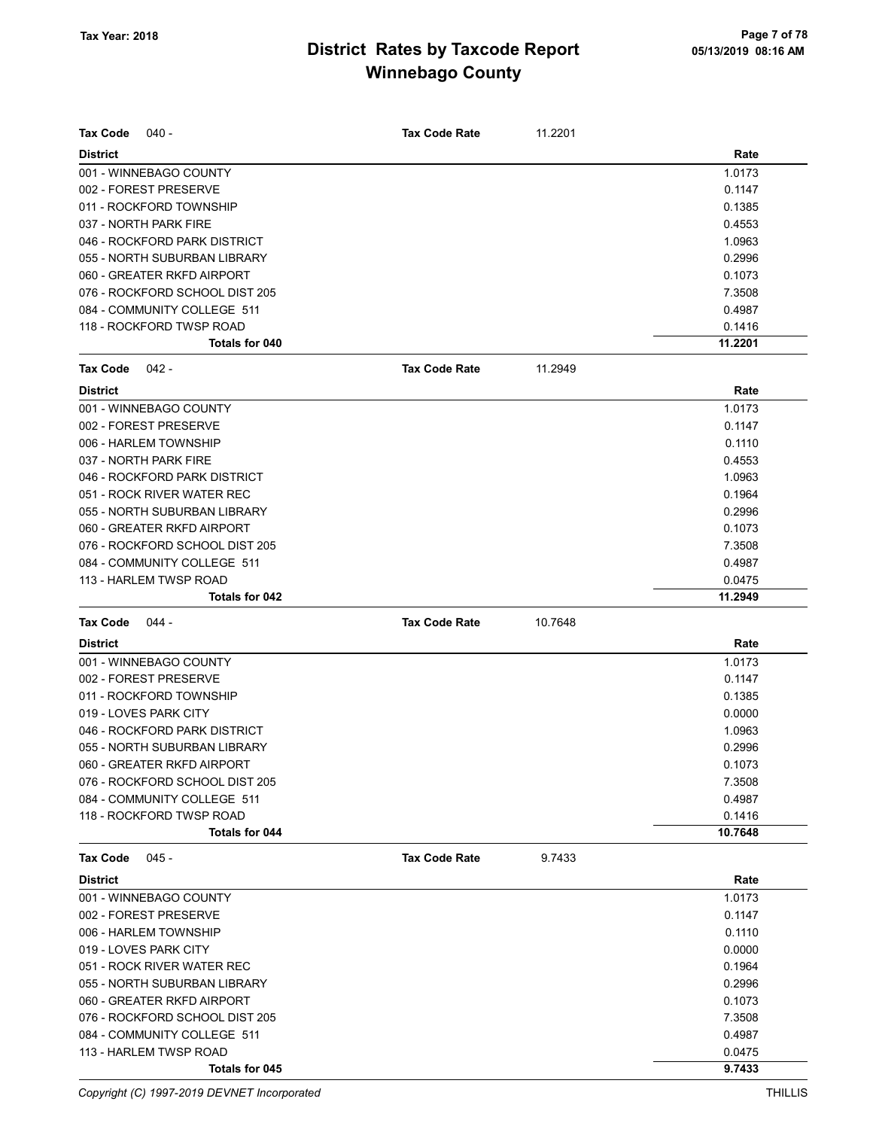| <b>Tax Code</b><br>040 -                 | <b>Tax Code Rate</b> | 11.2201 |                  |
|------------------------------------------|----------------------|---------|------------------|
| <b>District</b>                          |                      |         | Rate             |
| 001 - WINNEBAGO COUNTY                   |                      |         | 1.0173           |
| 002 - FOREST PRESERVE                    |                      |         | 0.1147           |
| 011 - ROCKFORD TOWNSHIP                  |                      |         | 0.1385           |
| 037 - NORTH PARK FIRE                    |                      |         | 0.4553           |
| 046 - ROCKFORD PARK DISTRICT             |                      |         | 1.0963           |
| 055 - NORTH SUBURBAN LIBRARY             |                      |         | 0.2996           |
| 060 - GREATER RKFD AIRPORT               |                      |         | 0.1073           |
| 076 - ROCKFORD SCHOOL DIST 205           |                      |         | 7.3508           |
| 084 - COMMUNITY COLLEGE 511              |                      |         | 0.4987           |
| 118 - ROCKFORD TWSP ROAD                 |                      |         | 0.1416           |
| Totals for 040                           |                      |         | 11.2201          |
| <b>Tax Code</b><br>042 -                 | <b>Tax Code Rate</b> | 11.2949 |                  |
| <b>District</b>                          |                      |         | Rate             |
| 001 - WINNEBAGO COUNTY                   |                      |         | 1.0173           |
| 002 - FOREST PRESERVE                    |                      |         | 0.1147           |
| 006 - HARLEM TOWNSHIP                    |                      |         | 0.1110           |
| 037 - NORTH PARK FIRE                    |                      |         | 0.4553           |
| 046 - ROCKFORD PARK DISTRICT             |                      |         | 1.0963           |
| 051 - ROCK RIVER WATER REC               |                      |         | 0.1964           |
| 055 - NORTH SUBURBAN LIBRARY             |                      |         | 0.2996           |
| 060 - GREATER RKFD AIRPORT               |                      |         | 0.1073           |
| 076 - ROCKFORD SCHOOL DIST 205           |                      |         | 7.3508           |
| 084 - COMMUNITY COLLEGE 511              |                      |         | 0.4987           |
| 113 - HARLEM TWSP ROAD                   |                      |         | 0.0475           |
| Totals for 042                           |                      |         | 11.2949          |
| <b>Tax Code</b><br>044 -                 | <b>Tax Code Rate</b> | 10.7648 |                  |
| <b>District</b>                          |                      |         | Rate             |
| 001 - WINNEBAGO COUNTY                   |                      |         | 1.0173           |
| 002 - FOREST PRESERVE                    |                      |         | 0.1147           |
| 011 - ROCKFORD TOWNSHIP                  |                      |         | 0.1385           |
| 019 - LOVES PARK CITY                    |                      |         | 0.0000           |
| 046 - ROCKFORD PARK DISTRICT             |                      |         | 1.0963           |
| 055 - NORTH SUBURBAN LIBRARY             |                      |         | 0.2996           |
| 060 - GREATER RKFD AIRPORT               |                      |         | 0.1073           |
| 076 - ROCKFORD SCHOOL DIST 205           |                      |         | 7.3508           |
| 084 - COMMUNITY COLLEGE 511              |                      |         | 0.4987           |
| 118 - ROCKFORD TWSP ROAD                 |                      |         | 0.1416           |
| Totals for 044                           |                      |         | 10.7648          |
| <b>Tax Code</b><br>$045 -$               | <b>Tax Code Rate</b> | 9.7433  |                  |
| <b>District</b>                          |                      |         | Rate             |
| 001 - WINNEBAGO COUNTY                   |                      |         | 1.0173           |
| 002 - FOREST PRESERVE                    |                      |         | 0.1147           |
| 006 - HARLEM TOWNSHIP                    |                      |         | 0.1110           |
| 019 - LOVES PARK CITY                    |                      |         | 0.0000           |
| 051 - ROCK RIVER WATER REC               |                      |         | 0.1964           |
| 055 - NORTH SUBURBAN LIBRARY             |                      |         | 0.2996           |
| 060 - GREATER RKFD AIRPORT               |                      |         | 0.1073           |
| 076 - ROCKFORD SCHOOL DIST 205           |                      |         |                  |
|                                          |                      |         | 7.3508           |
| 084 - COMMUNITY COLLEGE 511              |                      |         | 0.4987           |
| 113 - HARLEM TWSP ROAD<br>Totals for 045 |                      |         | 0.0475<br>9.7433 |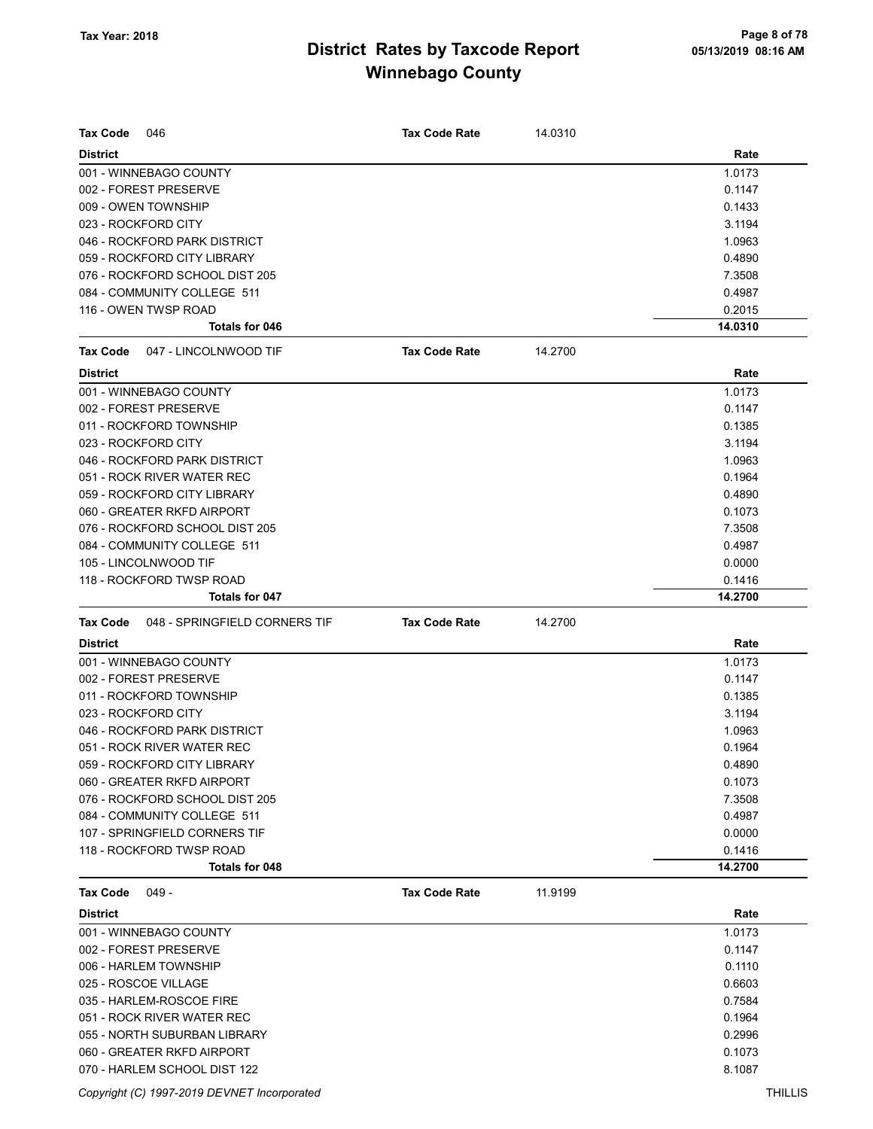| <b>Tax Code</b><br><b>Tax Code Rate</b><br>14.0310<br>046<br>Rate<br><b>District</b><br>1.0173<br>001 - WINNEBAGO COUNTY<br>002 - FOREST PRESERVE<br>0.1147<br>009 - OWEN TOWNSHIP<br>0.1433<br>023 - ROCKFORD CITY<br>3.1194<br>046 - ROCKFORD PARK DISTRICT<br>1.0963<br>059 - ROCKFORD CITY LIBRARY<br>0.4890<br>076 - ROCKFORD SCHOOL DIST 205<br>7.3508<br>084 - COMMUNITY COLLEGE 511<br>0.4987 |  |
|-------------------------------------------------------------------------------------------------------------------------------------------------------------------------------------------------------------------------------------------------------------------------------------------------------------------------------------------------------------------------------------------------------|--|
|                                                                                                                                                                                                                                                                                                                                                                                                       |  |
|                                                                                                                                                                                                                                                                                                                                                                                                       |  |
|                                                                                                                                                                                                                                                                                                                                                                                                       |  |
|                                                                                                                                                                                                                                                                                                                                                                                                       |  |
|                                                                                                                                                                                                                                                                                                                                                                                                       |  |
|                                                                                                                                                                                                                                                                                                                                                                                                       |  |
|                                                                                                                                                                                                                                                                                                                                                                                                       |  |
|                                                                                                                                                                                                                                                                                                                                                                                                       |  |
|                                                                                                                                                                                                                                                                                                                                                                                                       |  |
| 116 - OWEN TWSP ROAD<br>0.2015                                                                                                                                                                                                                                                                                                                                                                        |  |
| <b>Totals for 046</b><br>14.0310                                                                                                                                                                                                                                                                                                                                                                      |  |
| <b>Tax Code Rate</b><br><b>Tax Code</b><br>047 - LINCOLNWOOD TIF<br>14.2700                                                                                                                                                                                                                                                                                                                           |  |
| <b>District</b><br>Rate                                                                                                                                                                                                                                                                                                                                                                               |  |
| 001 - WINNEBAGO COUNTY<br>1.0173                                                                                                                                                                                                                                                                                                                                                                      |  |
| 002 - FOREST PRESERVE<br>0.1147                                                                                                                                                                                                                                                                                                                                                                       |  |
| 011 - ROCKFORD TOWNSHIP<br>0.1385                                                                                                                                                                                                                                                                                                                                                                     |  |
| 023 - ROCKFORD CITY<br>3.1194                                                                                                                                                                                                                                                                                                                                                                         |  |
| 046 - ROCKFORD PARK DISTRICT<br>1.0963                                                                                                                                                                                                                                                                                                                                                                |  |
| 051 - ROCK RIVER WATER REC<br>0.1964                                                                                                                                                                                                                                                                                                                                                                  |  |
| 059 - ROCKFORD CITY LIBRARY<br>0.4890                                                                                                                                                                                                                                                                                                                                                                 |  |
| 060 - GREATER RKFD AIRPORT<br>0.1073                                                                                                                                                                                                                                                                                                                                                                  |  |
| 076 - ROCKFORD SCHOOL DIST 205<br>7.3508                                                                                                                                                                                                                                                                                                                                                              |  |
| 084 - COMMUNITY COLLEGE 511<br>0.4987                                                                                                                                                                                                                                                                                                                                                                 |  |
| 105 - LINCOLNWOOD TIF<br>0.0000                                                                                                                                                                                                                                                                                                                                                                       |  |
| 118 - ROCKFORD TWSP ROAD<br>0.1416                                                                                                                                                                                                                                                                                                                                                                    |  |
| Totals for 047<br>14.2700                                                                                                                                                                                                                                                                                                                                                                             |  |
| 14.2700<br><b>Tax Code</b><br>048 - SPRINGFIELD CORNERS TIF<br><b>Tax Code Rate</b>                                                                                                                                                                                                                                                                                                                   |  |
| <b>District</b><br>Rate                                                                                                                                                                                                                                                                                                                                                                               |  |
| 001 - WINNEBAGO COUNTY<br>1.0173                                                                                                                                                                                                                                                                                                                                                                      |  |
| 002 - FOREST PRESERVE<br>0.1147                                                                                                                                                                                                                                                                                                                                                                       |  |
|                                                                                                                                                                                                                                                                                                                                                                                                       |  |
| 011 - ROCKFORD TOWNSHIP<br>0.1385                                                                                                                                                                                                                                                                                                                                                                     |  |
| 023 - ROCKFORD CITY<br>3.1194                                                                                                                                                                                                                                                                                                                                                                         |  |
| 046 - ROCKFORD PARK DISTRICT                                                                                                                                                                                                                                                                                                                                                                          |  |
| 1.0963<br>051 - ROCK RIVER WATER REC                                                                                                                                                                                                                                                                                                                                                                  |  |
| 0.1964                                                                                                                                                                                                                                                                                                                                                                                                |  |
| 059 - ROCKFORD CITY LIBRARY<br>0.4890                                                                                                                                                                                                                                                                                                                                                                 |  |
| 060 - GREATER RKFD AIRPORT<br>0.1073                                                                                                                                                                                                                                                                                                                                                                  |  |
| 076 - ROCKFORD SCHOOL DIST 205<br>7.3508                                                                                                                                                                                                                                                                                                                                                              |  |
| 084 - COMMUNITY COLLEGE 511<br>0.4987                                                                                                                                                                                                                                                                                                                                                                 |  |
| 107 - SPRINGFIELD CORNERS TIF<br>0.0000                                                                                                                                                                                                                                                                                                                                                               |  |
| 118 - ROCKFORD TWSP ROAD<br>0.1416<br>Totals for 048<br>14.2700                                                                                                                                                                                                                                                                                                                                       |  |
| 11.9199<br><b>Tax Code</b><br>049 -<br><b>Tax Code Rate</b>                                                                                                                                                                                                                                                                                                                                           |  |
| <b>District</b><br>Rate                                                                                                                                                                                                                                                                                                                                                                               |  |
| 001 - WINNEBAGO COUNTY                                                                                                                                                                                                                                                                                                                                                                                |  |
| 1.0173<br>002 - FOREST PRESERVE<br>0.1147                                                                                                                                                                                                                                                                                                                                                             |  |
|                                                                                                                                                                                                                                                                                                                                                                                                       |  |
| 0.1110<br>006 - HARLEM TOWNSHIP                                                                                                                                                                                                                                                                                                                                                                       |  |
| 025 - ROSCOE VILLAGE<br>0.6603                                                                                                                                                                                                                                                                                                                                                                        |  |
| 035 - HARLEM-ROSCOE FIRE<br>0.7584                                                                                                                                                                                                                                                                                                                                                                    |  |
| 051 - ROCK RIVER WATER REC<br>0.1964                                                                                                                                                                                                                                                                                                                                                                  |  |
| 055 - NORTH SUBURBAN LIBRARY<br>0.2996<br>060 - GREATER RKFD AIRPORT<br>0.1073                                                                                                                                                                                                                                                                                                                        |  |

Copyright (C) 1997-2019 DEVNET Incorporated THILLIS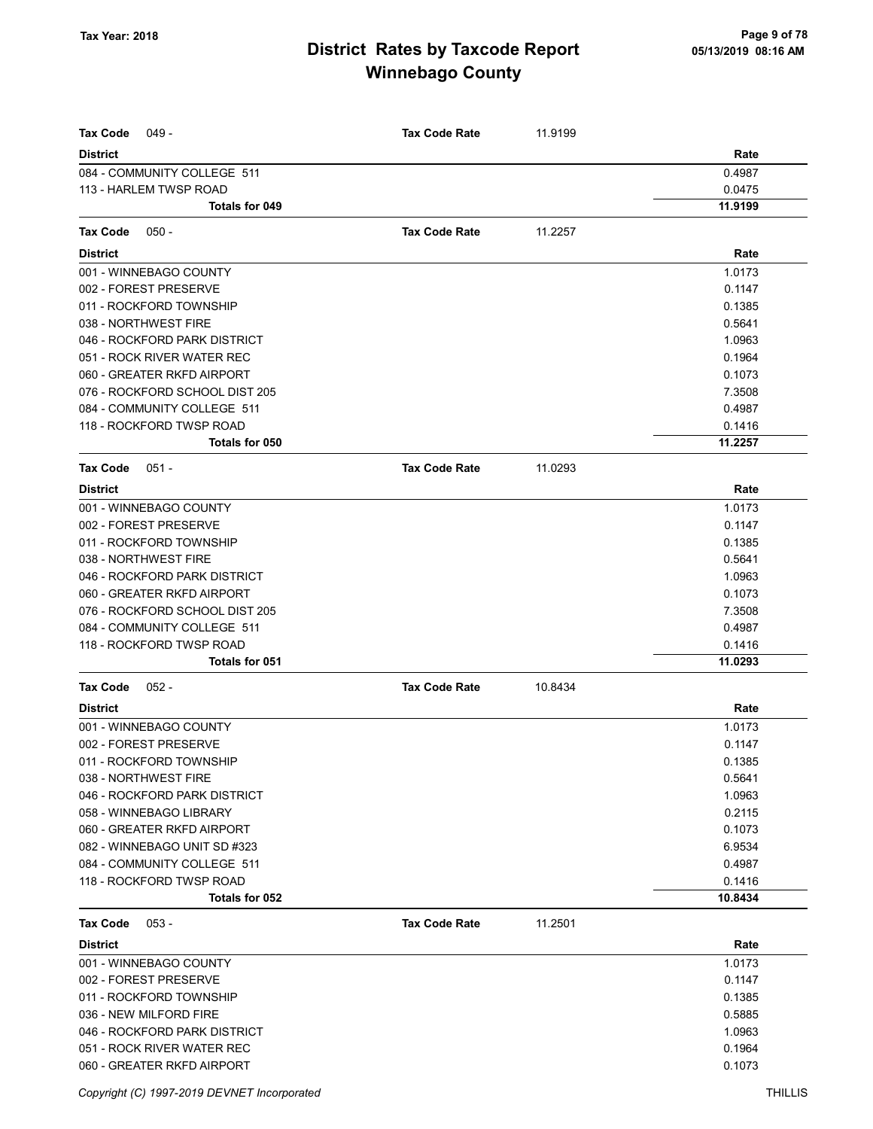| <b>Tax Code</b><br>$049 -$     | <b>Tax Code Rate</b> | 11.9199 |         |
|--------------------------------|----------------------|---------|---------|
| <b>District</b>                |                      |         | Rate    |
| 084 - COMMUNITY COLLEGE 511    |                      |         | 0.4987  |
| 113 - HARLEM TWSP ROAD         |                      |         | 0.0475  |
| <b>Totals for 049</b>          |                      |         | 11.9199 |
| Tax Code<br>$050 -$            | <b>Tax Code Rate</b> | 11.2257 |         |
| <b>District</b>                |                      |         | Rate    |
| 001 - WINNEBAGO COUNTY         |                      |         | 1.0173  |
| 002 - FOREST PRESERVE          |                      |         | 0.1147  |
| 011 - ROCKFORD TOWNSHIP        |                      |         | 0.1385  |
| 038 - NORTHWEST FIRE           |                      |         | 0.5641  |
| 046 - ROCKFORD PARK DISTRICT   |                      |         | 1.0963  |
| 051 - ROCK RIVER WATER REC     |                      |         | 0.1964  |
| 060 - GREATER RKFD AIRPORT     |                      |         | 0.1073  |
| 076 - ROCKFORD SCHOOL DIST 205 |                      |         | 7.3508  |
| 084 - COMMUNITY COLLEGE 511    |                      |         | 0.4987  |
| 118 - ROCKFORD TWSP ROAD       |                      |         | 0.1416  |
| <b>Totals for 050</b>          |                      |         | 11.2257 |
| <b>Tax Code</b><br>$051 -$     | <b>Tax Code Rate</b> | 11.0293 |         |
| <b>District</b>                |                      |         | Rate    |
| 001 - WINNEBAGO COUNTY         |                      |         | 1.0173  |
| 002 - FOREST PRESERVE          |                      |         | 0.1147  |
| 011 - ROCKFORD TOWNSHIP        |                      |         | 0.1385  |
| 038 - NORTHWEST FIRE           |                      |         | 0.5641  |
| 046 - ROCKFORD PARK DISTRICT   |                      |         | 1.0963  |
| 060 - GREATER RKFD AIRPORT     |                      |         | 0.1073  |
| 076 - ROCKFORD SCHOOL DIST 205 |                      |         | 7.3508  |
| 084 - COMMUNITY COLLEGE 511    |                      |         | 0.4987  |
| 118 - ROCKFORD TWSP ROAD       |                      |         | 0.1416  |
| Totals for 051                 |                      |         | 11.0293 |
| <b>Tax Code</b><br>$052 -$     | <b>Tax Code Rate</b> | 10.8434 |         |
| <b>District</b>                |                      |         | Rate    |
| 001 - WINNEBAGO COUNTY         |                      |         | 1.0173  |
| 002 - FOREST PRESERVE          |                      |         | 0.1147  |
| 011 - ROCKFORD TOWNSHIP        |                      |         | 0.1385  |
| 038 - NORTHWEST FIRE           |                      |         | 0.5641  |
| 046 - ROCKFORD PARK DISTRICT   |                      |         | 1.0963  |
| 058 - WINNEBAGO LIBRARY        |                      |         | 0.2115  |
| 060 - GREATER RKFD AIRPORT     |                      |         | 0.1073  |
| 082 - WINNEBAGO UNIT SD #323   |                      |         | 6.9534  |
| 084 - COMMUNITY COLLEGE 511    |                      |         | 0.4987  |
| 118 - ROCKFORD TWSP ROAD       |                      |         | 0.1416  |
| Totals for 052                 |                      |         | 10.8434 |
| <b>Tax Code</b><br>$053 -$     | <b>Tax Code Rate</b> | 11.2501 |         |
| <b>District</b>                |                      |         | Rate    |
| 001 - WINNEBAGO COUNTY         |                      |         | 1.0173  |
| 002 - FOREST PRESERVE          |                      |         | 0.1147  |
| 011 - ROCKFORD TOWNSHIP        |                      |         | 0.1385  |
| 036 - NEW MILFORD FIRE         |                      |         | 0.5885  |
| 046 - ROCKFORD PARK DISTRICT   |                      |         | 1.0963  |
| 051 - ROCK RIVER WATER REC     |                      |         | 0.1964  |
| 060 - GREATER RKFD AIRPORT     |                      |         | 0.1073  |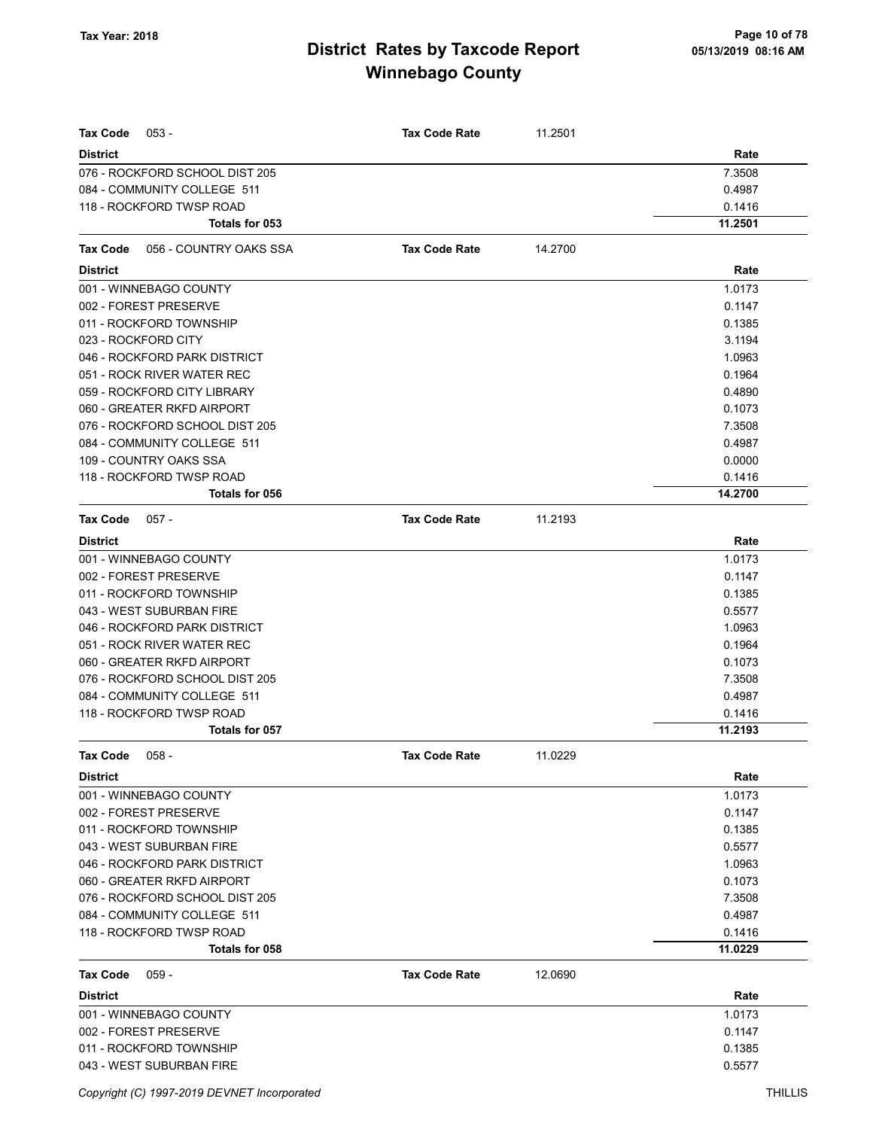| <b>Tax Code</b><br>$053 -$         | <b>Tax Code Rate</b> | 11.2501 |         |
|------------------------------------|----------------------|---------|---------|
| <b>District</b>                    |                      |         | Rate    |
| 076 - ROCKFORD SCHOOL DIST 205     |                      |         | 7.3508  |
| 084 - COMMUNITY COLLEGE 511        |                      |         | 0.4987  |
| 118 - ROCKFORD TWSP ROAD           |                      |         | 0.1416  |
| Totals for 053                     |                      |         | 11.2501 |
| Tax Code<br>056 - COUNTRY OAKS SSA | <b>Tax Code Rate</b> | 14.2700 |         |
| <b>District</b>                    |                      |         | Rate    |
| 001 - WINNEBAGO COUNTY             |                      |         | 1.0173  |
| 002 - FOREST PRESERVE              |                      |         | 0.1147  |
| 011 - ROCKFORD TOWNSHIP            |                      |         | 0.1385  |
| 023 - ROCKFORD CITY                |                      |         | 3.1194  |
| 046 - ROCKFORD PARK DISTRICT       |                      |         | 1.0963  |
| 051 - ROCK RIVER WATER REC         |                      |         | 0.1964  |
| 059 - ROCKFORD CITY LIBRARY        |                      |         | 0.4890  |
| 060 - GREATER RKFD AIRPORT         |                      |         | 0.1073  |
| 076 - ROCKFORD SCHOOL DIST 205     |                      |         | 7.3508  |
| 084 - COMMUNITY COLLEGE 511        |                      |         | 0.4987  |
| 109 - COUNTRY OAKS SSA             |                      |         | 0.0000  |
| 118 - ROCKFORD TWSP ROAD           |                      |         | 0.1416  |
| Totals for 056                     |                      |         | 14.2700 |
| <b>Tax Code</b><br>$057 -$         | <b>Tax Code Rate</b> | 11.2193 |         |
| <b>District</b>                    |                      |         | Rate    |
| 001 - WINNEBAGO COUNTY             |                      |         | 1.0173  |
| 002 - FOREST PRESERVE              |                      |         | 0.1147  |
| 011 - ROCKFORD TOWNSHIP            |                      |         | 0.1385  |
| 043 - WEST SUBURBAN FIRE           |                      |         | 0.5577  |
| 046 - ROCKFORD PARK DISTRICT       |                      |         | 1.0963  |
| 051 - ROCK RIVER WATER REC         |                      |         | 0.1964  |
| 060 - GREATER RKFD AIRPORT         |                      |         | 0.1073  |
| 076 - ROCKFORD SCHOOL DIST 205     |                      |         | 7.3508  |
| 084 - COMMUNITY COLLEGE 511        |                      |         | 0.4987  |
| 118 - ROCKFORD TWSP ROAD           |                      |         | 0.1416  |
| Totals for 057                     |                      |         | 11.2193 |
| Tax Code 058 -                     | <b>Tax Code Rate</b> | 11.0229 |         |
| <b>District</b>                    |                      |         | Rate    |
| 001 - WINNEBAGO COUNTY             |                      |         | 1.0173  |
| 002 - FOREST PRESERVE              |                      |         | 0.1147  |
| 011 - ROCKFORD TOWNSHIP            |                      |         | 0.1385  |
| 043 - WEST SUBURBAN FIRE           |                      |         | 0.5577  |
| 046 - ROCKFORD PARK DISTRICT       |                      |         | 1.0963  |
| 060 - GREATER RKFD AIRPORT         |                      |         | 0.1073  |
| 076 - ROCKFORD SCHOOL DIST 205     |                      |         | 7.3508  |
| 084 - COMMUNITY COLLEGE 511        |                      |         | 0.4987  |
| 118 - ROCKFORD TWSP ROAD           |                      |         | 0.1416  |
| Totals for 058                     |                      |         | 11.0229 |
| $059 -$<br>Tax Code                | <b>Tax Code Rate</b> | 12.0690 |         |
| <b>District</b>                    |                      |         | Rate    |
| 001 - WINNEBAGO COUNTY             |                      |         | 1.0173  |
| 002 - FOREST PRESERVE              |                      |         | 0.1147  |
| 011 - ROCKFORD TOWNSHIP            |                      |         | 0.1385  |
| 043 - WEST SUBURBAN FIRE           |                      |         | 0.5577  |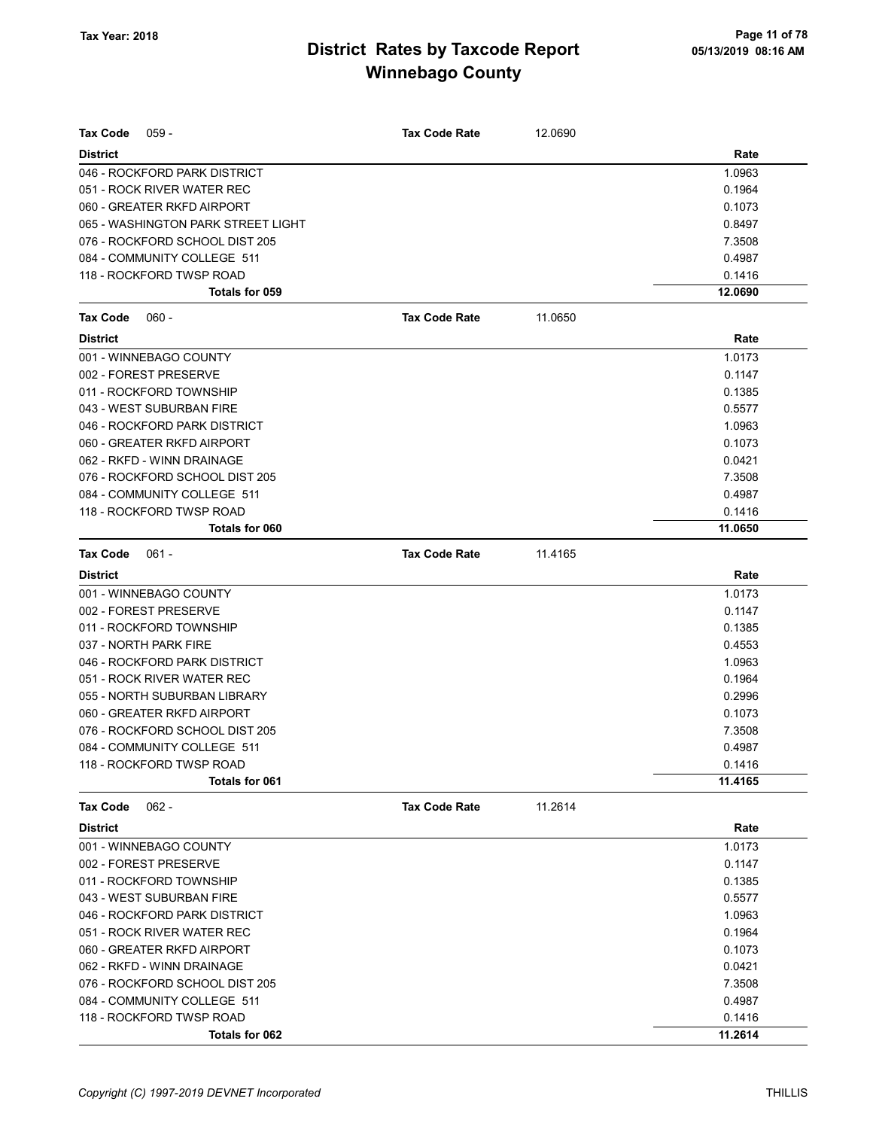| Tax Code<br>$059 -$                | <b>Tax Code Rate</b> | 12.0690 |         |
|------------------------------------|----------------------|---------|---------|
| <b>District</b>                    |                      |         | Rate    |
| 046 - ROCKFORD PARK DISTRICT       |                      |         | 1.0963  |
| 051 - ROCK RIVER WATER REC         |                      |         | 0.1964  |
| 060 - GREATER RKFD AIRPORT         |                      |         | 0.1073  |
| 065 - WASHINGTON PARK STREET LIGHT |                      |         | 0.8497  |
| 076 - ROCKFORD SCHOOL DIST 205     |                      |         | 7.3508  |
| 084 - COMMUNITY COLLEGE 511        |                      |         | 0.4987  |
| 118 - ROCKFORD TWSP ROAD           |                      |         | 0.1416  |
| Totals for 059                     |                      |         | 12.0690 |
| <b>Tax Code</b><br>$060 -$         | <b>Tax Code Rate</b> | 11.0650 |         |
| <b>District</b>                    |                      |         | Rate    |
| 001 - WINNEBAGO COUNTY             |                      |         | 1.0173  |
| 002 - FOREST PRESERVE              |                      |         | 0.1147  |
| 011 - ROCKFORD TOWNSHIP            |                      |         | 0.1385  |
| 043 - WEST SUBURBAN FIRE           |                      |         | 0.5577  |
| 046 - ROCKFORD PARK DISTRICT       |                      |         | 1.0963  |
| 060 - GREATER RKFD AIRPORT         |                      |         | 0.1073  |
| 062 - RKFD - WINN DRAINAGE         |                      |         | 0.0421  |
| 076 - ROCKFORD SCHOOL DIST 205     |                      |         | 7.3508  |
| 084 - COMMUNITY COLLEGE 511        |                      |         | 0.4987  |
| 118 - ROCKFORD TWSP ROAD           |                      |         | 0.1416  |
| Totals for 060                     |                      |         | 11.0650 |
| <b>Tax Code</b><br>$061 -$         | <b>Tax Code Rate</b> | 11.4165 |         |
| <b>District</b>                    |                      |         | Rate    |
| 001 - WINNEBAGO COUNTY             |                      |         | 1.0173  |
| 002 - FOREST PRESERVE              |                      |         | 0.1147  |
| 011 - ROCKFORD TOWNSHIP            |                      |         | 0.1385  |
| 037 - NORTH PARK FIRE              |                      |         | 0.4553  |
| 046 - ROCKFORD PARK DISTRICT       |                      |         | 1.0963  |
| 051 - ROCK RIVER WATER REC         |                      |         | 0.1964  |
| 055 - NORTH SUBURBAN LIBRARY       |                      |         | 0.2996  |
| 060 - GREATER RKFD AIRPORT         |                      |         | 0.1073  |
| 076 - ROCKFORD SCHOOL DIST 205     |                      |         | 7.3508  |
| 084 - COMMUNITY COLLEGE 511        |                      |         | 0.4987  |
| 118 - ROCKFORD TWSP ROAD           |                      |         | 0.1416  |
| Totals for 061                     |                      |         | 11.4165 |
| $062 -$<br>Tax Code                | <b>Tax Code Rate</b> | 11.2614 |         |
| <b>District</b>                    |                      |         | Rate    |
| 001 - WINNEBAGO COUNTY             |                      |         | 1.0173  |
| 002 - FOREST PRESERVE              |                      |         | 0.1147  |
| 011 - ROCKFORD TOWNSHIP            |                      |         | 0.1385  |
| 043 - WEST SUBURBAN FIRE           |                      |         | 0.5577  |
| 046 - ROCKFORD PARK DISTRICT       |                      |         | 1.0963  |
| 051 - ROCK RIVER WATER REC         |                      |         | 0.1964  |
| 060 - GREATER RKFD AIRPORT         |                      |         | 0.1073  |
| 062 - RKFD - WINN DRAINAGE         |                      |         | 0.0421  |
| 076 - ROCKFORD SCHOOL DIST 205     |                      |         | 7.3508  |
| 084 - COMMUNITY COLLEGE 511        |                      |         | 0.4987  |
| 118 - ROCKFORD TWSP ROAD           |                      |         | 0.1416  |
| Totals for 062                     |                      |         | 11.2614 |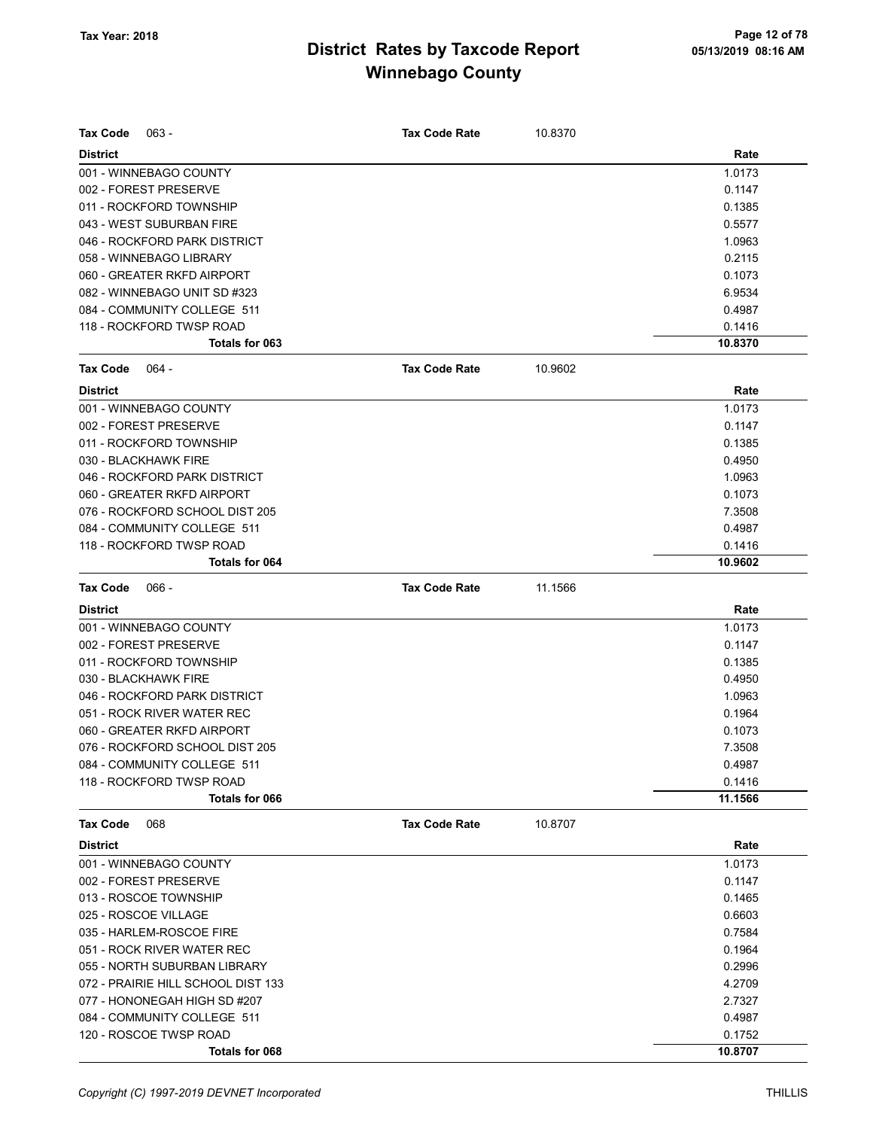| <b>Tax Code</b><br>$063 -$                      | <b>Tax Code Rate</b> | 10.8370 |                  |
|-------------------------------------------------|----------------------|---------|------------------|
|                                                 |                      |         |                  |
| <b>District</b>                                 |                      |         | Rate             |
| 001 - WINNEBAGO COUNTY<br>002 - FOREST PRESERVE |                      |         | 1.0173<br>0.1147 |
| 011 - ROCKFORD TOWNSHIP                         |                      |         | 0.1385           |
| 043 - WEST SUBURBAN FIRE                        |                      |         | 0.5577           |
| 046 - ROCKFORD PARK DISTRICT                    |                      |         | 1.0963           |
| 058 - WINNEBAGO LIBRARY                         |                      |         | 0.2115           |
| 060 - GREATER RKFD AIRPORT                      |                      |         | 0.1073           |
| 082 - WINNEBAGO UNIT SD #323                    |                      |         | 6.9534           |
| 084 - COMMUNITY COLLEGE 511                     |                      |         | 0.4987           |
| 118 - ROCKFORD TWSP ROAD                        |                      |         | 0.1416           |
| Totals for 063                                  |                      |         | 10.8370          |
|                                                 |                      |         |                  |
| <b>Tax Code</b><br>064 -                        | <b>Tax Code Rate</b> | 10.9602 |                  |
| <b>District</b>                                 |                      |         | Rate             |
| 001 - WINNEBAGO COUNTY                          |                      |         | 1.0173           |
| 002 - FOREST PRESERVE                           |                      |         | 0.1147           |
| 011 - ROCKFORD TOWNSHIP                         |                      |         | 0.1385           |
| 030 - BLACKHAWK FIRE                            |                      |         | 0.4950           |
| 046 - ROCKFORD PARK DISTRICT                    |                      |         | 1.0963           |
| 060 - GREATER RKFD AIRPORT                      |                      |         | 0.1073           |
| 076 - ROCKFORD SCHOOL DIST 205                  |                      |         | 7.3508           |
| 084 - COMMUNITY COLLEGE 511                     |                      |         | 0.4987           |
| 118 - ROCKFORD TWSP ROAD                        |                      |         | 0.1416           |
| Totals for 064                                  |                      |         | 10.9602          |
| $066 -$<br><b>Tax Code</b>                      | <b>Tax Code Rate</b> | 11.1566 |                  |
| <b>District</b>                                 |                      |         | Rate             |
| 001 - WINNEBAGO COUNTY                          |                      |         | 1.0173           |
| 002 - FOREST PRESERVE                           |                      |         | 0.1147           |
| 011 - ROCKFORD TOWNSHIP                         |                      |         | 0.1385           |
| 030 - BLACKHAWK FIRE                            |                      |         | 0.4950           |
| 046 - ROCKFORD PARK DISTRICT                    |                      |         | 1.0963           |
| 051 - ROCK RIVER WATER REC                      |                      |         | 0.1964           |
| 060 - GREATER RKFD AIRPORT                      |                      |         | 0.1073           |
| 076 - ROCKFORD SCHOOL DIST 205                  |                      |         | 7.3508           |
| 084 - COMMUNITY COLLEGE 511                     |                      |         | 0.4987           |
| 118 - ROCKFORD TWSP ROAD                        |                      |         | 0.1416           |
| <b>Totals for 066</b>                           |                      |         | 11.1566          |
| Tax Code<br>068                                 | <b>Tax Code Rate</b> | 10.8707 |                  |
| <b>District</b>                                 |                      |         | Rate             |
| 001 - WINNEBAGO COUNTY                          |                      |         | 1.0173           |
| 002 - FOREST PRESERVE                           |                      |         | 0.1147           |
| 013 - ROSCOE TOWNSHIP                           |                      |         | 0.1465           |
| 025 - ROSCOE VILLAGE                            |                      |         | 0.6603           |
| 035 - HARLEM-ROSCOE FIRE                        |                      |         | 0.7584           |
| 051 - ROCK RIVER WATER REC                      |                      |         | 0.1964           |
| 055 - NORTH SUBURBAN LIBRARY                    |                      |         | 0.2996           |
| 072 - PRAIRIE HILL SCHOOL DIST 133              |                      |         | 4.2709           |
| 077 - HONONEGAH HIGH SD #207                    |                      |         | 2.7327           |
| 084 - COMMUNITY COLLEGE 511                     |                      |         | 0.4987           |
| 120 - ROSCOE TWSP ROAD                          |                      |         | 0.1752           |
| Totals for 068                                  |                      |         | 10.8707          |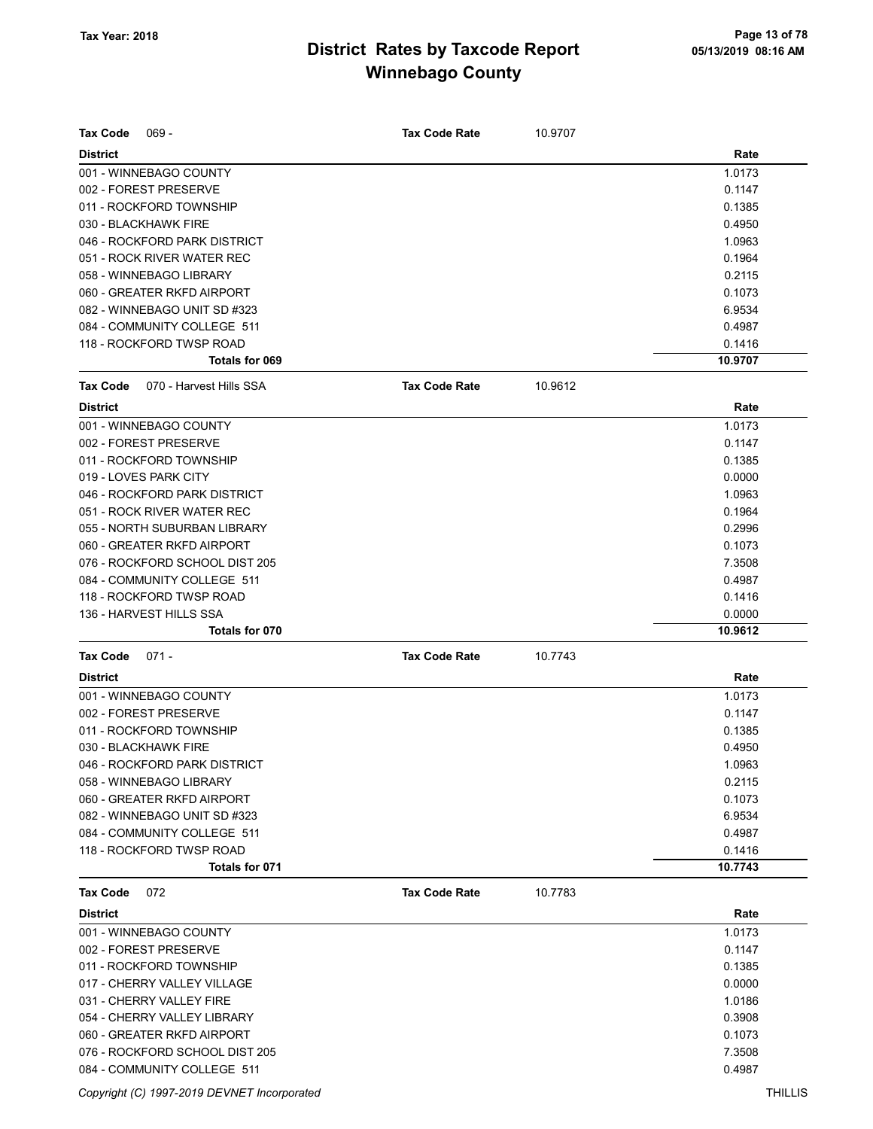| $069 -$<br><b>Tax Code</b>                 | <b>Tax Code Rate</b> | 10.9707 |                   |
|--------------------------------------------|----------------------|---------|-------------------|
| <b>District</b>                            |                      |         | Rate              |
| 001 - WINNEBAGO COUNTY                     |                      |         | 1.0173            |
| 002 - FOREST PRESERVE                      |                      |         | 0.1147            |
| 011 - ROCKFORD TOWNSHIP                    |                      |         | 0.1385            |
| 030 - BLACKHAWK FIRE                       |                      |         | 0.4950            |
| 046 - ROCKFORD PARK DISTRICT               |                      |         | 1.0963            |
| 051 - ROCK RIVER WATER REC                 |                      |         | 0.1964            |
| 058 - WINNEBAGO LIBRARY                    |                      |         | 0.2115            |
| 060 - GREATER RKFD AIRPORT                 |                      |         | 0.1073            |
| 082 - WINNEBAGO UNIT SD #323               |                      |         | 6.9534            |
| 084 - COMMUNITY COLLEGE 511                |                      |         | 0.4987            |
| 118 - ROCKFORD TWSP ROAD<br>Totals for 069 |                      |         | 0.1416<br>10.9707 |
|                                            |                      |         |                   |
| Tax Code<br>070 - Harvest Hills SSA        | <b>Tax Code Rate</b> | 10.9612 |                   |
| <b>District</b>                            |                      |         | Rate              |
| 001 - WINNEBAGO COUNTY                     |                      |         | 1.0173            |
| 002 - FOREST PRESERVE                      |                      |         | 0.1147            |
| 011 - ROCKFORD TOWNSHIP                    |                      |         | 0.1385            |
| 019 - LOVES PARK CITY                      |                      |         | 0.0000            |
| 046 - ROCKFORD PARK DISTRICT               |                      |         | 1.0963            |
| 051 - ROCK RIVER WATER REC                 |                      |         | 0.1964            |
| 055 - NORTH SUBURBAN LIBRARY               |                      |         | 0.2996            |
| 060 - GREATER RKFD AIRPORT                 |                      |         | 0.1073            |
| 076 - ROCKFORD SCHOOL DIST 205             |                      |         | 7.3508            |
| 084 - COMMUNITY COLLEGE 511                |                      |         | 0.4987            |
| 118 - ROCKFORD TWSP ROAD                   |                      |         | 0.1416            |
| 136 - HARVEST HILLS SSA                    |                      |         | 0.0000            |
| Totals for 070                             |                      |         | 10.9612           |
| <b>Tax Code</b><br>$071 -$                 | <b>Tax Code Rate</b> | 10.7743 |                   |
| <b>District</b>                            |                      |         | Rate              |
| 001 - WINNEBAGO COUNTY                     |                      |         | 1.0173            |
| 002 - FOREST PRESERVE                      |                      |         | 0.1147            |
| 011 - ROCKFORD TOWNSHIP                    |                      |         | 0.1385            |
| 030 - BLACKHAWK FIRE                       |                      |         | 0.4950            |
| 046 - ROCKFORD PARK DISTRICT               |                      |         | 1.0963            |
| 058 - WINNEBAGO LIBRARY                    |                      |         | 0.2115            |
| 060 - GREATER RKFD AIRPORT                 |                      |         | 0.1073            |
| 082 - WINNEBAGO UNIT SD #323               |                      |         | 6.9534            |
| 084 - COMMUNITY COLLEGE 511                |                      |         | 0.4987            |
| 118 - ROCKFORD TWSP ROAD                   |                      |         | 0.1416            |
| Totals for 071                             |                      |         | 10.7743           |
| Tax Code<br>072                            | <b>Tax Code Rate</b> | 10.7783 |                   |
| <b>District</b>                            |                      |         | Rate              |
| 001 - WINNEBAGO COUNTY                     |                      |         | 1.0173            |
| 002 - FOREST PRESERVE                      |                      |         | 0.1147            |
| 011 - ROCKFORD TOWNSHIP                    |                      |         | 0.1385            |
| 017 - CHERRY VALLEY VILLAGE                |                      |         | 0.0000            |
| 031 - CHERRY VALLEY FIRE                   |                      |         | 1.0186            |
| 054 - CHERRY VALLEY LIBRARY                |                      |         | 0.3908            |
| 060 - GREATER RKFD AIRPORT                 |                      |         | 0.1073            |
| 076 - ROCKFORD SCHOOL DIST 205             |                      |         | 7.3508            |
| 084 - COMMUNITY COLLEGE 511                |                      |         | 0.4987            |

Copyright (C) 1997-2019 DEVNET Incorporated THILLIS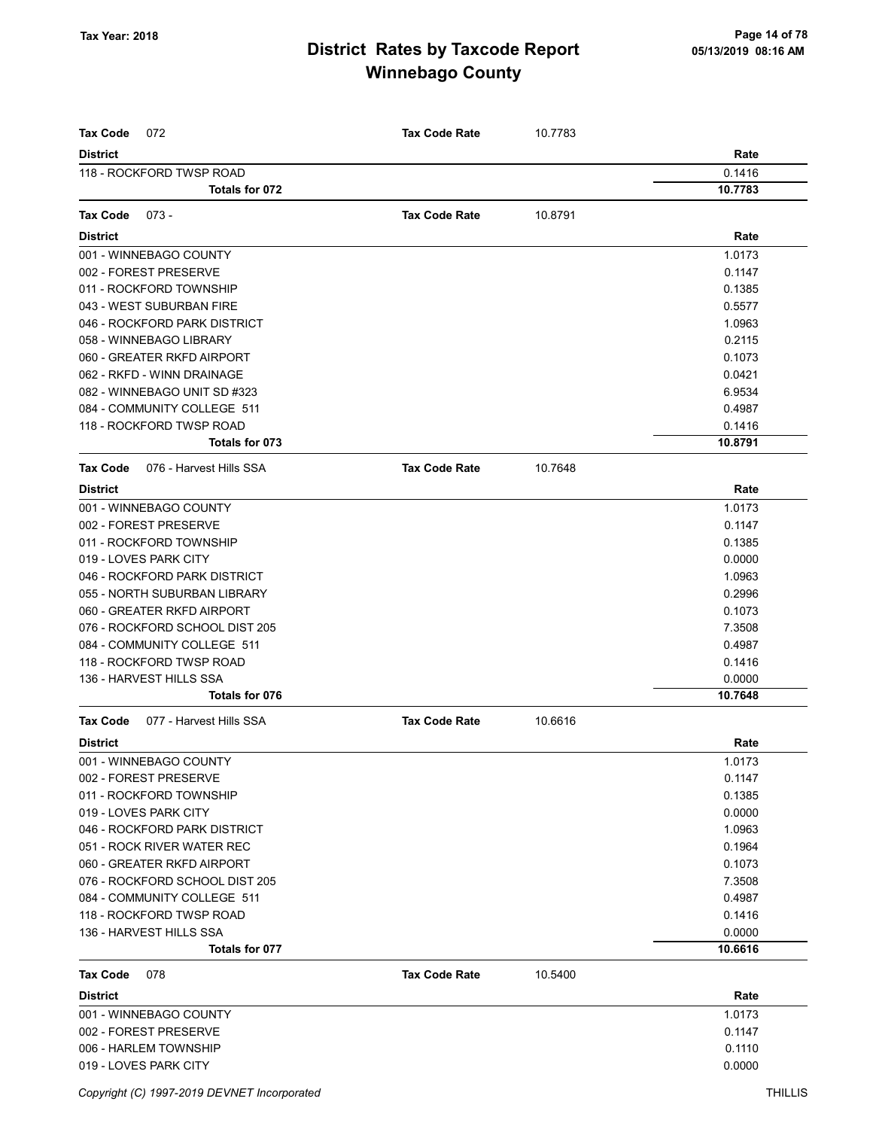| Tax Code<br>072                            | <b>Tax Code Rate</b> | 10.7783 |         |
|--------------------------------------------|----------------------|---------|---------|
| <b>District</b>                            |                      |         | Rate    |
| 118 - ROCKFORD TWSP ROAD                   |                      |         | 0.1416  |
| Totals for 072                             |                      |         | 10.7783 |
|                                            |                      |         |         |
| <b>Tax Code</b><br>$073 -$                 | <b>Tax Code Rate</b> | 10.8791 |         |
| <b>District</b>                            |                      |         | Rate    |
| 001 - WINNEBAGO COUNTY                     |                      |         | 1.0173  |
| 002 - FOREST PRESERVE                      |                      |         | 0.1147  |
| 011 - ROCKFORD TOWNSHIP                    |                      |         | 0.1385  |
| 043 - WEST SUBURBAN FIRE                   |                      |         | 0.5577  |
| 046 - ROCKFORD PARK DISTRICT               |                      |         | 1.0963  |
| 058 - WINNEBAGO LIBRARY                    |                      |         | 0.2115  |
| 060 - GREATER RKFD AIRPORT                 |                      |         | 0.1073  |
| 062 - RKFD - WINN DRAINAGE                 |                      |         | 0.0421  |
| 082 - WINNEBAGO UNIT SD #323               |                      |         | 6.9534  |
| 084 - COMMUNITY COLLEGE 511                |                      |         | 0.4987  |
| 118 - ROCKFORD TWSP ROAD                   |                      |         | 0.1416  |
| Totals for 073                             |                      |         | 10.8791 |
| 076 - Harvest Hills SSA<br><b>Tax Code</b> | <b>Tax Code Rate</b> | 10.7648 |         |
| <b>District</b>                            |                      |         | Rate    |
| 001 - WINNEBAGO COUNTY                     |                      |         | 1.0173  |
| 002 - FOREST PRESERVE                      |                      |         | 0.1147  |
| 011 - ROCKFORD TOWNSHIP                    |                      |         | 0.1385  |
| 019 - LOVES PARK CITY                      |                      |         | 0.0000  |
| 046 - ROCKFORD PARK DISTRICT               |                      |         | 1.0963  |
| 055 - NORTH SUBURBAN LIBRARY               |                      |         | 0.2996  |
| 060 - GREATER RKFD AIRPORT                 |                      |         | 0.1073  |
| 076 - ROCKFORD SCHOOL DIST 205             |                      |         | 7.3508  |
| 084 - COMMUNITY COLLEGE 511                |                      |         | 0.4987  |
| 118 - ROCKFORD TWSP ROAD                   |                      |         | 0.1416  |
| 136 - HARVEST HILLS SSA                    |                      |         | 0.0000  |
| Totals for 076                             |                      |         | 10.7648 |
| <b>Tax Code</b><br>077 - Harvest Hills SSA | <b>Tax Code Rate</b> | 10.6616 |         |
| <b>District</b>                            |                      |         | Rate    |
| 001 - WINNEBAGO COUNTY                     |                      |         | 1.0173  |
| 002 - FOREST PRESERVE                      |                      |         | 0.1147  |
| 011 - ROCKFORD TOWNSHIP                    |                      |         | 0.1385  |
| 019 - LOVES PARK CITY                      |                      |         | 0.0000  |
| 046 - ROCKFORD PARK DISTRICT               |                      |         | 1.0963  |
| 051 - ROCK RIVER WATER REC                 |                      |         | 0.1964  |
| 060 - GREATER RKFD AIRPORT                 |                      |         | 0.1073  |
| 076 - ROCKFORD SCHOOL DIST 205             |                      |         | 7.3508  |
| 084 - COMMUNITY COLLEGE 511                |                      |         | 0.4987  |
| 118 - ROCKFORD TWSP ROAD                   |                      |         | 0.1416  |
| 136 - HARVEST HILLS SSA                    |                      |         | 0.0000  |
| Totals for 077                             |                      |         | 10.6616 |
| <b>Tax Code</b><br>078                     | <b>Tax Code Rate</b> | 10.5400 |         |
| <b>District</b>                            |                      |         | Rate    |
| 001 - WINNEBAGO COUNTY                     |                      |         | 1.0173  |
| 002 - FOREST PRESERVE                      |                      |         | 0.1147  |
| 006 - HARLEM TOWNSHIP                      |                      |         | 0.1110  |
| 019 - LOVES PARK CITY                      |                      |         | 0.0000  |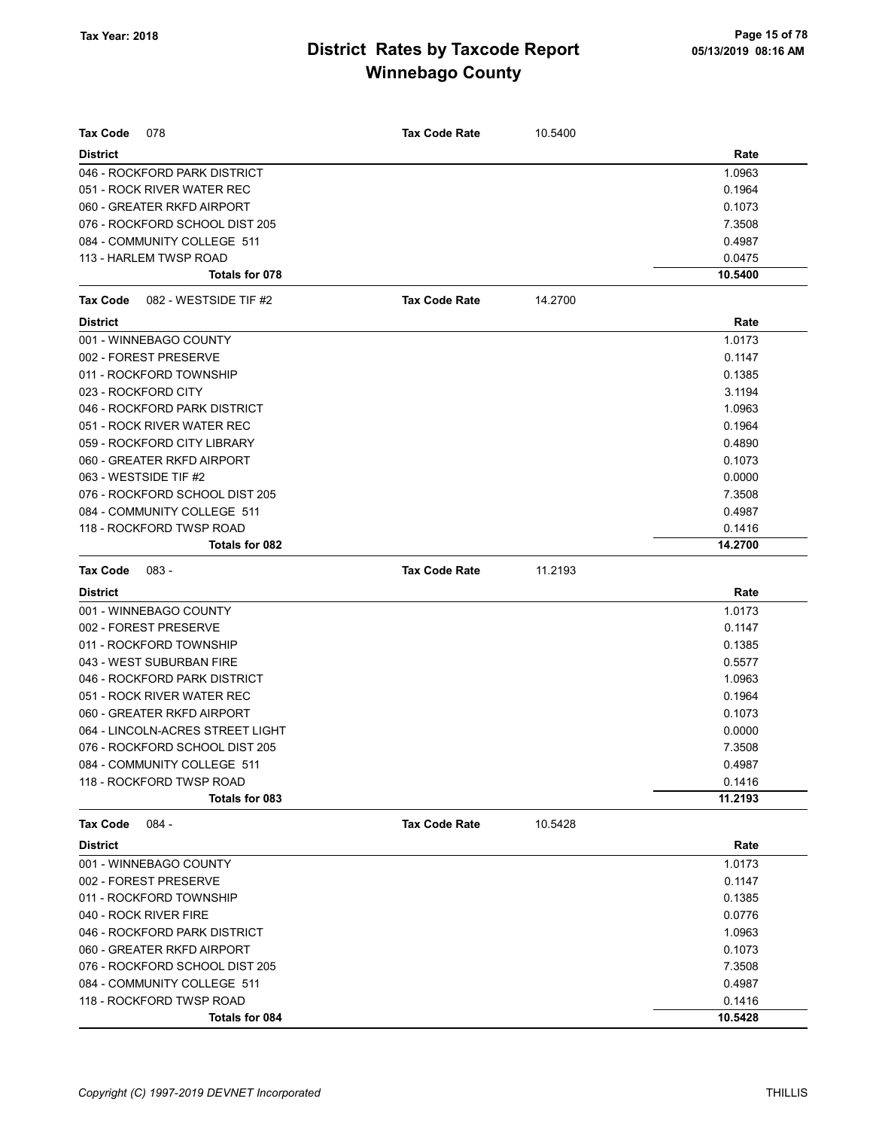| Tax Code<br>078                   | <b>Tax Code Rate</b> | 10.5400 |         |
|-----------------------------------|----------------------|---------|---------|
| <b>District</b>                   |                      |         | Rate    |
| 046 - ROCKFORD PARK DISTRICT      |                      |         | 1.0963  |
| 051 - ROCK RIVER WATER REC        |                      |         | 0.1964  |
| 060 - GREATER RKFD AIRPORT        |                      |         | 0.1073  |
| 076 - ROCKFORD SCHOOL DIST 205    |                      |         | 7.3508  |
| 084 - COMMUNITY COLLEGE 511       |                      |         | 0.4987  |
| 113 - HARLEM TWSP ROAD            |                      |         | 0.0475  |
| Totals for 078                    |                      |         | 10.5400 |
| 082 - WESTSIDE TIF #2<br>Tax Code | <b>Tax Code Rate</b> | 14.2700 |         |
| <b>District</b>                   |                      |         | Rate    |
| 001 - WINNEBAGO COUNTY            |                      |         | 1.0173  |
| 002 - FOREST PRESERVE             |                      |         | 0.1147  |
| 011 - ROCKFORD TOWNSHIP           |                      |         | 0.1385  |
| 023 - ROCKFORD CITY               |                      |         | 3.1194  |
| 046 - ROCKFORD PARK DISTRICT      |                      |         | 1.0963  |
| 051 - ROCK RIVER WATER REC        |                      |         | 0.1964  |
| 059 - ROCKFORD CITY LIBRARY       |                      |         | 0.4890  |
| 060 - GREATER RKFD AIRPORT        |                      |         | 0.1073  |
| 063 - WESTSIDE TIF #2             |                      |         | 0.0000  |
| 076 - ROCKFORD SCHOOL DIST 205    |                      |         | 7.3508  |
| 084 - COMMUNITY COLLEGE 511       |                      |         | 0.4987  |
| 118 - ROCKFORD TWSP ROAD          |                      |         | 0.1416  |
| Totals for 082                    |                      |         | 14.2700 |
| <b>Tax Code</b><br>083 -          | <b>Tax Code Rate</b> | 11.2193 |         |
| <b>District</b>                   |                      |         | Rate    |
| 001 - WINNEBAGO COUNTY            |                      |         | 1.0173  |
| 002 - FOREST PRESERVE             |                      |         | 0.1147  |
| 011 - ROCKFORD TOWNSHIP           |                      |         | 0.1385  |
| 043 - WEST SUBURBAN FIRE          |                      |         | 0.5577  |
| 046 - ROCKFORD PARK DISTRICT      |                      |         | 1.0963  |
| 051 - ROCK RIVER WATER REC        |                      |         | 0.1964  |
| 060 - GREATER RKFD AIRPORT        |                      |         | 0.1073  |
| 064 - LINCOLN-ACRES STREET LIGHT  |                      |         | 0.0000  |
| 076 - ROCKFORD SCHOOL DIST 205    |                      |         | 7.3508  |
| 084 - COMMUNITY COLLEGE 511       |                      |         | 0.4987  |
| 118 - ROCKFORD TWSP ROAD          |                      |         | 0.1416  |
| Totals for 083                    |                      |         | 11.2193 |
| <b>Tax Code</b><br>$084 -$        | <b>Tax Code Rate</b> | 10.5428 |         |
| <b>District</b>                   |                      |         | Rate    |
| 001 - WINNEBAGO COUNTY            |                      |         | 1.0173  |
| 002 - FOREST PRESERVE             |                      |         | 0.1147  |
| 011 - ROCKFORD TOWNSHIP           |                      |         | 0.1385  |
| 040 - ROCK RIVER FIRE             |                      |         | 0.0776  |
| 046 - ROCKFORD PARK DISTRICT      |                      |         | 1.0963  |
| 060 - GREATER RKFD AIRPORT        |                      |         | 0.1073  |
| 076 - ROCKFORD SCHOOL DIST 205    |                      |         | 7.3508  |
| 084 - COMMUNITY COLLEGE 511       |                      |         | 0.4987  |
| 118 - ROCKFORD TWSP ROAD          |                      |         | 0.1416  |
| Totals for 084                    |                      |         | 10.5428 |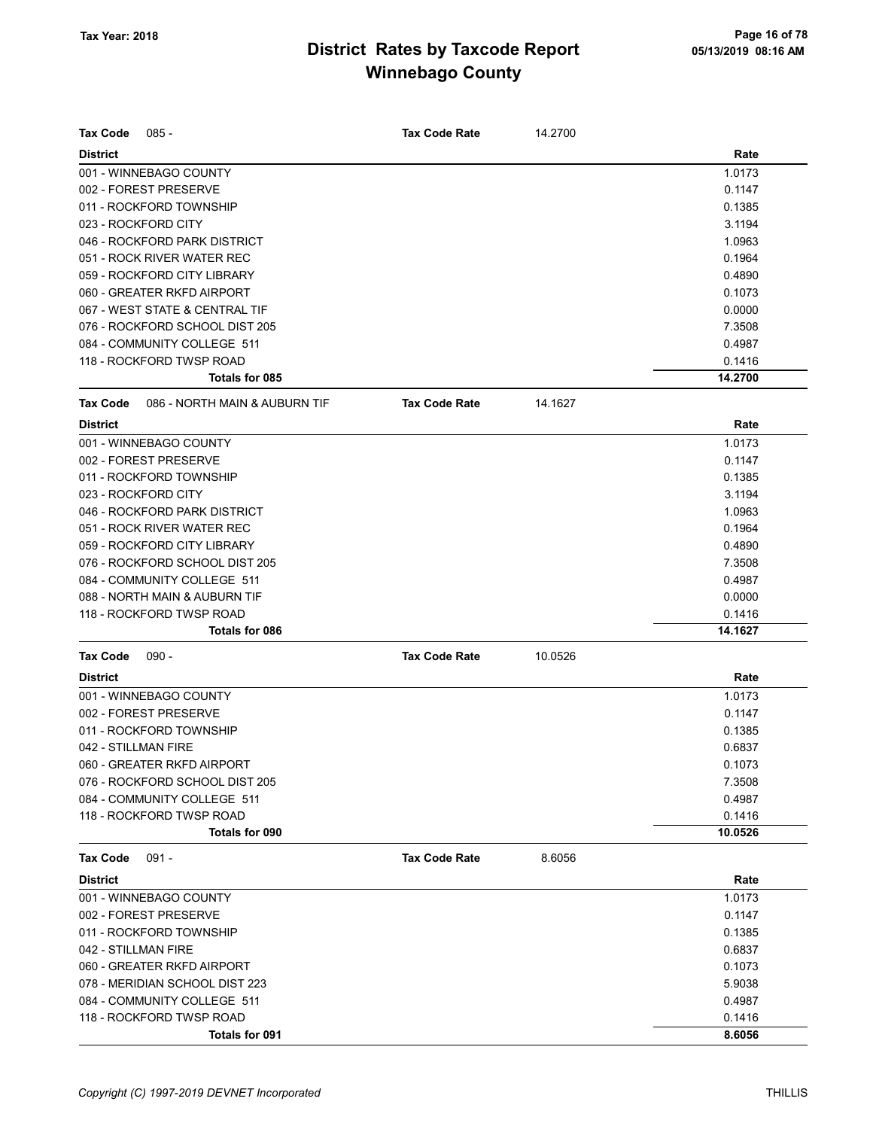| <b>Tax Code</b><br>$085 -$                       | <b>Tax Code Rate</b> | 14.2700 |         |
|--------------------------------------------------|----------------------|---------|---------|
| <b>District</b>                                  |                      |         | Rate    |
| 001 - WINNEBAGO COUNTY                           |                      |         | 1.0173  |
| 002 - FOREST PRESERVE                            |                      |         | 0.1147  |
| 011 - ROCKFORD TOWNSHIP                          |                      |         | 0.1385  |
| 023 - ROCKFORD CITY                              |                      |         | 3.1194  |
| 046 - ROCKFORD PARK DISTRICT                     |                      |         | 1.0963  |
| 051 - ROCK RIVER WATER REC                       |                      |         | 0.1964  |
| 059 - ROCKFORD CITY LIBRARY                      |                      |         | 0.4890  |
| 060 - GREATER RKFD AIRPORT                       |                      |         | 0.1073  |
| 067 - WEST STATE & CENTRAL TIF                   |                      |         | 0.0000  |
| 076 - ROCKFORD SCHOOL DIST 205                   |                      |         | 7.3508  |
| 084 - COMMUNITY COLLEGE 511                      |                      |         | 0.4987  |
| 118 - ROCKFORD TWSP ROAD                         |                      |         | 0.1416  |
| Totals for 085                                   |                      |         | 14.2700 |
| 086 - NORTH MAIN & AUBURN TIF<br><b>Tax Code</b> | <b>Tax Code Rate</b> | 14.1627 |         |
| <b>District</b>                                  |                      |         | Rate    |
| 001 - WINNEBAGO COUNTY                           |                      |         | 1.0173  |
| 002 - FOREST PRESERVE                            |                      |         | 0.1147  |
| 011 - ROCKFORD TOWNSHIP                          |                      |         | 0.1385  |
| 023 - ROCKFORD CITY                              |                      |         | 3.1194  |
| 046 - ROCKFORD PARK DISTRICT                     |                      |         | 1.0963  |
| 051 - ROCK RIVER WATER REC                       |                      |         | 0.1964  |
| 059 - ROCKFORD CITY LIBRARY                      |                      |         | 0.4890  |
| 076 - ROCKFORD SCHOOL DIST 205                   |                      |         | 7.3508  |
| 084 - COMMUNITY COLLEGE 511                      |                      |         | 0.4987  |
| 088 - NORTH MAIN & AUBURN TIF                    |                      |         | 0.0000  |
| 118 - ROCKFORD TWSP ROAD                         |                      |         | 0.1416  |
| <b>Totals for 086</b>                            |                      |         | 14.1627 |
| $090 -$<br><b>Tax Code</b>                       | <b>Tax Code Rate</b> | 10.0526 |         |
| <b>District</b>                                  |                      |         | Rate    |
| 001 - WINNEBAGO COUNTY                           |                      |         | 1.0173  |
| 002 - FOREST PRESERVE                            |                      |         | 0.1147  |
| 011 - ROCKFORD TOWNSHIP                          |                      |         | 0.1385  |
| 042 - STILLMAN FIRE                              |                      |         | 0.6837  |
| 060 - GREATER RKFD AIRPORT                       |                      |         | 0.1073  |
| 076 - ROCKFORD SCHOOL DIST 205                   |                      |         | 7.3508  |
| 084 - COMMUNITY COLLEGE 511                      |                      |         | 0.4987  |
| 118 - ROCKFORD TWSP ROAD                         |                      |         | 0.1416  |
| <b>Totals for 090</b>                            |                      |         | 10.0526 |
| <b>Tax Code</b><br>$091 -$                       | <b>Tax Code Rate</b> | 8.6056  |         |
| <b>District</b>                                  |                      |         | Rate    |
| 001 - WINNEBAGO COUNTY                           |                      |         | 1.0173  |
| 002 - FOREST PRESERVE                            |                      |         | 0.1147  |
| 011 - ROCKFORD TOWNSHIP                          |                      |         | 0.1385  |
| 042 - STILLMAN FIRE                              |                      |         | 0.6837  |
| 060 - GREATER RKFD AIRPORT                       |                      |         | 0.1073  |
| 078 - MERIDIAN SCHOOL DIST 223                   |                      |         | 5.9038  |
| 084 - COMMUNITY COLLEGE 511                      |                      |         | 0.4987  |
| 118 - ROCKFORD TWSP ROAD                         |                      |         | 0.1416  |
| Totals for 091                                   |                      |         | 8.6056  |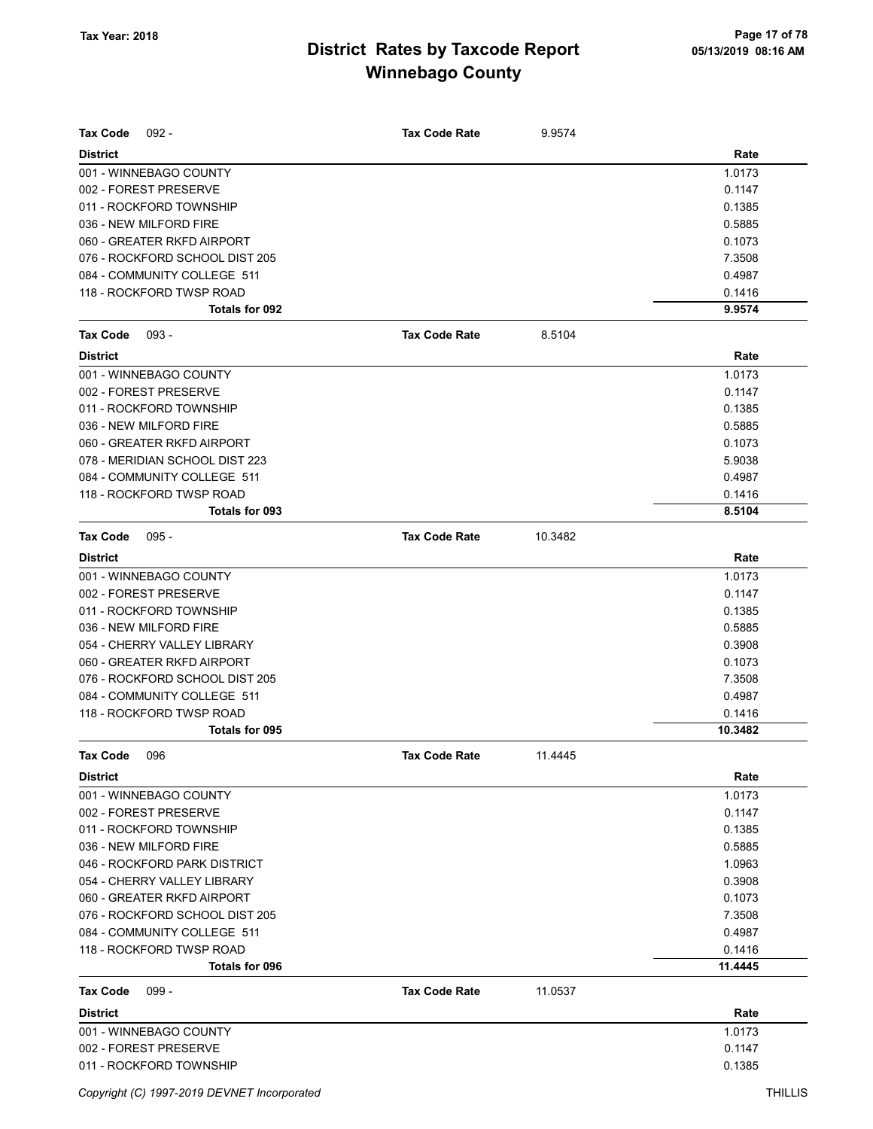| <b>Tax Code</b><br>$092 -$     | <b>Tax Code Rate</b> | 9.9574  |         |
|--------------------------------|----------------------|---------|---------|
| <b>District</b>                |                      |         | Rate    |
| 001 - WINNEBAGO COUNTY         |                      |         | 1.0173  |
| 002 - FOREST PRESERVE          |                      |         | 0.1147  |
| 011 - ROCKFORD TOWNSHIP        |                      |         | 0.1385  |
| 036 - NEW MILFORD FIRE         |                      |         | 0.5885  |
| 060 - GREATER RKFD AIRPORT     |                      |         | 0.1073  |
| 076 - ROCKFORD SCHOOL DIST 205 |                      |         | 7.3508  |
| 084 - COMMUNITY COLLEGE 511    |                      |         | 0.4987  |
| 118 - ROCKFORD TWSP ROAD       |                      |         | 0.1416  |
| Totals for 092                 |                      |         | 9.9574  |
| <b>Tax Code</b><br>$093 -$     | <b>Tax Code Rate</b> | 8.5104  |         |
| <b>District</b>                |                      |         | Rate    |
| 001 - WINNEBAGO COUNTY         |                      |         | 1.0173  |
| 002 - FOREST PRESERVE          |                      |         | 0.1147  |
| 011 - ROCKFORD TOWNSHIP        |                      |         | 0.1385  |
| 036 - NEW MILFORD FIRE         |                      |         | 0.5885  |
| 060 - GREATER RKFD AIRPORT     |                      |         | 0.1073  |
| 078 - MERIDIAN SCHOOL DIST 223 |                      |         | 5.9038  |
| 084 - COMMUNITY COLLEGE 511    |                      |         | 0.4987  |
| 118 - ROCKFORD TWSP ROAD       |                      |         | 0.1416  |
| Totals for 093                 |                      |         | 8.5104  |
| <b>Tax Code</b><br>$095 -$     | <b>Tax Code Rate</b> | 10.3482 |         |
| <b>District</b>                |                      |         | Rate    |
| 001 - WINNEBAGO COUNTY         |                      |         | 1.0173  |
| 002 - FOREST PRESERVE          |                      |         | 0.1147  |
| 011 - ROCKFORD TOWNSHIP        |                      |         | 0.1385  |
| 036 - NEW MILFORD FIRE         |                      |         | 0.5885  |
| 054 - CHERRY VALLEY LIBRARY    |                      |         | 0.3908  |
| 060 - GREATER RKFD AIRPORT     |                      |         | 0.1073  |
| 076 - ROCKFORD SCHOOL DIST 205 |                      |         | 7.3508  |
| 084 - COMMUNITY COLLEGE 511    |                      |         | 0.4987  |
| 118 - ROCKFORD TWSP ROAD       |                      |         | 0.1416  |
| <b>Totals for 095</b>          |                      |         | 10.3482 |
| <b>Tax Code</b><br>096         | <b>Tax Code Rate</b> | 11.4445 |         |
| <b>District</b>                |                      |         | Rate    |
| 001 - WINNEBAGO COUNTY         |                      |         | 1.0173  |
| 002 - FOREST PRESERVE          |                      |         | 0.1147  |
| 011 - ROCKFORD TOWNSHIP        |                      |         | 0.1385  |
| 036 - NEW MILFORD FIRE         |                      |         | 0.5885  |
| 046 - ROCKFORD PARK DISTRICT   |                      |         | 1.0963  |
| 054 - CHERRY VALLEY LIBRARY    |                      |         | 0.3908  |
| 060 - GREATER RKFD AIRPORT     |                      |         | 0.1073  |
| 076 - ROCKFORD SCHOOL DIST 205 |                      |         | 7.3508  |
| 084 - COMMUNITY COLLEGE 511    |                      |         | 0.4987  |
| 118 - ROCKFORD TWSP ROAD       |                      |         | 0.1416  |
| Totals for 096                 |                      |         | 11.4445 |
| <b>Tax Code</b><br>$099 -$     | <b>Tax Code Rate</b> | 11.0537 |         |
| <b>District</b>                |                      |         | Rate    |
| 001 - WINNEBAGO COUNTY         |                      |         | 1.0173  |
| 002 - FOREST PRESERVE          |                      |         | 0.1147  |
| 011 - ROCKFORD TOWNSHIP        |                      |         | 0.1385  |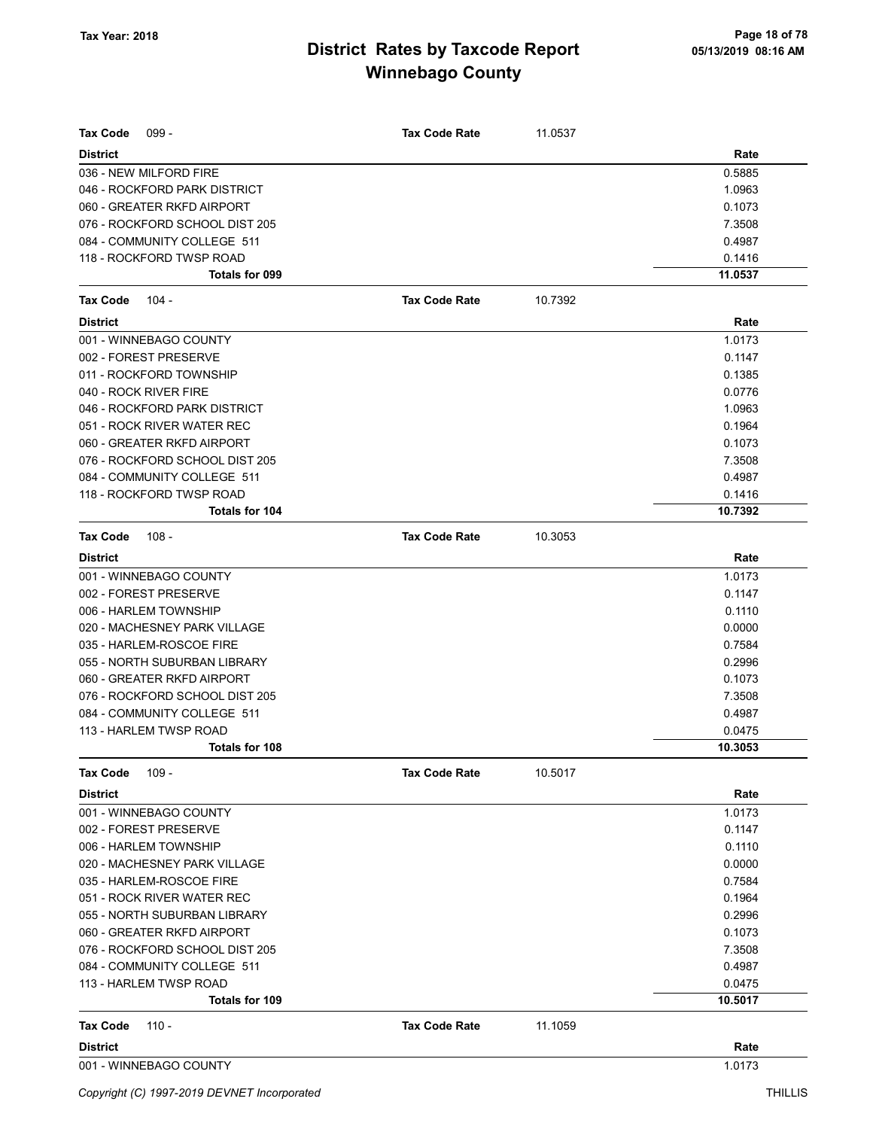| <b>Tax Code</b><br>$099 -$     | <b>Tax Code Rate</b> | 11.0537 |         |
|--------------------------------|----------------------|---------|---------|
| <b>District</b>                |                      |         | Rate    |
| 036 - NEW MILFORD FIRE         |                      |         | 0.5885  |
| 046 - ROCKFORD PARK DISTRICT   |                      |         | 1.0963  |
| 060 - GREATER RKFD AIRPORT     |                      |         | 0.1073  |
| 076 - ROCKFORD SCHOOL DIST 205 |                      |         | 7.3508  |
| 084 - COMMUNITY COLLEGE 511    |                      |         | 0.4987  |
| 118 - ROCKFORD TWSP ROAD       |                      |         | 0.1416  |
| Totals for 099                 |                      |         | 11.0537 |
| <b>Tax Code</b><br>104 -       | <b>Tax Code Rate</b> | 10.7392 |         |
| <b>District</b>                |                      |         | Rate    |
| 001 - WINNEBAGO COUNTY         |                      |         | 1.0173  |
| 002 - FOREST PRESERVE          |                      |         | 0.1147  |
| 011 - ROCKFORD TOWNSHIP        |                      |         | 0.1385  |
| 040 - ROCK RIVER FIRE          |                      |         | 0.0776  |
| 046 - ROCKFORD PARK DISTRICT   |                      |         | 1.0963  |
| 051 - ROCK RIVER WATER REC     |                      |         | 0.1964  |
| 060 - GREATER RKFD AIRPORT     |                      |         | 0.1073  |
| 076 - ROCKFORD SCHOOL DIST 205 |                      |         | 7.3508  |
| 084 - COMMUNITY COLLEGE 511    |                      |         | 0.4987  |
| 118 - ROCKFORD TWSP ROAD       |                      |         | 0.1416  |
| Totals for 104                 |                      |         | 10.7392 |
| <b>Tax Code</b><br>108 -       | <b>Tax Code Rate</b> | 10.3053 |         |
| <b>District</b>                |                      |         | Rate    |
| 001 - WINNEBAGO COUNTY         |                      |         | 1.0173  |
| 002 - FOREST PRESERVE          |                      |         | 0.1147  |
| 006 - HARLEM TOWNSHIP          |                      |         | 0.1110  |
| 020 - MACHESNEY PARK VILLAGE   |                      |         | 0.0000  |
| 035 - HARLEM-ROSCOE FIRE       |                      |         | 0.7584  |
| 055 - NORTH SUBURBAN LIBRARY   |                      |         | 0.2996  |
| 060 - GREATER RKFD AIRPORT     |                      |         | 0.1073  |
| 076 - ROCKFORD SCHOOL DIST 205 |                      |         | 7.3508  |
| 084 - COMMUNITY COLLEGE 511    |                      |         | 0.4987  |
| 113 - HARLEM TWSP ROAD         |                      |         | 0.0475  |
| Totals for 108                 |                      |         | 10.3053 |
| <b>Tax Code</b><br>$109 -$     | <b>Tax Code Rate</b> | 10.5017 |         |
| <b>District</b>                |                      |         | Rate    |
| 001 - WINNEBAGO COUNTY         |                      |         | 1.0173  |
| 002 - FOREST PRESERVE          |                      |         | 0.1147  |
| 006 - HARLEM TOWNSHIP          |                      |         | 0.1110  |
| 020 - MACHESNEY PARK VILLAGE   |                      |         | 0.0000  |
| 035 - HARLEM-ROSCOE FIRE       |                      |         | 0.7584  |
| 051 - ROCK RIVER WATER REC     |                      |         | 0.1964  |
| 055 - NORTH SUBURBAN LIBRARY   |                      |         | 0.2996  |
| 060 - GREATER RKFD AIRPORT     |                      |         | 0.1073  |
| 076 - ROCKFORD SCHOOL DIST 205 |                      |         | 7.3508  |
| 084 - COMMUNITY COLLEGE 511    |                      |         | 0.4987  |
| 113 - HARLEM TWSP ROAD         |                      |         | 0.0475  |
| Totals for 109                 |                      |         | 10.5017 |
| <b>Tax Code</b><br>$110 -$     | <b>Tax Code Rate</b> | 11.1059 |         |
| <b>District</b>                |                      |         | Rate    |
| 001 - WINNEBAGO COUNTY         |                      |         | 1.0173  |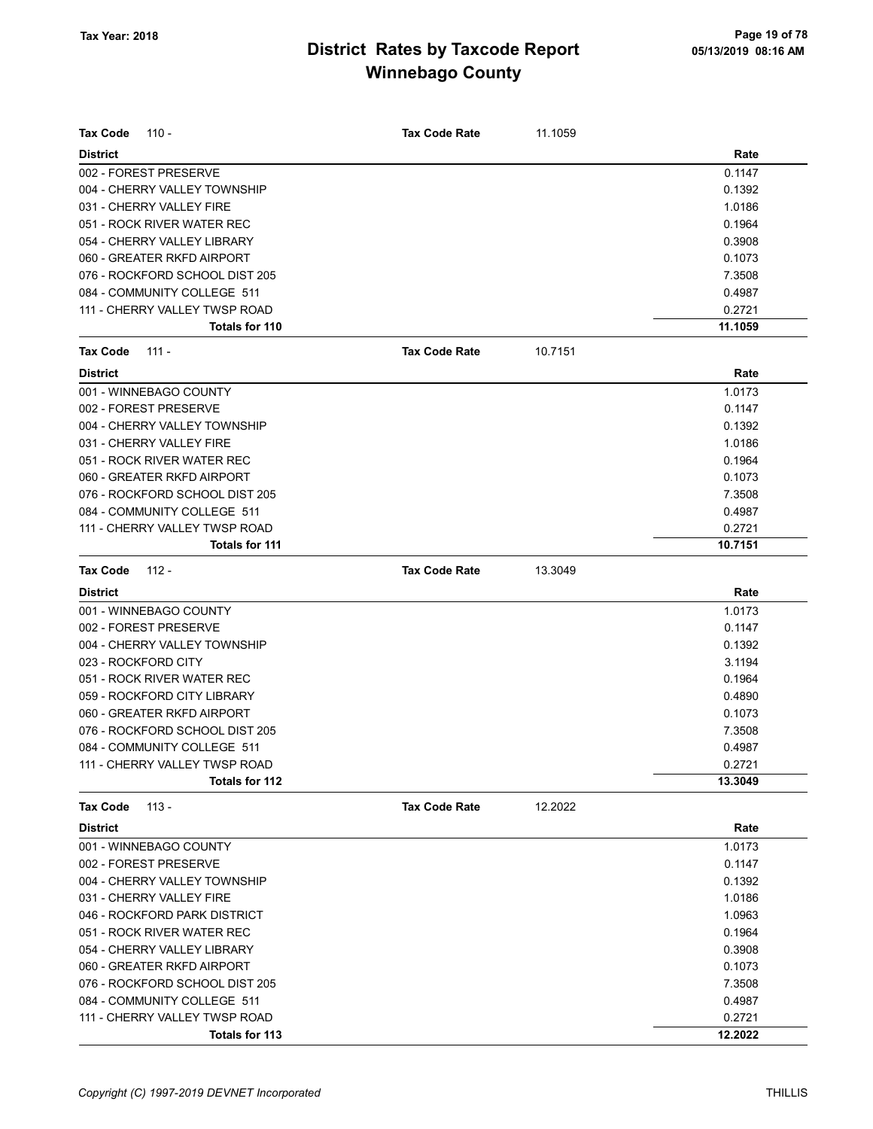| <b>Tax Code</b><br>$110 -$     | <b>Tax Code Rate</b> | 11.1059 |         |
|--------------------------------|----------------------|---------|---------|
| <b>District</b>                |                      |         | Rate    |
| 002 - FOREST PRESERVE          |                      |         | 0.1147  |
| 004 - CHERRY VALLEY TOWNSHIP   |                      |         | 0.1392  |
| 031 - CHERRY VALLEY FIRE       |                      |         | 1.0186  |
| 051 - ROCK RIVER WATER REC     |                      |         | 0.1964  |
| 054 - CHERRY VALLEY LIBRARY    |                      |         | 0.3908  |
| 060 - GREATER RKFD AIRPORT     |                      |         | 0.1073  |
| 076 - ROCKFORD SCHOOL DIST 205 |                      |         | 7.3508  |
| 084 - COMMUNITY COLLEGE 511    |                      |         | 0.4987  |
| 111 - CHERRY VALLEY TWSP ROAD  |                      |         | 0.2721  |
| Totals for 110                 |                      |         | 11.1059 |
| <b>Tax Code</b><br>$111 -$     | <b>Tax Code Rate</b> | 10.7151 |         |
| <b>District</b>                |                      |         | Rate    |
| 001 - WINNEBAGO COUNTY         |                      |         | 1.0173  |
| 002 - FOREST PRESERVE          |                      |         | 0.1147  |
| 004 - CHERRY VALLEY TOWNSHIP   |                      |         | 0.1392  |
| 031 - CHERRY VALLEY FIRE       |                      |         | 1.0186  |
| 051 - ROCK RIVER WATER REC     |                      |         | 0.1964  |
| 060 - GREATER RKFD AIRPORT     |                      |         | 0.1073  |
| 076 - ROCKFORD SCHOOL DIST 205 |                      |         | 7.3508  |
| 084 - COMMUNITY COLLEGE 511    |                      |         | 0.4987  |
| 111 - CHERRY VALLEY TWSP ROAD  |                      |         | 0.2721  |
| Totals for 111                 |                      |         | 10.7151 |
| <b>Tax Code</b><br>$112 -$     | <b>Tax Code Rate</b> | 13.3049 |         |
| <b>District</b>                |                      |         | Rate    |
| 001 - WINNEBAGO COUNTY         |                      |         | 1.0173  |
| 002 - FOREST PRESERVE          |                      |         | 0.1147  |
| 004 - CHERRY VALLEY TOWNSHIP   |                      |         | 0.1392  |
| 023 - ROCKFORD CITY            |                      |         | 3.1194  |
| 051 - ROCK RIVER WATER REC     |                      |         | 0.1964  |
| 059 - ROCKFORD CITY LIBRARY    |                      |         | 0.4890  |
| 060 - GREATER RKFD AIRPORT     |                      |         | 0.1073  |
| 076 - ROCKFORD SCHOOL DIST 205 |                      |         | 7.3508  |
| 084 - COMMUNITY COLLEGE 511    |                      |         | 0.4987  |
| 111 - CHERRY VALLEY TWSP ROAD  |                      |         | 0.2721  |
| Totals for 112                 |                      |         | 13.3049 |
| $113 -$<br><b>Tax Code</b>     | <b>Tax Code Rate</b> | 12.2022 |         |
| <b>District</b>                |                      |         | Rate    |
| 001 - WINNEBAGO COUNTY         |                      |         | 1.0173  |
| 002 - FOREST PRESERVE          |                      |         | 0.1147  |
| 004 - CHERRY VALLEY TOWNSHIP   |                      |         | 0.1392  |
| 031 - CHERRY VALLEY FIRE       |                      |         | 1.0186  |
| 046 - ROCKFORD PARK DISTRICT   |                      |         | 1.0963  |
| 051 - ROCK RIVER WATER REC     |                      |         | 0.1964  |
| 054 - CHERRY VALLEY LIBRARY    |                      |         | 0.3908  |
| 060 - GREATER RKFD AIRPORT     |                      |         | 0.1073  |
| 076 - ROCKFORD SCHOOL DIST 205 |                      |         | 7.3508  |
| 084 - COMMUNITY COLLEGE 511    |                      |         | 0.4987  |
| 111 - CHERRY VALLEY TWSP ROAD  |                      |         | 0.2721  |
| Totals for 113                 |                      |         | 12.2022 |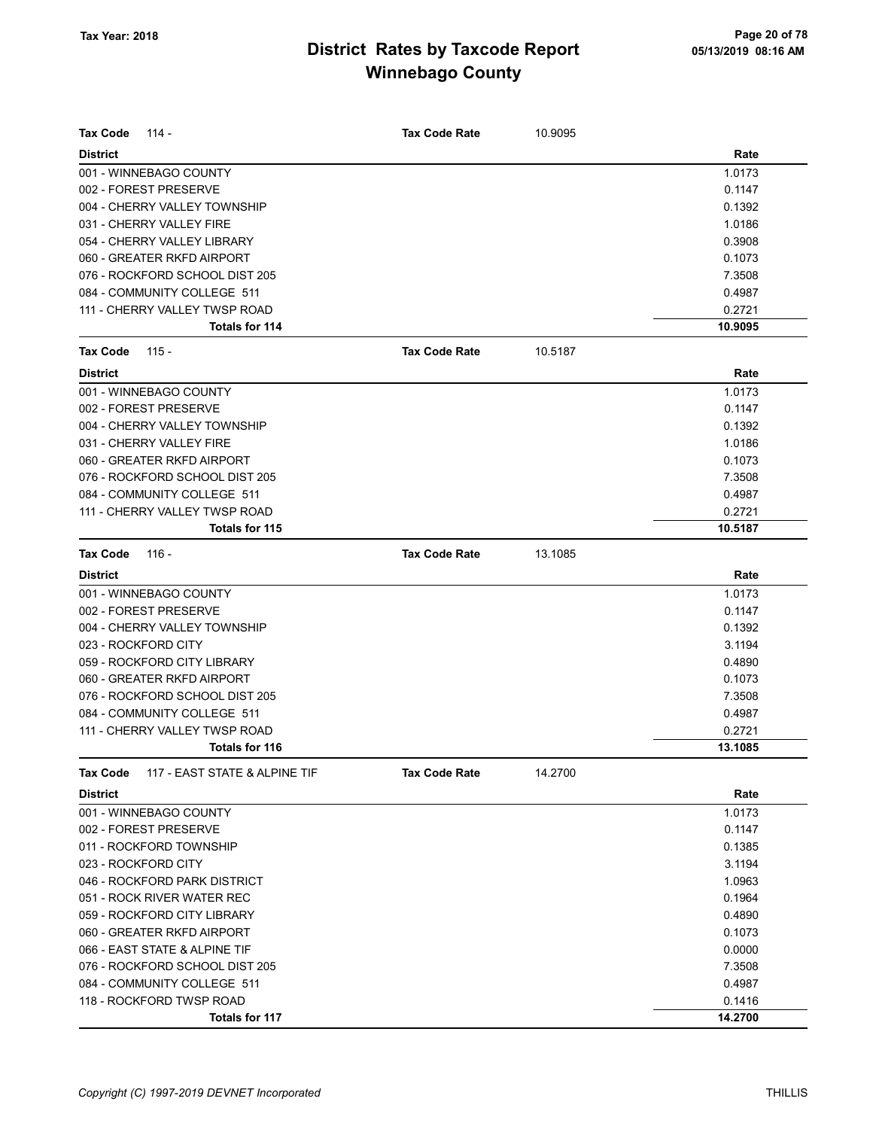| <b>Tax Code</b><br>114 -                         | <b>Tax Code Rate</b> | 10.9095 |         |
|--------------------------------------------------|----------------------|---------|---------|
| <b>District</b>                                  |                      |         | Rate    |
| 001 - WINNEBAGO COUNTY                           |                      |         | 1.0173  |
| 002 - FOREST PRESERVE                            |                      |         | 0.1147  |
| 004 - CHERRY VALLEY TOWNSHIP                     |                      |         | 0.1392  |
| 031 - CHERRY VALLEY FIRE                         |                      |         | 1.0186  |
| 054 - CHERRY VALLEY LIBRARY                      |                      |         | 0.3908  |
| 060 - GREATER RKFD AIRPORT                       |                      |         | 0.1073  |
| 076 - ROCKFORD SCHOOL DIST 205                   |                      |         | 7.3508  |
| 084 - COMMUNITY COLLEGE 511                      |                      |         | 0.4987  |
| 111 - CHERRY VALLEY TWSP ROAD                    |                      |         | 0.2721  |
| <b>Totals for 114</b>                            |                      |         | 10.9095 |
| <b>Tax Code</b><br>$115 -$                       | <b>Tax Code Rate</b> | 10.5187 |         |
| <b>District</b>                                  |                      |         | Rate    |
| 001 - WINNEBAGO COUNTY                           |                      |         | 1.0173  |
| 002 - FOREST PRESERVE                            |                      |         | 0.1147  |
| 004 - CHERRY VALLEY TOWNSHIP                     |                      |         | 0.1392  |
| 031 - CHERRY VALLEY FIRE                         |                      |         | 1.0186  |
| 060 - GREATER RKFD AIRPORT                       |                      |         | 0.1073  |
| 076 - ROCKFORD SCHOOL DIST 205                   |                      |         | 7.3508  |
| 084 - COMMUNITY COLLEGE 511                      |                      |         | 0.4987  |
| 111 - CHERRY VALLEY TWSP ROAD                    |                      |         | 0.2721  |
| Totals for 115                                   |                      |         | 10.5187 |
| <b>Tax Code</b><br>116 -                         | <b>Tax Code Rate</b> | 13.1085 |         |
| <b>District</b>                                  |                      |         | Rate    |
| 001 - WINNEBAGO COUNTY                           |                      |         | 1.0173  |
| 002 - FOREST PRESERVE                            |                      |         | 0.1147  |
| 004 - CHERRY VALLEY TOWNSHIP                     |                      |         | 0.1392  |
| 023 - ROCKFORD CITY                              |                      |         | 3.1194  |
| 059 - ROCKFORD CITY LIBRARY                      |                      |         | 0.4890  |
| 060 - GREATER RKFD AIRPORT                       |                      |         | 0.1073  |
| 076 - ROCKFORD SCHOOL DIST 205                   |                      |         | 7.3508  |
| 084 - COMMUNITY COLLEGE 511                      |                      |         | 0.4987  |
| 111 - CHERRY VALLEY TWSP ROAD                    |                      |         | 0.2721  |
| Totals for 116                                   |                      |         | 13.1085 |
| <b>Tax Code</b><br>117 - EAST STATE & ALPINE TIF | <b>Tax Code Rate</b> | 14.2700 |         |
| <b>District</b>                                  |                      |         | Rate    |
| 001 - WINNEBAGO COUNTY                           |                      |         | 1.0173  |
| 002 - FOREST PRESERVE                            |                      |         | 0.1147  |
| 011 - ROCKFORD TOWNSHIP                          |                      |         | 0.1385  |
| 023 - ROCKFORD CITY                              |                      |         | 3.1194  |
| 046 - ROCKFORD PARK DISTRICT                     |                      |         | 1.0963  |
| 051 - ROCK RIVER WATER REC                       |                      |         | 0.1964  |
| 059 - ROCKFORD CITY LIBRARY                      |                      |         | 0.4890  |
| 060 - GREATER RKFD AIRPORT                       |                      |         | 0.1073  |
| 066 - EAST STATE & ALPINE TIF                    |                      |         | 0.0000  |
| 076 - ROCKFORD SCHOOL DIST 205                   |                      |         | 7.3508  |
| 084 - COMMUNITY COLLEGE 511                      |                      |         | 0.4987  |
| 118 - ROCKFORD TWSP ROAD                         |                      |         | 0.1416  |
| Totals for 117                                   |                      |         | 14.2700 |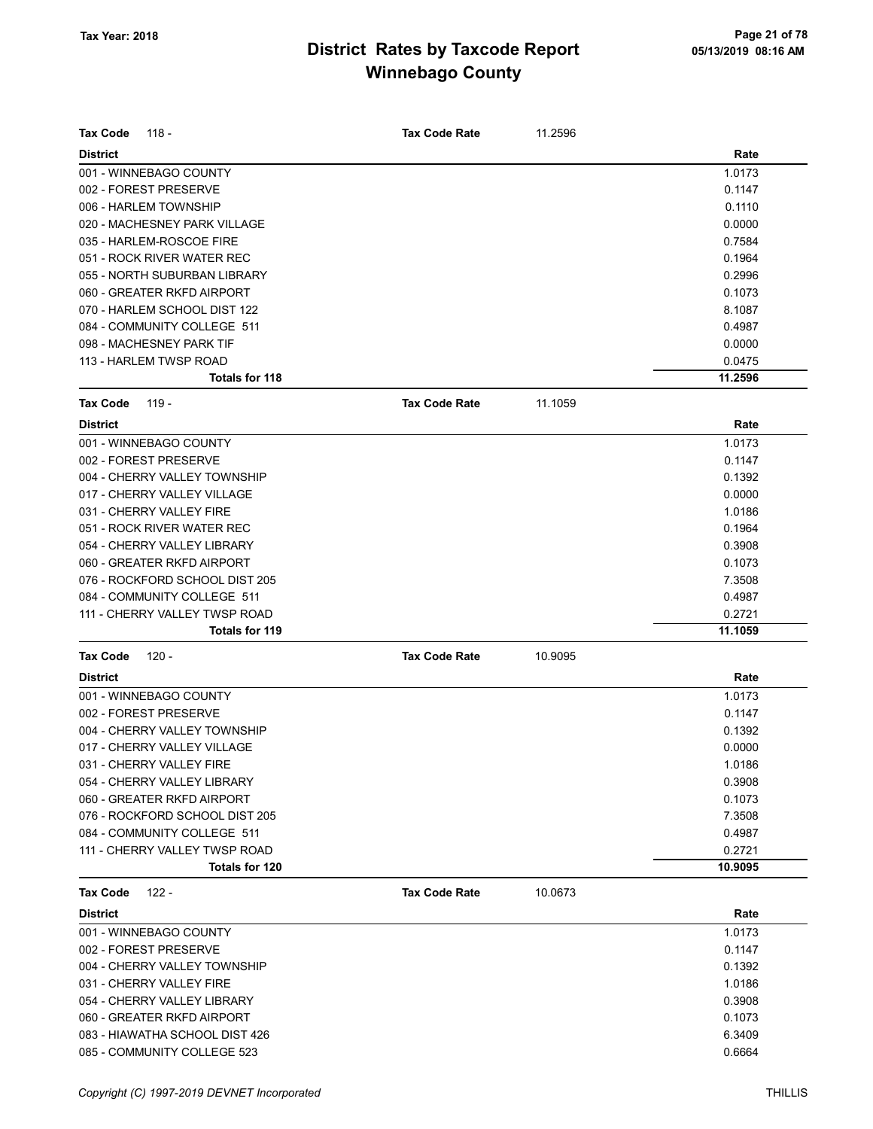| <b>Tax Code</b><br>118 -       | <b>Tax Code Rate</b> | 11.2596 |         |
|--------------------------------|----------------------|---------|---------|
| <b>District</b>                |                      |         | Rate    |
| 001 - WINNEBAGO COUNTY         |                      |         | 1.0173  |
| 002 - FOREST PRESERVE          |                      |         | 0.1147  |
| 006 - HARLEM TOWNSHIP          |                      |         | 0.1110  |
| 020 - MACHESNEY PARK VILLAGE   |                      |         | 0.0000  |
| 035 - HARLEM-ROSCOE FIRE       |                      |         | 0.7584  |
| 051 - ROCK RIVER WATER REC     |                      |         | 0.1964  |
| 055 - NORTH SUBURBAN LIBRARY   |                      |         | 0.2996  |
| 060 - GREATER RKFD AIRPORT     |                      |         | 0.1073  |
| 070 - HARLEM SCHOOL DIST 122   |                      |         | 8.1087  |
| 084 - COMMUNITY COLLEGE 511    |                      |         | 0.4987  |
| 098 - MACHESNEY PARK TIF       |                      |         | 0.0000  |
| 113 - HARLEM TWSP ROAD         |                      |         | 0.0475  |
| Totals for 118                 |                      |         | 11.2596 |
| <b>Tax Code</b><br>119 -       | <b>Tax Code Rate</b> | 11.1059 |         |
| <b>District</b>                |                      |         | Rate    |
| 001 - WINNEBAGO COUNTY         |                      |         | 1.0173  |
| 002 - FOREST PRESERVE          |                      |         | 0.1147  |
| 004 - CHERRY VALLEY TOWNSHIP   |                      |         | 0.1392  |
| 017 - CHERRY VALLEY VILLAGE    |                      |         | 0.0000  |
| 031 - CHERRY VALLEY FIRE       |                      |         | 1.0186  |
| 051 - ROCK RIVER WATER REC     |                      |         | 0.1964  |
| 054 - CHERRY VALLEY LIBRARY    |                      |         | 0.3908  |
| 060 - GREATER RKFD AIRPORT     |                      |         | 0.1073  |
| 076 - ROCKFORD SCHOOL DIST 205 |                      |         | 7.3508  |
| 084 - COMMUNITY COLLEGE 511    |                      |         | 0.4987  |
| 111 - CHERRY VALLEY TWSP ROAD  |                      |         | 0.2721  |
| Totals for 119                 |                      |         | 11.1059 |
| <b>Tax Code</b><br>120 -       | <b>Tax Code Rate</b> | 10.9095 |         |
| <b>District</b>                |                      |         | Rate    |
| 001 - WINNEBAGO COUNTY         |                      |         | 1.0173  |
| 002 - FOREST PRESERVE          |                      |         | 0.1147  |
| 004 - CHERRY VALLEY TOWNSHIP   |                      |         | 0.1392  |
| 017 - CHERRY VALLEY VILLAGE    |                      |         | 0.0000  |
| 031 - CHERRY VALLEY FIRE       |                      |         | 1.0186  |
| 054 - CHERRY VALLEY LIBRARY    |                      |         | 0.3908  |
| 060 - GREATER RKFD AIRPORT     |                      |         | 0.1073  |
| 076 - ROCKFORD SCHOOL DIST 205 |                      |         | 7.3508  |
| 084 - COMMUNITY COLLEGE 511    |                      |         | 0.4987  |
| 111 - CHERRY VALLEY TWSP ROAD  |                      |         | 0.2721  |
| <b>Totals for 120</b>          |                      |         | 10.9095 |
| <b>Tax Code</b><br>$122 -$     | <b>Tax Code Rate</b> | 10.0673 |         |
| <b>District</b>                |                      |         | Rate    |
| 001 - WINNEBAGO COUNTY         |                      |         | 1.0173  |
| 002 - FOREST PRESERVE          |                      |         | 0.1147  |
| 004 - CHERRY VALLEY TOWNSHIP   |                      |         | 0.1392  |
| 031 - CHERRY VALLEY FIRE       |                      |         | 1.0186  |
| 054 - CHERRY VALLEY LIBRARY    |                      |         | 0.3908  |
| 060 - GREATER RKFD AIRPORT     |                      |         | 0.1073  |
| 083 - HIAWATHA SCHOOL DIST 426 |                      |         | 6.3409  |
| 085 - COMMUNITY COLLEGE 523    |                      |         | 0.6664  |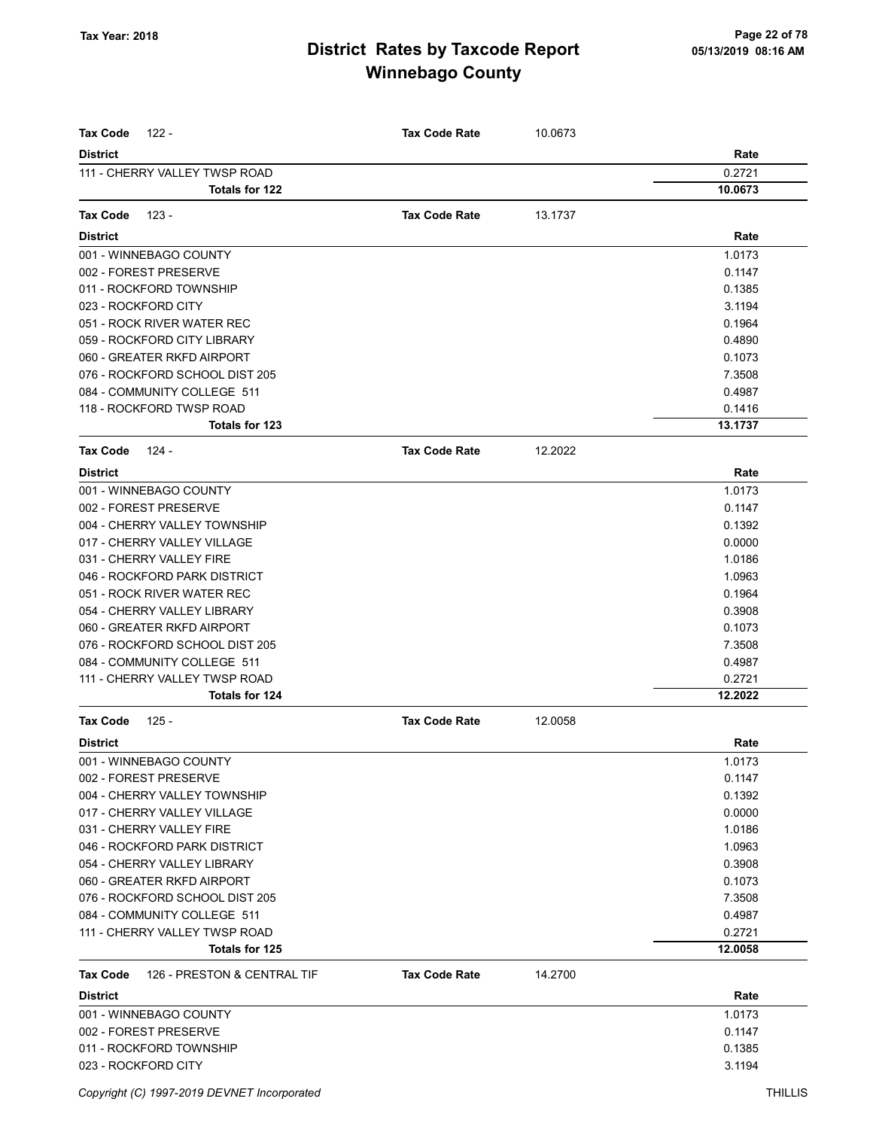| <b>Tax Code</b><br>122 -                | <b>Tax Code Rate</b> | 10.0673 |         |
|-----------------------------------------|----------------------|---------|---------|
| <b>District</b>                         |                      |         | Rate    |
| 111 - CHERRY VALLEY TWSP ROAD           |                      |         | 0.2721  |
| <b>Totals for 122</b>                   |                      |         | 10.0673 |
|                                         |                      |         |         |
| <b>Tax Code</b><br>$123 -$              | <b>Tax Code Rate</b> | 13.1737 |         |
| <b>District</b>                         |                      |         | Rate    |
| 001 - WINNEBAGO COUNTY                  |                      |         | 1.0173  |
| 002 - FOREST PRESERVE                   |                      |         | 0.1147  |
| 011 - ROCKFORD TOWNSHIP                 |                      |         | 0.1385  |
| 023 - ROCKFORD CITY                     |                      |         | 3.1194  |
| 051 - ROCK RIVER WATER REC              |                      |         | 0.1964  |
| 059 - ROCKFORD CITY LIBRARY             |                      |         | 0.4890  |
| 060 - GREATER RKFD AIRPORT              |                      |         | 0.1073  |
| 076 - ROCKFORD SCHOOL DIST 205          |                      |         | 7.3508  |
| 084 - COMMUNITY COLLEGE 511             |                      |         | 0.4987  |
| 118 - ROCKFORD TWSP ROAD                |                      |         | 0.1416  |
| <b>Totals for 123</b>                   |                      |         | 13.1737 |
| <b>Tax Code</b><br>124 -                | <b>Tax Code Rate</b> | 12.2022 |         |
| <b>District</b>                         |                      |         | Rate    |
| 001 - WINNEBAGO COUNTY                  |                      |         | 1.0173  |
| 002 - FOREST PRESERVE                   |                      |         | 0.1147  |
| 004 - CHERRY VALLEY TOWNSHIP            |                      |         | 0.1392  |
| 017 - CHERRY VALLEY VILLAGE             |                      |         | 0.0000  |
| 031 - CHERRY VALLEY FIRE                |                      |         | 1.0186  |
| 046 - ROCKFORD PARK DISTRICT            |                      |         | 1.0963  |
| 051 - ROCK RIVER WATER REC              |                      |         | 0.1964  |
| 054 - CHERRY VALLEY LIBRARY             |                      |         | 0.3908  |
| 060 - GREATER RKFD AIRPORT              |                      |         | 0.1073  |
| 076 - ROCKFORD SCHOOL DIST 205          |                      |         | 7.3508  |
| 084 - COMMUNITY COLLEGE 511             |                      |         | 0.4987  |
| 111 - CHERRY VALLEY TWSP ROAD           |                      |         | 0.2721  |
| Totals for 124                          |                      |         | 12.2022 |
| $125 -$<br><b>Tax Code</b>              | <b>Tax Code Rate</b> | 12.0058 |         |
| <b>District</b>                         |                      |         | Rate    |
| 001 - WINNEBAGO COUNTY                  |                      |         | 1.0173  |
| 002 - FOREST PRESERVE                   |                      |         | 0.1147  |
| 004 - CHERRY VALLEY TOWNSHIP            |                      |         | 0.1392  |
| 017 - CHERRY VALLEY VILLAGE             |                      |         | 0.0000  |
| 031 - CHERRY VALLEY FIRE                |                      |         | 1.0186  |
| 046 - ROCKFORD PARK DISTRICT            |                      |         | 1.0963  |
| 054 - CHERRY VALLEY LIBRARY             |                      |         | 0.3908  |
| 060 - GREATER RKFD AIRPORT              |                      |         | 0.1073  |
| 076 - ROCKFORD SCHOOL DIST 205          |                      |         | 7.3508  |
| 084 - COMMUNITY COLLEGE 511             |                      |         | 0.4987  |
| 111 - CHERRY VALLEY TWSP ROAD           |                      |         | 0.2721  |
| Totals for 125                          |                      |         | 12.0058 |
| 126 - PRESTON & CENTRAL TIF<br>Tax Code | <b>Tax Code Rate</b> | 14.2700 |         |
| <b>District</b>                         |                      |         | Rate    |
| 001 - WINNEBAGO COUNTY                  |                      |         | 1.0173  |
| 002 - FOREST PRESERVE                   |                      |         | 0.1147  |
| 011 - ROCKFORD TOWNSHIP                 |                      |         | 0.1385  |
| 023 - ROCKFORD CITY                     |                      |         | 3.1194  |
|                                         |                      |         |         |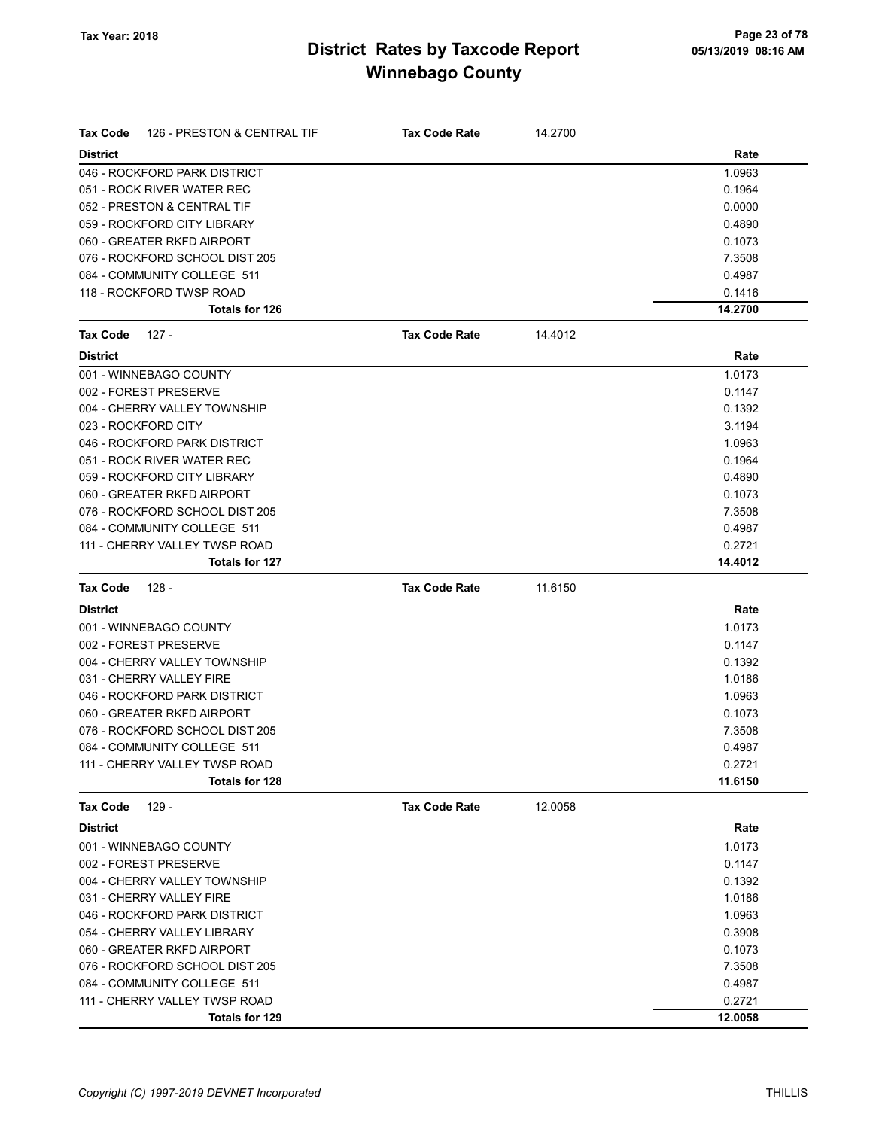| Tax Code            | 126 - PRESTON & CENTRAL TIF    | <b>Tax Code Rate</b> | 14.2700 |         |
|---------------------|--------------------------------|----------------------|---------|---------|
| <b>District</b>     |                                |                      |         | Rate    |
|                     | 046 - ROCKFORD PARK DISTRICT   |                      |         | 1.0963  |
|                     | 051 - ROCK RIVER WATER REC     |                      |         | 0.1964  |
|                     | 052 - PRESTON & CENTRAL TIF    |                      |         | 0.0000  |
|                     | 059 - ROCKFORD CITY LIBRARY    |                      |         | 0.4890  |
|                     | 060 - GREATER RKFD AIRPORT     |                      |         | 0.1073  |
|                     | 076 - ROCKFORD SCHOOL DIST 205 |                      |         | 7.3508  |
|                     | 084 - COMMUNITY COLLEGE 511    |                      |         | 0.4987  |
|                     | 118 - ROCKFORD TWSP ROAD       |                      |         | 0.1416  |
|                     | Totals for 126                 |                      |         | 14.2700 |
| <b>Tax Code</b>     | - 127                          | <b>Tax Code Rate</b> | 14.4012 |         |
| <b>District</b>     |                                |                      |         | Rate    |
|                     | 001 - WINNEBAGO COUNTY         |                      |         | 1.0173  |
|                     | 002 - FOREST PRESERVE          |                      |         | 0.1147  |
|                     | 004 - CHERRY VALLEY TOWNSHIP   |                      |         | 0.1392  |
| 023 - ROCKFORD CITY |                                |                      |         | 3.1194  |
|                     | 046 - ROCKFORD PARK DISTRICT   |                      |         | 1.0963  |
|                     | 051 - ROCK RIVER WATER REC     |                      |         | 0.1964  |
|                     | 059 - ROCKFORD CITY LIBRARY    |                      |         | 0.4890  |
|                     | 060 - GREATER RKFD AIRPORT     |                      |         | 0.1073  |
|                     | 076 - ROCKFORD SCHOOL DIST 205 |                      |         | 7.3508  |
|                     | 084 - COMMUNITY COLLEGE 511    |                      |         | 0.4987  |
|                     | 111 - CHERRY VALLEY TWSP ROAD  |                      |         | 0.2721  |
|                     | Totals for 127                 |                      |         | 14.4012 |
|                     | 128 -                          | <b>Tax Code Rate</b> | 11.6150 |         |
| Tax Code            |                                |                      |         |         |
| <b>District</b>     |                                |                      |         | Rate    |
|                     | 001 - WINNEBAGO COUNTY         |                      |         | 1.0173  |
|                     | 002 - FOREST PRESERVE          |                      |         | 0.1147  |
|                     | 004 - CHERRY VALLEY TOWNSHIP   |                      |         | 0.1392  |
|                     | 031 - CHERRY VALLEY FIRE       |                      |         | 1.0186  |
|                     | 046 - ROCKFORD PARK DISTRICT   |                      |         | 1.0963  |
|                     | 060 - GREATER RKFD AIRPORT     |                      |         | 0.1073  |
|                     | 076 - ROCKFORD SCHOOL DIST 205 |                      |         | 7.3508  |
|                     | 084 - COMMUNITY COLLEGE 511    |                      |         | 0.4987  |
|                     | 111 - CHERRY VALLEY TWSP ROAD  |                      |         | 0.2721  |
|                     | <b>Totals for 128</b>          |                      |         | 11.6150 |
| <b>Tax Code</b>     | $129 -$                        | <b>Tax Code Rate</b> | 12.0058 |         |
| <b>District</b>     |                                |                      |         | Rate    |
|                     | 001 - WINNEBAGO COUNTY         |                      |         | 1.0173  |
|                     | 002 - FOREST PRESERVE          |                      |         | 0.1147  |
|                     | 004 - CHERRY VALLEY TOWNSHIP   |                      |         | 0.1392  |
|                     | 031 - CHERRY VALLEY FIRE       |                      |         | 1.0186  |
|                     | 046 - ROCKFORD PARK DISTRICT   |                      |         | 1.0963  |
|                     | 054 - CHERRY VALLEY LIBRARY    |                      |         | 0.3908  |
|                     | 060 - GREATER RKFD AIRPORT     |                      |         | 0.1073  |
|                     | 076 - ROCKFORD SCHOOL DIST 205 |                      |         | 7.3508  |
|                     | 084 - COMMUNITY COLLEGE 511    |                      |         | 0.4987  |
|                     | 111 - CHERRY VALLEY TWSP ROAD  |                      |         | 0.2721  |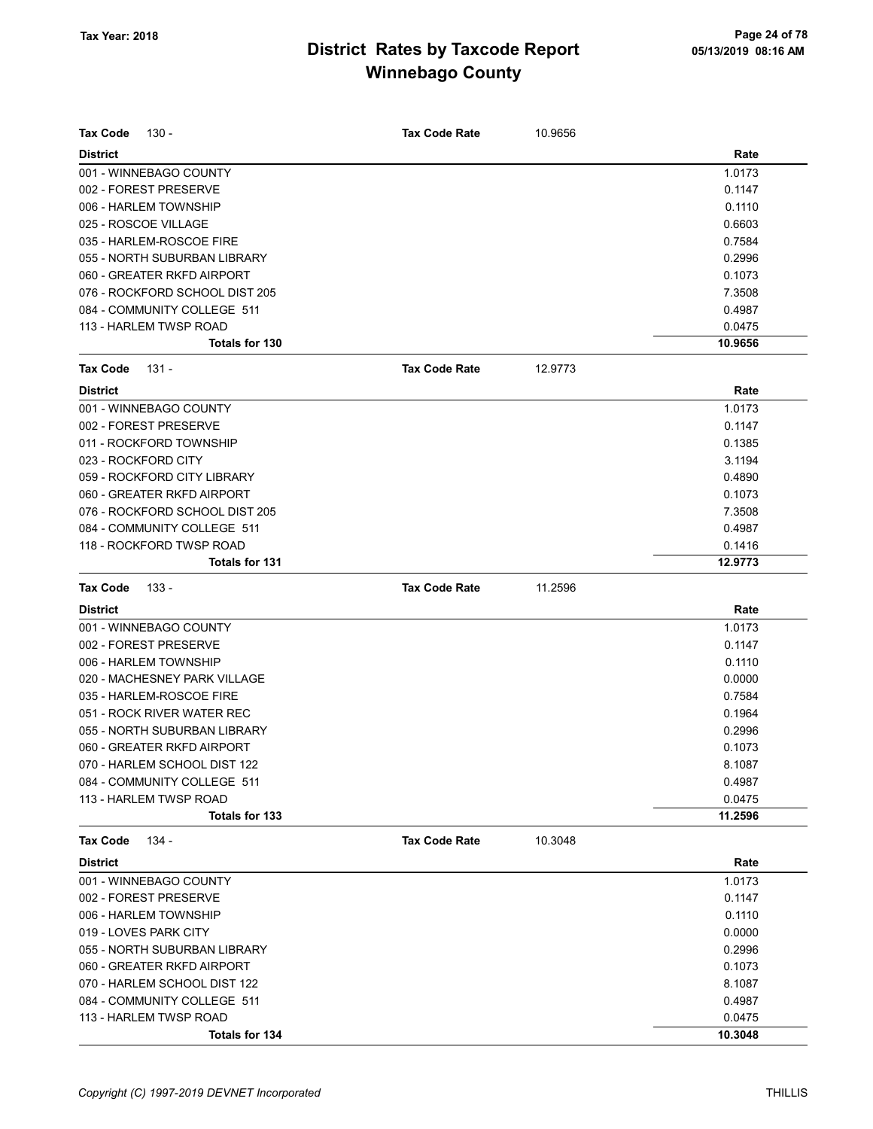| <b>Tax Code</b><br>130 -       | <b>Tax Code Rate</b> | 10.9656 |         |
|--------------------------------|----------------------|---------|---------|
| <b>District</b>                |                      |         | Rate    |
| 001 - WINNEBAGO COUNTY         |                      |         | 1.0173  |
| 002 - FOREST PRESERVE          |                      |         | 0.1147  |
| 006 - HARLEM TOWNSHIP          |                      |         | 0.1110  |
| 025 - ROSCOE VILLAGE           |                      |         | 0.6603  |
| 035 - HARLEM-ROSCOE FIRE       |                      |         | 0.7584  |
| 055 - NORTH SUBURBAN LIBRARY   |                      |         | 0.2996  |
| 060 - GREATER RKFD AIRPORT     |                      |         | 0.1073  |
| 076 - ROCKFORD SCHOOL DIST 205 |                      |         | 7.3508  |
| 084 - COMMUNITY COLLEGE 511    |                      |         | 0.4987  |
| 113 - HARLEM TWSP ROAD         |                      |         | 0.0475  |
| Totals for 130                 |                      |         | 10.9656 |
| Tax Code<br>131 -              | <b>Tax Code Rate</b> | 12.9773 |         |
| <b>District</b>                |                      |         | Rate    |
| 001 - WINNEBAGO COUNTY         |                      |         | 1.0173  |
| 002 - FOREST PRESERVE          |                      |         | 0.1147  |
| 011 - ROCKFORD TOWNSHIP        |                      |         | 0.1385  |
| 023 - ROCKFORD CITY            |                      |         | 3.1194  |
| 059 - ROCKFORD CITY LIBRARY    |                      |         | 0.4890  |
| 060 - GREATER RKFD AIRPORT     |                      |         | 0.1073  |
| 076 - ROCKFORD SCHOOL DIST 205 |                      |         | 7.3508  |
| 084 - COMMUNITY COLLEGE 511    |                      |         | 0.4987  |
| 118 - ROCKFORD TWSP ROAD       |                      |         | 0.1416  |
| Totals for 131                 |                      |         | 12.9773 |
| <b>Tax Code</b><br>$133 -$     | <b>Tax Code Rate</b> | 11.2596 |         |
| <b>District</b>                |                      |         | Rate    |
| 001 - WINNEBAGO COUNTY         |                      |         | 1.0173  |
| 002 - FOREST PRESERVE          |                      |         | 0.1147  |
| 006 - HARLEM TOWNSHIP          |                      |         | 0.1110  |
| 020 - MACHESNEY PARK VILLAGE   |                      |         | 0.0000  |
| 035 - HARLEM-ROSCOE FIRE       |                      |         | 0.7584  |
| 051 - ROCK RIVER WATER REC     |                      |         | 0.1964  |
| 055 - NORTH SUBURBAN LIBRARY   |                      |         | 0.2996  |
| 060 - GREATER RKFD AIRPORT     |                      |         | 0.1073  |
| 070 - HARLEM SCHOOL DIST 122   |                      |         | 8.1087  |
| 084 - COMMUNITY COLLEGE 511    |                      |         | 0.4987  |
| 113 - HARLEM TWSP ROAD         |                      |         | 0.0475  |
| Totals for 133                 |                      |         | 11.2596 |
| 134 -<br>Tax Code              | <b>Tax Code Rate</b> | 10.3048 |         |
| <b>District</b>                |                      |         | Rate    |
| 001 - WINNEBAGO COUNTY         |                      |         | 1.0173  |
| 002 - FOREST PRESERVE          |                      |         | 0.1147  |
| 006 - HARLEM TOWNSHIP          |                      |         | 0.1110  |
| 019 - LOVES PARK CITY          |                      |         | 0.0000  |
| 055 - NORTH SUBURBAN LIBRARY   |                      |         | 0.2996  |
| 060 - GREATER RKFD AIRPORT     |                      |         | 0.1073  |
| 070 - HARLEM SCHOOL DIST 122   |                      |         | 8.1087  |
| 084 - COMMUNITY COLLEGE 511    |                      |         | 0.4987  |
| 113 - HARLEM TWSP ROAD         |                      |         | 0.0475  |
| Totals for 134                 |                      |         | 10.3048 |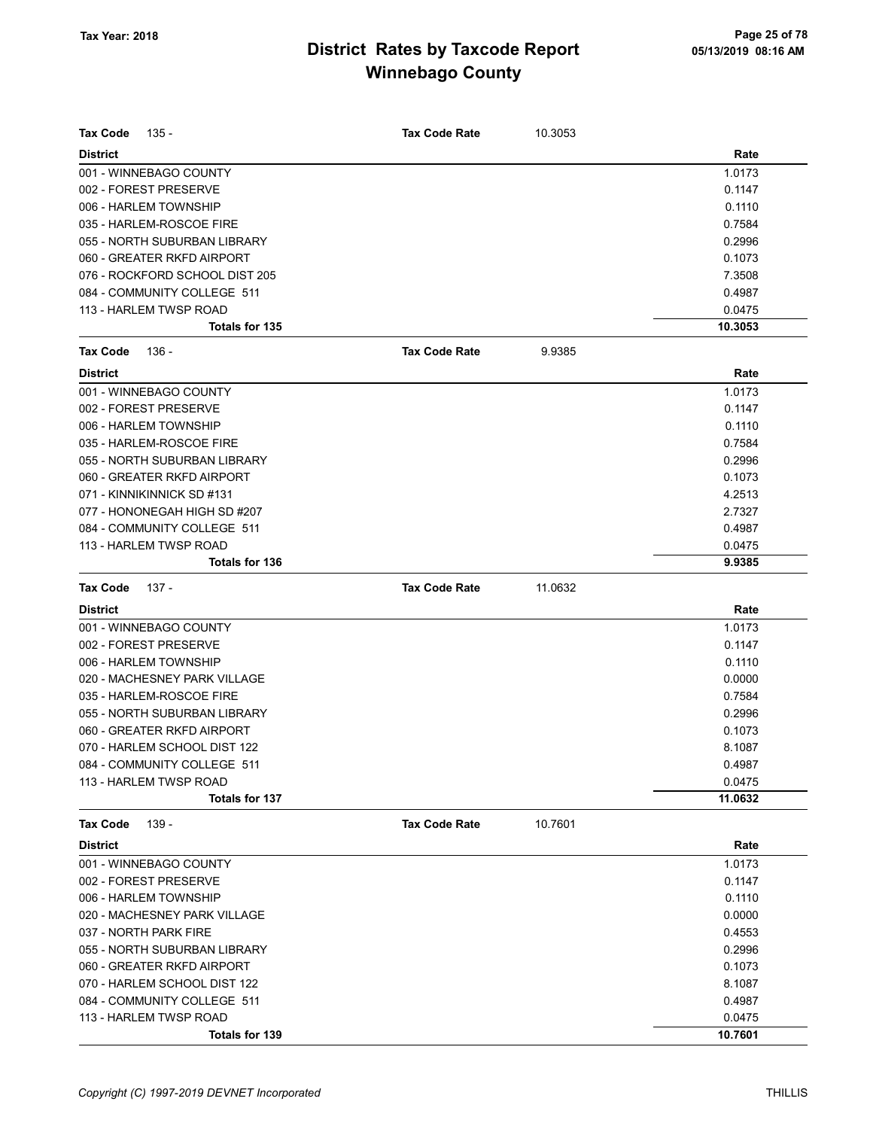| <b>Tax Code</b><br>135 -       | <b>Tax Code Rate</b> | 10.3053 |         |
|--------------------------------|----------------------|---------|---------|
| <b>District</b>                |                      |         | Rate    |
| 001 - WINNEBAGO COUNTY         |                      |         | 1.0173  |
| 002 - FOREST PRESERVE          |                      |         | 0.1147  |
| 006 - HARLEM TOWNSHIP          |                      |         | 0.1110  |
| 035 - HARLEM-ROSCOE FIRE       |                      |         | 0.7584  |
| 055 - NORTH SUBURBAN LIBRARY   |                      |         | 0.2996  |
| 060 - GREATER RKFD AIRPORT     |                      |         | 0.1073  |
| 076 - ROCKFORD SCHOOL DIST 205 |                      |         | 7.3508  |
| 084 - COMMUNITY COLLEGE 511    |                      |         | 0.4987  |
| 113 - HARLEM TWSP ROAD         |                      |         | 0.0475  |
| Totals for 135                 |                      |         | 10.3053 |
| <b>Tax Code</b><br>136 -       | <b>Tax Code Rate</b> | 9.9385  |         |
| <b>District</b>                |                      |         | Rate    |
| 001 - WINNEBAGO COUNTY         |                      |         | 1.0173  |
| 002 - FOREST PRESERVE          |                      |         | 0.1147  |
| 006 - HARLEM TOWNSHIP          |                      |         | 0.1110  |
| 035 - HARLEM-ROSCOE FIRE       |                      |         | 0.7584  |
| 055 - NORTH SUBURBAN LIBRARY   |                      |         | 0.2996  |
| 060 - GREATER RKFD AIRPORT     |                      |         | 0.1073  |
| 071 - KINNIKINNICK SD #131     |                      |         | 4.2513  |
| 077 - HONONEGAH HIGH SD #207   |                      |         | 2.7327  |
| 084 - COMMUNITY COLLEGE 511    |                      |         | 0.4987  |
| 113 - HARLEM TWSP ROAD         |                      |         | 0.0475  |
| Totals for 136                 |                      |         | 9.9385  |
| <b>Tax Code</b><br>137 -       | <b>Tax Code Rate</b> | 11.0632 |         |
| <b>District</b>                |                      |         | Rate    |
| 001 - WINNEBAGO COUNTY         |                      |         | 1.0173  |
| 002 - FOREST PRESERVE          |                      |         | 0.1147  |
| 006 - HARLEM TOWNSHIP          |                      |         | 0.1110  |
| 020 - MACHESNEY PARK VILLAGE   |                      |         | 0.0000  |
| 035 - HARLEM-ROSCOE FIRE       |                      |         | 0.7584  |
| 055 - NORTH SUBURBAN LIBRARY   |                      |         | 0.2996  |
| 060 - GREATER RKFD AIRPORT     |                      |         | 0.1073  |
| 070 - HARLEM SCHOOL DIST 122   |                      |         | 8.1087  |
| 084 - COMMUNITY COLLEGE 511    |                      |         | 0.4987  |
| 113 - HARLEM TWSP ROAD         |                      |         | 0.0475  |
| <b>Totals for 137</b>          |                      |         | 11.0632 |
| 139 -<br><b>Tax Code</b>       | <b>Tax Code Rate</b> | 10.7601 |         |
| <b>District</b>                |                      |         | Rate    |
| 001 - WINNEBAGO COUNTY         |                      |         | 1.0173  |
| 002 - FOREST PRESERVE          |                      |         | 0.1147  |
| 006 - HARLEM TOWNSHIP          |                      |         | 0.1110  |
| 020 - MACHESNEY PARK VILLAGE   |                      |         | 0.0000  |
| 037 - NORTH PARK FIRE          |                      |         | 0.4553  |
| 055 - NORTH SUBURBAN LIBRARY   |                      |         | 0.2996  |
| 060 - GREATER RKFD AIRPORT     |                      |         | 0.1073  |
| 070 - HARLEM SCHOOL DIST 122   |                      |         | 8.1087  |
| 084 - COMMUNITY COLLEGE 511    |                      |         | 0.4987  |
| 113 - HARLEM TWSP ROAD         |                      |         | 0.0475  |
|                                |                      |         | 10.7601 |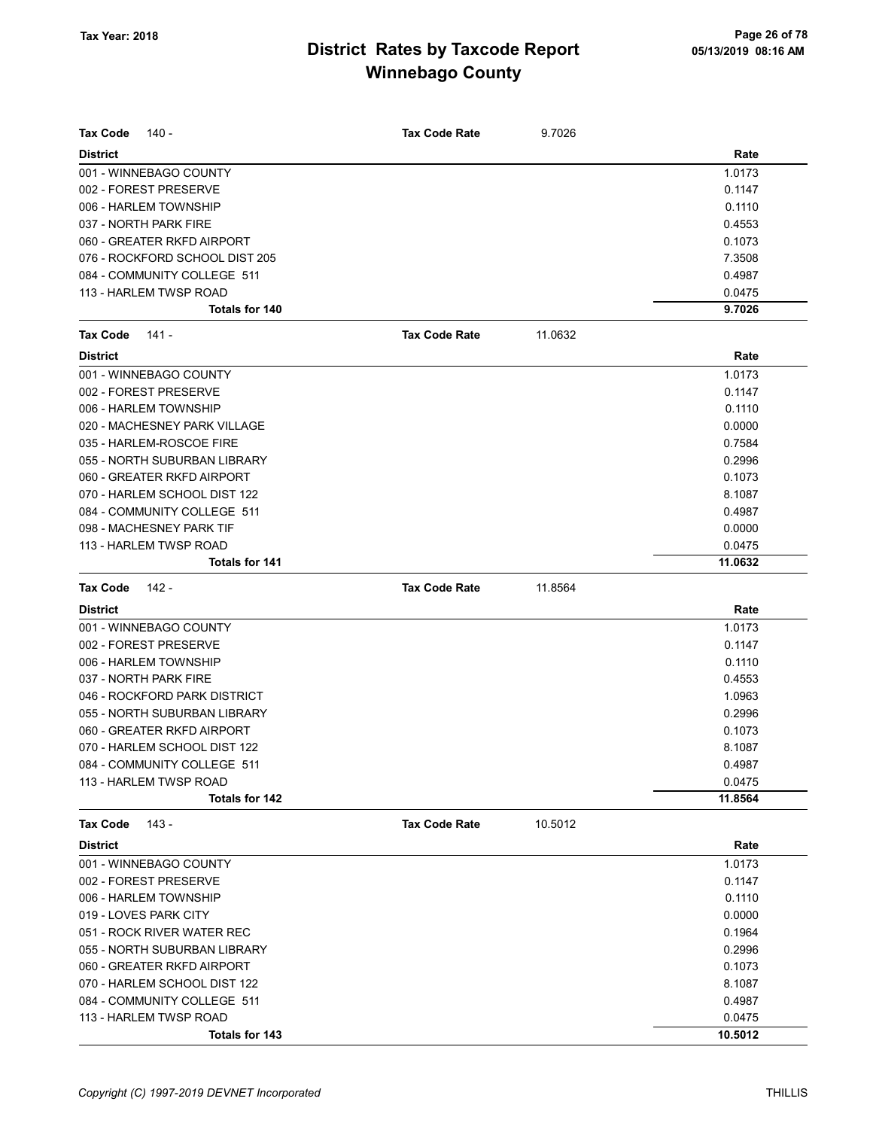| <b>Tax Code</b><br>140 -       | <b>Tax Code Rate</b> | 9.7026  |         |
|--------------------------------|----------------------|---------|---------|
| <b>District</b>                |                      |         | Rate    |
| 001 - WINNEBAGO COUNTY         |                      |         | 1.0173  |
| 002 - FOREST PRESERVE          |                      |         | 0.1147  |
| 006 - HARLEM TOWNSHIP          |                      |         | 0.1110  |
| 037 - NORTH PARK FIRE          |                      |         | 0.4553  |
| 060 - GREATER RKFD AIRPORT     |                      |         | 0.1073  |
| 076 - ROCKFORD SCHOOL DIST 205 |                      |         | 7.3508  |
| 084 - COMMUNITY COLLEGE 511    |                      |         | 0.4987  |
| 113 - HARLEM TWSP ROAD         |                      |         | 0.0475  |
| <b>Totals for 140</b>          |                      |         | 9.7026  |
| <b>Tax Code</b><br>141 -       | <b>Tax Code Rate</b> | 11.0632 |         |
| <b>District</b>                |                      |         | Rate    |
| 001 - WINNEBAGO COUNTY         |                      |         | 1.0173  |
| 002 - FOREST PRESERVE          |                      |         | 0.1147  |
| 006 - HARLEM TOWNSHIP          |                      |         | 0.1110  |
| 020 - MACHESNEY PARK VILLAGE   |                      |         | 0.0000  |
| 035 - HARLEM-ROSCOE FIRE       |                      |         | 0.7584  |
| 055 - NORTH SUBURBAN LIBRARY   |                      |         | 0.2996  |
| 060 - GREATER RKFD AIRPORT     |                      |         | 0.1073  |
| 070 - HARLEM SCHOOL DIST 122   |                      |         | 8.1087  |
| 084 - COMMUNITY COLLEGE 511    |                      |         | 0.4987  |
| 098 - MACHESNEY PARK TIF       |                      |         | 0.0000  |
| 113 - HARLEM TWSP ROAD         |                      |         | 0.0475  |
| <b>Totals for 141</b>          |                      |         | 11.0632 |
| <b>Tax Code</b><br>142 -       | <b>Tax Code Rate</b> | 11.8564 |         |
| <b>District</b>                |                      |         | Rate    |
| 001 - WINNEBAGO COUNTY         |                      |         | 1.0173  |
|                                |                      |         |         |
| 002 - FOREST PRESERVE          |                      |         | 0.1147  |
| 006 - HARLEM TOWNSHIP          |                      |         | 0.1110  |
| 037 - NORTH PARK FIRE          |                      |         | 0.4553  |
| 046 - ROCKFORD PARK DISTRICT   |                      |         | 1.0963  |
| 055 - NORTH SUBURBAN LIBRARY   |                      |         | 0.2996  |
| 060 - GREATER RKFD AIRPORT     |                      |         | 0.1073  |
| 070 - HARLEM SCHOOL DIST 122   |                      |         | 8.1087  |
| 084 - COMMUNITY COLLEGE 511    |                      |         | 0.4987  |
| 113 - HARLEM TWSP ROAD         |                      |         | 0.0475  |
| <b>Totals for 142</b>          |                      |         | 11.8564 |
| <b>Tax Code</b><br>143 -       | <b>Tax Code Rate</b> | 10.5012 |         |
| <b>District</b>                |                      |         | Rate    |
| 001 - WINNEBAGO COUNTY         |                      |         | 1.0173  |
| 002 - FOREST PRESERVE          |                      |         | 0.1147  |
| 006 - HARLEM TOWNSHIP          |                      |         | 0.1110  |
| 019 - LOVES PARK CITY          |                      |         | 0.0000  |
| 051 - ROCK RIVER WATER REC     |                      |         | 0.1964  |
| 055 - NORTH SUBURBAN LIBRARY   |                      |         | 0.2996  |
| 060 - GREATER RKFD AIRPORT     |                      |         | 0.1073  |
| 070 - HARLEM SCHOOL DIST 122   |                      |         | 8.1087  |
| 084 - COMMUNITY COLLEGE 511    |                      |         | 0.4987  |
| 113 - HARLEM TWSP ROAD         |                      |         | 0.0475  |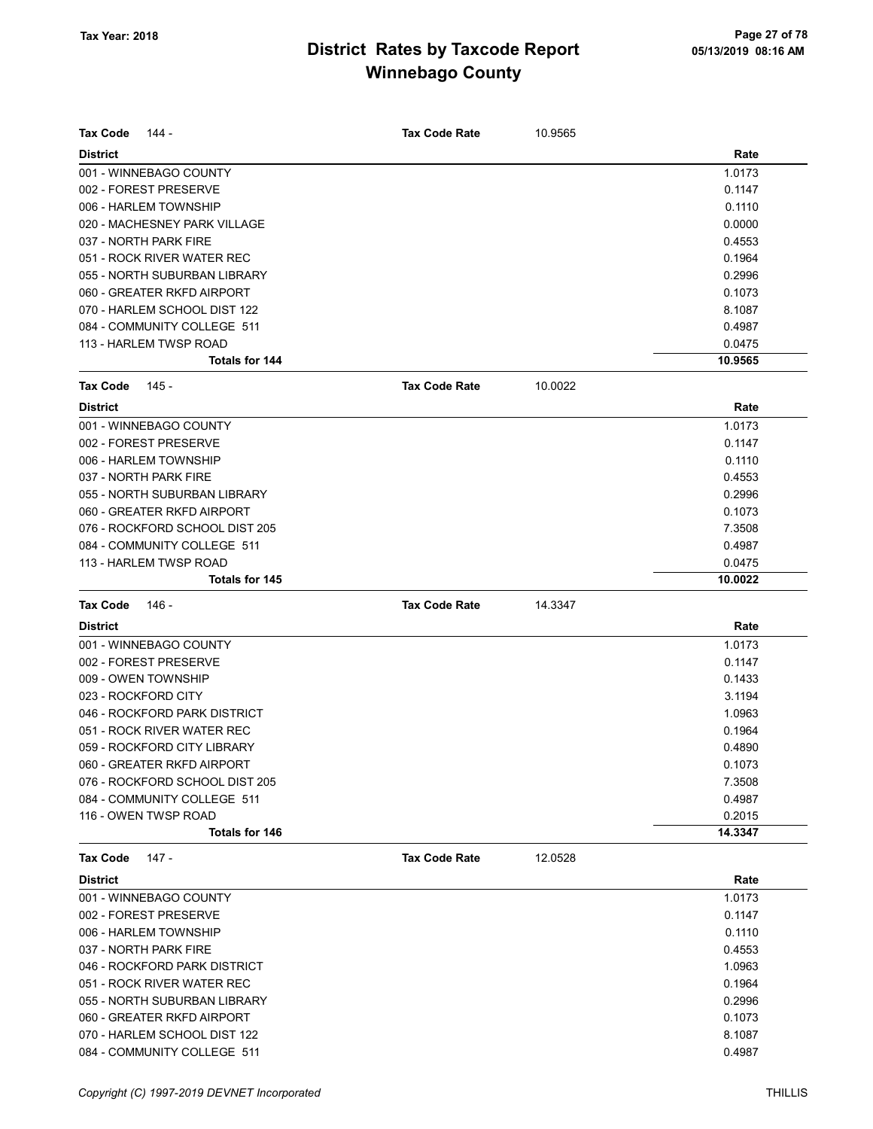| <b>Tax Code</b><br>144 -       | <b>Tax Code Rate</b> | 10.9565 |         |
|--------------------------------|----------------------|---------|---------|
|                                |                      |         |         |
| <b>District</b>                |                      |         | Rate    |
| 001 - WINNEBAGO COUNTY         |                      |         | 1.0173  |
| 002 - FOREST PRESERVE          |                      |         | 0.1147  |
| 006 - HARLEM TOWNSHIP          |                      |         | 0.1110  |
| 020 - MACHESNEY PARK VILLAGE   |                      |         | 0.0000  |
| 037 - NORTH PARK FIRE          |                      |         | 0.4553  |
| 051 - ROCK RIVER WATER REC     |                      |         | 0.1964  |
| 055 - NORTH SUBURBAN LIBRARY   |                      |         | 0.2996  |
| 060 - GREATER RKFD AIRPORT     |                      |         | 0.1073  |
| 070 - HARLEM SCHOOL DIST 122   |                      |         | 8.1087  |
| 084 - COMMUNITY COLLEGE 511    |                      |         | 0.4987  |
| 113 - HARLEM TWSP ROAD         |                      |         | 0.0475  |
| Totals for 144                 |                      |         | 10.9565 |
| Tax Code<br>145 -              | <b>Tax Code Rate</b> | 10.0022 |         |
| <b>District</b>                |                      |         | Rate    |
| 001 - WINNEBAGO COUNTY         |                      |         | 1.0173  |
| 002 - FOREST PRESERVE          |                      |         | 0.1147  |
| 006 - HARLEM TOWNSHIP          |                      |         | 0.1110  |
| 037 - NORTH PARK FIRE          |                      |         | 0.4553  |
| 055 - NORTH SUBURBAN LIBRARY   |                      |         | 0.2996  |
| 060 - GREATER RKFD AIRPORT     |                      |         | 0.1073  |
| 076 - ROCKFORD SCHOOL DIST 205 |                      |         | 7.3508  |
| 084 - COMMUNITY COLLEGE 511    |                      |         | 0.4987  |
| 113 - HARLEM TWSP ROAD         |                      |         | 0.0475  |
| Totals for 145                 |                      |         | 10.0022 |
| <b>Tax Code</b><br>146 -       | <b>Tax Code Rate</b> | 14.3347 |         |
| <b>District</b>                |                      |         | Rate    |
| 001 - WINNEBAGO COUNTY         |                      |         | 1.0173  |
| 002 - FOREST PRESERVE          |                      |         | 0.1147  |
| 009 - OWEN TOWNSHIP            |                      |         | 0.1433  |
| 023 - ROCKFORD CITY            |                      |         | 3.1194  |
| 046 - ROCKFORD PARK DISTRICT   |                      |         | 1.0963  |
| 051 - ROCK RIVER WATER REC     |                      |         | 0.1964  |
| 059 - ROCKFORD CITY LIBRARY    |                      |         | 0.4890  |
| 060 - GREATER RKFD AIRPORT     |                      |         | 0.1073  |
| 076 - ROCKFORD SCHOOL DIST 205 |                      |         | 7.3508  |
| 084 - COMMUNITY COLLEGE 511    |                      |         | 0.4987  |
| 116 - OWEN TWSP ROAD           |                      |         | 0.2015  |
| Totals for 146                 |                      |         | 14.3347 |
| Tax Code<br>147 -              | <b>Tax Code Rate</b> | 12.0528 |         |
| <b>District</b>                |                      |         | Rate    |
| 001 - WINNEBAGO COUNTY         |                      |         | 1.0173  |
| 002 - FOREST PRESERVE          |                      |         | 0.1147  |
| 006 - HARLEM TOWNSHIP          |                      |         | 0.1110  |
| 037 - NORTH PARK FIRE          |                      |         | 0.4553  |
| 046 - ROCKFORD PARK DISTRICT   |                      |         | 1.0963  |
| 051 - ROCK RIVER WATER REC     |                      |         | 0.1964  |
| 055 - NORTH SUBURBAN LIBRARY   |                      |         |         |
|                                |                      |         | 0.2996  |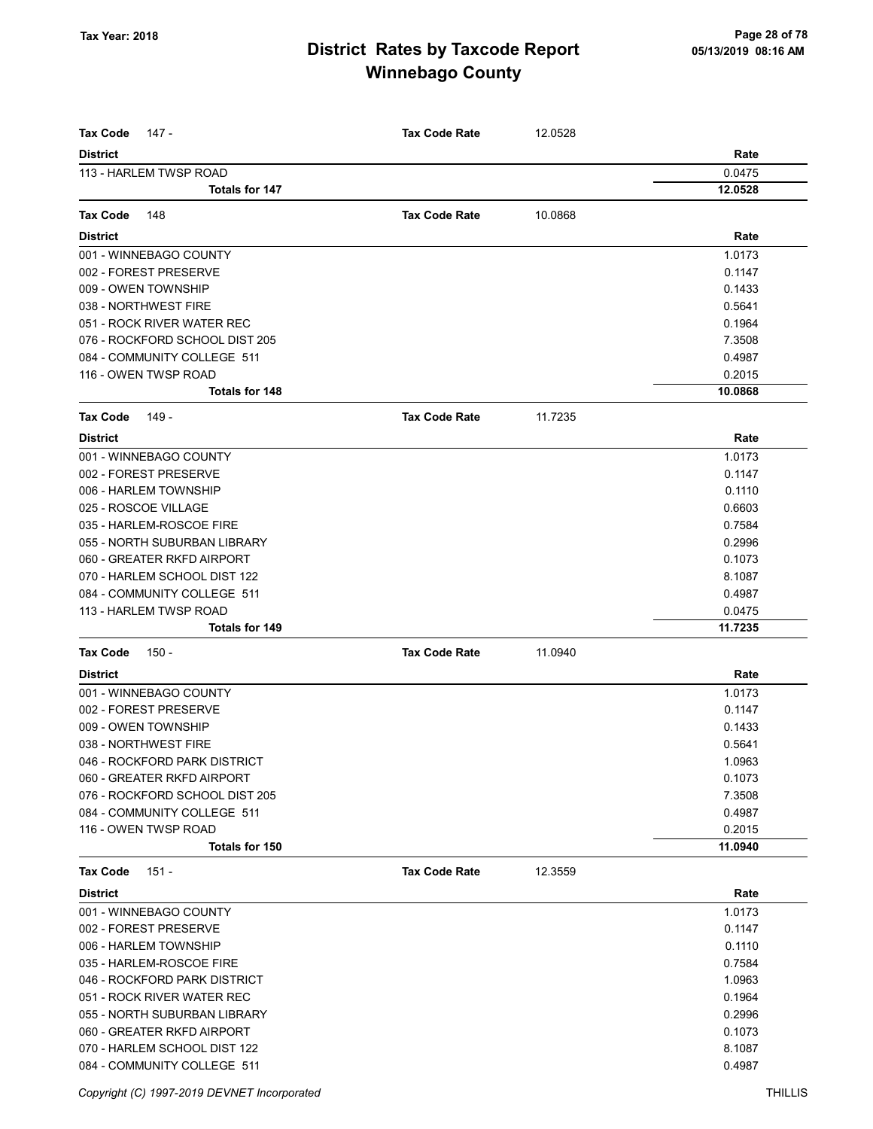| <b>Tax Code</b><br>147 -                                    | <b>Tax Code Rate</b> | 12.0528 |                  |
|-------------------------------------------------------------|----------------------|---------|------------------|
| <b>District</b>                                             |                      |         | Rate             |
| 113 - HARLEM TWSP ROAD                                      |                      |         | 0.0475           |
| <b>Totals for 147</b>                                       |                      |         | 12.0528          |
| <b>Tax Code</b><br>148                                      | <b>Tax Code Rate</b> | 10.0868 |                  |
| <b>District</b>                                             |                      |         | Rate             |
| 001 - WINNEBAGO COUNTY                                      |                      |         | 1.0173           |
| 002 - FOREST PRESERVE                                       |                      |         | 0.1147           |
| 009 - OWEN TOWNSHIP                                         |                      |         | 0.1433           |
| 038 - NORTHWEST FIRE                                        |                      |         | 0.5641           |
| 051 - ROCK RIVER WATER REC                                  |                      |         | 0.1964           |
| 076 - ROCKFORD SCHOOL DIST 205                              |                      |         | 7.3508           |
| 084 - COMMUNITY COLLEGE 511                                 |                      |         | 0.4987           |
| 116 - OWEN TWSP ROAD                                        |                      |         | 0.2015           |
| <b>Totals for 148</b>                                       |                      |         | 10.0868          |
| <b>Tax Code</b><br>149 -                                    | <b>Tax Code Rate</b> | 11.7235 |                  |
| <b>District</b>                                             |                      |         | Rate             |
| 001 - WINNEBAGO COUNTY                                      |                      |         | 1.0173           |
| 002 - FOREST PRESERVE                                       |                      |         | 0.1147           |
| 006 - HARLEM TOWNSHIP                                       |                      |         | 0.1110           |
| 025 - ROSCOE VILLAGE                                        |                      |         | 0.6603           |
| 035 - HARLEM-ROSCOE FIRE                                    |                      |         | 0.7584           |
| 055 - NORTH SUBURBAN LIBRARY                                |                      |         | 0.2996           |
| 060 - GREATER RKFD AIRPORT                                  |                      |         | 0.1073           |
| 070 - HARLEM SCHOOL DIST 122                                |                      |         | 8.1087           |
| 084 - COMMUNITY COLLEGE 511                                 |                      |         | 0.4987           |
| 113 - HARLEM TWSP ROAD                                      |                      |         | 0.0475           |
| <b>Totals for 149</b>                                       |                      |         | 11.7235          |
| <b>Tax Code</b><br>150 -                                    | <b>Tax Code Rate</b> | 11.0940 |                  |
| <b>District</b>                                             |                      |         | Rate             |
| 001 - WINNEBAGO COUNTY                                      |                      |         | 1.0173           |
| 002 - FOREST PRESERVE                                       |                      |         | 0.1147           |
| 009 - OWEN TOWNSHIP                                         |                      |         | 0.1433           |
| 038 - NORTHWEST FIRE                                        |                      |         | 0.5641           |
| 046 - ROCKFORD PARK DISTRICT                                |                      |         | 1.0963           |
| 060 - GREATER RKFD AIRPORT                                  |                      |         | 0.1073           |
| 076 - ROCKFORD SCHOOL DIST 205                              |                      |         | 7.3508           |
| 084 - COMMUNITY COLLEGE 511                                 |                      |         | 0.4987           |
| 116 - OWEN TWSP ROAD                                        |                      |         | 0.2015           |
| Totals for 150                                              |                      |         | 11.0940          |
| <b>Tax Code</b><br>151 -                                    | <b>Tax Code Rate</b> | 12.3559 |                  |
| <b>District</b>                                             |                      |         | Rate             |
| 001 - WINNEBAGO COUNTY                                      |                      |         | 1.0173           |
| 002 - FOREST PRESERVE                                       |                      |         | 0.1147           |
| 006 - HARLEM TOWNSHIP                                       |                      |         | 0.1110           |
| 035 - HARLEM-ROSCOE FIRE                                    |                      |         | 0.7584           |
| 046 - ROCKFORD PARK DISTRICT                                |                      |         | 1.0963           |
| 051 - ROCK RIVER WATER REC                                  |                      |         | 0.1964           |
| 055 - NORTH SUBURBAN LIBRARY                                |                      |         | 0.2996           |
| 060 - GREATER RKFD AIRPORT                                  |                      |         | 0.1073           |
| 070 - HARLEM SCHOOL DIST 122<br>084 - COMMUNITY COLLEGE 511 |                      |         | 8.1087<br>0.4987 |
|                                                             |                      |         |                  |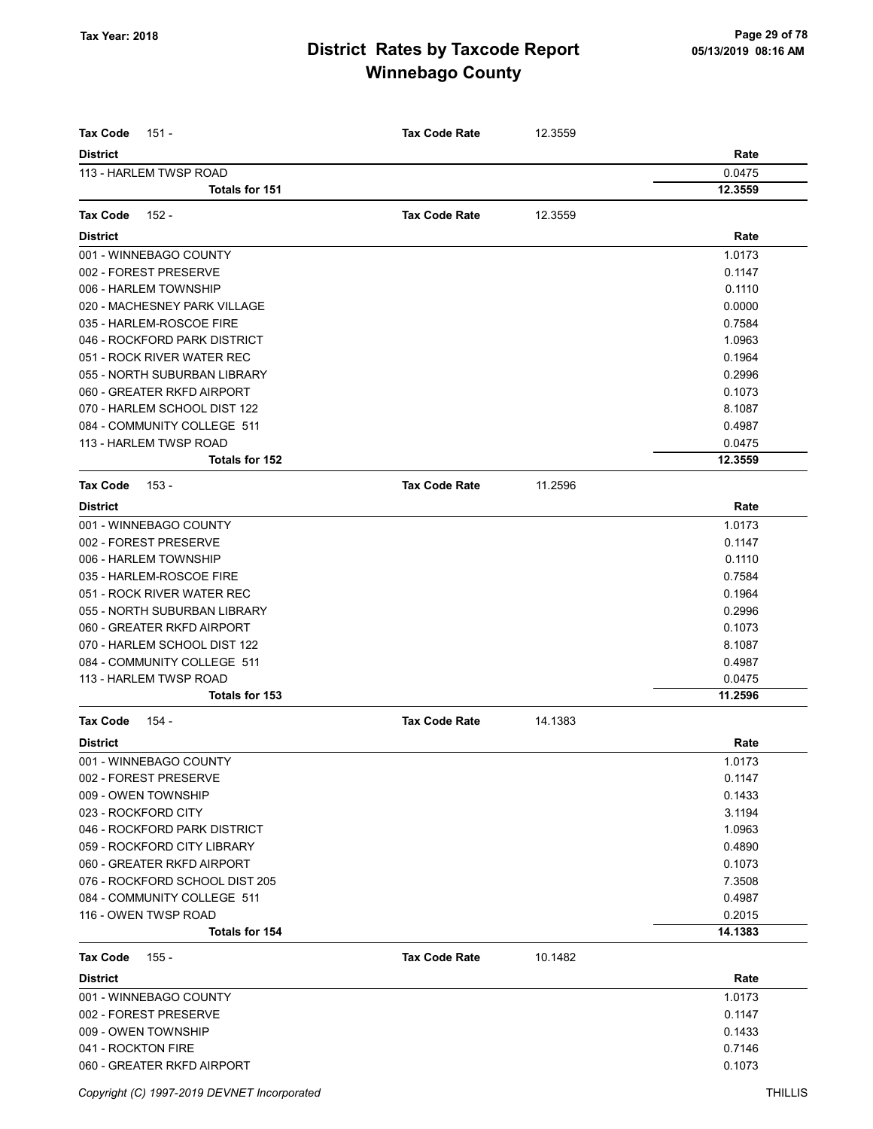| <b>Tax Code</b><br>151 -                  | <b>Tax Code Rate</b> | 12.3559 |                |
|-------------------------------------------|----------------------|---------|----------------|
| <b>District</b><br>113 - HARLEM TWSP ROAD |                      |         | Rate<br>0.0475 |
| Totals for 151                            |                      |         | 12.3559        |
|                                           |                      |         |                |
| <b>Tax Code</b><br>152 -                  | <b>Tax Code Rate</b> | 12.3559 |                |
| <b>District</b>                           |                      |         | Rate           |
| 001 - WINNEBAGO COUNTY                    |                      |         | 1.0173         |
| 002 - FOREST PRESERVE                     |                      |         | 0.1147         |
| 006 - HARLEM TOWNSHIP                     |                      |         | 0.1110         |
| 020 - MACHESNEY PARK VILLAGE              |                      |         | 0.0000         |
| 035 - HARLEM-ROSCOE FIRE                  |                      |         | 0.7584         |
| 046 - ROCKFORD PARK DISTRICT              |                      |         | 1.0963         |
| 051 - ROCK RIVER WATER REC                |                      |         | 0.1964         |
| 055 - NORTH SUBURBAN LIBRARY              |                      |         | 0.2996         |
| 060 - GREATER RKFD AIRPORT                |                      |         | 0.1073         |
| 070 - HARLEM SCHOOL DIST 122              |                      |         | 8.1087         |
| 084 - COMMUNITY COLLEGE 511               |                      |         | 0.4987         |
| 113 - HARLEM TWSP ROAD                    |                      |         | 0.0475         |
| Totals for 152                            |                      |         | 12.3559        |
| <b>Tax Code</b><br>153 -                  | <b>Tax Code Rate</b> | 11.2596 |                |
| <b>District</b>                           |                      |         | Rate           |
| 001 - WINNEBAGO COUNTY                    |                      |         | 1.0173         |
| 002 - FOREST PRESERVE                     |                      |         | 0.1147         |
| 006 - HARLEM TOWNSHIP                     |                      |         | 0.1110         |
| 035 - HARLEM-ROSCOE FIRE                  |                      |         | 0.7584         |
| 051 - ROCK RIVER WATER REC                |                      |         | 0.1964         |
| 055 - NORTH SUBURBAN LIBRARY              |                      |         | 0.2996         |
| 060 - GREATER RKFD AIRPORT                |                      |         | 0.1073         |
| 070 - HARLEM SCHOOL DIST 122              |                      |         | 8.1087         |
| 084 - COMMUNITY COLLEGE 511               |                      |         | 0.4987         |
| 113 - HARLEM TWSP ROAD                    |                      |         | 0.0475         |
| Totals for 153                            |                      |         | 11.2596        |
| <b>Tax Code</b><br>154 -                  | <b>Tax Code Rate</b> | 14.1383 |                |
| <b>District</b>                           |                      |         | Rate           |
| 001 - WINNEBAGO COUNTY                    |                      |         | 1.0173         |
| 002 - FOREST PRESERVE                     |                      |         | 0.1147         |
| 009 - OWEN TOWNSHIP                       |                      |         | 0.1433         |
| 023 - ROCKFORD CITY                       |                      |         | 3.1194         |
| 046 - ROCKFORD PARK DISTRICT              |                      |         | 1.0963         |
| 059 - ROCKFORD CITY LIBRARY               |                      |         | 0.4890         |
| 060 - GREATER RKFD AIRPORT                |                      |         | 0.1073         |
| 076 - ROCKFORD SCHOOL DIST 205            |                      |         | 7.3508         |
| 084 - COMMUNITY COLLEGE 511               |                      |         | 0.4987         |
| 116 - OWEN TWSP ROAD                      |                      |         | 0.2015         |
| <b>Totals for 154</b>                     |                      |         | 14.1383        |
| <b>Tax Code</b><br>155 -                  | <b>Tax Code Rate</b> | 10.1482 |                |
| <b>District</b>                           |                      |         | Rate           |
| 001 - WINNEBAGO COUNTY                    |                      |         | 1.0173         |
| 002 - FOREST PRESERVE                     |                      |         | 0.1147         |
| 009 - OWEN TOWNSHIP                       |                      |         | 0.1433         |
| 041 - ROCKTON FIRE                        |                      |         | 0.7146         |
| 060 - GREATER RKFD AIRPORT                |                      |         | 0.1073         |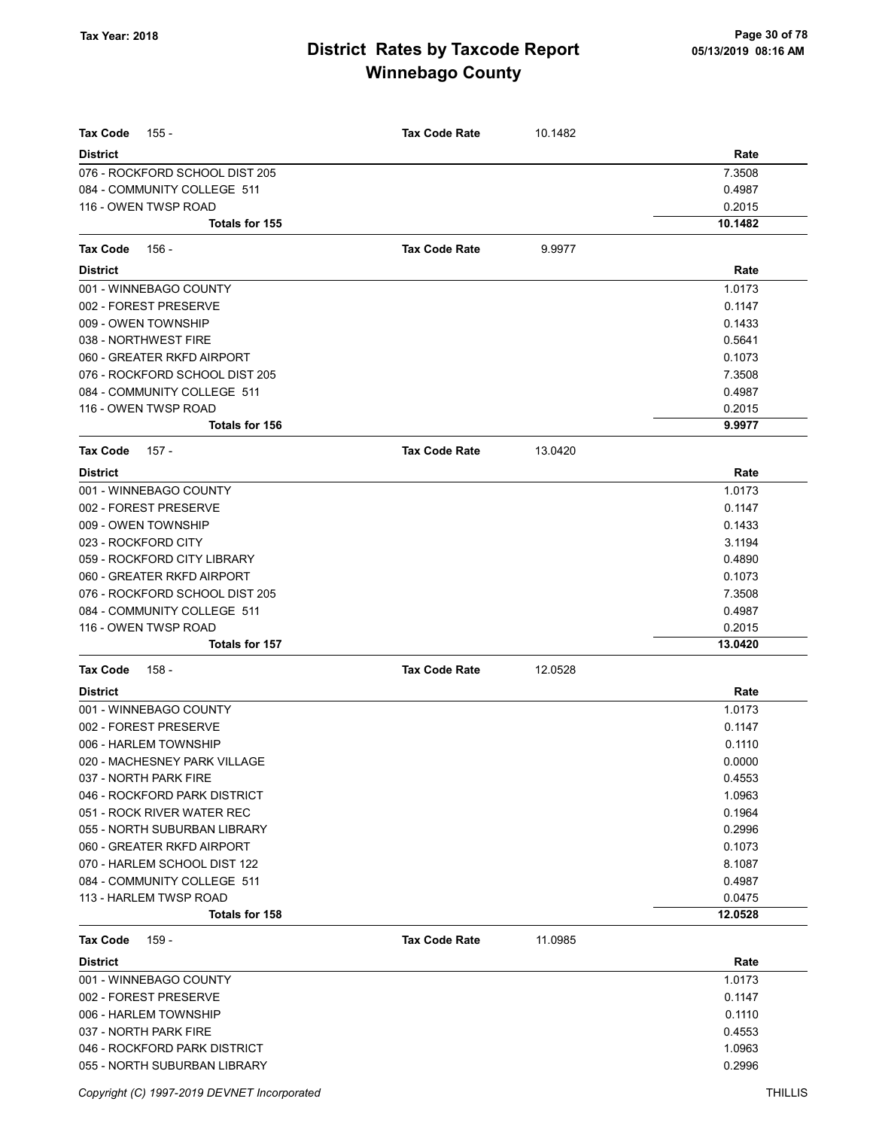| <b>Tax Code</b><br>155 -       | <b>Tax Code Rate</b> | 10.1482 |         |
|--------------------------------|----------------------|---------|---------|
| <b>District</b>                |                      |         | Rate    |
| 076 - ROCKFORD SCHOOL DIST 205 |                      |         | 7.3508  |
| 084 - COMMUNITY COLLEGE 511    |                      |         | 0.4987  |
| 116 - OWEN TWSP ROAD           |                      |         | 0.2015  |
| <b>Totals for 155</b>          |                      |         | 10.1482 |
|                                |                      |         |         |
| Tax Code<br>156 -              | <b>Tax Code Rate</b> | 9.9977  |         |
| <b>District</b>                |                      |         | Rate    |
| 001 - WINNEBAGO COUNTY         |                      |         | 1.0173  |
| 002 - FOREST PRESERVE          |                      |         | 0.1147  |
| 009 - OWEN TOWNSHIP            |                      |         | 0.1433  |
| 038 - NORTHWEST FIRE           |                      |         | 0.5641  |
| 060 - GREATER RKFD AIRPORT     |                      |         | 0.1073  |
| 076 - ROCKFORD SCHOOL DIST 205 |                      |         | 7.3508  |
| 084 - COMMUNITY COLLEGE 511    |                      |         | 0.4987  |
| 116 - OWEN TWSP ROAD           |                      |         | 0.2015  |
| <b>Totals for 156</b>          |                      |         | 9.9977  |
| Tax Code<br>157 -              | <b>Tax Code Rate</b> | 13.0420 |         |
| <b>District</b>                |                      |         | Rate    |
| 001 - WINNEBAGO COUNTY         |                      |         | 1.0173  |
| 002 - FOREST PRESERVE          |                      |         | 0.1147  |
| 009 - OWEN TOWNSHIP            |                      |         | 0.1433  |
| 023 - ROCKFORD CITY            |                      |         | 3.1194  |
| 059 - ROCKFORD CITY LIBRARY    |                      |         | 0.4890  |
| 060 - GREATER RKFD AIRPORT     |                      |         | 0.1073  |
| 076 - ROCKFORD SCHOOL DIST 205 |                      |         | 7.3508  |
| 084 - COMMUNITY COLLEGE 511    |                      |         | 0.4987  |
| 116 - OWEN TWSP ROAD           |                      |         | 0.2015  |
| Totals for 157                 |                      |         | 13.0420 |
| <b>Tax Code</b><br>158 -       | <b>Tax Code Rate</b> | 12.0528 |         |
| <b>District</b>                |                      |         | Rate    |
| 001 - WINNEBAGO COUNTY         |                      |         | 1.0173  |
| 002 - FOREST PRESERVE          |                      |         | 0.1147  |
| 006 - HARLEM TOWNSHIP          |                      |         | 0.1110  |
| 020 - MACHESNEY PARK VILLAGE   |                      |         | 0.0000  |
| 037 - NORTH PARK FIRE          |                      |         | 0.4553  |
| 046 - ROCKFORD PARK DISTRICT   |                      |         | 1.0963  |
| 051 - ROCK RIVER WATER REC     |                      |         | 0.1964  |
| 055 - NORTH SUBURBAN LIBRARY   |                      |         | 0.2996  |
| 060 - GREATER RKFD AIRPORT     |                      |         | 0.1073  |
| 070 - HARLEM SCHOOL DIST 122   |                      |         | 8.1087  |
| 084 - COMMUNITY COLLEGE 511    |                      |         | 0.4987  |
| 113 - HARLEM TWSP ROAD         |                      |         | 0.0475  |
| <b>Totals for 158</b>          |                      |         | 12.0528 |
| <b>Tax Code</b><br>159 -       | <b>Tax Code Rate</b> | 11.0985 |         |
| <b>District</b>                |                      |         | Rate    |
| 001 - WINNEBAGO COUNTY         |                      |         | 1.0173  |
| 002 - FOREST PRESERVE          |                      |         | 0.1147  |
| 006 - HARLEM TOWNSHIP          |                      |         | 0.1110  |
| 037 - NORTH PARK FIRE          |                      |         | 0.4553  |
| 046 - ROCKFORD PARK DISTRICT   |                      |         | 1.0963  |
| 055 - NORTH SUBURBAN LIBRARY   |                      |         | 0.2996  |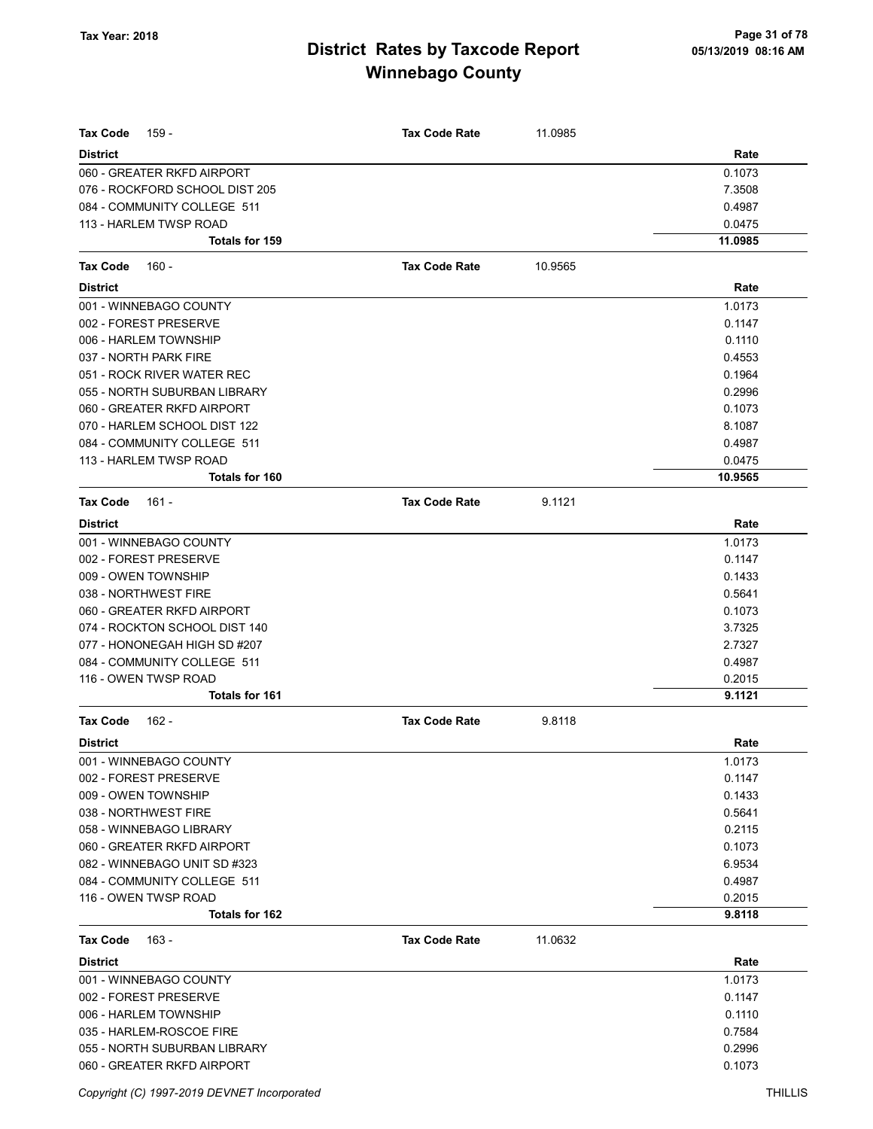| <b>Tax Code</b><br>159 -       | <b>Tax Code Rate</b> | 11.0985 |         |
|--------------------------------|----------------------|---------|---------|
| <b>District</b>                |                      |         | Rate    |
| 060 - GREATER RKFD AIRPORT     |                      |         | 0.1073  |
| 076 - ROCKFORD SCHOOL DIST 205 |                      |         | 7.3508  |
| 084 - COMMUNITY COLLEGE 511    |                      |         | 0.4987  |
| 113 - HARLEM TWSP ROAD         |                      |         | 0.0475  |
| Totals for 159                 |                      |         | 11.0985 |
|                                |                      |         |         |
| <b>Tax Code</b><br>160 -       | <b>Tax Code Rate</b> | 10.9565 |         |
| <b>District</b>                |                      |         | Rate    |
| 001 - WINNEBAGO COUNTY         |                      |         | 1.0173  |
| 002 - FOREST PRESERVE          |                      |         | 0.1147  |
| 006 - HARLEM TOWNSHIP          |                      |         | 0.1110  |
| 037 - NORTH PARK FIRE          |                      |         | 0.4553  |
| 051 - ROCK RIVER WATER REC     |                      |         | 0.1964  |
| 055 - NORTH SUBURBAN LIBRARY   |                      |         | 0.2996  |
| 060 - GREATER RKFD AIRPORT     |                      |         | 0.1073  |
| 070 - HARLEM SCHOOL DIST 122   |                      |         | 8.1087  |
| 084 - COMMUNITY COLLEGE 511    |                      |         | 0.4987  |
| 113 - HARLEM TWSP ROAD         |                      |         | 0.0475  |
| Totals for 160                 |                      |         | 10.9565 |
| <b>Tax Code</b><br>161 -       | <b>Tax Code Rate</b> | 9.1121  |         |
| <b>District</b>                |                      |         | Rate    |
| 001 - WINNEBAGO COUNTY         |                      |         | 1.0173  |
| 002 - FOREST PRESERVE          |                      |         | 0.1147  |
| 009 - OWEN TOWNSHIP            |                      |         | 0.1433  |
| 038 - NORTHWEST FIRE           |                      |         | 0.5641  |
| 060 - GREATER RKFD AIRPORT     |                      |         | 0.1073  |
| 074 - ROCKTON SCHOOL DIST 140  |                      |         | 3.7325  |
| 077 - HONONEGAH HIGH SD #207   |                      |         | 2.7327  |
| 084 - COMMUNITY COLLEGE 511    |                      |         | 0.4987  |
| 116 - OWEN TWSP ROAD           |                      |         | 0.2015  |
| <b>Totals for 161</b>          |                      |         | 9.1121  |
| $162 -$<br><b>Tax Code</b>     | <b>Tax Code Rate</b> | 9.8118  |         |
| <b>District</b>                |                      |         | Rate    |
| 001 - WINNEBAGO COUNTY         |                      |         | 1.0173  |
| 002 - FOREST PRESERVE          |                      |         | 0.1147  |
| 009 - OWEN TOWNSHIP            |                      |         | 0.1433  |
| 038 - NORTHWEST FIRE           |                      |         | 0.5641  |
| 058 - WINNEBAGO LIBRARY        |                      |         | 0.2115  |
| 060 - GREATER RKFD AIRPORT     |                      |         | 0.1073  |
| 082 - WINNEBAGO UNIT SD #323   |                      |         | 6.9534  |
| 084 - COMMUNITY COLLEGE 511    |                      |         | 0.4987  |
| 116 - OWEN TWSP ROAD           |                      |         | 0.2015  |
| Totals for 162                 |                      |         | 9.8118  |
| <b>Tax Code</b><br>163 -       | <b>Tax Code Rate</b> | 11.0632 |         |
| <b>District</b>                |                      |         | Rate    |
| 001 - WINNEBAGO COUNTY         |                      |         | 1.0173  |
| 002 - FOREST PRESERVE          |                      |         | 0.1147  |
| 006 - HARLEM TOWNSHIP          |                      |         | 0.1110  |
| 035 - HARLEM-ROSCOE FIRE       |                      |         | 0.7584  |
| 055 - NORTH SUBURBAN LIBRARY   |                      |         | 0.2996  |
| 060 - GREATER RKFD AIRPORT     |                      |         | 0.1073  |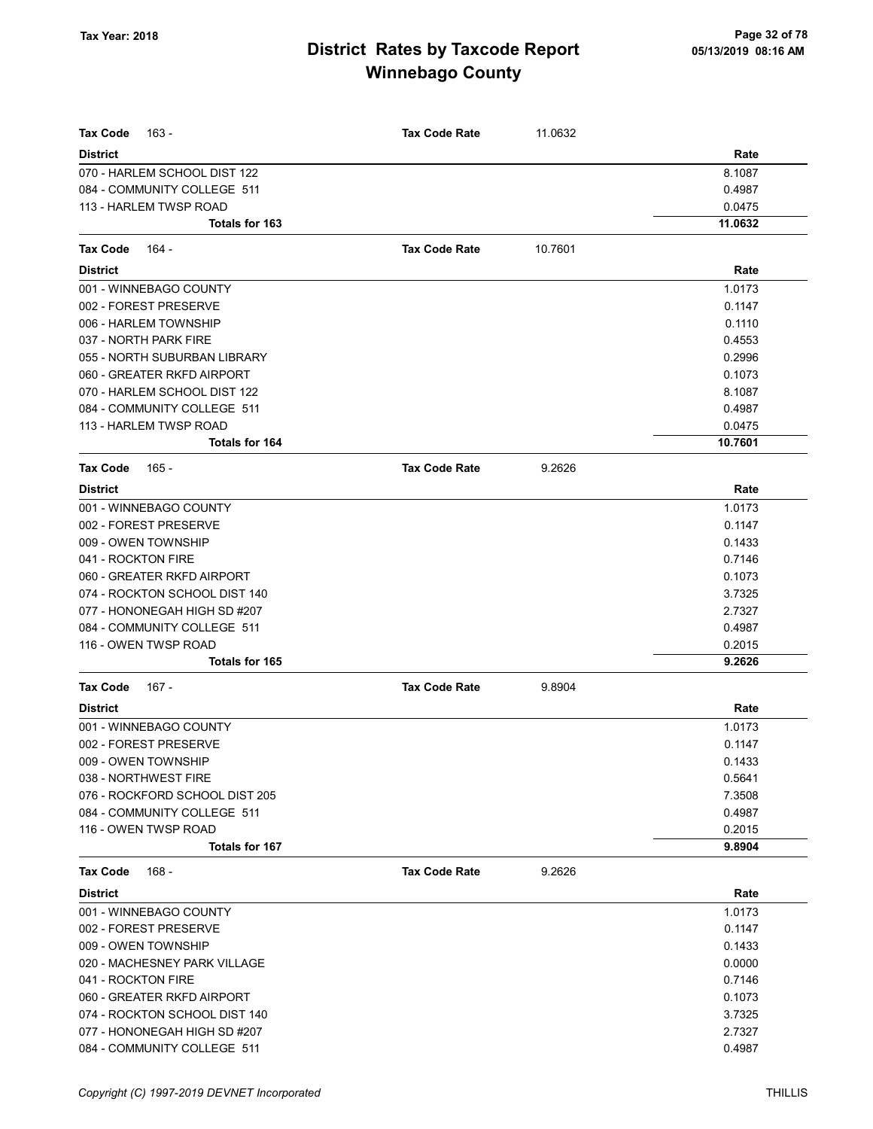| <b>Tax Code</b><br>163 -       | <b>Tax Code Rate</b> | 11.0632 |         |
|--------------------------------|----------------------|---------|---------|
| <b>District</b>                |                      |         | Rate    |
| 070 - HARLEM SCHOOL DIST 122   |                      |         | 8.1087  |
| 084 - COMMUNITY COLLEGE 511    |                      |         | 0.4987  |
| 113 - HARLEM TWSP ROAD         |                      |         | 0.0475  |
| Totals for 163                 |                      |         | 11.0632 |
| Tax Code<br>164 -              | <b>Tax Code Rate</b> | 10.7601 |         |
| <b>District</b>                |                      |         | Rate    |
| 001 - WINNEBAGO COUNTY         |                      |         | 1.0173  |
| 002 - FOREST PRESERVE          |                      |         | 0.1147  |
| 006 - HARLEM TOWNSHIP          |                      |         | 0.1110  |
| 037 - NORTH PARK FIRE          |                      |         | 0.4553  |
| 055 - NORTH SUBURBAN LIBRARY   |                      |         | 0.2996  |
| 060 - GREATER RKFD AIRPORT     |                      |         | 0.1073  |
| 070 - HARLEM SCHOOL DIST 122   |                      |         | 8.1087  |
| 084 - COMMUNITY COLLEGE 511    |                      |         | 0.4987  |
| 113 - HARLEM TWSP ROAD         |                      |         | 0.0475  |
| <b>Totals for 164</b>          |                      |         | 10.7601 |
| Tax Code<br>165 -              | <b>Tax Code Rate</b> | 9.2626  |         |
| <b>District</b>                |                      |         | Rate    |
| 001 - WINNEBAGO COUNTY         |                      |         | 1.0173  |
| 002 - FOREST PRESERVE          |                      |         | 0.1147  |
| 009 - OWEN TOWNSHIP            |                      |         | 0.1433  |
| 041 - ROCKTON FIRE             |                      |         | 0.7146  |
| 060 - GREATER RKFD AIRPORT     |                      |         | 0.1073  |
| 074 - ROCKTON SCHOOL DIST 140  |                      |         | 3.7325  |
| 077 - HONONEGAH HIGH SD #207   |                      |         | 2.7327  |
| 084 - COMMUNITY COLLEGE 511    |                      |         | 0.4987  |
| 116 - OWEN TWSP ROAD           |                      |         | 0.2015  |
| <b>Totals for 165</b>          |                      |         | 9.2626  |
| Tax Code<br>167 -              | <b>Tax Code Rate</b> | 9.8904  |         |
| <b>District</b>                |                      |         | Rate    |
| 001 - WINNEBAGO COUNTY         |                      |         | 1.0173  |
| 002 - FOREST PRESERVE          |                      |         | 0.1147  |
| 009 - OWEN TOWNSHIP            |                      |         | 0.1433  |
| 038 - NORTHWEST FIRE           |                      |         | 0.5641  |
| 076 - ROCKFORD SCHOOL DIST 205 |                      |         | 7.3508  |
| 084 - COMMUNITY COLLEGE 511    |                      |         | 0.4987  |
| 116 - OWEN TWSP ROAD           |                      |         | 0.2015  |
| Totals for 167                 |                      |         | 9.8904  |
| Tax Code<br>168 -              | <b>Tax Code Rate</b> | 9.2626  |         |
| <b>District</b>                |                      |         | Rate    |
| 001 - WINNEBAGO COUNTY         |                      |         | 1.0173  |
| 002 - FOREST PRESERVE          |                      |         | 0.1147  |
| 009 - OWEN TOWNSHIP            |                      |         | 0.1433  |
| 020 - MACHESNEY PARK VILLAGE   |                      |         | 0.0000  |
| 041 - ROCKTON FIRE             |                      |         | 0.7146  |
| 060 - GREATER RKFD AIRPORT     |                      |         | 0.1073  |
| 074 - ROCKTON SCHOOL DIST 140  |                      |         | 3.7325  |
| 077 - HONONEGAH HIGH SD #207   |                      |         | 2.7327  |
| 084 - COMMUNITY COLLEGE 511    |                      |         | 0.4987  |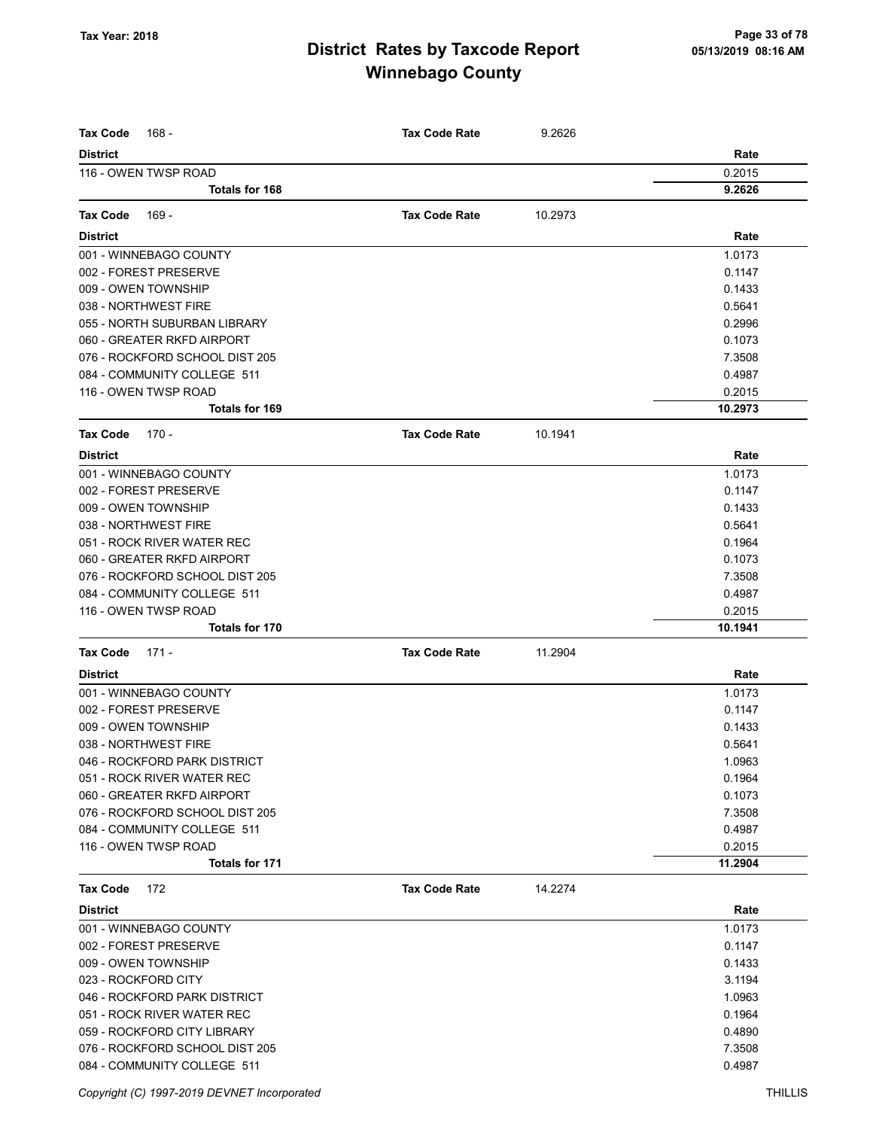| <b>Tax Code</b><br>168 -                                  | <b>Tax Code Rate</b> | 9.2626  |                  |
|-----------------------------------------------------------|----------------------|---------|------------------|
| <b>District</b>                                           |                      |         | Rate             |
| 116 - OWEN TWSP ROAD                                      |                      |         | 0.2015           |
| Totals for 168                                            |                      |         | 9.2626           |
| <b>Tax Code</b><br>169 -                                  | <b>Tax Code Rate</b> | 10.2973 |                  |
| <b>District</b>                                           |                      |         | Rate             |
| 001 - WINNEBAGO COUNTY                                    |                      |         | 1.0173           |
| 002 - FOREST PRESERVE                                     |                      |         | 0.1147           |
| 009 - OWEN TOWNSHIP                                       |                      |         | 0.1433           |
| 038 - NORTHWEST FIRE                                      |                      |         | 0.5641           |
| 055 - NORTH SUBURBAN LIBRARY                              |                      |         | 0.2996           |
| 060 - GREATER RKFD AIRPORT                                |                      |         | 0.1073           |
| 076 - ROCKFORD SCHOOL DIST 205                            |                      |         | 7.3508           |
| 084 - COMMUNITY COLLEGE 511                               |                      |         | 0.4987           |
| 116 - OWEN TWSP ROAD                                      |                      |         | 0.2015           |
| <b>Totals for 169</b>                                     |                      |         | 10.2973          |
| <b>Tax Code</b><br>170 -                                  | <b>Tax Code Rate</b> | 10.1941 |                  |
| <b>District</b>                                           |                      |         | Rate             |
| 001 - WINNEBAGO COUNTY                                    |                      |         | 1.0173           |
| 002 - FOREST PRESERVE                                     |                      |         | 0.1147           |
| 009 - OWEN TOWNSHIP                                       |                      |         | 0.1433           |
| 038 - NORTHWEST FIRE                                      |                      |         | 0.5641           |
| 051 - ROCK RIVER WATER REC                                |                      |         | 0.1964           |
| 060 - GREATER RKFD AIRPORT                                |                      |         | 0.1073           |
| 076 - ROCKFORD SCHOOL DIST 205                            |                      |         | 7.3508           |
| 084 - COMMUNITY COLLEGE 511                               |                      |         | 0.4987           |
| 116 - OWEN TWSP ROAD                                      |                      |         | 0.2015           |
| <b>Totals for 170</b>                                     |                      |         | 10.1941          |
| <b>Tax Code</b><br>$171 -$                                | <b>Tax Code Rate</b> | 11.2904 |                  |
| <b>District</b>                                           |                      |         | Rate             |
| 001 - WINNEBAGO COUNTY                                    |                      |         | 1.0173           |
| 002 - FOREST PRESERVE                                     |                      |         | 0.1147           |
| 009 - OWEN TOWNSHIP                                       |                      |         | 0.1433           |
| 038 - NORTHWEST FIRE                                      |                      |         | 0.5641           |
| 046 - ROCKFORD PARK DISTRICT                              |                      |         | 1.0963           |
| 051 - ROCK RIVER WATER REC                                |                      |         | 0.1964           |
| 060 - GREATER RKFD AIRPORT                                |                      |         | 0.1073           |
| 076 - ROCKFORD SCHOOL DIST 205                            |                      |         | 7.3508           |
| 084 - COMMUNITY COLLEGE 511                               |                      |         | 0.4987           |
| 116 - OWEN TWSP ROAD                                      |                      |         | 0.2015           |
| Totals for 171                                            |                      |         | 11.2904          |
| <b>Tax Code</b><br>172                                    | <b>Tax Code Rate</b> | 14.2274 |                  |
| <b>District</b>                                           |                      |         | Rate             |
| 001 - WINNEBAGO COUNTY                                    |                      |         | 1.0173           |
| 002 - FOREST PRESERVE                                     |                      |         | 0.1147           |
| 009 - OWEN TOWNSHIP                                       |                      |         | 0.1433           |
| 023 - ROCKFORD CITY                                       |                      |         | 3.1194           |
| 046 - ROCKFORD PARK DISTRICT                              |                      |         | 1.0963           |
| 051 - ROCK RIVER WATER REC<br>059 - ROCKFORD CITY LIBRARY |                      |         | 0.1964<br>0.4890 |
| 076 - ROCKFORD SCHOOL DIST 205                            |                      |         | 7.3508           |
| 084 - COMMUNITY COLLEGE 511                               |                      |         | 0.4987           |
|                                                           |                      |         |                  |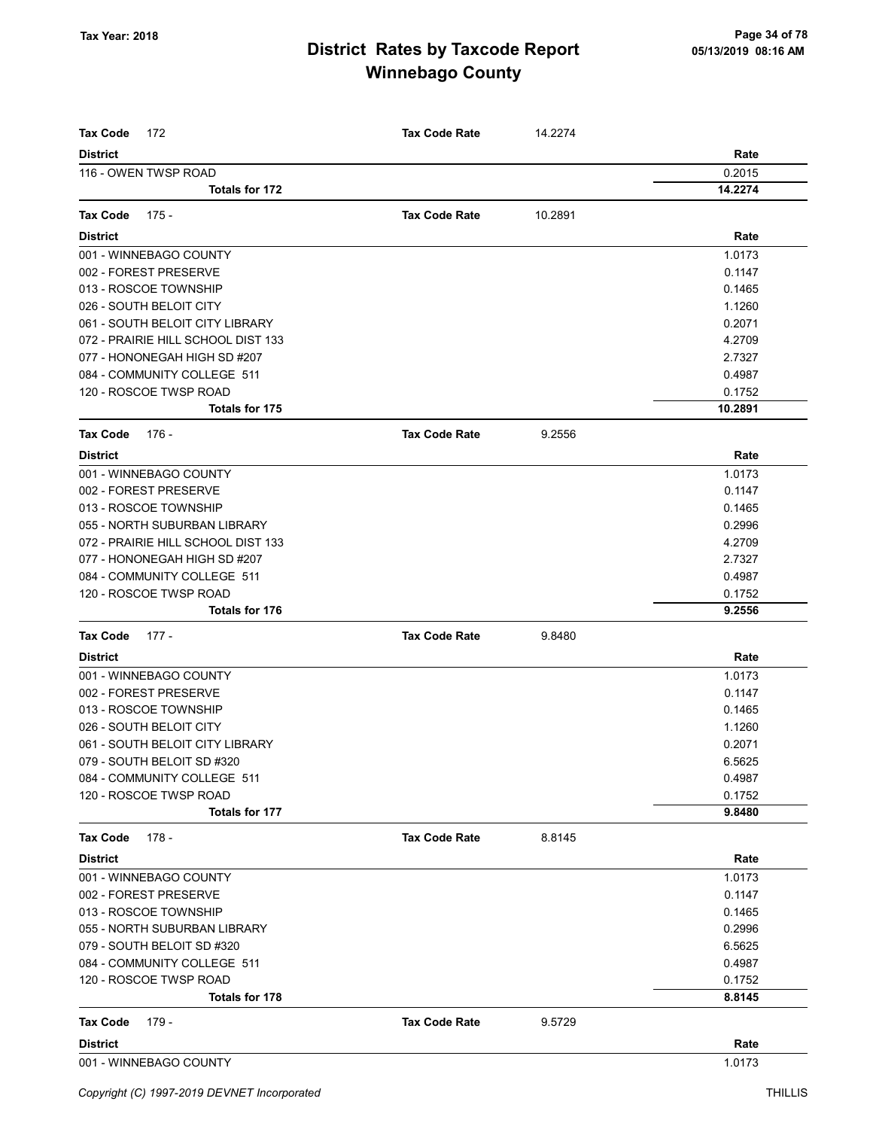| <b>Tax Code</b><br>172             | <b>Tax Code Rate</b> | 14.2274 |         |
|------------------------------------|----------------------|---------|---------|
| <b>District</b>                    |                      |         | Rate    |
| 116 - OWEN TWSP ROAD               |                      |         | 0.2015  |
| <b>Totals for 172</b>              |                      |         | 14.2274 |
|                                    |                      |         |         |
| <b>Tax Code</b><br>175 -           | <b>Tax Code Rate</b> | 10.2891 |         |
| <b>District</b>                    |                      |         | Rate    |
| 001 - WINNEBAGO COUNTY             |                      |         | 1.0173  |
| 002 - FOREST PRESERVE              |                      |         | 0.1147  |
| 013 - ROSCOE TOWNSHIP              |                      |         | 0.1465  |
| 026 - SOUTH BELOIT CITY            |                      |         | 1.1260  |
| 061 - SOUTH BELOIT CITY LIBRARY    |                      |         | 0.2071  |
| 072 - PRAIRIE HILL SCHOOL DIST 133 |                      |         | 4.2709  |
| 077 - HONONEGAH HIGH SD #207       |                      |         | 2.7327  |
| 084 - COMMUNITY COLLEGE 511        |                      |         | 0.4987  |
| 120 - ROSCOE TWSP ROAD             |                      |         | 0.1752  |
| <b>Totals for 175</b>              |                      |         | 10.2891 |
| <b>Tax Code</b><br>176 -           | <b>Tax Code Rate</b> | 9.2556  |         |
| <b>District</b>                    |                      |         | Rate    |
| 001 - WINNEBAGO COUNTY             |                      |         | 1.0173  |
| 002 - FOREST PRESERVE              |                      |         | 0.1147  |
| 013 - ROSCOE TOWNSHIP              |                      |         | 0.1465  |
| 055 - NORTH SUBURBAN LIBRARY       |                      |         | 0.2996  |
| 072 - PRAIRIE HILL SCHOOL DIST 133 |                      |         | 4.2709  |
| 077 - HONONEGAH HIGH SD #207       |                      |         | 2.7327  |
| 084 - COMMUNITY COLLEGE 511        |                      |         | 0.4987  |
| 120 - ROSCOE TWSP ROAD             |                      |         | 0.1752  |
| <b>Totals for 176</b>              |                      |         | 9.2556  |
| <b>Tax Code</b><br>$177 -$         | <b>Tax Code Rate</b> | 9.8480  |         |
| <b>District</b>                    |                      |         | Rate    |
| 001 - WINNEBAGO COUNTY             |                      |         | 1.0173  |
| 002 - FOREST PRESERVE              |                      |         | 0.1147  |
| 013 - ROSCOE TOWNSHIP              |                      |         | 0.1465  |
| 026 - SOUTH BELOIT CITY            |                      |         | 1.1260  |
| 061 - SOUTH BELOIT CITY LIBRARY    |                      |         | 0.2071  |
| 079 - SOUTH BELOIT SD #320         |                      |         | 6.5625  |
| 084 - COMMUNITY COLLEGE 511        |                      |         | 0.4987  |
| 120 - ROSCOE TWSP ROAD             |                      |         | 0.1752  |
| Totals for 177                     |                      |         | 9.8480  |
| Tax Code<br>178 -                  | <b>Tax Code Rate</b> | 8.8145  |         |
| <b>District</b>                    |                      |         | Rate    |
| 001 - WINNEBAGO COUNTY             |                      |         | 1.0173  |
| 002 - FOREST PRESERVE              |                      |         | 0.1147  |
| 013 - ROSCOE TOWNSHIP              |                      |         | 0.1465  |
| 055 - NORTH SUBURBAN LIBRARY       |                      |         | 0.2996  |
| 079 - SOUTH BELOIT SD #320         |                      |         | 6.5625  |
| 084 - COMMUNITY COLLEGE 511        |                      |         | 0.4987  |
| 120 - ROSCOE TWSP ROAD             |                      |         | 0.1752  |
| <b>Totals for 178</b>              |                      |         | 8.8145  |
| <b>Tax Code</b><br>179 -           | <b>Tax Code Rate</b> | 9.5729  |         |
| <b>District</b>                    |                      |         | Rate    |
| 001 - WINNEBAGO COUNTY             |                      |         | 1.0173  |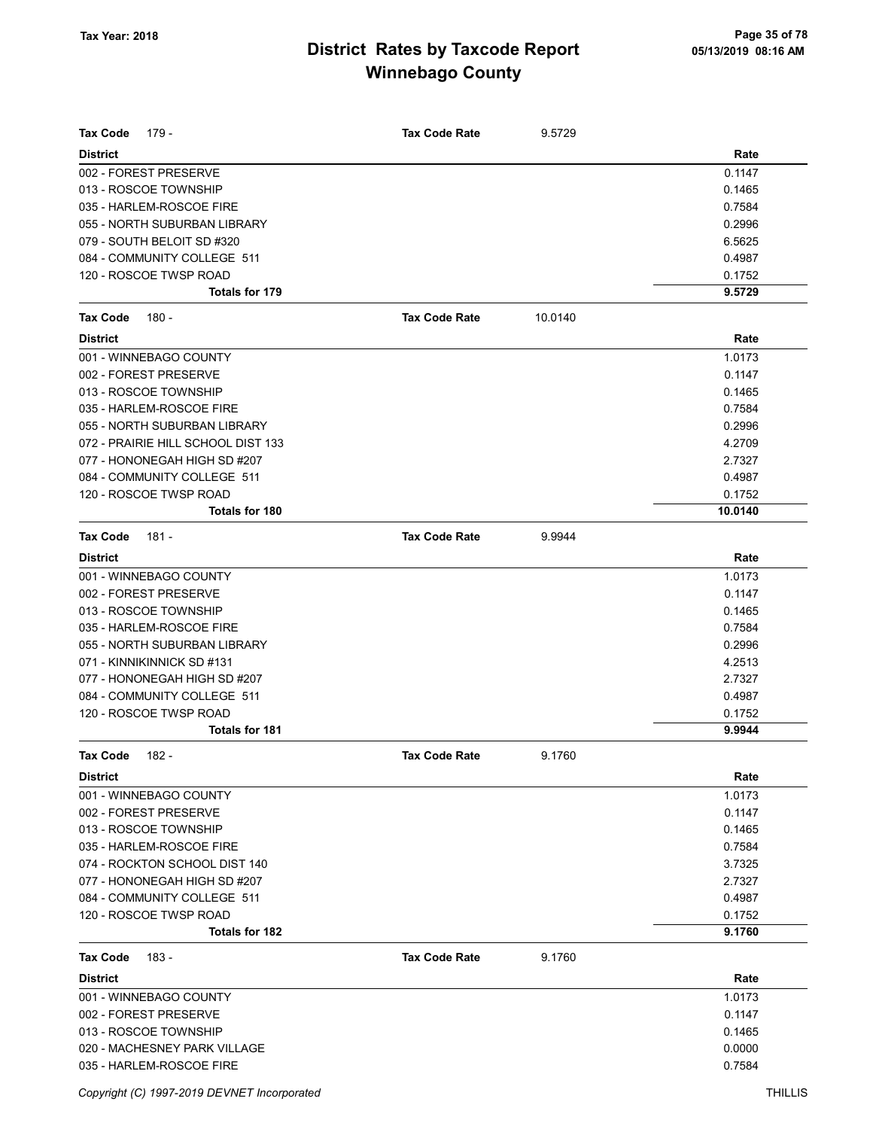| <b>Tax Code</b><br>179 -                              | <b>Tax Code Rate</b> | 9.5729  |                  |
|-------------------------------------------------------|----------------------|---------|------------------|
|                                                       |                      |         |                  |
| <b>District</b>                                       |                      |         | Rate             |
| 002 - FOREST PRESERVE                                 |                      |         | 0.1147           |
| 013 - ROSCOE TOWNSHIP<br>035 - HARLEM-ROSCOE FIRE     |                      |         | 0.1465           |
| 055 - NORTH SUBURBAN LIBRARY                          |                      |         | 0.7584<br>0.2996 |
| 079 - SOUTH BELOIT SD #320                            |                      |         | 6.5625           |
| 084 - COMMUNITY COLLEGE 511                           |                      |         | 0.4987           |
| 120 - ROSCOE TWSP ROAD                                |                      |         | 0.1752           |
| Totals for 179                                        |                      |         | 9.5729           |
| <b>Tax Code</b>                                       | <b>Tax Code Rate</b> | 10.0140 |                  |
| 180 -                                                 |                      |         |                  |
| <b>District</b><br>001 - WINNEBAGO COUNTY             |                      |         | Rate<br>1.0173   |
| 002 - FOREST PRESERVE                                 |                      |         |                  |
| 013 - ROSCOE TOWNSHIP                                 |                      |         | 0.1147<br>0.1465 |
| 035 - HARLEM-ROSCOE FIRE                              |                      |         | 0.7584           |
| 055 - NORTH SUBURBAN LIBRARY                          |                      |         | 0.2996           |
| 072 - PRAIRIE HILL SCHOOL DIST 133                    |                      |         | 4.2709           |
| 077 - HONONEGAH HIGH SD #207                          |                      |         | 2.7327           |
| 084 - COMMUNITY COLLEGE 511                           |                      |         | 0.4987           |
| 120 - ROSCOE TWSP ROAD                                |                      |         | 0.1752           |
| Totals for 180                                        |                      |         | 10.0140          |
|                                                       |                      |         |                  |
| <b>Tax Code</b><br>$181 -$                            | <b>Tax Code Rate</b> | 9.9944  |                  |
| <b>District</b>                                       |                      |         | Rate             |
| 001 - WINNEBAGO COUNTY                                |                      |         | 1.0173           |
| 002 - FOREST PRESERVE                                 |                      |         | 0.1147           |
| 013 - ROSCOE TOWNSHIP                                 |                      |         | 0.1465           |
| 035 - HARLEM-ROSCOE FIRE                              |                      |         | 0.7584           |
| 055 - NORTH SUBURBAN LIBRARY                          |                      |         | 0.2996           |
| 071 - KINNIKINNICK SD #131                            |                      |         | 4.2513           |
| 077 - HONONEGAH HIGH SD #207                          |                      |         | 2.7327           |
| 084 - COMMUNITY COLLEGE 511                           |                      |         | 0.4987           |
| 120 - ROSCOE TWSP ROAD<br><b>Totals for 181</b>       |                      |         | 0.1752<br>9.9944 |
|                                                       |                      | 9.1760  |                  |
| <b>Tax Code</b><br>$182 -$                            | Tax Code Rate        |         |                  |
| <b>District</b>                                       |                      |         | Rate             |
| 001 - WINNEBAGO COUNTY                                |                      |         | 1.0173           |
| 002 - FOREST PRESERVE                                 |                      |         | 0.1147           |
| 013 - ROSCOE TOWNSHIP                                 |                      |         | 0.1465           |
| 035 - HARLEM-ROSCOE FIRE                              |                      |         | 0.7584           |
| 074 - ROCKTON SCHOOL DIST 140                         |                      |         | 3.7325           |
| 077 - HONONEGAH HIGH SD #207                          |                      |         | 2.7327           |
| 084 - COMMUNITY COLLEGE 511<br>120 - ROSCOE TWSP ROAD |                      |         | 0.4987           |
| <b>Totals for 182</b>                                 |                      |         | 0.1752<br>9.1760 |
|                                                       |                      |         |                  |
| <b>Tax Code</b><br>183 -                              | <b>Tax Code Rate</b> | 9.1760  |                  |
| <b>District</b>                                       |                      |         | Rate             |
| 001 - WINNEBAGO COUNTY                                |                      |         | 1.0173           |
| 002 - FOREST PRESERVE                                 |                      |         | 0.1147           |
| 013 - ROSCOE TOWNSHIP                                 |                      |         | 0.1465           |
| 020 - MACHESNEY PARK VILLAGE                          |                      |         | 0.0000           |
| 035 - HARLEM-ROSCOE FIRE                              |                      |         | 0.7584           |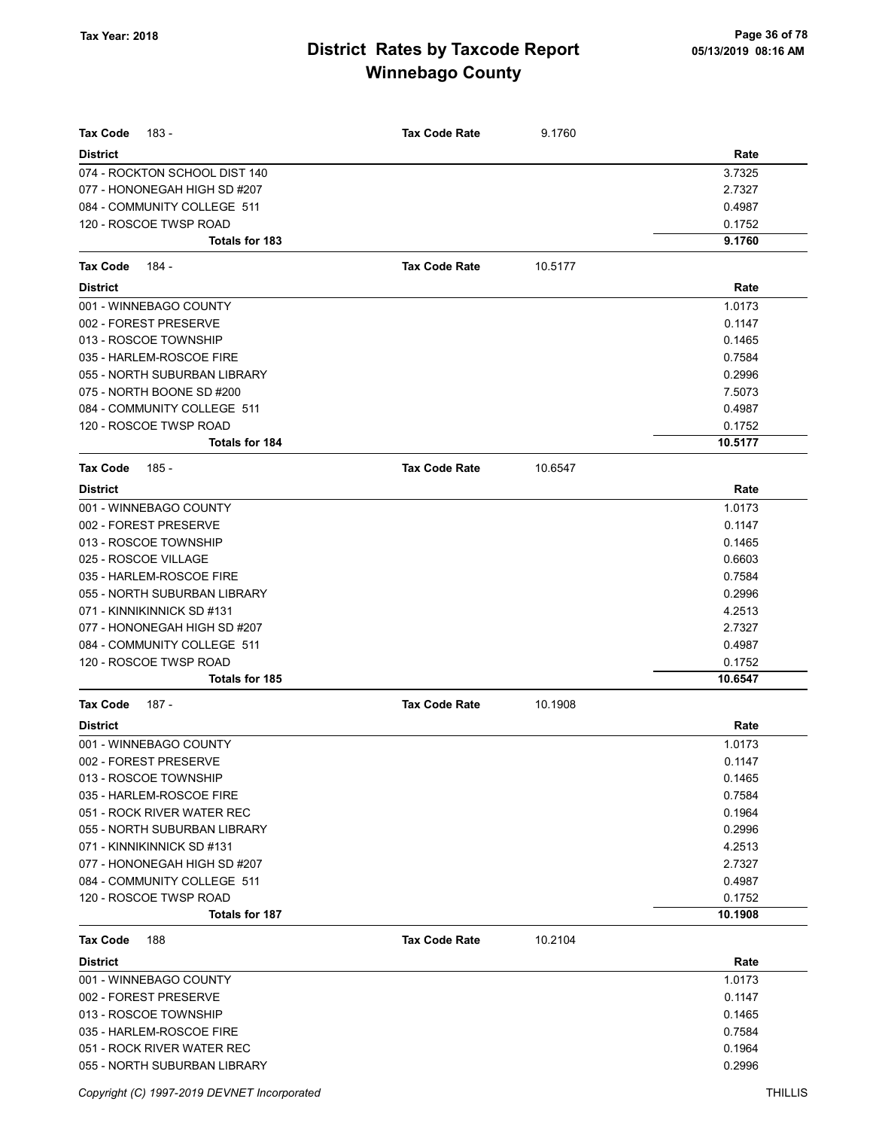| Tax Code<br>183 -                                             | <b>Tax Code Rate</b> | 9.1760  |                   |
|---------------------------------------------------------------|----------------------|---------|-------------------|
| <b>District</b>                                               |                      |         | Rate              |
| 074 - ROCKTON SCHOOL DIST 140<br>077 - HONONEGAH HIGH SD #207 |                      |         | 3.7325<br>2.7327  |
| 084 - COMMUNITY COLLEGE 511                                   |                      |         | 0.4987            |
| 120 - ROSCOE TWSP ROAD                                        |                      |         | 0.1752            |
| Totals for 183                                                |                      |         | 9.1760            |
|                                                               |                      |         |                   |
| <b>Tax Code</b><br>184 -                                      | <b>Tax Code Rate</b> | 10.5177 |                   |
| <b>District</b>                                               |                      |         | Rate              |
| 001 - WINNEBAGO COUNTY                                        |                      |         | 1.0173            |
| 002 - FOREST PRESERVE                                         |                      |         | 0.1147            |
| 013 - ROSCOE TOWNSHIP                                         |                      |         | 0.1465            |
| 035 - HARLEM-ROSCOE FIRE                                      |                      |         | 0.7584            |
| 055 - NORTH SUBURBAN LIBRARY                                  |                      |         | 0.2996            |
| 075 - NORTH BOONE SD #200                                     |                      |         | 7.5073            |
| 084 - COMMUNITY COLLEGE 511                                   |                      |         | 0.4987            |
| 120 - ROSCOE TWSP ROAD<br><b>Totals for 184</b>               |                      |         | 0.1752<br>10.5177 |
|                                                               |                      |         |                   |
| Tax Code<br>185 -                                             | <b>Tax Code Rate</b> | 10.6547 |                   |
| <b>District</b>                                               |                      |         | Rate              |
| 001 - WINNEBAGO COUNTY                                        |                      |         | 1.0173            |
| 002 - FOREST PRESERVE                                         |                      |         | 0.1147            |
| 013 - ROSCOE TOWNSHIP                                         |                      |         | 0.1465            |
| 025 - ROSCOE VILLAGE                                          |                      |         | 0.6603            |
| 035 - HARLEM-ROSCOE FIRE                                      |                      |         | 0.7584            |
| 055 - NORTH SUBURBAN LIBRARY                                  |                      |         | 0.2996            |
| 071 - KINNIKINNICK SD #131                                    |                      |         | 4.2513            |
| 077 - HONONEGAH HIGH SD #207                                  |                      |         | 2.7327            |
| 084 - COMMUNITY COLLEGE 511                                   |                      |         | 0.4987            |
| 120 - ROSCOE TWSP ROAD<br>Totals for 185                      |                      |         | 0.1752<br>10.6547 |
|                                                               |                      |         |                   |
| Tax Code<br>187 -                                             | <b>Tax Code Rate</b> | 10.1908 |                   |
| <b>District</b>                                               |                      |         | Rate              |
| 001 - WINNEBAGO COUNTY                                        |                      |         | 1.0173            |
| 002 - FOREST PRESERVE                                         |                      |         | 0.1147            |
| 013 - ROSCOE TOWNSHIP                                         |                      |         | 0.1465            |
| 035 - HARLEM-ROSCOE FIRE                                      |                      |         | 0.7584            |
| 051 - ROCK RIVER WATER REC                                    |                      |         | 0.1964            |
| 055 - NORTH SUBURBAN LIBRARY                                  |                      |         | 0.2996            |
| 071 - KINNIKINNICK SD #131                                    |                      |         | 4.2513<br>2.7327  |
| 077 - HONONEGAH HIGH SD #207<br>084 - COMMUNITY COLLEGE 511   |                      |         | 0.4987            |
| 120 - ROSCOE TWSP ROAD                                        |                      |         | 0.1752            |
| Totals for 187                                                |                      |         | 10.1908           |
|                                                               |                      |         |                   |
| <b>Tax Code</b><br>188                                        | <b>Tax Code Rate</b> | 10.2104 |                   |
| <b>District</b>                                               |                      |         | Rate              |
| 001 - WINNEBAGO COUNTY                                        |                      |         | 1.0173            |
| 002 - FOREST PRESERVE                                         |                      |         | 0.1147            |
| 013 - ROSCOE TOWNSHIP                                         |                      |         | 0.1465            |
| 035 - HARLEM-ROSCOE FIRE                                      |                      |         | 0.7584            |
| 051 - ROCK RIVER WATER REC<br>055 - NORTH SUBURBAN LIBRARY    |                      |         | 0.1964<br>0.2996  |
|                                                               |                      |         |                   |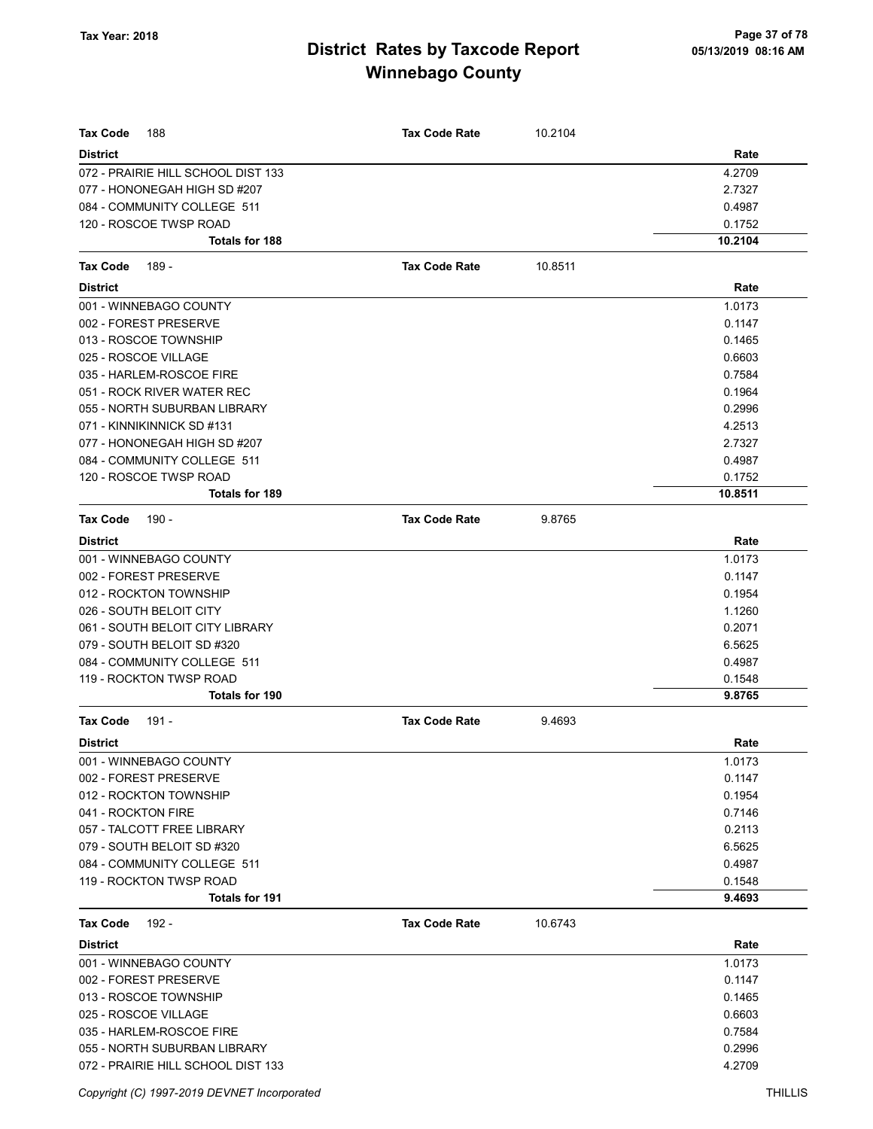| <b>Tax Code</b><br>188             | <b>Tax Code Rate</b> | 10.2104 |         |
|------------------------------------|----------------------|---------|---------|
| <b>District</b>                    |                      |         | Rate    |
| 072 - PRAIRIE HILL SCHOOL DIST 133 |                      |         | 4.2709  |
| 077 - HONONEGAH HIGH SD #207       |                      |         | 2.7327  |
| 084 - COMMUNITY COLLEGE 511        |                      |         | 0.4987  |
| 120 - ROSCOE TWSP ROAD             |                      |         | 0.1752  |
| <b>Totals for 188</b>              |                      |         | 10.2104 |
| 189 -<br><b>Tax Code</b>           | <b>Tax Code Rate</b> | 10.8511 |         |
| <b>District</b>                    |                      |         | Rate    |
| 001 - WINNEBAGO COUNTY             |                      |         | 1.0173  |
| 002 - FOREST PRESERVE              |                      |         | 0.1147  |
| 013 - ROSCOE TOWNSHIP              |                      |         | 0.1465  |
| 025 - ROSCOE VILLAGE               |                      |         | 0.6603  |
| 035 - HARLEM-ROSCOE FIRE           |                      |         | 0.7584  |
| 051 - ROCK RIVER WATER REC         |                      |         | 0.1964  |
| 055 - NORTH SUBURBAN LIBRARY       |                      |         | 0.2996  |
| 071 - KINNIKINNICK SD #131         |                      |         | 4.2513  |
| 077 - HONONEGAH HIGH SD #207       |                      |         | 2.7327  |
| 084 - COMMUNITY COLLEGE 511        |                      |         | 0.4987  |
| 120 - ROSCOE TWSP ROAD             |                      |         | 0.1752  |
| Totals for 189                     |                      |         | 10.8511 |
| <b>Tax Code</b><br>$190 -$         | <b>Tax Code Rate</b> | 9.8765  |         |
| <b>District</b>                    |                      |         | Rate    |
| 001 - WINNEBAGO COUNTY             |                      |         | 1.0173  |
| 002 - FOREST PRESERVE              |                      |         | 0.1147  |
| 012 - ROCKTON TOWNSHIP             |                      |         | 0.1954  |
| 026 - SOUTH BELOIT CITY            |                      |         | 1.1260  |
| 061 - SOUTH BELOIT CITY LIBRARY    |                      |         | 0.2071  |
| 079 - SOUTH BELOIT SD #320         |                      |         | 6.5625  |
| 084 - COMMUNITY COLLEGE 511        |                      |         | 0.4987  |
| 119 - ROCKTON TWSP ROAD            |                      |         | 0.1548  |
| Totals for 190                     |                      |         | 9.8765  |
| <b>Tax Code</b><br>$191 -$         | <b>Tax Code Rate</b> | 9.4693  |         |
| <b>District</b>                    |                      |         | Rate    |
| 001 - WINNEBAGO COUNTY             |                      |         | 1.0173  |
| 002 - FOREST PRESERVE              |                      |         | 0.1147  |
| 012 - ROCKTON TOWNSHIP             |                      |         | 0.1954  |
| 041 - ROCKTON FIRE                 |                      |         | 0.7146  |
| 057 - TALCOTT FREE LIBRARY         |                      |         | 0.2113  |
| 079 - SOUTH BELOIT SD #320         |                      |         | 6.5625  |
| 084 - COMMUNITY COLLEGE 511        |                      |         | 0.4987  |
| 119 - ROCKTON TWSP ROAD            |                      |         | 0.1548  |
| Totals for 191                     |                      |         | 9.4693  |
| <b>Tax Code</b><br>192 -           | <b>Tax Code Rate</b> | 10.6743 |         |
| <b>District</b>                    |                      |         | Rate    |
| 001 - WINNEBAGO COUNTY             |                      |         | 1.0173  |
| 002 - FOREST PRESERVE              |                      |         | 0.1147  |
| 013 - ROSCOE TOWNSHIP              |                      |         | 0.1465  |
| 025 - ROSCOE VILLAGE               |                      |         | 0.6603  |
| 035 - HARLEM-ROSCOE FIRE           |                      |         | 0.7584  |
| 055 - NORTH SUBURBAN LIBRARY       |                      |         | 0.2996  |
| 072 - PRAIRIE HILL SCHOOL DIST 133 |                      |         | 4.2709  |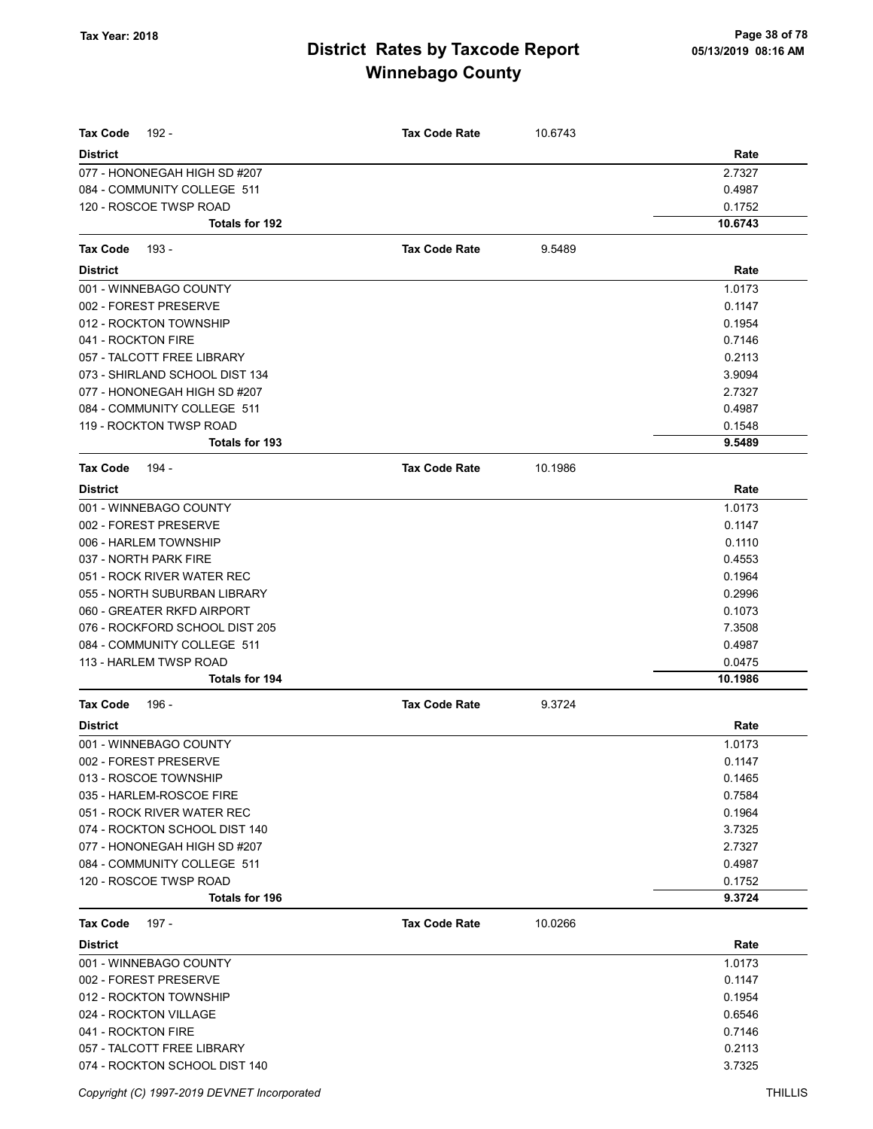| <b>Tax Code</b><br>192 -       | <b>Tax Code Rate</b> | 10.6743 |         |
|--------------------------------|----------------------|---------|---------|
| <b>District</b>                |                      |         | Rate    |
| 077 - HONONEGAH HIGH SD #207   |                      |         | 2.7327  |
| 084 - COMMUNITY COLLEGE 511    |                      |         | 0.4987  |
| 120 - ROSCOE TWSP ROAD         |                      |         | 0.1752  |
| <b>Totals for 192</b>          |                      |         | 10.6743 |
|                                |                      |         |         |
| Tax Code<br>193 -              | <b>Tax Code Rate</b> | 9.5489  |         |
| <b>District</b>                |                      |         | Rate    |
| 001 - WINNEBAGO COUNTY         |                      |         | 1.0173  |
| 002 - FOREST PRESERVE          |                      |         | 0.1147  |
| 012 - ROCKTON TOWNSHIP         |                      |         | 0.1954  |
| 041 - ROCKTON FIRE             |                      |         | 0.7146  |
| 057 - TALCOTT FREE LIBRARY     |                      |         | 0.2113  |
| 073 - SHIRLAND SCHOOL DIST 134 |                      |         | 3.9094  |
| 077 - HONONEGAH HIGH SD #207   |                      |         | 2.7327  |
| 084 - COMMUNITY COLLEGE 511    |                      |         | 0.4987  |
| 119 - ROCKTON TWSP ROAD        |                      |         | 0.1548  |
| <b>Totals for 193</b>          |                      |         | 9.5489  |
| Tax Code<br>194 -              | <b>Tax Code Rate</b> | 10.1986 |         |
| <b>District</b>                |                      |         | Rate    |
| 001 - WINNEBAGO COUNTY         |                      |         | 1.0173  |
| 002 - FOREST PRESERVE          |                      |         | 0.1147  |
| 006 - HARLEM TOWNSHIP          |                      |         | 0.1110  |
| 037 - NORTH PARK FIRE          |                      |         | 0.4553  |
| 051 - ROCK RIVER WATER REC     |                      |         | 0.1964  |
| 055 - NORTH SUBURBAN LIBRARY   |                      |         | 0.2996  |
| 060 - GREATER RKFD AIRPORT     |                      |         | 0.1073  |
| 076 - ROCKFORD SCHOOL DIST 205 |                      |         | 7.3508  |
| 084 - COMMUNITY COLLEGE 511    |                      |         | 0.4987  |
| 113 - HARLEM TWSP ROAD         |                      |         | 0.0475  |
| Totals for 194                 |                      |         | 10.1986 |
| <b>Tax Code</b><br>196 -       | <b>Tax Code Rate</b> | 9.3724  |         |
| <b>District</b>                |                      |         | Rate    |
| 001 - WINNEBAGO COUNTY         |                      |         | 1.0173  |
| 002 - FOREST PRESERVE          |                      |         | 0.1147  |
| 013 - ROSCOE TOWNSHIP          |                      |         | 0.1465  |
| 035 - HARLEM-ROSCOE FIRE       |                      |         | 0.7584  |
| 051 - ROCK RIVER WATER REC     |                      |         | 0.1964  |
| 074 - ROCKTON SCHOOL DIST 140  |                      |         | 3.7325  |
| 077 - HONONEGAH HIGH SD #207   |                      |         | 2.7327  |
| 084 - COMMUNITY COLLEGE 511    |                      |         | 0.4987  |
| 120 - ROSCOE TWSP ROAD         |                      |         | 0.1752  |
| <b>Totals for 196</b>          |                      |         | 9.3724  |
| <b>Tax Code</b><br>197 -       | <b>Tax Code Rate</b> | 10.0266 |         |
| <b>District</b>                |                      |         | Rate    |
| 001 - WINNEBAGO COUNTY         |                      |         | 1.0173  |
| 002 - FOREST PRESERVE          |                      |         | 0.1147  |
| 012 - ROCKTON TOWNSHIP         |                      |         | 0.1954  |
| 024 - ROCKTON VILLAGE          |                      |         | 0.6546  |
| 041 - ROCKTON FIRE             |                      |         | 0.7146  |
| 057 - TALCOTT FREE LIBRARY     |                      |         | 0.2113  |
| 074 - ROCKTON SCHOOL DIST 140  |                      |         | 3.7325  |
|                                |                      |         |         |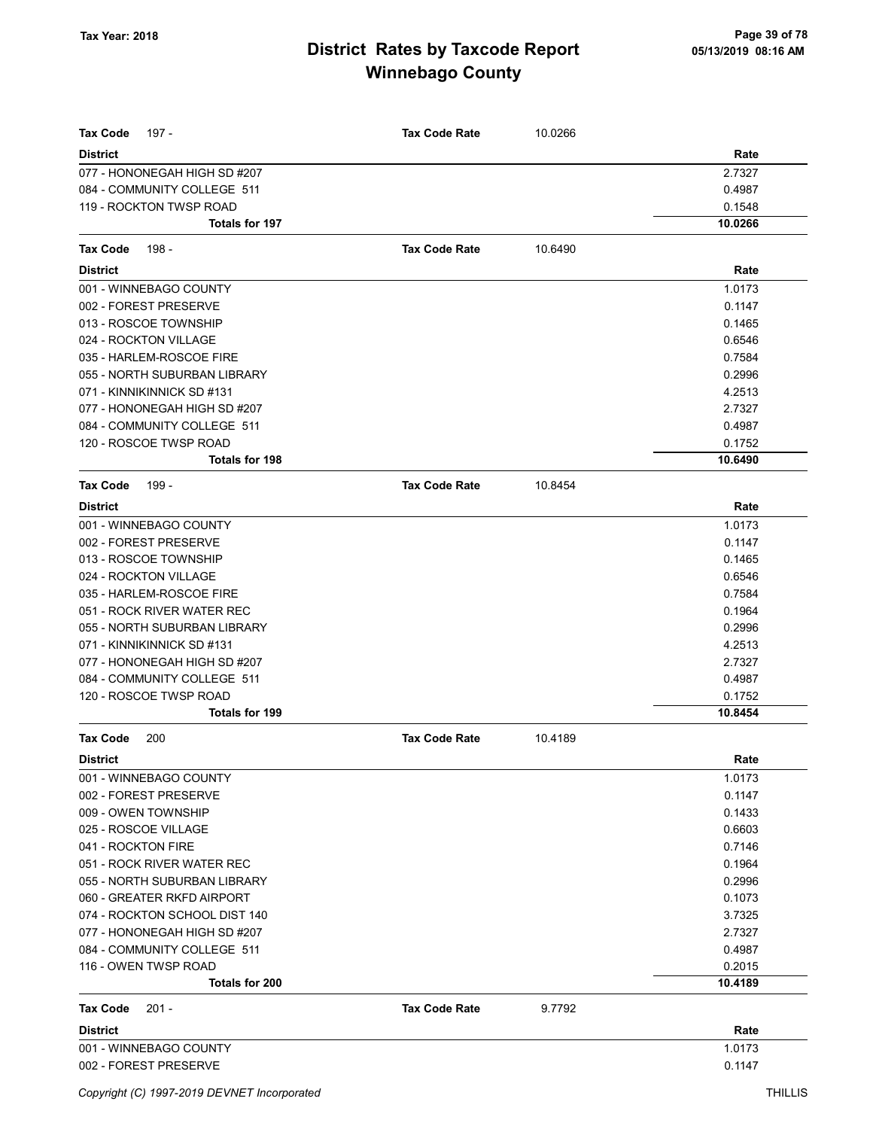| Tax Code<br>197 -             | <b>Tax Code Rate</b> | 10.0266 |         |
|-------------------------------|----------------------|---------|---------|
| <b>District</b>               |                      |         | Rate    |
| 077 - HONONEGAH HIGH SD #207  |                      |         | 2.7327  |
| 084 - COMMUNITY COLLEGE 511   |                      |         | 0.4987  |
| 119 - ROCKTON TWSP ROAD       |                      |         | 0.1548  |
| Totals for 197                |                      |         | 10.0266 |
| 198 -<br><b>Tax Code</b>      | <b>Tax Code Rate</b> | 10.6490 |         |
| <b>District</b>               |                      |         | Rate    |
| 001 - WINNEBAGO COUNTY        |                      |         | 1.0173  |
| 002 - FOREST PRESERVE         |                      |         | 0.1147  |
| 013 - ROSCOE TOWNSHIP         |                      |         | 0.1465  |
| 024 - ROCKTON VILLAGE         |                      |         | 0.6546  |
| 035 - HARLEM-ROSCOE FIRE      |                      |         | 0.7584  |
| 055 - NORTH SUBURBAN LIBRARY  |                      |         | 0.2996  |
| 071 - KINNIKINNICK SD #131    |                      |         | 4.2513  |
| 077 - HONONEGAH HIGH SD #207  |                      |         | 2.7327  |
| 084 - COMMUNITY COLLEGE 511   |                      |         | 0.4987  |
| 120 - ROSCOE TWSP ROAD        |                      |         | 0.1752  |
| Totals for 198                |                      |         | 10.6490 |
| <b>Tax Code</b><br>199 -      | <b>Tax Code Rate</b> | 10.8454 |         |
| <b>District</b>               |                      |         | Rate    |
| 001 - WINNEBAGO COUNTY        |                      |         | 1.0173  |
| 002 - FOREST PRESERVE         |                      |         | 0.1147  |
| 013 - ROSCOE TOWNSHIP         |                      |         | 0.1465  |
| 024 - ROCKTON VILLAGE         |                      |         | 0.6546  |
| 035 - HARLEM-ROSCOE FIRE      |                      |         | 0.7584  |
| 051 - ROCK RIVER WATER REC    |                      |         | 0.1964  |
| 055 - NORTH SUBURBAN LIBRARY  |                      |         | 0.2996  |
| 071 - KINNIKINNICK SD #131    |                      |         | 4.2513  |
| 077 - HONONEGAH HIGH SD #207  |                      |         | 2.7327  |
| 084 - COMMUNITY COLLEGE 511   |                      |         | 0.4987  |
| 120 - ROSCOE TWSP ROAD        |                      |         | 0.1752  |
| Totals for 199                |                      |         | 10.8454 |
| <b>Tax Code</b><br>200        | <b>Tax Code Rate</b> | 10.4189 |         |
| <b>District</b>               |                      |         | Rate    |
| 001 - WINNEBAGO COUNTY        |                      |         | 1.0173  |
| 002 - FOREST PRESERVE         |                      |         | 0.1147  |
| 009 - OWEN TOWNSHIP           |                      |         | 0.1433  |
| 025 - ROSCOE VILLAGE          |                      |         | 0.6603  |
| 041 - ROCKTON FIRE            |                      |         | 0.7146  |
| 051 - ROCK RIVER WATER REC    |                      |         | 0.1964  |
| 055 - NORTH SUBURBAN LIBRARY  |                      |         | 0.2996  |
| 060 - GREATER RKFD AIRPORT    |                      |         | 0.1073  |
| 074 - ROCKTON SCHOOL DIST 140 |                      |         | 3.7325  |
| 077 - HONONEGAH HIGH SD #207  |                      |         | 2.7327  |
| 084 - COMMUNITY COLLEGE 511   |                      |         | 0.4987  |
| 116 - OWEN TWSP ROAD          |                      |         | 0.2015  |
| Totals for 200                |                      |         | 10.4189 |
| $201 -$<br><b>Tax Code</b>    | <b>Tax Code Rate</b> | 9.7792  |         |
| <b>District</b>               |                      |         | Rate    |
| 001 - WINNEBAGO COUNTY        |                      |         | 1.0173  |
| 002 - FOREST PRESERVE         |                      |         | 0.1147  |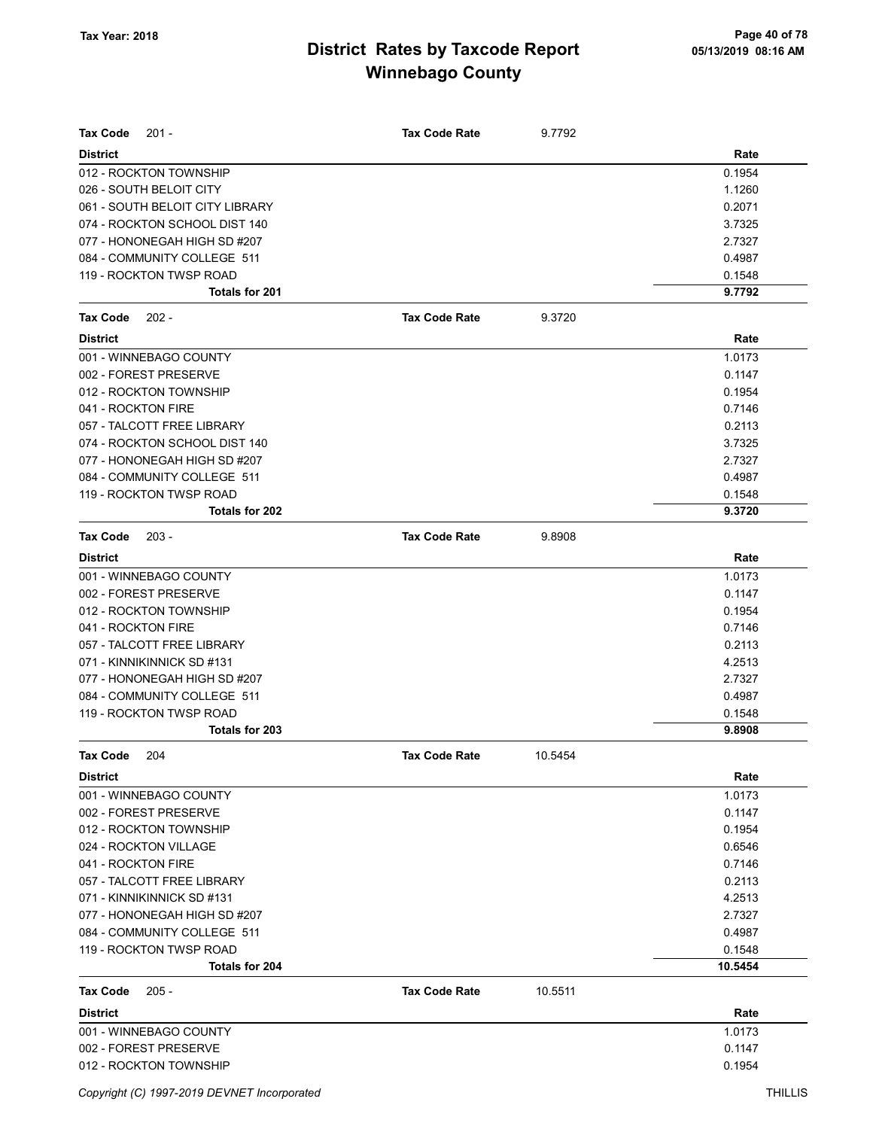| <b>Tax Code</b><br>$201 -$      | Tax Code Rate        | 9.7792  |         |
|---------------------------------|----------------------|---------|---------|
| <b>District</b>                 |                      |         | Rate    |
| 012 - ROCKTON TOWNSHIP          |                      |         | 0.1954  |
| 026 - SOUTH BELOIT CITY         |                      |         | 1.1260  |
| 061 - SOUTH BELOIT CITY LIBRARY |                      |         | 0.2071  |
| 074 - ROCKTON SCHOOL DIST 140   |                      |         | 3.7325  |
| 077 - HONONEGAH HIGH SD #207    |                      |         | 2.7327  |
| 084 - COMMUNITY COLLEGE 511     |                      |         | 0.4987  |
| 119 - ROCKTON TWSP ROAD         |                      |         | 0.1548  |
| <b>Totals for 201</b>           |                      |         | 9.7792  |
| $202 -$<br>Tax Code             | <b>Tax Code Rate</b> | 9.3720  |         |
| <b>District</b>                 |                      |         | Rate    |
| 001 - WINNEBAGO COUNTY          |                      |         | 1.0173  |
| 002 - FOREST PRESERVE           |                      |         | 0.1147  |
| 012 - ROCKTON TOWNSHIP          |                      |         | 0.1954  |
| 041 - ROCKTON FIRE              |                      |         | 0.7146  |
| 057 - TALCOTT FREE LIBRARY      |                      |         | 0.2113  |
| 074 - ROCKTON SCHOOL DIST 140   |                      |         | 3.7325  |
| 077 - HONONEGAH HIGH SD #207    |                      |         | 2.7327  |
| 084 - COMMUNITY COLLEGE 511     |                      |         | 0.4987  |
| 119 - ROCKTON TWSP ROAD         |                      |         | 0.1548  |
| <b>Totals for 202</b>           |                      |         | 9.3720  |
| <b>Tax Code</b><br>$203 -$      | <b>Tax Code Rate</b> | 9.8908  |         |
| <b>District</b>                 |                      |         | Rate    |
| 001 - WINNEBAGO COUNTY          |                      |         | 1.0173  |
| 002 - FOREST PRESERVE           |                      |         | 0.1147  |
| 012 - ROCKTON TOWNSHIP          |                      |         | 0.1954  |
| 041 - ROCKTON FIRE              |                      |         | 0.7146  |
| 057 - TALCOTT FREE LIBRARY      |                      |         | 0.2113  |
| 071 - KINNIKINNICK SD #131      |                      |         | 4.2513  |
| 077 - HONONEGAH HIGH SD #207    |                      |         | 2.7327  |
| 084 - COMMUNITY COLLEGE 511     |                      |         | 0.4987  |
| 119 - ROCKTON TWSP ROAD         |                      |         | 0.1548  |
| Totals for 203                  |                      |         | 9.8908  |
| Tax Code<br>204                 | Tax Code Rate        | 10.5454 |         |
| <b>District</b>                 |                      |         | Rate    |
| 001 - WINNEBAGO COUNTY          |                      |         | 1.0173  |
| 002 - FOREST PRESERVE           |                      |         | 0.1147  |
| 012 - ROCKTON TOWNSHIP          |                      |         | 0.1954  |
| 024 - ROCKTON VILLAGE           |                      |         | 0.6546  |
| 041 - ROCKTON FIRE              |                      |         | 0.7146  |
| 057 - TALCOTT FREE LIBRARY      |                      |         | 0.2113  |
| 071 - KINNIKINNICK SD #131      |                      |         | 4.2513  |
| 077 - HONONEGAH HIGH SD #207    |                      |         | 2.7327  |
| 084 - COMMUNITY COLLEGE 511     |                      |         | 0.4987  |
| 119 - ROCKTON TWSP ROAD         |                      |         | 0.1548  |
| Totals for 204                  |                      |         | 10.5454 |
| Tax Code<br>$205 -$             | <b>Tax Code Rate</b> | 10.5511 |         |
| <b>District</b>                 |                      |         | Rate    |
| 001 - WINNEBAGO COUNTY          |                      |         | 1.0173  |
| 002 - FOREST PRESERVE           |                      |         | 0.1147  |
| 012 - ROCKTON TOWNSHIP          |                      |         | 0.1954  |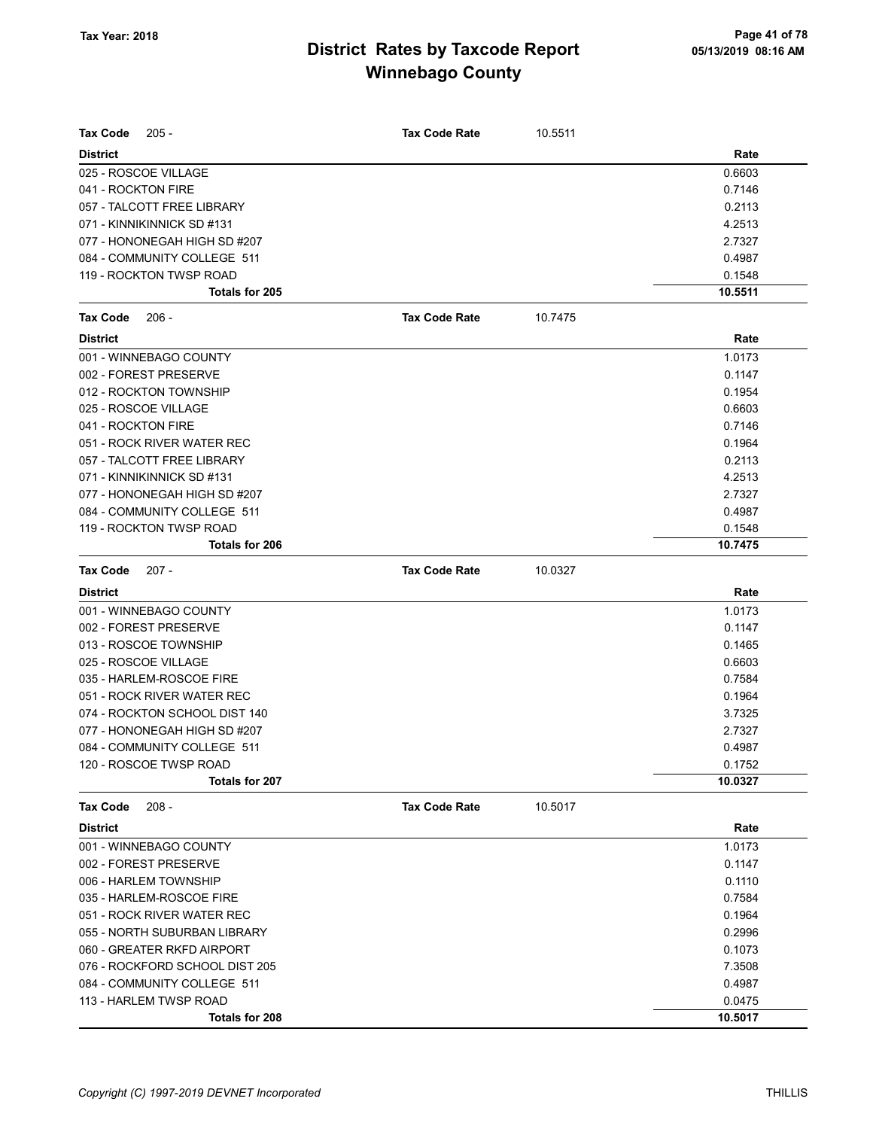| <b>Tax Code</b><br>$205 -$     | Tax Code Rate        | 10.5511 |         |
|--------------------------------|----------------------|---------|---------|
| <b>District</b>                |                      |         | Rate    |
| 025 - ROSCOE VILLAGE           |                      |         | 0.6603  |
| 041 - ROCKTON FIRE             |                      |         | 0.7146  |
| 057 - TALCOTT FREE LIBRARY     |                      |         | 0.2113  |
| 071 - KINNIKINNICK SD #131     |                      |         | 4.2513  |
| 077 - HONONEGAH HIGH SD #207   |                      |         | 2.7327  |
| 084 - COMMUNITY COLLEGE 511    |                      |         | 0.4987  |
| 119 - ROCKTON TWSP ROAD        |                      |         | 0.1548  |
| Totals for 205                 |                      |         | 10.5511 |
| <b>Tax Code</b><br>$206 -$     | <b>Tax Code Rate</b> | 10.7475 |         |
| <b>District</b>                |                      |         | Rate    |
| 001 - WINNEBAGO COUNTY         |                      |         | 1.0173  |
| 002 - FOREST PRESERVE          |                      |         | 0.1147  |
| 012 - ROCKTON TOWNSHIP         |                      |         | 0.1954  |
| 025 - ROSCOE VILLAGE           |                      |         | 0.6603  |
| 041 - ROCKTON FIRE             |                      |         | 0.7146  |
| 051 - ROCK RIVER WATER REC     |                      |         | 0.1964  |
| 057 - TALCOTT FREE LIBRARY     |                      |         | 0.2113  |
| 071 - KINNIKINNICK SD #131     |                      |         | 4.2513  |
| 077 - HONONEGAH HIGH SD #207   |                      |         | 2.7327  |
| 084 - COMMUNITY COLLEGE 511    |                      |         | 0.4987  |
| 119 - ROCKTON TWSP ROAD        |                      |         | 0.1548  |
| Totals for 206                 |                      |         | 10.7475 |
| <b>Tax Code</b><br>$207 -$     | <b>Tax Code Rate</b> | 10.0327 |         |
| <b>District</b>                |                      |         | Rate    |
| 001 - WINNEBAGO COUNTY         |                      |         | 1.0173  |
| 002 - FOREST PRESERVE          |                      |         | 0.1147  |
| 013 - ROSCOE TOWNSHIP          |                      |         | 0.1465  |
| 025 - ROSCOE VILLAGE           |                      |         | 0.6603  |
| 035 - HARLEM-ROSCOE FIRE       |                      |         | 0.7584  |
| 051 - ROCK RIVER WATER REC     |                      |         | 0.1964  |
| 074 - ROCKTON SCHOOL DIST 140  |                      |         | 3.7325  |
| 077 - HONONEGAH HIGH SD #207   |                      |         | 2.7327  |
| 084 - COMMUNITY COLLEGE 511    |                      |         | 0.4987  |
| 120 - ROSCOE TWSP ROAD         |                      |         | 0.1752  |
| <b>Totals for 207</b>          |                      |         | 10.0327 |
| <b>Tax Code</b><br>$208 -$     | <b>Tax Code Rate</b> | 10.5017 |         |
| <b>District</b>                |                      |         | Rate    |
| 001 - WINNEBAGO COUNTY         |                      |         | 1.0173  |
| 002 - FOREST PRESERVE          |                      |         | 0.1147  |
| 006 - HARLEM TOWNSHIP          |                      |         | 0.1110  |
| 035 - HARLEM-ROSCOE FIRE       |                      |         | 0.7584  |
| 051 - ROCK RIVER WATER REC     |                      |         | 0.1964  |
| 055 - NORTH SUBURBAN LIBRARY   |                      |         | 0.2996  |
| 060 - GREATER RKFD AIRPORT     |                      |         | 0.1073  |
| 076 - ROCKFORD SCHOOL DIST 205 |                      |         | 7.3508  |
| 084 - COMMUNITY COLLEGE 511    |                      |         | 0.4987  |
| 113 - HARLEM TWSP ROAD         |                      |         | 0.0475  |
| Totals for 208                 |                      |         | 10.5017 |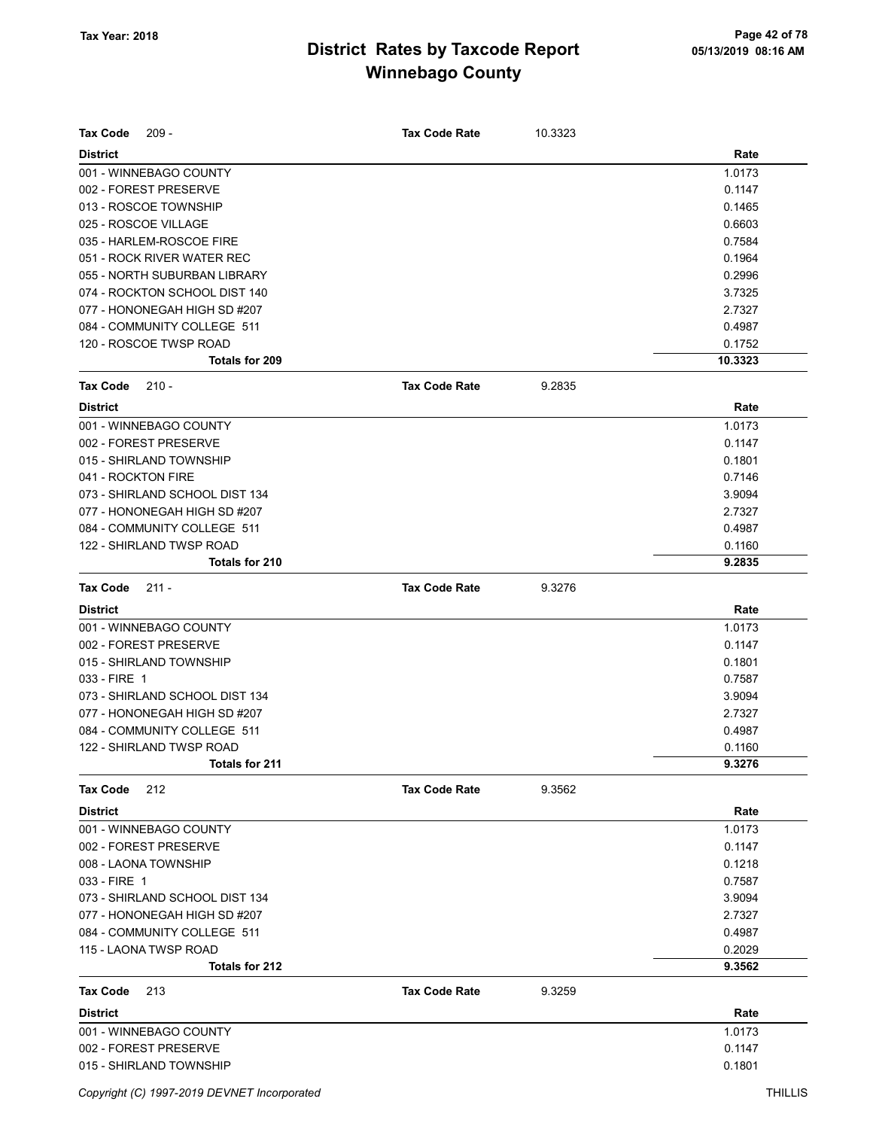| <b>Tax Code</b><br>$209 -$     | <b>Tax Code Rate</b> | 10.3323 |         |
|--------------------------------|----------------------|---------|---------|
| <b>District</b>                |                      |         | Rate    |
| 001 - WINNEBAGO COUNTY         |                      |         | 1.0173  |
| 002 - FOREST PRESERVE          |                      |         | 0.1147  |
| 013 - ROSCOE TOWNSHIP          |                      |         | 0.1465  |
| 025 - ROSCOE VILLAGE           |                      |         | 0.6603  |
| 035 - HARLEM-ROSCOE FIRE       |                      |         | 0.7584  |
| 051 - ROCK RIVER WATER REC     |                      |         | 0.1964  |
| 055 - NORTH SUBURBAN LIBRARY   |                      |         | 0.2996  |
| 074 - ROCKTON SCHOOL DIST 140  |                      |         | 3.7325  |
| 077 - HONONEGAH HIGH SD #207   |                      |         | 2.7327  |
| 084 - COMMUNITY COLLEGE 511    |                      |         | 0.4987  |
| 120 - ROSCOE TWSP ROAD         |                      |         | 0.1752  |
| Totals for 209                 |                      |         | 10.3323 |
| <b>Tax Code</b><br>$210 -$     | <b>Tax Code Rate</b> | 9.2835  |         |
| <b>District</b>                |                      |         | Rate    |
| 001 - WINNEBAGO COUNTY         |                      |         | 1.0173  |
| 002 - FOREST PRESERVE          |                      |         | 0.1147  |
| 015 - SHIRLAND TOWNSHIP        |                      |         | 0.1801  |
| 041 - ROCKTON FIRE             |                      |         | 0.7146  |
| 073 - SHIRLAND SCHOOL DIST 134 |                      |         | 3.9094  |
| 077 - HONONEGAH HIGH SD #207   |                      |         | 2.7327  |
| 084 - COMMUNITY COLLEGE 511    |                      |         | 0.4987  |
| 122 - SHIRLAND TWSP ROAD       |                      |         | 0.1160  |
| Totals for 210                 |                      |         | 9.2835  |
| <b>Tax Code</b><br>$211 -$     | <b>Tax Code Rate</b> | 9.3276  |         |
| <b>District</b>                |                      |         | Rate    |
| 001 - WINNEBAGO COUNTY         |                      |         | 1.0173  |
| 002 - FOREST PRESERVE          |                      |         | 0.1147  |
| 015 - SHIRLAND TOWNSHIP        |                      |         | 0.1801  |
| 033 - FIRE 1                   |                      |         | 0.7587  |
| 073 - SHIRLAND SCHOOL DIST 134 |                      |         | 3.9094  |
| 077 - HONONEGAH HIGH SD #207   |                      |         | 2.7327  |
| 084 - COMMUNITY COLLEGE 511    |                      |         | 0.4987  |
| 122 - SHIRLAND TWSP ROAD       |                      |         | 0.1160  |
| <b>Totals for 211</b>          |                      |         | 9.3276  |
| <b>Tax Code</b><br>212         | <b>Tax Code Rate</b> | 9.3562  |         |
| <b>District</b>                |                      |         | Rate    |
| 001 - WINNEBAGO COUNTY         |                      |         | 1.0173  |
| 002 - FOREST PRESERVE          |                      |         | 0.1147  |
| 008 - LAONA TOWNSHIP           |                      |         | 0.1218  |
| 033 - FIRE 1                   |                      |         | 0.7587  |
| 073 - SHIRLAND SCHOOL DIST 134 |                      |         | 3.9094  |
| 077 - HONONEGAH HIGH SD #207   |                      |         | 2.7327  |
| 084 - COMMUNITY COLLEGE 511    |                      |         | 0.4987  |
| 115 - LAONA TWSP ROAD          |                      |         | 0.2029  |
| <b>Totals for 212</b>          |                      |         | 9.3562  |
| <b>Tax Code</b><br>213         | <b>Tax Code Rate</b> | 9.3259  |         |
| <b>District</b>                |                      |         | Rate    |
| 001 - WINNEBAGO COUNTY         |                      |         | 1.0173  |
| 002 - FOREST PRESERVE          |                      |         | 0.1147  |
| 015 - SHIRLAND TOWNSHIP        |                      |         | 0.1801  |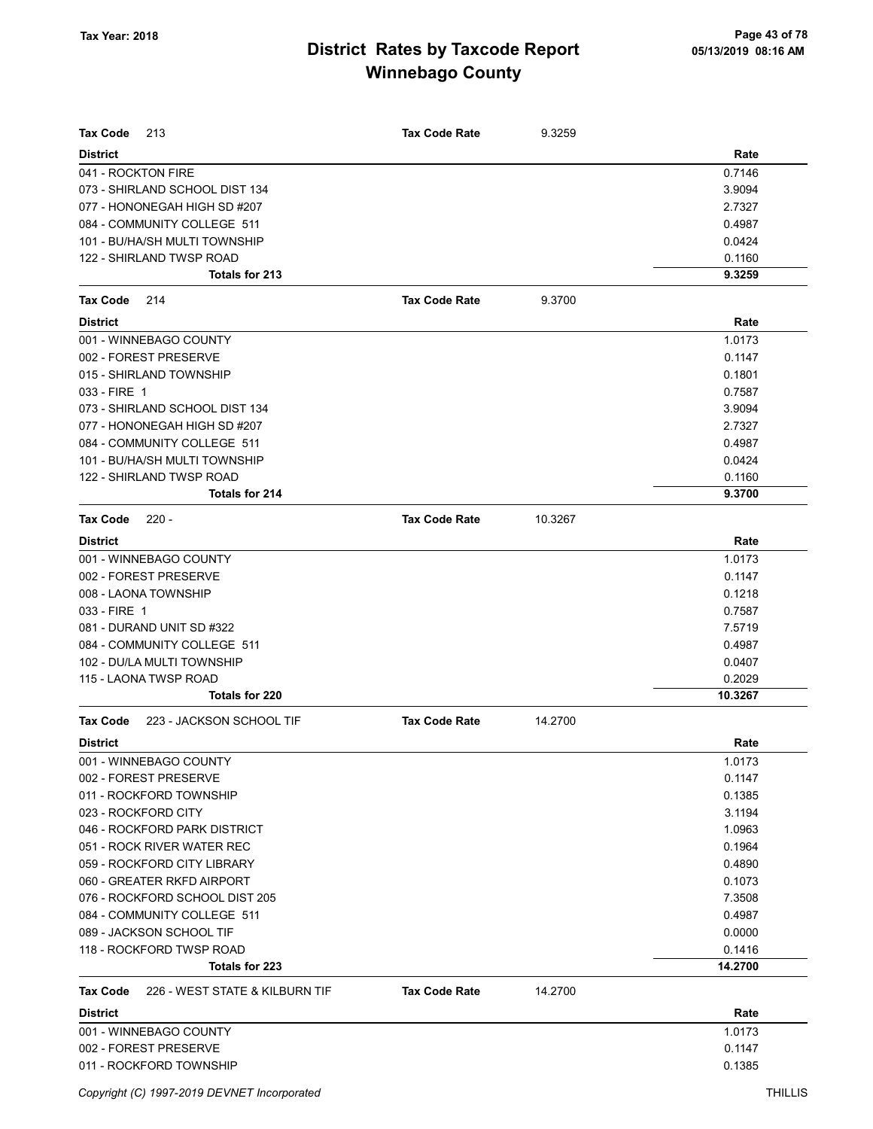| Tax Code<br>213                                   | <b>Tax Code Rate</b> | 9.3259  |         |
|---------------------------------------------------|----------------------|---------|---------|
| <b>District</b>                                   |                      |         | Rate    |
| 041 - ROCKTON FIRE                                |                      |         | 0.7146  |
| 073 - SHIRLAND SCHOOL DIST 134                    |                      |         | 3.9094  |
| 077 - HONONEGAH HIGH SD #207                      |                      |         | 2.7327  |
| 084 - COMMUNITY COLLEGE 511                       |                      |         | 0.4987  |
| 101 - BU/HA/SH MULTI TOWNSHIP                     |                      |         | 0.0424  |
| 122 - SHIRLAND TWSP ROAD                          |                      |         | 0.1160  |
| Totals for 213                                    |                      |         | 9.3259  |
| <b>Tax Code</b><br>214                            | <b>Tax Code Rate</b> | 9.3700  |         |
| <b>District</b>                                   |                      |         | Rate    |
| 001 - WINNEBAGO COUNTY                            |                      |         | 1.0173  |
| 002 - FOREST PRESERVE                             |                      |         | 0.1147  |
| 015 - SHIRLAND TOWNSHIP                           |                      |         | 0.1801  |
| 033 - FIRE 1                                      |                      |         | 0.7587  |
| 073 - SHIRLAND SCHOOL DIST 134                    |                      |         | 3.9094  |
| 077 - HONONEGAH HIGH SD #207                      |                      |         | 2.7327  |
| 084 - COMMUNITY COLLEGE 511                       |                      |         | 0.4987  |
| 101 - BU/HA/SH MULTI TOWNSHIP                     |                      |         | 0.0424  |
| 122 - SHIRLAND TWSP ROAD                          |                      |         | 0.1160  |
| Totals for 214                                    |                      |         | 9.3700  |
| <b>Tax Code</b><br>$220 -$                        | <b>Tax Code Rate</b> | 10.3267 |         |
| <b>District</b>                                   |                      |         | Rate    |
| 001 - WINNEBAGO COUNTY                            |                      |         | 1.0173  |
| 002 - FOREST PRESERVE                             |                      |         | 0.1147  |
| 008 - LAONA TOWNSHIP                              |                      |         | 0.1218  |
| 033 - FIRE 1                                      |                      |         | 0.7587  |
| 081 - DURAND UNIT SD #322                         |                      |         | 7.5719  |
| 084 - COMMUNITY COLLEGE 511                       |                      |         | 0.4987  |
| 102 - DU/LA MULTI TOWNSHIP                        |                      |         | 0.0407  |
| 115 - LAONA TWSP ROAD                             |                      |         | 0.2029  |
| Totals for 220                                    |                      |         | 10.3267 |
| 223 - JACKSON SCHOOL TIF<br><b>Tax Code</b>       | <b>Tax Code Rate</b> | 14.2700 |         |
| <b>District</b>                                   |                      |         | Rate    |
| 001 - WINNEBAGO COUNTY                            |                      |         | 1.0173  |
| 002 - FOREST PRESERVE                             |                      |         | 0.1147  |
| 011 - ROCKFORD TOWNSHIP                           |                      |         | 0.1385  |
| 023 - ROCKFORD CITY                               |                      |         | 3.1194  |
| 046 - ROCKFORD PARK DISTRICT                      |                      |         | 1.0963  |
| 051 - ROCK RIVER WATER REC                        |                      |         | 0.1964  |
| 059 - ROCKFORD CITY LIBRARY                       |                      |         | 0.4890  |
| 060 - GREATER RKFD AIRPORT                        |                      |         | 0.1073  |
| 076 - ROCKFORD SCHOOL DIST 205                    |                      |         | 7.3508  |
| 084 - COMMUNITY COLLEGE 511                       |                      |         | 0.4987  |
| 089 - JACKSON SCHOOL TIF                          |                      |         | 0.0000  |
| 118 - ROCKFORD TWSP ROAD                          |                      |         | 0.1416  |
| Totals for 223                                    |                      |         | 14.2700 |
| 226 - WEST STATE & KILBURN TIF<br><b>Tax Code</b> | <b>Tax Code Rate</b> | 14.2700 |         |
| <b>District</b>                                   |                      |         | Rate    |
| 001 - WINNEBAGO COUNTY                            |                      |         | 1.0173  |
| 002 - FOREST PRESERVE                             |                      |         | 0.1147  |
| 011 - ROCKFORD TOWNSHIP                           |                      |         | 0.1385  |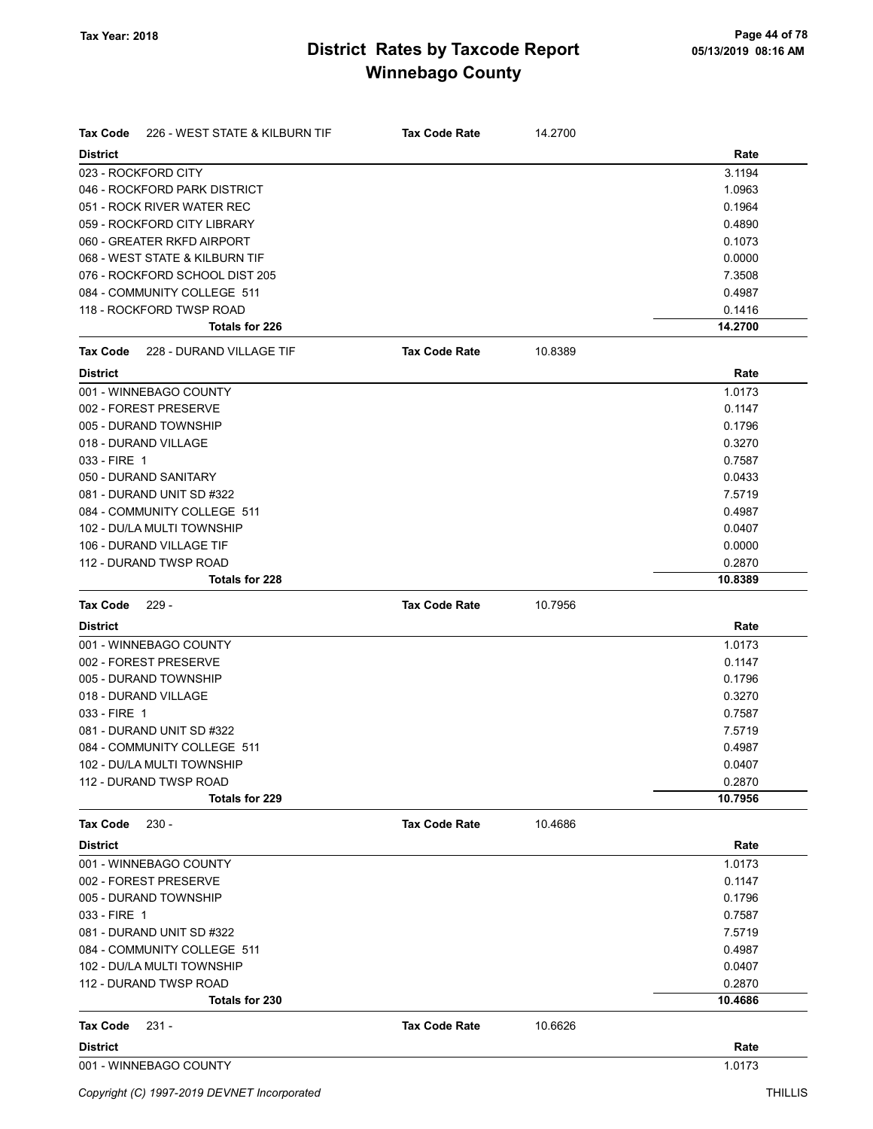| Tax Code        | 226 - WEST STATE & KILBURN TIF           | <b>Tax Code Rate</b> | 14.2700 |                   |
|-----------------|------------------------------------------|----------------------|---------|-------------------|
| <b>District</b> |                                          |                      |         | Rate              |
|                 | 023 - ROCKFORD CITY                      |                      |         | 3.1194            |
|                 | 046 - ROCKFORD PARK DISTRICT             |                      |         | 1.0963            |
|                 | 051 - ROCK RIVER WATER REC               |                      |         | 0.1964            |
|                 | 059 - ROCKFORD CITY LIBRARY              |                      |         | 0.4890            |
|                 | 060 - GREATER RKFD AIRPORT               |                      |         | 0.1073            |
|                 | 068 - WEST STATE & KILBURN TIF           |                      |         | 0.0000            |
|                 | 076 - ROCKFORD SCHOOL DIST 205           |                      |         | 7.3508            |
|                 | 084 - COMMUNITY COLLEGE 511              |                      |         | 0.4987            |
|                 | 118 - ROCKFORD TWSP ROAD                 |                      |         | 0.1416            |
|                 | <b>Totals for 226</b>                    |                      |         | 14.2700           |
| Tax Code        | 228 - DURAND VILLAGE TIF                 | <b>Tax Code Rate</b> | 10.8389 |                   |
| <b>District</b> |                                          |                      |         | Rate              |
|                 | 001 - WINNEBAGO COUNTY                   |                      |         | 1.0173            |
|                 | 002 - FOREST PRESERVE                    |                      |         | 0.1147            |
|                 | 005 - DURAND TOWNSHIP                    |                      |         | 0.1796            |
|                 | 018 - DURAND VILLAGE                     |                      |         | 0.3270            |
| 033 - FIRE 1    |                                          |                      |         | 0.7587            |
|                 | 050 - DURAND SANITARY                    |                      |         | 0.0433            |
|                 | 081 - DURAND UNIT SD #322                |                      |         | 7.5719            |
|                 | 084 - COMMUNITY COLLEGE 511              |                      |         | 0.4987            |
|                 | 102 - DU/LA MULTI TOWNSHIP               |                      |         | 0.0407            |
|                 | 106 - DURAND VILLAGE TIF                 |                      |         | 0.0000            |
|                 | 112 - DURAND TWSP ROAD                   |                      |         | 0.2870            |
|                 | Totals for 228                           |                      |         | 10.8389           |
| <b>Tax Code</b> | $229 -$                                  | <b>Tax Code Rate</b> | 10.7956 |                   |
| <b>District</b> |                                          |                      |         | Rate              |
|                 | 001 - WINNEBAGO COUNTY                   |                      |         | 1.0173            |
|                 | 002 - FOREST PRESERVE                    |                      |         | 0.1147            |
|                 | 005 - DURAND TOWNSHIP                    |                      |         | 0.1796            |
|                 | 018 - DURAND VILLAGE                     |                      |         | 0.3270            |
| 033 - FIRE 1    |                                          |                      |         | 0.7587            |
|                 | 081 - DURAND UNIT SD #322                |                      |         | 7.5719            |
|                 | 084 - COMMUNITY COLLEGE 511              |                      |         | 0.4987            |
|                 | 102 - DU/LA MULTI TOWNSHIP               |                      |         | 0.0407            |
|                 | 112 - DURAND TWSP ROAD<br>Totals for 229 |                      |         | 0.2870<br>10.7956 |
| <b>Tax Code</b> | $230 -$                                  | <b>Tax Code Rate</b> | 10.4686 |                   |
| <b>District</b> |                                          |                      |         | Rate              |
|                 | 001 - WINNEBAGO COUNTY                   |                      |         | 1.0173            |
|                 | 002 - FOREST PRESERVE                    |                      |         | 0.1147            |
|                 | 005 - DURAND TOWNSHIP                    |                      |         | 0.1796            |
| 033 - FIRE 1    |                                          |                      |         | 0.7587            |
|                 | 081 - DURAND UNIT SD #322                |                      |         | 7.5719            |
|                 | 084 - COMMUNITY COLLEGE 511              |                      |         | 0.4987            |
|                 | 102 - DU/LA MULTI TOWNSHIP               |                      |         | 0.0407            |
|                 | 112 - DURAND TWSP ROAD                   |                      |         | 0.2870            |
|                 |                                          |                      |         |                   |
|                 | Totals for 230                           |                      |         | 10.4686           |
| <b>Tax Code</b> | $231 -$                                  | <b>Tax Code Rate</b> | 10.6626 |                   |
| <b>District</b> |                                          |                      |         | Rate              |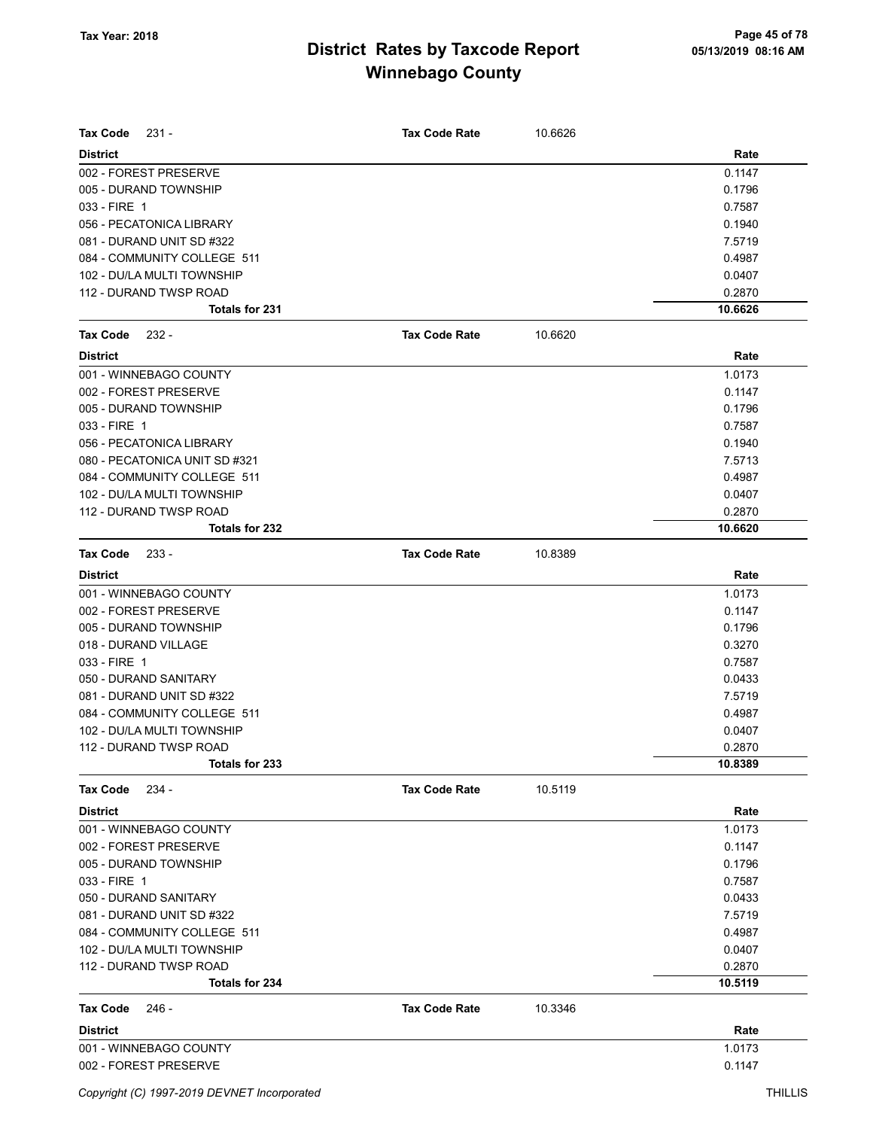| <b>Tax Code</b><br>$231 -$    | <b>Tax Code Rate</b> | 10.6626 |         |
|-------------------------------|----------------------|---------|---------|
| <b>District</b>               |                      |         | Rate    |
| 002 - FOREST PRESERVE         |                      |         | 0.1147  |
| 005 - DURAND TOWNSHIP         |                      |         | 0.1796  |
| 033 - FIRE 1                  |                      |         | 0.7587  |
| 056 - PECATONICA LIBRARY      |                      |         | 0.1940  |
| 081 - DURAND UNIT SD #322     |                      |         | 7.5719  |
| 084 - COMMUNITY COLLEGE 511   |                      |         | 0.4987  |
| 102 - DU/LA MULTI TOWNSHIP    |                      |         | 0.0407  |
| 112 - DURAND TWSP ROAD        |                      |         | 0.2870  |
| Totals for 231                |                      |         | 10.6626 |
| Tax Code<br>232 -             | <b>Tax Code Rate</b> | 10.6620 |         |
| <b>District</b>               |                      |         | Rate    |
| 001 - WINNEBAGO COUNTY        |                      |         | 1.0173  |
| 002 - FOREST PRESERVE         |                      |         | 0.1147  |
| 005 - DURAND TOWNSHIP         |                      |         | 0.1796  |
| 033 - FIRE 1                  |                      |         | 0.7587  |
| 056 - PECATONICA LIBRARY      |                      |         | 0.1940  |
| 080 - PECATONICA UNIT SD #321 |                      |         | 7.5713  |
| 084 - COMMUNITY COLLEGE 511   |                      |         | 0.4987  |
| 102 - DU/LA MULTI TOWNSHIP    |                      |         | 0.0407  |
| 112 - DURAND TWSP ROAD        |                      |         | 0.2870  |
| Totals for 232                |                      |         | 10.6620 |
| <b>Tax Code</b><br>$233 -$    | <b>Tax Code Rate</b> | 10.8389 |         |
| <b>District</b>               |                      |         | Rate    |
| 001 - WINNEBAGO COUNTY        |                      |         | 1.0173  |
| 002 - FOREST PRESERVE         |                      |         | 0.1147  |
| 005 - DURAND TOWNSHIP         |                      |         | 0.1796  |
| 018 - DURAND VILLAGE          |                      |         | 0.3270  |
| 033 - FIRE 1                  |                      |         | 0.7587  |
| 050 - DURAND SANITARY         |                      |         | 0.0433  |
| 081 - DURAND UNIT SD #322     |                      |         | 7.5719  |
| 084 - COMMUNITY COLLEGE 511   |                      |         | 0.4987  |
| 102 - DU/LA MULTI TOWNSHIP    |                      |         | 0.0407  |
| 112 - DURAND TWSP ROAD        |                      |         | 0.2870  |
| Totals for 233                |                      |         | 10.8389 |
| <b>Tax Code</b><br>$234 -$    | <b>Tax Code Rate</b> | 10.5119 |         |
| <b>District</b>               |                      |         | Rate    |
| 001 - WINNEBAGO COUNTY        |                      |         | 1.0173  |
| 002 - FOREST PRESERVE         |                      |         | 0.1147  |
| 005 - DURAND TOWNSHIP         |                      |         | 0.1796  |
| 033 - FIRE 1                  |                      |         | 0.7587  |
| 050 - DURAND SANITARY         |                      |         | 0.0433  |
| 081 - DURAND UNIT SD #322     |                      |         | 7.5719  |
| 084 - COMMUNITY COLLEGE 511   |                      |         | 0.4987  |
| 102 - DU/LA MULTI TOWNSHIP    |                      |         | 0.0407  |
| 112 - DURAND TWSP ROAD        |                      |         | 0.2870  |
| Totals for 234                |                      |         | 10.5119 |
| Tax Code<br>246 -             | <b>Tax Code Rate</b> | 10.3346 |         |
| <b>District</b>               |                      |         | Rate    |
| 001 - WINNEBAGO COUNTY        |                      |         | 1.0173  |
| 002 - FOREST PRESERVE         |                      |         | 0.1147  |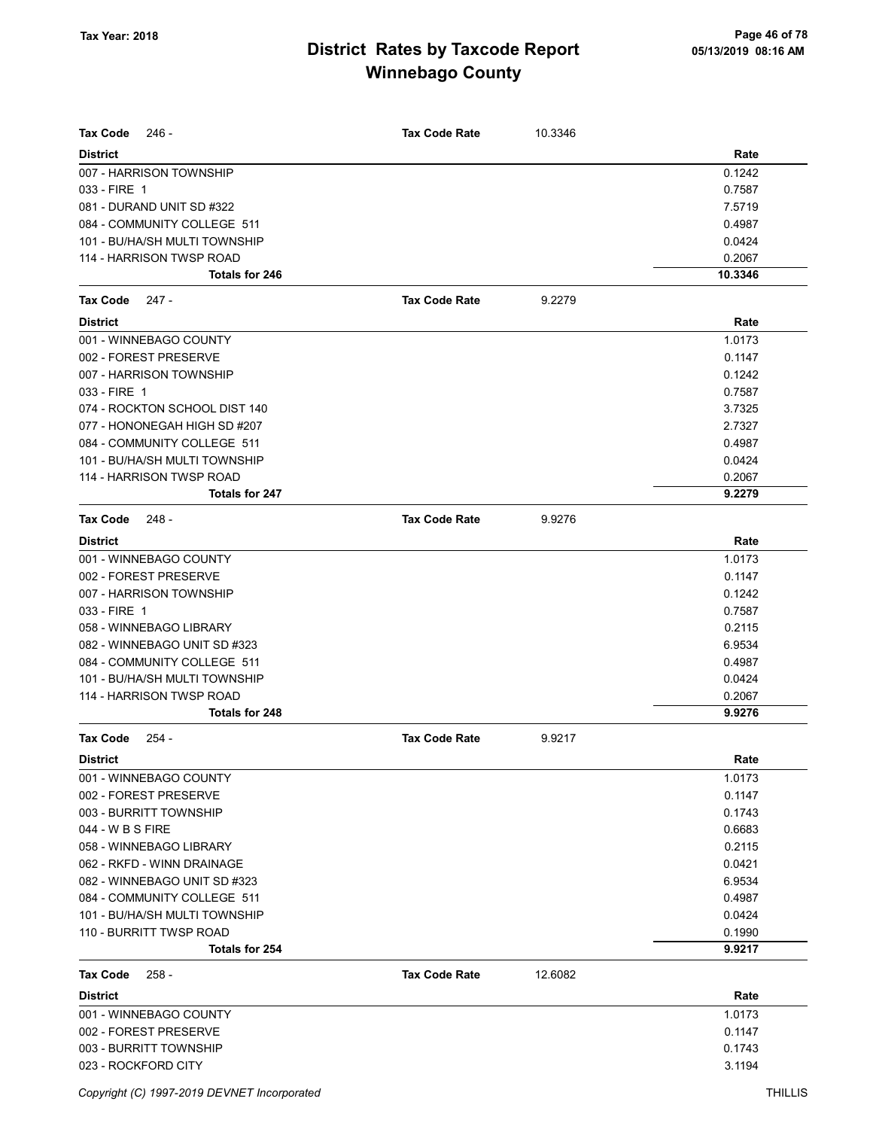| <b>Tax Code</b><br>- 246                   | <b>Tax Code Rate</b> | 10.3346 |                   |
|--------------------------------------------|----------------------|---------|-------------------|
|                                            |                      |         |                   |
| <b>District</b>                            |                      |         | Rate              |
| 007 - HARRISON TOWNSHIP                    |                      |         | 0.1242            |
| 033 - FIRE 1                               |                      |         | 0.7587            |
| 081 - DURAND UNIT SD #322                  |                      |         | 7.5719            |
| 084 - COMMUNITY COLLEGE 511                |                      |         | 0.4987            |
| 101 - BU/HA/SH MULTI TOWNSHIP              |                      |         | 0.0424            |
| 114 - HARRISON TWSP ROAD<br>Totals for 246 |                      |         | 0.2067<br>10.3346 |
|                                            |                      |         |                   |
| <b>Tax Code</b><br>247 -                   | <b>Tax Code Rate</b> | 9.2279  |                   |
| <b>District</b>                            |                      |         | Rate              |
| 001 - WINNEBAGO COUNTY                     |                      |         | 1.0173            |
| 002 - FOREST PRESERVE                      |                      |         | 0.1147            |
| 007 - HARRISON TOWNSHIP                    |                      |         | 0.1242            |
| 033 - FIRE 1                               |                      |         | 0.7587            |
| 074 - ROCKTON SCHOOL DIST 140              |                      |         | 3.7325            |
| 077 - HONONEGAH HIGH SD #207               |                      |         | 2.7327            |
| 084 - COMMUNITY COLLEGE 511                |                      |         | 0.4987            |
| 101 - BU/HA/SH MULTI TOWNSHIP              |                      |         | 0.0424            |
| 114 - HARRISON TWSP ROAD                   |                      |         | 0.2067            |
| <b>Totals for 247</b>                      |                      |         | 9.2279            |
| <b>Tax Code</b><br>- 248                   | <b>Tax Code Rate</b> | 9.9276  |                   |
| <b>District</b>                            |                      |         | Rate              |
| 001 - WINNEBAGO COUNTY                     |                      |         | 1.0173            |
| 002 - FOREST PRESERVE                      |                      |         | 0.1147            |
| 007 - HARRISON TOWNSHIP                    |                      |         | 0.1242            |
| 033 - FIRE 1                               |                      |         | 0.7587            |
| 058 - WINNEBAGO LIBRARY                    |                      |         | 0.2115            |
| 082 - WINNEBAGO UNIT SD #323               |                      |         | 6.9534            |
| 084 - COMMUNITY COLLEGE 511                |                      |         | 0.4987            |
| 101 - BU/HA/SH MULTI TOWNSHIP              |                      |         | 0.0424            |
| 114 - HARRISON TWSP ROAD                   |                      |         | 0.2067            |
| Totals for 248                             |                      |         | 9.9276            |
| <b>Tax Code</b><br>$254 -$                 | <b>Tax Code Rate</b> | 9.9217  |                   |
| District                                   |                      |         | Rate              |
| 001 - WINNEBAGO COUNTY                     |                      |         | 1.0173            |
| 002 - FOREST PRESERVE                      |                      |         | 0.1147            |
| 003 - BURRITT TOWNSHIP                     |                      |         | 0.1743            |
| 044 - W B S FIRE                           |                      |         | 0.6683            |
| 058 - WINNEBAGO LIBRARY                    |                      |         | 0.2115            |
| 062 - RKFD - WINN DRAINAGE                 |                      |         | 0.0421            |
| 082 - WINNEBAGO UNIT SD #323               |                      |         | 6.9534            |
| 084 - COMMUNITY COLLEGE 511                |                      |         | 0.4987            |
| 101 - BU/HA/SH MULTI TOWNSHIP              |                      |         | 0.0424            |
| 110 - BURRITT TWSP ROAD                    |                      |         | 0.1990            |
| Totals for 254                             |                      |         | 9.9217            |
| <b>Tax Code</b><br>258 -                   | <b>Tax Code Rate</b> | 12.6082 |                   |
| <b>District</b>                            |                      |         | Rate              |
| 001 - WINNEBAGO COUNTY                     |                      |         | 1.0173            |
| 002 - FOREST PRESERVE                      |                      |         | 0.1147            |
| 003 - BURRITT TOWNSHIP                     |                      |         | 0.1743            |
| 023 - ROCKFORD CITY                        |                      |         | 3.1194            |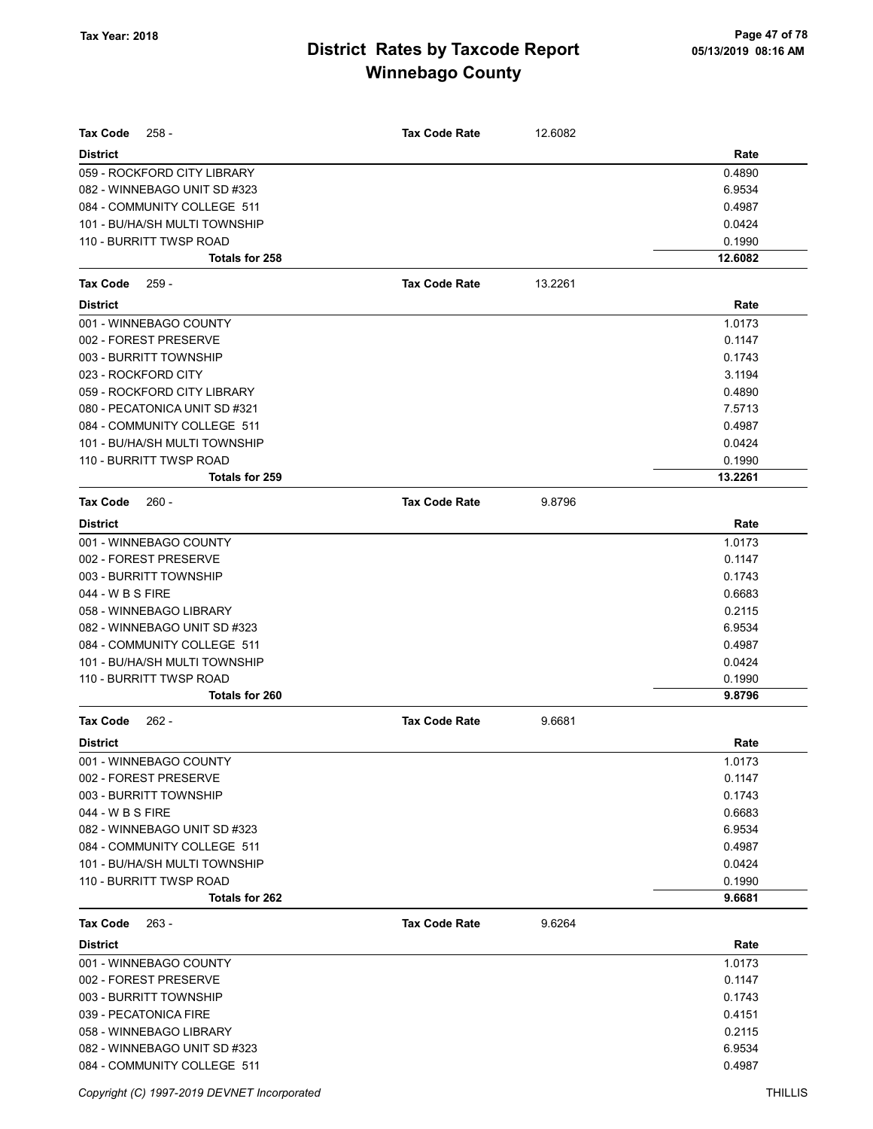| Tax Code<br>$258 -$           | <b>Tax Code Rate</b> | 12.6082 |         |
|-------------------------------|----------------------|---------|---------|
| <b>District</b>               |                      |         | Rate    |
| 059 - ROCKFORD CITY LIBRARY   |                      |         | 0.4890  |
| 082 - WINNEBAGO UNIT SD #323  |                      |         | 6.9534  |
| 084 - COMMUNITY COLLEGE 511   |                      |         | 0.4987  |
| 101 - BU/HA/SH MULTI TOWNSHIP |                      |         | 0.0424  |
| 110 - BURRITT TWSP ROAD       |                      |         | 0.1990  |
| Totals for 258                |                      |         | 12.6082 |
| <b>Tax Code</b><br>$259 -$    | <b>Tax Code Rate</b> | 13.2261 |         |
| <b>District</b>               |                      |         | Rate    |
| 001 - WINNEBAGO COUNTY        |                      |         | 1.0173  |
| 002 - FOREST PRESERVE         |                      |         | 0.1147  |
| 003 - BURRITT TOWNSHIP        |                      |         | 0.1743  |
| 023 - ROCKFORD CITY           |                      |         | 3.1194  |
| 059 - ROCKFORD CITY LIBRARY   |                      |         | 0.4890  |
| 080 - PECATONICA UNIT SD #321 |                      |         | 7.5713  |
| 084 - COMMUNITY COLLEGE 511   |                      |         | 0.4987  |
| 101 - BU/HA/SH MULTI TOWNSHIP |                      |         | 0.0424  |
| 110 - BURRITT TWSP ROAD       |                      |         | 0.1990  |
| <b>Totals for 259</b>         |                      |         | 13.2261 |
| Tax Code<br>$260 -$           | <b>Tax Code Rate</b> | 9.8796  |         |
| <b>District</b>               |                      |         | Rate    |
| 001 - WINNEBAGO COUNTY        |                      |         | 1.0173  |
| 002 - FOREST PRESERVE         |                      |         | 0.1147  |
| 003 - BURRITT TOWNSHIP        |                      |         | 0.1743  |
| 044 - W B S FIRE              |                      |         | 0.6683  |
| 058 - WINNEBAGO LIBRARY       |                      |         | 0.2115  |
| 082 - WINNEBAGO UNIT SD #323  |                      |         | 6.9534  |
| 084 - COMMUNITY COLLEGE 511   |                      |         | 0.4987  |
| 101 - BU/HA/SH MULTI TOWNSHIP |                      |         | 0.0424  |
| 110 - BURRITT TWSP ROAD       |                      |         | 0.1990  |
| Totals for 260                |                      |         | 9.8796  |
| <b>Tax Code</b><br>$262 -$    | <b>Tax Code Rate</b> | 9.6681  |         |
| <b>District</b>               |                      |         | Rate    |
| 001 - WINNEBAGO COUNTY        |                      |         | 1.0173  |
| 002 - FOREST PRESERVE         |                      |         | 0.1147  |
| 003 - BURRITT TOWNSHIP        |                      |         | 0.1743  |
| 044 - W B S FIRE              |                      |         | 0.6683  |
| 082 - WINNEBAGO UNIT SD #323  |                      |         | 6.9534  |
| 084 - COMMUNITY COLLEGE 511   |                      |         | 0.4987  |
| 101 - BU/HA/SH MULTI TOWNSHIP |                      |         | 0.0424  |
| 110 - BURRITT TWSP ROAD       |                      |         | 0.1990  |
| Totals for 262                |                      |         | 9.6681  |
| <b>Tax Code</b><br>$263 -$    | <b>Tax Code Rate</b> | 9.6264  |         |
| <b>District</b>               |                      |         | Rate    |
| 001 - WINNEBAGO COUNTY        |                      |         | 1.0173  |
| 002 - FOREST PRESERVE         |                      |         | 0.1147  |
| 003 - BURRITT TOWNSHIP        |                      |         | 0.1743  |
| 039 - PECATONICA FIRE         |                      |         | 0.4151  |
| 058 - WINNEBAGO LIBRARY       |                      |         | 0.2115  |
| 082 - WINNEBAGO UNIT SD #323  |                      |         | 6.9534  |
| 084 - COMMUNITY COLLEGE 511   |                      |         | 0.4987  |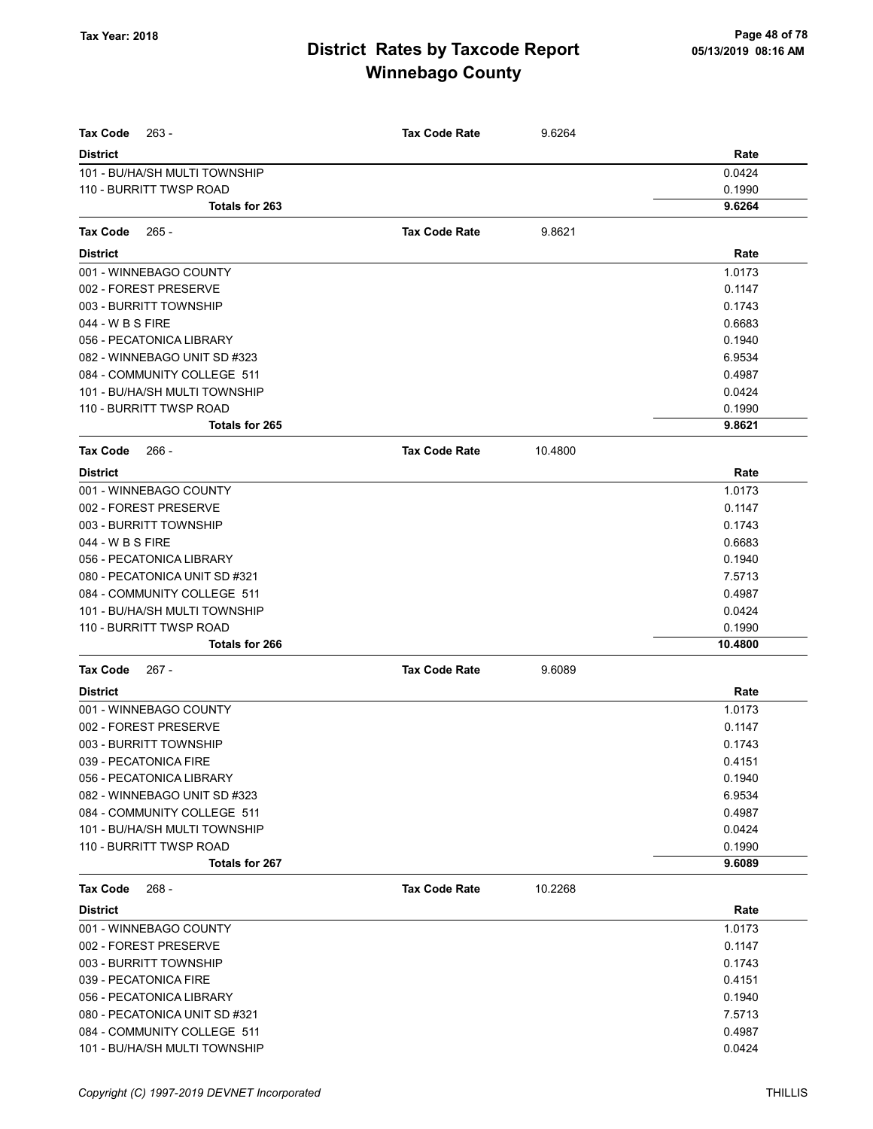| <b>Tax Code</b><br>263 -      | <b>Tax Code Rate</b> | 9.6264  |         |
|-------------------------------|----------------------|---------|---------|
| <b>District</b>               |                      |         | Rate    |
| 101 - BU/HA/SH MULTI TOWNSHIP |                      |         | 0.0424  |
| 110 - BURRITT TWSP ROAD       |                      |         | 0.1990  |
| Totals for 263                |                      |         | 9.6264  |
| Tax Code<br>$265 -$           | <b>Tax Code Rate</b> | 9.8621  |         |
| <b>District</b>               |                      |         | Rate    |
| 001 - WINNEBAGO COUNTY        |                      |         | 1.0173  |
| 002 - FOREST PRESERVE         |                      |         | 0.1147  |
| 003 - BURRITT TOWNSHIP        |                      |         | 0.1743  |
| 044 - W B S FIRE              |                      |         | 0.6683  |
| 056 - PECATONICA LIBRARY      |                      |         | 0.1940  |
| 082 - WINNEBAGO UNIT SD #323  |                      |         | 6.9534  |
| 084 - COMMUNITY COLLEGE 511   |                      |         | 0.4987  |
| 101 - BU/HA/SH MULTI TOWNSHIP |                      |         | 0.0424  |
| 110 - BURRITT TWSP ROAD       |                      |         | 0.1990  |
| <b>Totals for 265</b>         |                      |         | 9.8621  |
| Tax Code<br>- 266             | <b>Tax Code Rate</b> | 10.4800 |         |
| <b>District</b>               |                      |         | Rate    |
| 001 - WINNEBAGO COUNTY        |                      |         | 1.0173  |
| 002 - FOREST PRESERVE         |                      |         | 0.1147  |
| 003 - BURRITT TOWNSHIP        |                      |         | 0.1743  |
| 044 - W B S FIRE              |                      |         | 0.6683  |
| 056 - PECATONICA LIBRARY      |                      |         | 0.1940  |
| 080 - PECATONICA UNIT SD #321 |                      |         | 7.5713  |
| 084 - COMMUNITY COLLEGE 511   |                      |         | 0.4987  |
| 101 - BU/HA/SH MULTI TOWNSHIP |                      |         | 0.0424  |
| 110 - BURRITT TWSP ROAD       |                      |         | 0.1990  |
| <b>Totals for 266</b>         |                      |         | 10.4800 |
| Tax Code<br>267 -             | <b>Tax Code Rate</b> | 9.6089  |         |
| <b>District</b>               |                      |         | Rate    |
| 001 - WINNEBAGO COUNTY        |                      |         | 1.0173  |
| 002 - FOREST PRESERVE         |                      |         | 0.1147  |
| 003 - BURRITT TOWNSHIP        |                      |         | 0.1743  |
| 039 - PECATONICA FIRE         |                      |         | 0.4151  |
| 056 - PECATONICA LIBRARY      |                      |         | 0.1940  |
| 082 - WINNEBAGO UNIT SD #323  |                      |         | 6.9534  |
| 084 - COMMUNITY COLLEGE 511   |                      |         | 0.4987  |
| 101 - BU/HA/SH MULTI TOWNSHIP |                      |         | 0.0424  |
| 110 - BURRITT TWSP ROAD       |                      |         | 0.1990  |
| Totals for 267                |                      |         | 9.6089  |
| <b>Tax Code</b><br>$268 -$    | <b>Tax Code Rate</b> | 10.2268 |         |
| <b>District</b>               |                      |         | Rate    |
| 001 - WINNEBAGO COUNTY        |                      |         | 1.0173  |
| 002 - FOREST PRESERVE         |                      |         | 0.1147  |
| 003 - BURRITT TOWNSHIP        |                      |         | 0.1743  |
| 039 - PECATONICA FIRE         |                      |         | 0.4151  |
| 056 - PECATONICA LIBRARY      |                      |         | 0.1940  |
| 080 - PECATONICA UNIT SD #321 |                      |         | 7.5713  |
| 084 - COMMUNITY COLLEGE 511   |                      |         | 0.4987  |
| 101 - BU/HA/SH MULTI TOWNSHIP |                      |         | 0.0424  |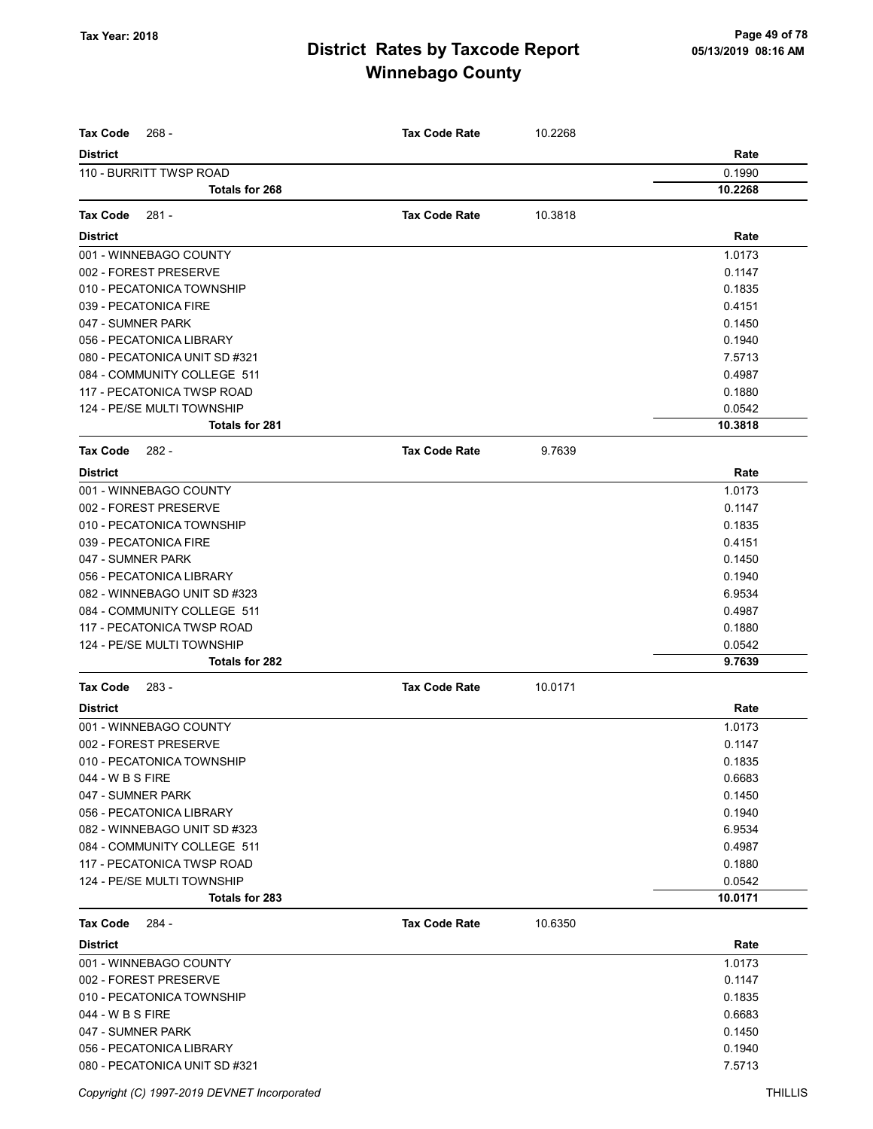| <b>Tax Code</b><br>$268 -$    | <b>Tax Code Rate</b> | 10.2268 |         |
|-------------------------------|----------------------|---------|---------|
| <b>District</b>               |                      |         | Rate    |
| 110 - BURRITT TWSP ROAD       |                      |         | 0.1990  |
| Totals for 268                |                      |         | 10.2268 |
|                               |                      |         |         |
| <b>Tax Code</b><br>281 -      | <b>Tax Code Rate</b> | 10.3818 |         |
| <b>District</b>               |                      |         | Rate    |
| 001 - WINNEBAGO COUNTY        |                      |         | 1.0173  |
| 002 - FOREST PRESERVE         |                      |         | 0.1147  |
| 010 - PECATONICA TOWNSHIP     |                      |         | 0.1835  |
| 039 - PECATONICA FIRE         |                      |         | 0.4151  |
| 047 - SUMNER PARK             |                      |         | 0.1450  |
| 056 - PECATONICA LIBRARY      |                      |         | 0.1940  |
| 080 - PECATONICA UNIT SD #321 |                      |         | 7.5713  |
| 084 - COMMUNITY COLLEGE 511   |                      |         | 0.4987  |
| 117 - PECATONICA TWSP ROAD    |                      |         | 0.1880  |
| 124 - PE/SE MULTI TOWNSHIP    |                      |         | 0.0542  |
| <b>Totals for 281</b>         |                      |         | 10.3818 |
| 282 -<br><b>Tax Code</b>      | <b>Tax Code Rate</b> | 9.7639  |         |
| <b>District</b>               |                      |         | Rate    |
| 001 - WINNEBAGO COUNTY        |                      |         | 1.0173  |
| 002 - FOREST PRESERVE         |                      |         | 0.1147  |
| 010 - PECATONICA TOWNSHIP     |                      |         | 0.1835  |
| 039 - PECATONICA FIRE         |                      |         | 0.4151  |
| 047 - SUMNER PARK             |                      |         | 0.1450  |
| 056 - PECATONICA LIBRARY      |                      |         | 0.1940  |
| 082 - WINNEBAGO UNIT SD #323  |                      |         | 6.9534  |
| 084 - COMMUNITY COLLEGE 511   |                      |         | 0.4987  |
| 117 - PECATONICA TWSP ROAD    |                      |         | 0.1880  |
| 124 - PE/SE MULTI TOWNSHIP    |                      |         | 0.0542  |
| Totals for 282                |                      |         | 9.7639  |
| <b>Tax Code</b><br>$283 -$    | <b>Tax Code Rate</b> | 10.0171 |         |
| <b>District</b>               |                      |         | Rate    |
| 001 - WINNEBAGO COUNTY        |                      |         | 1.0173  |
| 002 - FOREST PRESERVE         |                      |         | 0.1147  |
| 010 - PECATONICA TOWNSHIP     |                      |         | 0.1835  |
| 044 - W B S FIRE              |                      |         | 0.6683  |
| 047 - SUMNER PARK             |                      |         | 0.1450  |
| 056 - PECATONICA LIBRARY      |                      |         | 0.1940  |
| 082 - WINNEBAGO UNIT SD #323  |                      |         | 6.9534  |
| 084 - COMMUNITY COLLEGE 511   |                      |         | 0.4987  |
| 117 - PECATONICA TWSP ROAD    |                      |         | 0.1880  |
| 124 - PE/SE MULTI TOWNSHIP    |                      |         | 0.0542  |
| Totals for 283                |                      |         | 10.0171 |
| <b>Tax Code</b><br>284 -      | <b>Tax Code Rate</b> | 10.6350 |         |
| <b>District</b>               |                      |         | Rate    |
| 001 - WINNEBAGO COUNTY        |                      |         | 1.0173  |
| 002 - FOREST PRESERVE         |                      |         | 0.1147  |
| 010 - PECATONICA TOWNSHIP     |                      |         | 0.1835  |
| 044 - W B S FIRE              |                      |         | 0.6683  |
| 047 - SUMNER PARK             |                      |         | 0.1450  |
| 056 - PECATONICA LIBRARY      |                      |         | 0.1940  |
| 080 - PECATONICA UNIT SD #321 |                      |         | 7.5713  |
|                               |                      |         |         |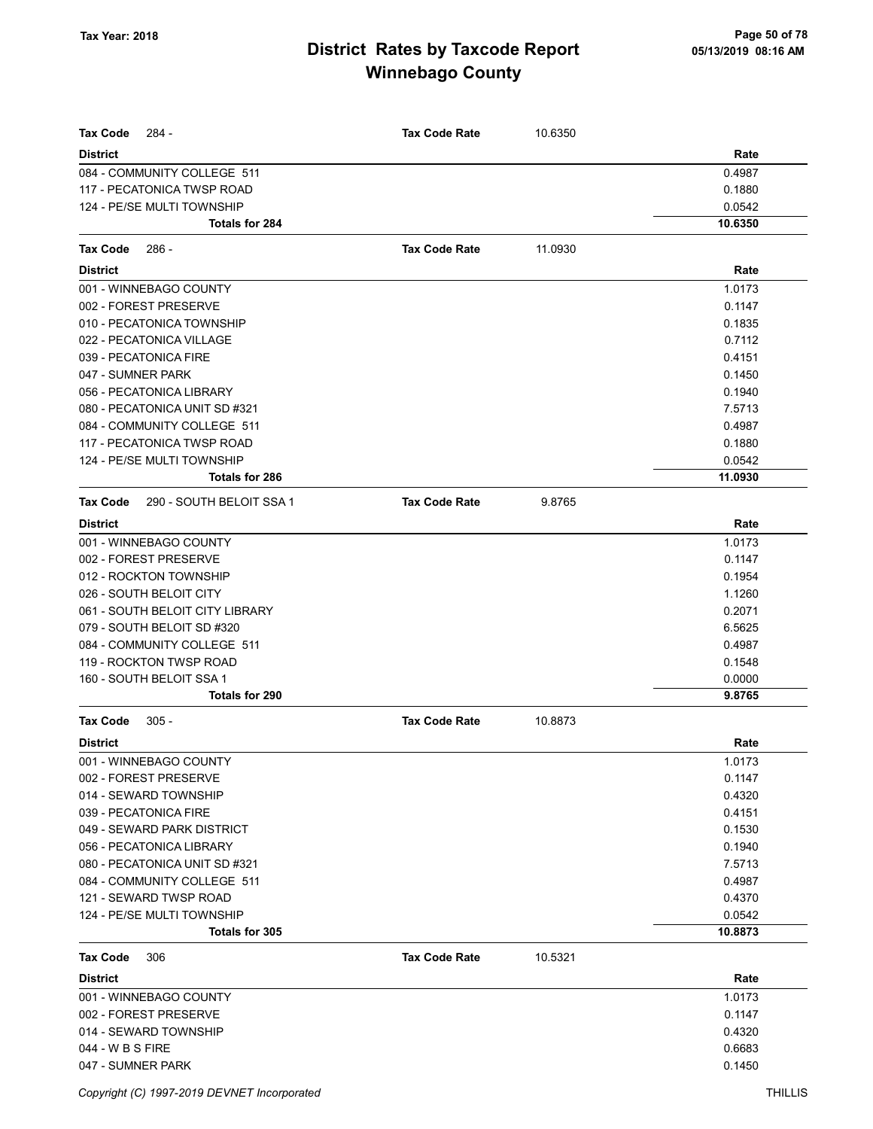| <b>Tax Code</b><br>284 -             | <b>Tax Code Rate</b> | 10.6350 |         |
|--------------------------------------|----------------------|---------|---------|
| <b>District</b>                      |                      |         | Rate    |
| 084 - COMMUNITY COLLEGE 511          |                      |         | 0.4987  |
| 117 - PECATONICA TWSP ROAD           |                      |         | 0.1880  |
| 124 - PE/SE MULTI TOWNSHIP           |                      |         | 0.0542  |
| <b>Totals for 284</b>                |                      |         | 10.6350 |
| Tax Code<br>$286 -$                  | <b>Tax Code Rate</b> | 11.0930 |         |
| <b>District</b>                      |                      |         | Rate    |
| 001 - WINNEBAGO COUNTY               |                      |         | 1.0173  |
| 002 - FOREST PRESERVE                |                      |         | 0.1147  |
| 010 - PECATONICA TOWNSHIP            |                      |         | 0.1835  |
| 022 - PECATONICA VILLAGE             |                      |         | 0.7112  |
| 039 - PECATONICA FIRE                |                      |         | 0.4151  |
| 047 - SUMNER PARK                    |                      |         | 0.1450  |
| 056 - PECATONICA LIBRARY             |                      |         | 0.1940  |
| 080 - PECATONICA UNIT SD #321        |                      |         | 7.5713  |
| 084 - COMMUNITY COLLEGE 511          |                      |         | 0.4987  |
| 117 - PECATONICA TWSP ROAD           |                      |         | 0.1880  |
| 124 - PE/SE MULTI TOWNSHIP           |                      |         | 0.0542  |
| <b>Totals for 286</b>                |                      |         | 11.0930 |
| Tax Code<br>290 - SOUTH BELOIT SSA 1 | <b>Tax Code Rate</b> | 9.8765  |         |
| <b>District</b>                      |                      |         | Rate    |
| 001 - WINNEBAGO COUNTY               |                      |         | 1.0173  |
| 002 - FOREST PRESERVE                |                      |         | 0.1147  |
| 012 - ROCKTON TOWNSHIP               |                      |         | 0.1954  |
| 026 - SOUTH BELOIT CITY              |                      |         | 1.1260  |
| 061 - SOUTH BELOIT CITY LIBRARY      |                      |         | 0.2071  |
| 079 - SOUTH BELOIT SD #320           |                      |         | 6.5625  |
| 084 - COMMUNITY COLLEGE 511          |                      |         | 0.4987  |
| 119 - ROCKTON TWSP ROAD              |                      |         | 0.1548  |
| 160 - SOUTH BELOIT SSA 1             |                      |         | 0.0000  |
| Totals for 290                       |                      |         | 9.8765  |
| <b>Tax Code</b><br>$305 -$           | <b>Tax Code Rate</b> | 10.8873 |         |
| <b>District</b>                      |                      |         | Rate    |
| 001 - WINNEBAGO COUNTY               |                      |         | 1.0173  |
| 002 - FOREST PRESERVE                |                      |         | 0.1147  |
| 014 - SEWARD TOWNSHIP                |                      |         | 0.4320  |
| 039 - PECATONICA FIRE                |                      |         | 0.4151  |
| 049 - SEWARD PARK DISTRICT           |                      |         | 0.1530  |
| 056 - PECATONICA LIBRARY             |                      |         | 0.1940  |
| 080 - PECATONICA UNIT SD #321        |                      |         | 7.5713  |
| 084 - COMMUNITY COLLEGE 511          |                      |         | 0.4987  |
| 121 - SEWARD TWSP ROAD               |                      |         | 0.4370  |
| 124 - PE/SE MULTI TOWNSHIP           |                      |         | 0.0542  |
| Totals for 305                       |                      |         | 10.8873 |
| <b>Tax Code</b><br>306               | <b>Tax Code Rate</b> | 10.5321 |         |
| <b>District</b>                      |                      |         | Rate    |
| 001 - WINNEBAGO COUNTY               |                      |         | 1.0173  |
| 002 - FOREST PRESERVE                |                      |         | 0.1147  |
| 014 - SEWARD TOWNSHIP                |                      |         | 0.4320  |
| 044 - W B S FIRE                     |                      |         | 0.6683  |
| 047 - SUMNER PARK                    |                      |         | 0.1450  |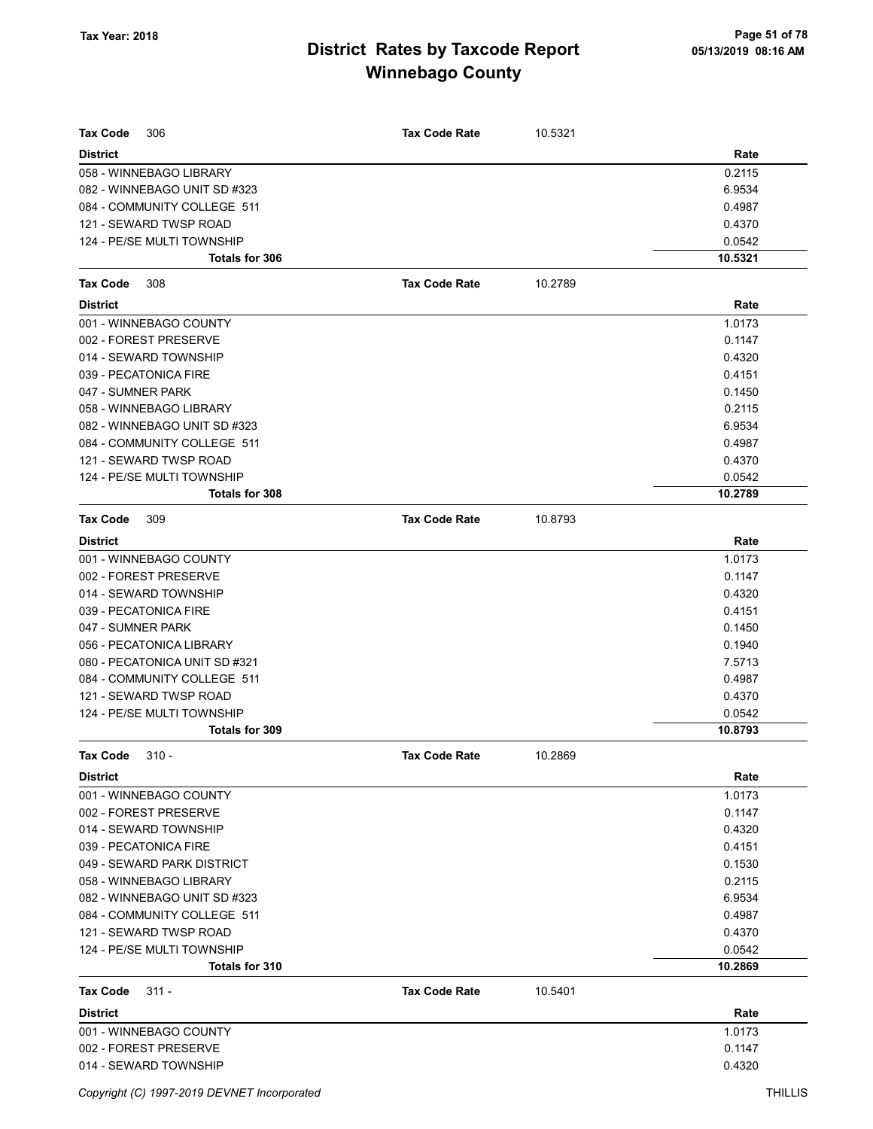| 306<br><b>Tax Code</b>        | <b>Tax Code Rate</b> | 10.5321 |         |
|-------------------------------|----------------------|---------|---------|
| <b>District</b>               |                      |         | Rate    |
| 058 - WINNEBAGO LIBRARY       |                      |         | 0.2115  |
| 082 - WINNEBAGO UNIT SD #323  |                      |         | 6.9534  |
| 084 - COMMUNITY COLLEGE 511   |                      |         | 0.4987  |
| 121 - SEWARD TWSP ROAD        |                      |         | 0.4370  |
| 124 - PE/SE MULTI TOWNSHIP    |                      |         | 0.0542  |
| Totals for 306                |                      |         | 10.5321 |
| <b>Tax Code</b><br>308        | <b>Tax Code Rate</b> | 10.2789 |         |
| <b>District</b>               |                      |         | Rate    |
| 001 - WINNEBAGO COUNTY        |                      |         | 1.0173  |
| 002 - FOREST PRESERVE         |                      |         | 0.1147  |
| 014 - SEWARD TOWNSHIP         |                      |         | 0.4320  |
| 039 - PECATONICA FIRE         |                      |         | 0.4151  |
| 047 - SUMNER PARK             |                      |         | 0.1450  |
| 058 - WINNEBAGO LIBRARY       |                      |         | 0.2115  |
| 082 - WINNEBAGO UNIT SD #323  |                      |         | 6.9534  |
| 084 - COMMUNITY COLLEGE 511   |                      |         | 0.4987  |
| 121 - SEWARD TWSP ROAD        |                      |         | 0.4370  |
| 124 - PE/SE MULTI TOWNSHIP    |                      |         | 0.0542  |
| Totals for 308                |                      |         | 10.2789 |
| <b>Tax Code</b><br>309        | <b>Tax Code Rate</b> | 10.8793 |         |
| <b>District</b>               |                      |         | Rate    |
| 001 - WINNEBAGO COUNTY        |                      |         | 1.0173  |
| 002 - FOREST PRESERVE         |                      |         | 0.1147  |
| 014 - SEWARD TOWNSHIP         |                      |         | 0.4320  |
| 039 - PECATONICA FIRE         |                      |         | 0.4151  |
| 047 - SUMNER PARK             |                      |         | 0.1450  |
| 056 - PECATONICA LIBRARY      |                      |         | 0.1940  |
| 080 - PECATONICA UNIT SD #321 |                      |         | 7.5713  |
| 084 - COMMUNITY COLLEGE 511   |                      |         | 0.4987  |
| 121 - SEWARD TWSP ROAD        |                      |         | 0.4370  |
| 124 - PE/SE MULTI TOWNSHIP    |                      |         | 0.0542  |
| Totals for 309                |                      |         | 10.8793 |
| <b>Tax Code</b><br>310 -      | <b>Tax Code Rate</b> | 10.2869 |         |
| <b>District</b>               |                      |         | Rate    |
| 001 - WINNEBAGO COUNTY        |                      |         | 1.0173  |
| 002 - FOREST PRESERVE         |                      |         | 0.1147  |
| 014 - SEWARD TOWNSHIP         |                      |         | 0.4320  |
| 039 - PECATONICA FIRE         |                      |         | 0.4151  |
| 049 - SEWARD PARK DISTRICT    |                      |         | 0.1530  |
| 058 - WINNEBAGO LIBRARY       |                      |         | 0.2115  |
| 082 - WINNEBAGO UNIT SD #323  |                      |         | 6.9534  |
| 084 - COMMUNITY COLLEGE 511   |                      |         | 0.4987  |
| 121 - SEWARD TWSP ROAD        |                      |         | 0.4370  |
| 124 - PE/SE MULTI TOWNSHIP    |                      |         | 0.0542  |
| Totals for 310                |                      |         | 10.2869 |
| <b>Tax Code</b><br>$311 -$    | <b>Tax Code Rate</b> | 10.5401 |         |
| <b>District</b>               |                      |         | Rate    |
| 001 - WINNEBAGO COUNTY        |                      |         | 1.0173  |
| 002 - FOREST PRESERVE         |                      |         | 0.1147  |
| 014 - SEWARD TOWNSHIP         |                      |         | 0.4320  |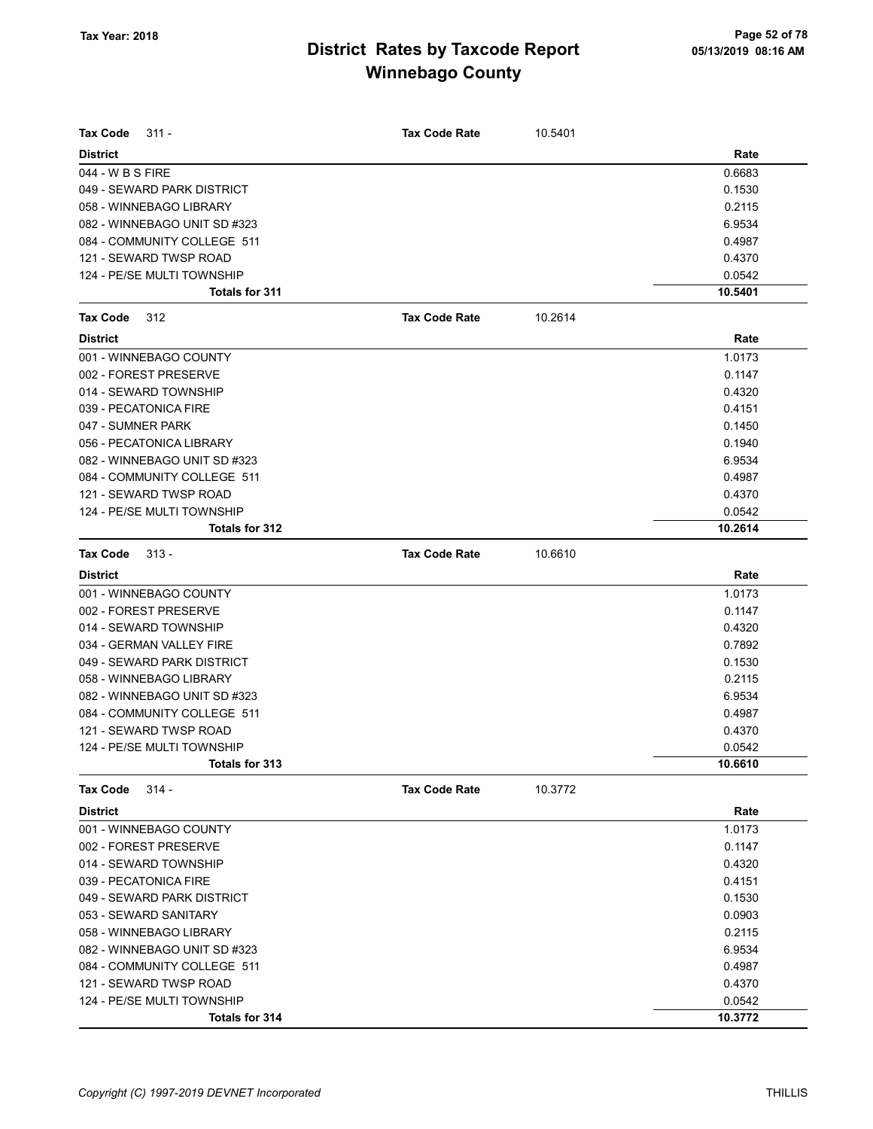| Tax Code<br>$311 -$          | <b>Tax Code Rate</b> | 10.5401 |         |
|------------------------------|----------------------|---------|---------|
| <b>District</b>              |                      |         | Rate    |
| 044 - W B S FIRE             |                      |         | 0.6683  |
| 049 - SEWARD PARK DISTRICT   |                      |         | 0.1530  |
| 058 - WINNEBAGO LIBRARY      |                      |         | 0.2115  |
| 082 - WINNEBAGO UNIT SD #323 |                      |         | 6.9534  |
| 084 - COMMUNITY COLLEGE 511  |                      |         | 0.4987  |
| 121 - SEWARD TWSP ROAD       |                      |         | 0.4370  |
| 124 - PE/SE MULTI TOWNSHIP   |                      |         | 0.0542  |
| Totals for 311               |                      |         | 10.5401 |
| <b>Tax Code</b><br>312       | <b>Tax Code Rate</b> | 10.2614 |         |
| <b>District</b>              |                      |         | Rate    |
| 001 - WINNEBAGO COUNTY       |                      |         | 1.0173  |
| 002 - FOREST PRESERVE        |                      |         | 0.1147  |
| 014 - SEWARD TOWNSHIP        |                      |         | 0.4320  |
| 039 - PECATONICA FIRE        |                      |         | 0.4151  |
| 047 - SUMNER PARK            |                      |         | 0.1450  |
| 056 - PECATONICA LIBRARY     |                      |         | 0.1940  |
| 082 - WINNEBAGO UNIT SD #323 |                      |         | 6.9534  |
| 084 - COMMUNITY COLLEGE 511  |                      |         | 0.4987  |
| 121 - SEWARD TWSP ROAD       |                      |         | 0.4370  |
| 124 - PE/SE MULTI TOWNSHIP   |                      |         | 0.0542  |
| Totals for 312               |                      |         | 10.2614 |
| <b>Tax Code</b><br>$313 -$   | <b>Tax Code Rate</b> | 10.6610 |         |
| <b>District</b>              |                      |         | Rate    |
| 001 - WINNEBAGO COUNTY       |                      |         | 1.0173  |
| 002 - FOREST PRESERVE        |                      |         | 0.1147  |
| 014 - SEWARD TOWNSHIP        |                      |         | 0.4320  |
| 034 - GERMAN VALLEY FIRE     |                      |         | 0.7892  |
| 049 - SEWARD PARK DISTRICT   |                      |         | 0.1530  |
| 058 - WINNEBAGO LIBRARY      |                      |         | 0.2115  |
| 082 - WINNEBAGO UNIT SD #323 |                      |         | 6.9534  |
| 084 - COMMUNITY COLLEGE 511  |                      |         | 0.4987  |
| 121 - SEWARD TWSP ROAD       |                      |         | 0.4370  |
| 124 - PE/SE MULTI TOWNSHIP   |                      |         | 0.0542  |
| Totals for 313               |                      |         | 10.6610 |
| <b>Tax Code</b><br>$314 -$   | <b>Tax Code Rate</b> | 10.3772 |         |
| <b>District</b>              |                      |         | Rate    |
| 001 - WINNEBAGO COUNTY       |                      |         | 1.0173  |
| 002 - FOREST PRESERVE        |                      |         | 0.1147  |
| 014 - SEWARD TOWNSHIP        |                      |         | 0.4320  |
| 039 - PECATONICA FIRE        |                      |         | 0.4151  |
| 049 - SEWARD PARK DISTRICT   |                      |         | 0.1530  |
| 053 - SEWARD SANITARY        |                      |         | 0.0903  |
| 058 - WINNEBAGO LIBRARY      |                      |         | 0.2115  |
| 082 - WINNEBAGO UNIT SD #323 |                      |         | 6.9534  |
| 084 - COMMUNITY COLLEGE 511  |                      |         | 0.4987  |
| 121 - SEWARD TWSP ROAD       |                      |         | 0.4370  |
| 124 - PE/SE MULTI TOWNSHIP   |                      |         | 0.0542  |
| Totals for 314               |                      |         | 10.3772 |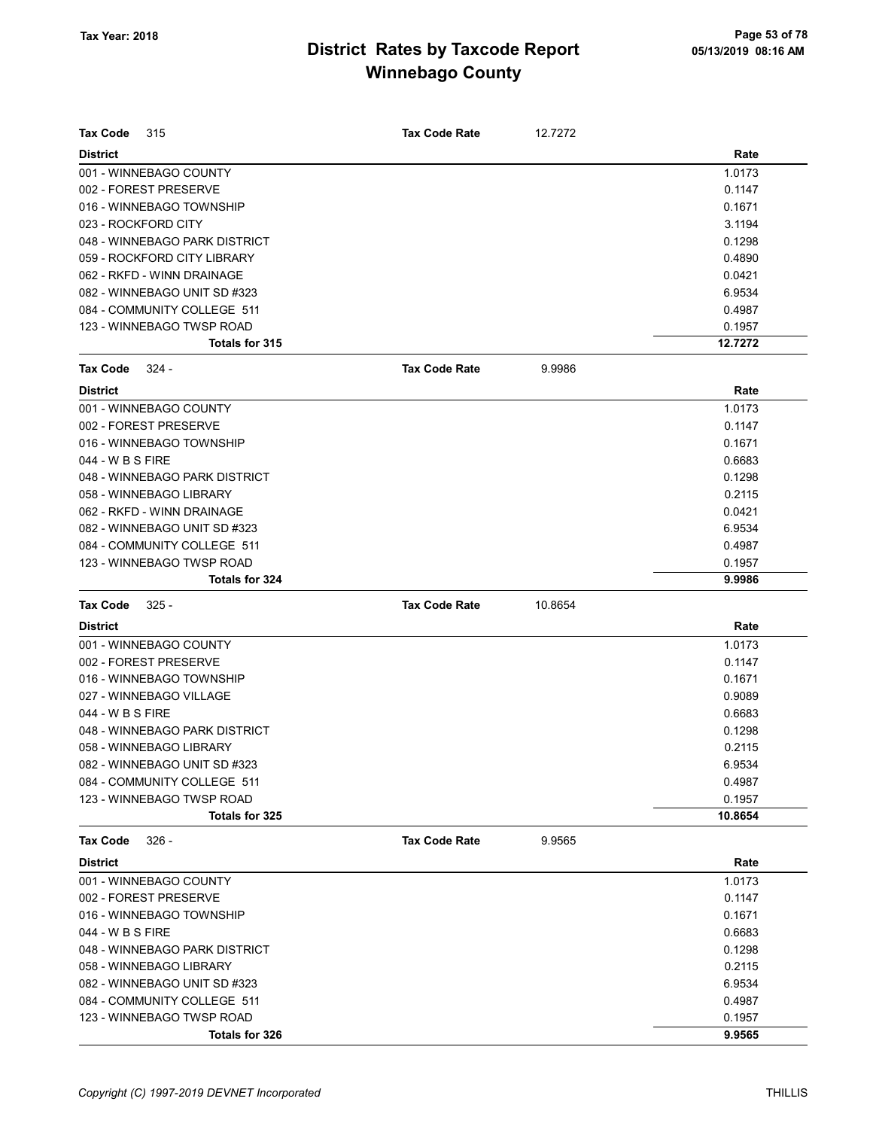| <b>Tax Code</b><br>315        | <b>Tax Code Rate</b> | 12.7272 |         |
|-------------------------------|----------------------|---------|---------|
| <b>District</b>               |                      |         | Rate    |
| 001 - WINNEBAGO COUNTY        |                      |         | 1.0173  |
| 002 - FOREST PRESERVE         |                      |         | 0.1147  |
| 016 - WINNEBAGO TOWNSHIP      |                      |         | 0.1671  |
| 023 - ROCKFORD CITY           |                      |         | 3.1194  |
| 048 - WINNEBAGO PARK DISTRICT |                      |         | 0.1298  |
| 059 - ROCKFORD CITY LIBRARY   |                      |         | 0.4890  |
| 062 - RKFD - WINN DRAINAGE    |                      |         | 0.0421  |
| 082 - WINNEBAGO UNIT SD #323  |                      |         | 6.9534  |
| 084 - COMMUNITY COLLEGE 511   |                      |         | 0.4987  |
| 123 - WINNEBAGO TWSP ROAD     |                      |         | 0.1957  |
| Totals for 315                |                      |         | 12.7272 |
| <b>Tax Code</b><br>324 -      | <b>Tax Code Rate</b> | 9.9986  |         |
| <b>District</b>               |                      |         | Rate    |
| 001 - WINNEBAGO COUNTY        |                      |         | 1.0173  |
| 002 - FOREST PRESERVE         |                      |         | 0.1147  |
| 016 - WINNEBAGO TOWNSHIP      |                      |         | 0.1671  |
| 044 - W B S FIRE              |                      |         | 0.6683  |
| 048 - WINNEBAGO PARK DISTRICT |                      |         | 0.1298  |
| 058 - WINNEBAGO LIBRARY       |                      |         | 0.2115  |
| 062 - RKFD - WINN DRAINAGE    |                      |         | 0.0421  |
| 082 - WINNEBAGO UNIT SD #323  |                      |         | 6.9534  |
| 084 - COMMUNITY COLLEGE 511   |                      |         | 0.4987  |
| 123 - WINNEBAGO TWSP ROAD     |                      |         | 0.1957  |
| Totals for 324                |                      |         | 9.9986  |
| <b>Tax Code</b><br>$325 -$    | <b>Tax Code Rate</b> | 10.8654 |         |
| <b>District</b>               |                      |         | Rate    |
| 001 - WINNEBAGO COUNTY        |                      |         | 1.0173  |
| 002 - FOREST PRESERVE         |                      |         | 0.1147  |
| 016 - WINNEBAGO TOWNSHIP      |                      |         | 0.1671  |
| 027 - WINNEBAGO VILLAGE       |                      |         | 0.9089  |
| 044 - W B S FIRE              |                      |         | 0.6683  |
| 048 - WINNEBAGO PARK DISTRICT |                      |         | 0.1298  |
| 058 - WINNEBAGO LIBRARY       |                      |         | 0.2115  |
| 082 - WINNEBAGO UNIT SD #323  |                      |         | 6.9534  |
| 084 - COMMUNITY COLLEGE 511   |                      |         | 0.4987  |
| 123 - WINNEBAGO TWSP ROAD     |                      |         | 0.1957  |
| Totals for 325                |                      |         | 10.8654 |
| <b>Tax Code</b><br>$326 -$    | <b>Tax Code Rate</b> | 9.9565  |         |
| <b>District</b>               |                      |         | Rate    |
| 001 - WINNEBAGO COUNTY        |                      |         | 1.0173  |
| 002 - FOREST PRESERVE         |                      |         | 0.1147  |
| 016 - WINNEBAGO TOWNSHIP      |                      |         | 0.1671  |
| 044 - W B S FIRE              |                      |         | 0.6683  |
| 048 - WINNEBAGO PARK DISTRICT |                      |         | 0.1298  |
| 058 - WINNEBAGO LIBRARY       |                      |         | 0.2115  |
| 082 - WINNEBAGO UNIT SD #323  |                      |         | 6.9534  |
| 084 - COMMUNITY COLLEGE 511   |                      |         | 0.4987  |
| 123 - WINNEBAGO TWSP ROAD     |                      |         | 0.1957  |
| Totals for 326                |                      |         | 9.9565  |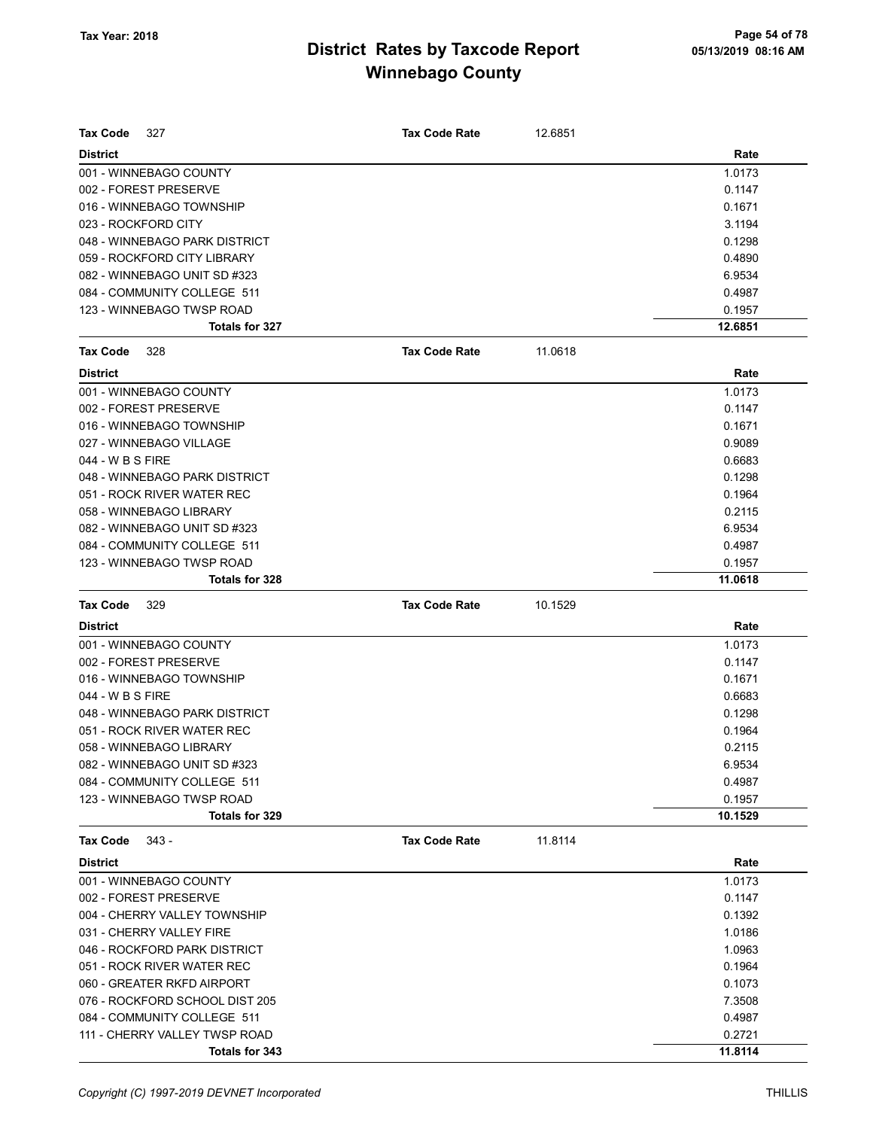| <b>Tax Code</b><br>327         | <b>Tax Code Rate</b> | 12.6851 |         |
|--------------------------------|----------------------|---------|---------|
| <b>District</b>                |                      |         | Rate    |
| 001 - WINNEBAGO COUNTY         |                      |         | 1.0173  |
| 002 - FOREST PRESERVE          |                      |         | 0.1147  |
| 016 - WINNEBAGO TOWNSHIP       |                      |         | 0.1671  |
| 023 - ROCKFORD CITY            |                      |         | 3.1194  |
| 048 - WINNEBAGO PARK DISTRICT  |                      |         | 0.1298  |
| 059 - ROCKFORD CITY LIBRARY    |                      |         | 0.4890  |
| 082 - WINNEBAGO UNIT SD #323   |                      |         | 6.9534  |
| 084 - COMMUNITY COLLEGE 511    |                      |         | 0.4987  |
| 123 - WINNEBAGO TWSP ROAD      |                      |         | 0.1957  |
| <b>Totals for 327</b>          |                      |         | 12.6851 |
| <b>Tax Code</b><br>328         | <b>Tax Code Rate</b> | 11.0618 |         |
| <b>District</b>                |                      |         | Rate    |
| 001 - WINNEBAGO COUNTY         |                      |         | 1.0173  |
| 002 - FOREST PRESERVE          |                      |         | 0.1147  |
| 016 - WINNEBAGO TOWNSHIP       |                      |         | 0.1671  |
| 027 - WINNEBAGO VILLAGE        |                      |         | 0.9089  |
| 044 - W B S FIRE               |                      |         | 0.6683  |
| 048 - WINNEBAGO PARK DISTRICT  |                      |         | 0.1298  |
| 051 - ROCK RIVER WATER REC     |                      |         | 0.1964  |
| 058 - WINNEBAGO LIBRARY        |                      |         | 0.2115  |
| 082 - WINNEBAGO UNIT SD #323   |                      |         | 6.9534  |
| 084 - COMMUNITY COLLEGE 511    |                      |         | 0.4987  |
| 123 - WINNEBAGO TWSP ROAD      |                      |         | 0.1957  |
| Totals for 328                 |                      |         | 11.0618 |
|                                |                      |         |         |
| <b>Tax Code</b><br>329         | <b>Tax Code Rate</b> | 10.1529 |         |
| <b>District</b>                |                      |         | Rate    |
| 001 - WINNEBAGO COUNTY         |                      |         | 1.0173  |
| 002 - FOREST PRESERVE          |                      |         | 0.1147  |
| 016 - WINNEBAGO TOWNSHIP       |                      |         | 0.1671  |
| 044 - W B S FIRE               |                      |         | 0.6683  |
| 048 - WINNEBAGO PARK DISTRICT  |                      |         | 0.1298  |
| 051 - ROCK RIVER WATER REC     |                      |         | 0.1964  |
| 058 - WINNEBAGO LIBRARY        |                      |         | 0.2115  |
| 082 - WINNEBAGO UNIT SD #323   |                      |         | 6.9534  |
| 084 - COMMUNITY COLLEGE 511    |                      |         | 0.4987  |
| 123 - WINNEBAGO TWSP ROAD      |                      |         | 0.1957  |
| Totals for 329                 |                      |         | 10.1529 |
| $343 -$<br>Tax Code            | <b>Tax Code Rate</b> | 11.8114 |         |
| <b>District</b>                |                      |         | Rate    |
| 001 - WINNEBAGO COUNTY         |                      |         | 1.0173  |
| 002 - FOREST PRESERVE          |                      |         | 0.1147  |
| 004 - CHERRY VALLEY TOWNSHIP   |                      |         | 0.1392  |
| 031 - CHERRY VALLEY FIRE       |                      |         | 1.0186  |
| 046 - ROCKFORD PARK DISTRICT   |                      |         | 1.0963  |
| 051 - ROCK RIVER WATER REC     |                      |         | 0.1964  |
| 060 - GREATER RKFD AIRPORT     |                      |         | 0.1073  |
| 076 - ROCKFORD SCHOOL DIST 205 |                      |         | 7.3508  |
| 084 - COMMUNITY COLLEGE 511    |                      |         | 0.4987  |
| 111 - CHERRY VALLEY TWSP ROAD  |                      |         | 0.2721  |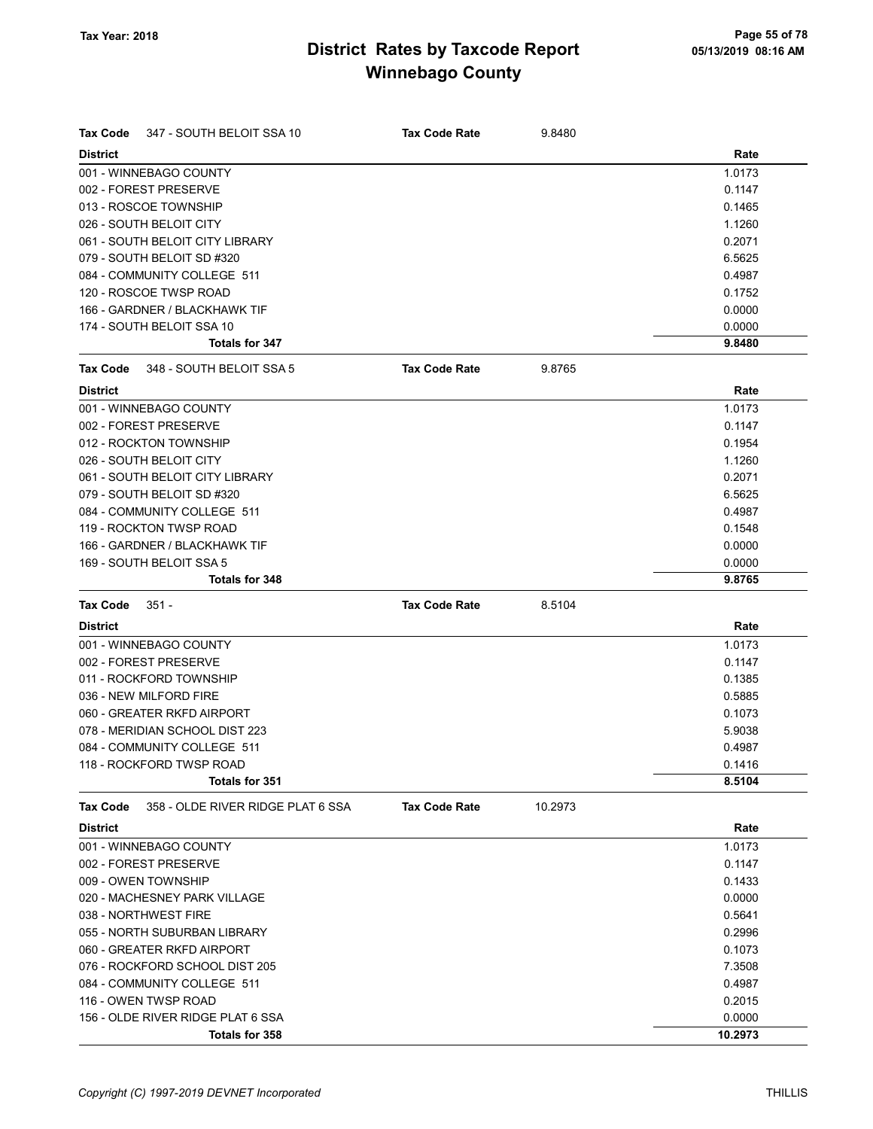| Tax Code        | 347 - SOUTH BELOIT SSA 10         | <b>Tax Code Rate</b> | 9.8480  |        |
|-----------------|-----------------------------------|----------------------|---------|--------|
| <b>District</b> |                                   |                      |         | Rate   |
|                 | 001 - WINNEBAGO COUNTY            |                      |         | 1.0173 |
|                 | 002 - FOREST PRESERVE             |                      |         | 0.1147 |
|                 | 013 - ROSCOE TOWNSHIP             |                      |         | 0.1465 |
|                 | 026 - SOUTH BELOIT CITY           |                      |         | 1.1260 |
|                 | 061 - SOUTH BELOIT CITY LIBRARY   |                      |         | 0.2071 |
|                 | 079 - SOUTH BELOIT SD #320        |                      |         | 6.5625 |
|                 | 084 - COMMUNITY COLLEGE 511       |                      |         | 0.4987 |
|                 | 120 - ROSCOE TWSP ROAD            |                      |         | 0.1752 |
|                 | 166 - GARDNER / BLACKHAWK TIF     |                      |         | 0.0000 |
|                 | 174 - SOUTH BELOIT SSA 10         |                      |         | 0.0000 |
|                 | Totals for 347                    |                      |         | 9.8480 |
| Tax Code        | 348 - SOUTH BELOIT SSA 5          | <b>Tax Code Rate</b> | 9.8765  |        |
| <b>District</b> |                                   |                      |         | Rate   |
|                 | 001 - WINNEBAGO COUNTY            |                      |         | 1.0173 |
|                 | 002 - FOREST PRESERVE             |                      |         | 0.1147 |
|                 | 012 - ROCKTON TOWNSHIP            |                      |         | 0.1954 |
|                 | 026 - SOUTH BELOIT CITY           |                      |         | 1.1260 |
|                 | 061 - SOUTH BELOIT CITY LIBRARY   |                      |         | 0.2071 |
|                 | 079 - SOUTH BELOIT SD #320        |                      |         | 6.5625 |
|                 | 084 - COMMUNITY COLLEGE 511       |                      |         | 0.4987 |
|                 | 119 - ROCKTON TWSP ROAD           |                      |         | 0.1548 |
|                 | 166 - GARDNER / BLACKHAWK TIF     |                      |         | 0.0000 |
|                 | 169 - SOUTH BELOIT SSA 5          |                      |         | 0.0000 |
|                 | <b>Totals for 348</b>             |                      |         | 9.8765 |
| <b>Tax Code</b> | $351 -$                           | <b>Tax Code Rate</b> | 8.5104  |        |
| <b>District</b> |                                   |                      |         | Rate   |
|                 | 001 - WINNEBAGO COUNTY            |                      |         | 1.0173 |
|                 | 002 - FOREST PRESERVE             |                      |         | 0.1147 |
|                 | 011 - ROCKFORD TOWNSHIP           |                      |         | 0.1385 |
|                 | 036 - NEW MILFORD FIRE            |                      |         | 0.5885 |
|                 | 060 - GREATER RKFD AIRPORT        |                      |         | 0.1073 |
|                 | 078 - MERIDIAN SCHOOL DIST 223    |                      |         | 5.9038 |
|                 | 084 - COMMUNITY COLLEGE 511       |                      |         | 0.4987 |
|                 | 118 - ROCKFORD TWSP ROAD          |                      |         | 0.1416 |
|                 | Totals for 351                    |                      |         | 8.5104 |
| <b>Tax Code</b> | 358 - OLDE RIVER RIDGE PLAT 6 SSA | <b>Tax Code Rate</b> | 10.2973 |        |
| <b>District</b> |                                   |                      |         | Rate   |
|                 |                                   |                      |         |        |
|                 | 001 - WINNEBAGO COUNTY            |                      |         | 1.0173 |
|                 | 002 - FOREST PRESERVE             |                      |         | 0.1147 |
|                 | 009 - OWEN TOWNSHIP               |                      |         | 0.1433 |
|                 | 020 - MACHESNEY PARK VILLAGE      |                      |         | 0.0000 |
|                 | 038 - NORTHWEST FIRE              |                      |         | 0.5641 |
|                 | 055 - NORTH SUBURBAN LIBRARY      |                      |         | 0.2996 |
|                 | 060 - GREATER RKFD AIRPORT        |                      |         | 0.1073 |
|                 | 076 - ROCKFORD SCHOOL DIST 205    |                      |         | 7.3508 |
|                 | 084 - COMMUNITY COLLEGE 511       |                      |         | 0.4987 |
|                 | 116 - OWEN TWSP ROAD              |                      |         | 0.2015 |
|                 | 156 - OLDE RIVER RIDGE PLAT 6 SSA |                      |         | 0.0000 |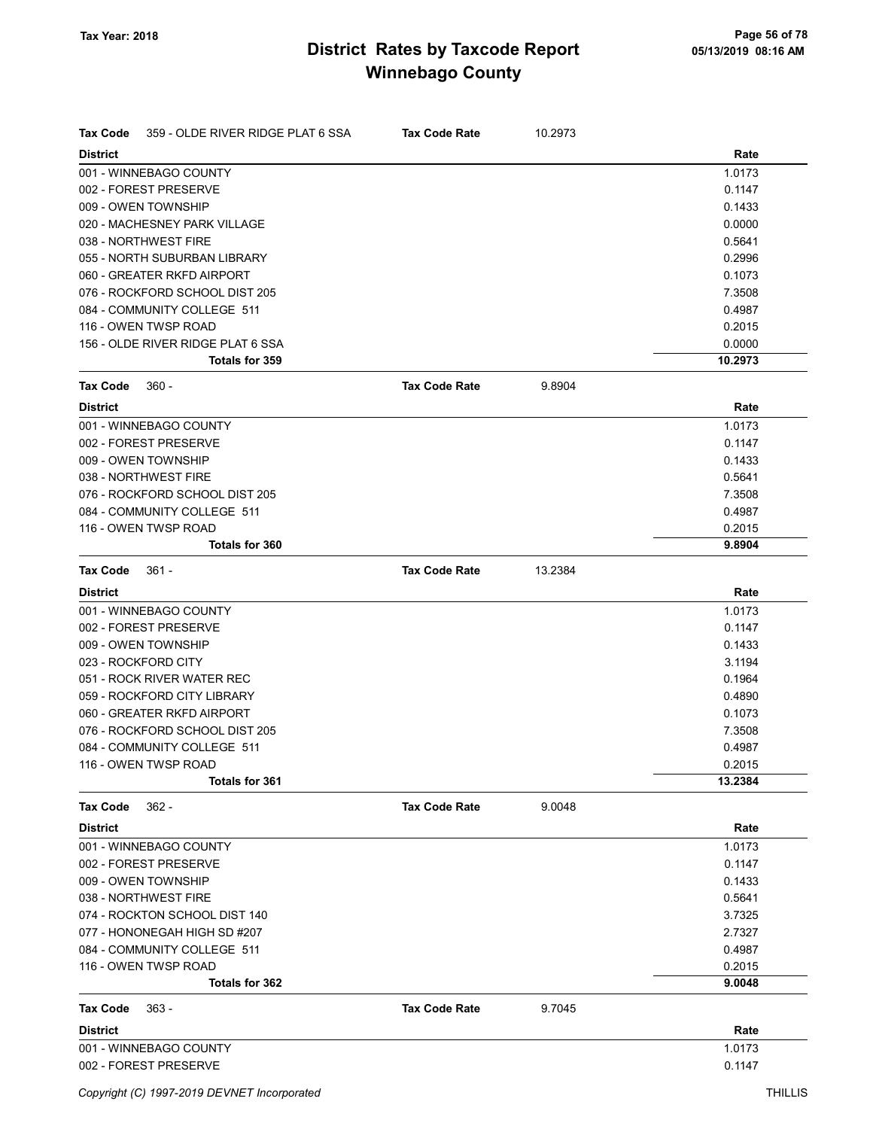| <b>Tax Code</b> | 359 - OLDE RIVER RIDGE PLAT 6 SSA | <b>Tax Code Rate</b> | 10.2973 |         |
|-----------------|-----------------------------------|----------------------|---------|---------|
| <b>District</b> |                                   |                      |         | Rate    |
|                 | 001 - WINNEBAGO COUNTY            |                      |         | 1.0173  |
|                 | 002 - FOREST PRESERVE             |                      |         | 0.1147  |
|                 | 009 - OWEN TOWNSHIP               |                      |         | 0.1433  |
|                 | 020 - MACHESNEY PARK VILLAGE      |                      |         | 0.0000  |
|                 | 038 - NORTHWEST FIRE              |                      |         | 0.5641  |
|                 | 055 - NORTH SUBURBAN LIBRARY      |                      |         | 0.2996  |
|                 | 060 - GREATER RKFD AIRPORT        |                      |         | 0.1073  |
|                 | 076 - ROCKFORD SCHOOL DIST 205    |                      |         | 7.3508  |
|                 | 084 - COMMUNITY COLLEGE 511       |                      |         | 0.4987  |
|                 | 116 - OWEN TWSP ROAD              |                      |         | 0.2015  |
|                 | 156 - OLDE RIVER RIDGE PLAT 6 SSA |                      |         | 0.0000  |
|                 | Totals for 359                    |                      |         | 10.2973 |
| <b>Tax Code</b> | $360 -$                           | <b>Tax Code Rate</b> | 9.8904  |         |
| <b>District</b> |                                   |                      |         | Rate    |
|                 | 001 - WINNEBAGO COUNTY            |                      |         | 1.0173  |
|                 | 002 - FOREST PRESERVE             |                      |         | 0.1147  |
|                 | 009 - OWEN TOWNSHIP               |                      |         | 0.1433  |
|                 | 038 - NORTHWEST FIRE              |                      |         | 0.5641  |
|                 | 076 - ROCKFORD SCHOOL DIST 205    |                      |         | 7.3508  |
|                 | 084 - COMMUNITY COLLEGE 511       |                      |         | 0.4987  |
|                 | 116 - OWEN TWSP ROAD              |                      |         | 0.2015  |
|                 | <b>Totals for 360</b>             |                      |         | 9.8904  |
| <b>Tax Code</b> | $361 -$                           | <b>Tax Code Rate</b> | 13.2384 |         |
| <b>District</b> |                                   |                      |         | Rate    |
|                 | 001 - WINNEBAGO COUNTY            |                      |         | 1.0173  |
|                 | 002 - FOREST PRESERVE             |                      |         | 0.1147  |
|                 | 009 - OWEN TOWNSHIP               |                      |         | 0.1433  |
|                 | 023 - ROCKFORD CITY               |                      |         | 3.1194  |
|                 | 051 - ROCK RIVER WATER REC        |                      |         | 0.1964  |
|                 | 059 - ROCKFORD CITY LIBRARY       |                      |         | 0.4890  |
|                 | 060 - GREATER RKFD AIRPORT        |                      |         | 0.1073  |
|                 | 076 - ROCKFORD SCHOOL DIST 205    |                      |         | 7.3508  |
|                 | 084 - COMMUNITY COLLEGE 511       |                      |         | 0.4987  |
|                 | 116 - OWEN TWSP ROAD              |                      |         | 0.2015  |
|                 | <b>Totals for 361</b>             |                      |         | 13.2384 |
| <b>Tax Code</b> | $362 -$                           | <b>Tax Code Rate</b> | 9.0048  |         |
| <b>District</b> |                                   |                      |         | Rate    |
|                 | 001 - WINNEBAGO COUNTY            |                      |         | 1.0173  |
|                 | 002 - FOREST PRESERVE             |                      |         | 0.1147  |
|                 | 009 - OWEN TOWNSHIP               |                      |         | 0.1433  |
|                 | 038 - NORTHWEST FIRE              |                      |         | 0.5641  |
|                 | 074 - ROCKTON SCHOOL DIST 140     |                      |         | 3.7325  |
|                 | 077 - HONONEGAH HIGH SD #207      |                      |         | 2.7327  |
|                 | 084 - COMMUNITY COLLEGE 511       |                      |         | 0.4987  |
|                 | 116 - OWEN TWSP ROAD              |                      |         | 0.2015  |
|                 | Totals for 362                    |                      |         | 9.0048  |
| <b>Tax Code</b> | $363 -$                           | <b>Tax Code Rate</b> | 9.7045  |         |
| <b>District</b> |                                   |                      |         | Rate    |
|                 | 001 - WINNEBAGO COUNTY            |                      |         | 1.0173  |
|                 | 002 - FOREST PRESERVE             |                      |         | 0.1147  |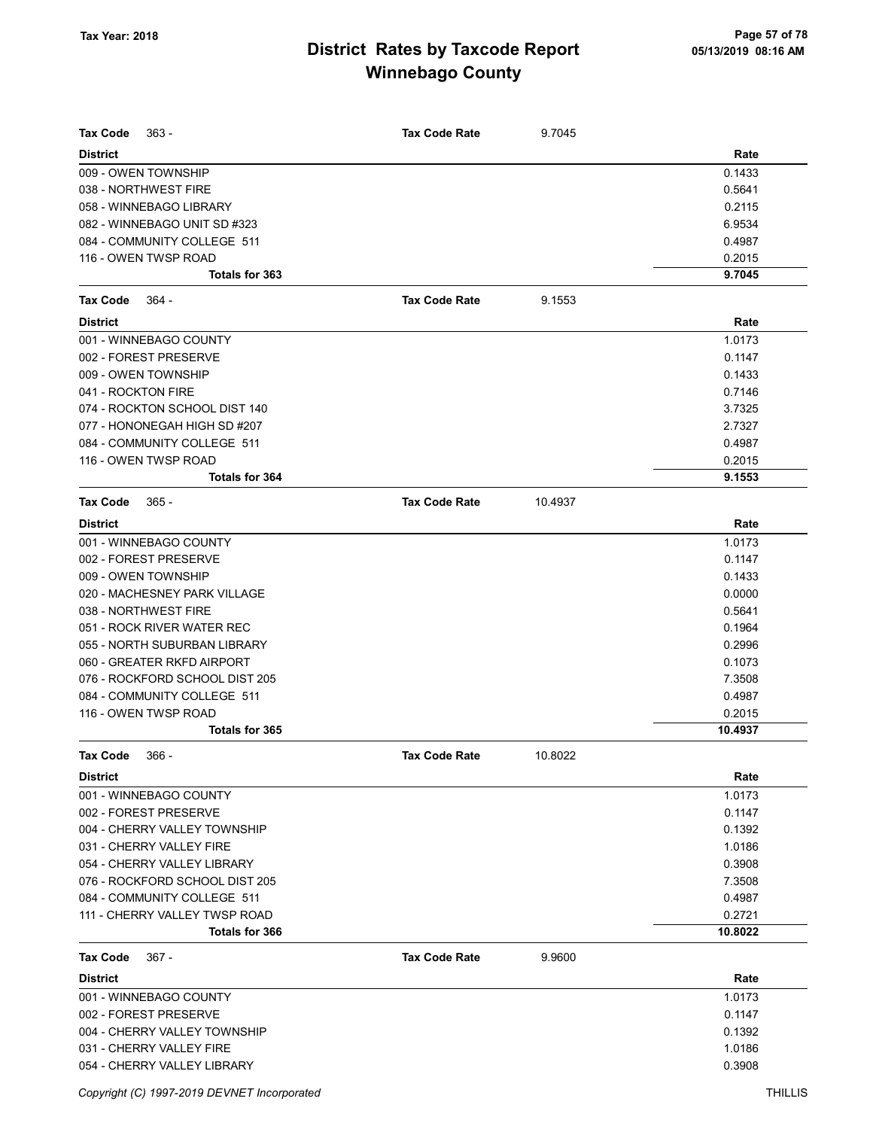| <b>Tax Code</b><br>363 -                    | <b>Tax Code Rate</b> | 9.7045  |                  |
|---------------------------------------------|----------------------|---------|------------------|
| <b>District</b>                             |                      |         | Rate             |
| 009 - OWEN TOWNSHIP<br>038 - NORTHWEST FIRE |                      |         | 0.1433<br>0.5641 |
| 058 - WINNEBAGO LIBRARY                     |                      |         | 0.2115           |
| 082 - WINNEBAGO UNIT SD #323                |                      |         | 6.9534           |
| 084 - COMMUNITY COLLEGE 511                 |                      |         | 0.4987           |
| 116 - OWEN TWSP ROAD                        |                      |         | 0.2015           |
| Totals for 363                              |                      |         | 9.7045           |
| <b>Tax Code</b><br>364 -                    | <b>Tax Code Rate</b> | 9.1553  |                  |
| <b>District</b>                             |                      |         | Rate             |
| 001 - WINNEBAGO COUNTY                      |                      |         | 1.0173           |
| 002 - FOREST PRESERVE                       |                      |         | 0.1147           |
| 009 - OWEN TOWNSHIP                         |                      |         | 0.1433           |
| 041 - ROCKTON FIRE                          |                      |         | 0.7146           |
| 074 - ROCKTON SCHOOL DIST 140               |                      |         | 3.7325           |
| 077 - HONONEGAH HIGH SD #207                |                      |         | 2.7327           |
| 084 - COMMUNITY COLLEGE 511                 |                      |         | 0.4987           |
| 116 - OWEN TWSP ROAD                        |                      |         | 0.2015           |
| Totals for 364                              |                      |         | 9.1553           |
| <b>Tax Code</b><br>$365 -$                  | <b>Tax Code Rate</b> | 10.4937 |                  |
| <b>District</b>                             |                      |         | Rate             |
| 001 - WINNEBAGO COUNTY                      |                      |         | 1.0173           |
| 002 - FOREST PRESERVE                       |                      |         | 0.1147           |
| 009 - OWEN TOWNSHIP                         |                      |         | 0.1433           |
| 020 - MACHESNEY PARK VILLAGE                |                      |         | 0.0000           |
| 038 - NORTHWEST FIRE                        |                      |         | 0.5641           |
| 051 - ROCK RIVER WATER REC                  |                      |         | 0.1964           |
| 055 - NORTH SUBURBAN LIBRARY                |                      |         | 0.2996           |
| 060 - GREATER RKFD AIRPORT                  |                      |         | 0.1073           |
| 076 - ROCKFORD SCHOOL DIST 205              |                      |         | 7.3508           |
| 084 - COMMUNITY COLLEGE 511                 |                      |         | 0.4987           |
| 116 - OWEN TWSP ROAD                        |                      |         | 0.2015           |
| <b>Totals for 365</b>                       |                      |         | 10.4937          |
| <b>Tax Code</b><br>366 -                    | Tax Code Rate        | 10.8022 |                  |
| <b>District</b>                             |                      |         | Rate             |
| 001 - WINNEBAGO COUNTY                      |                      |         | 1.0173           |
| 002 - FOREST PRESERVE                       |                      |         | 0.1147           |
| 004 - CHERRY VALLEY TOWNSHIP                |                      |         | 0.1392           |
| 031 - CHERRY VALLEY FIRE                    |                      |         | 1.0186           |
| 054 - CHERRY VALLEY LIBRARY                 |                      |         | 0.3908           |
| 076 - ROCKFORD SCHOOL DIST 205              |                      |         | 7.3508           |
| 084 - COMMUNITY COLLEGE 511                 |                      |         | 0.4987           |
| 111 - CHERRY VALLEY TWSP ROAD               |                      |         | 0.2721           |
| Totals for 366                              |                      |         | 10.8022          |
| <b>Tax Code</b><br>$367 -$                  | <b>Tax Code Rate</b> | 9.9600  |                  |
| <b>District</b>                             |                      |         | Rate             |
| 001 - WINNEBAGO COUNTY                      |                      |         | 1.0173           |
| 002 - FOREST PRESERVE                       |                      |         | 0.1147           |
| 004 - CHERRY VALLEY TOWNSHIP                |                      |         | 0.1392           |
| 031 - CHERRY VALLEY FIRE                    |                      |         | 1.0186           |
| 054 - CHERRY VALLEY LIBRARY                 |                      |         | 0.3908           |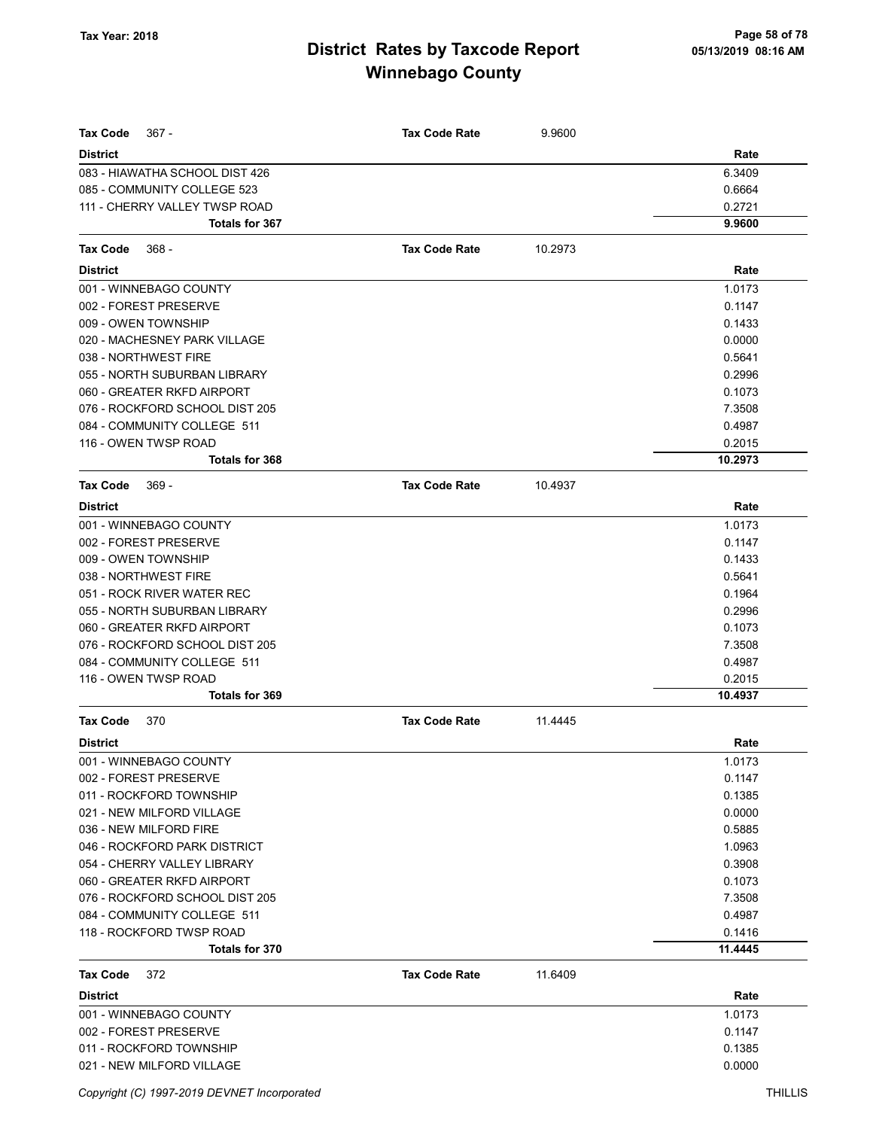| <b>Tax Code</b><br>$367 -$             | <b>Tax Code Rate</b> | 9.9600  |                   |
|----------------------------------------|----------------------|---------|-------------------|
| <b>District</b>                        |                      |         | Rate              |
| 083 - HIAWATHA SCHOOL DIST 426         |                      |         | 6.3409            |
| 085 - COMMUNITY COLLEGE 523            |                      |         | 0.6664            |
| 111 - CHERRY VALLEY TWSP ROAD          |                      |         | 0.2721            |
| Totals for 367                         |                      |         | 9.9600            |
| <b>Tax Code</b><br>368 -               | <b>Tax Code Rate</b> | 10.2973 |                   |
| <b>District</b>                        |                      |         | Rate              |
| 001 - WINNEBAGO COUNTY                 |                      |         | 1.0173            |
| 002 - FOREST PRESERVE                  |                      |         | 0.1147            |
|                                        |                      |         |                   |
| 009 - OWEN TOWNSHIP                    |                      |         | 0.1433            |
| 020 - MACHESNEY PARK VILLAGE           |                      |         | 0.0000            |
| 038 - NORTHWEST FIRE                   |                      |         | 0.5641            |
| 055 - NORTH SUBURBAN LIBRARY           |                      |         | 0.2996            |
| 060 - GREATER RKFD AIRPORT             |                      |         | 0.1073            |
| 076 - ROCKFORD SCHOOL DIST 205         |                      |         | 7.3508            |
| 084 - COMMUNITY COLLEGE 511            |                      |         | 0.4987            |
| 116 - OWEN TWSP ROAD<br>Totals for 368 |                      |         | 0.2015<br>10.2973 |
|                                        |                      |         |                   |
| 369 -<br><b>Tax Code</b>               | <b>Tax Code Rate</b> | 10.4937 |                   |
| <b>District</b>                        |                      |         | Rate              |
| 001 - WINNEBAGO COUNTY                 |                      |         | 1.0173            |
| 002 - FOREST PRESERVE                  |                      |         | 0.1147            |
| 009 - OWEN TOWNSHIP                    |                      |         | 0.1433            |
| 038 - NORTHWEST FIRE                   |                      |         | 0.5641            |
| 051 - ROCK RIVER WATER REC             |                      |         | 0.1964            |
| 055 - NORTH SUBURBAN LIBRARY           |                      |         | 0.2996            |
| 060 - GREATER RKFD AIRPORT             |                      |         | 0.1073            |
| 076 - ROCKFORD SCHOOL DIST 205         |                      |         | 7.3508            |
| 084 - COMMUNITY COLLEGE 511            |                      |         | 0.4987            |
| 116 - OWEN TWSP ROAD                   |                      |         | 0.2015            |
| Totals for 369                         |                      |         | 10.4937           |
| <b>Tax Code</b><br>370                 | <b>Tax Code Rate</b> | 11.4445 |                   |
| <b>District</b>                        |                      |         | Rate              |
| 001 - WINNEBAGO COUNTY                 |                      |         | 1.0173            |
| 002 - FOREST PRESERVE                  |                      |         | 0.1147            |
| 011 - ROCKFORD TOWNSHIP                |                      |         | 0.1385            |
| 021 - NEW MILFORD VILLAGE              |                      |         | 0.0000            |
| 036 - NEW MILFORD FIRE                 |                      |         | 0.5885            |
| 046 - ROCKFORD PARK DISTRICT           |                      |         | 1.0963            |
| 054 - CHERRY VALLEY LIBRARY            |                      |         | 0.3908            |
| 060 - GREATER RKFD AIRPORT             |                      |         | 0.1073            |
| 076 - ROCKFORD SCHOOL DIST 205         |                      |         | 7.3508            |
| 084 - COMMUNITY COLLEGE 511            |                      |         | 0.4987            |
| 118 - ROCKFORD TWSP ROAD               |                      |         | 0.1416            |
| Totals for 370                         |                      |         | 11.4445           |
| <b>Tax Code</b><br>372                 | <b>Tax Code Rate</b> | 11.6409 |                   |
| <b>District</b>                        |                      |         | Rate              |
| 001 - WINNEBAGO COUNTY                 |                      |         | 1.0173            |
| 002 - FOREST PRESERVE                  |                      |         | 0.1147            |
| 011 - ROCKFORD TOWNSHIP                |                      |         | 0.1385            |
| 021 - NEW MILFORD VILLAGE              |                      |         | 0.0000            |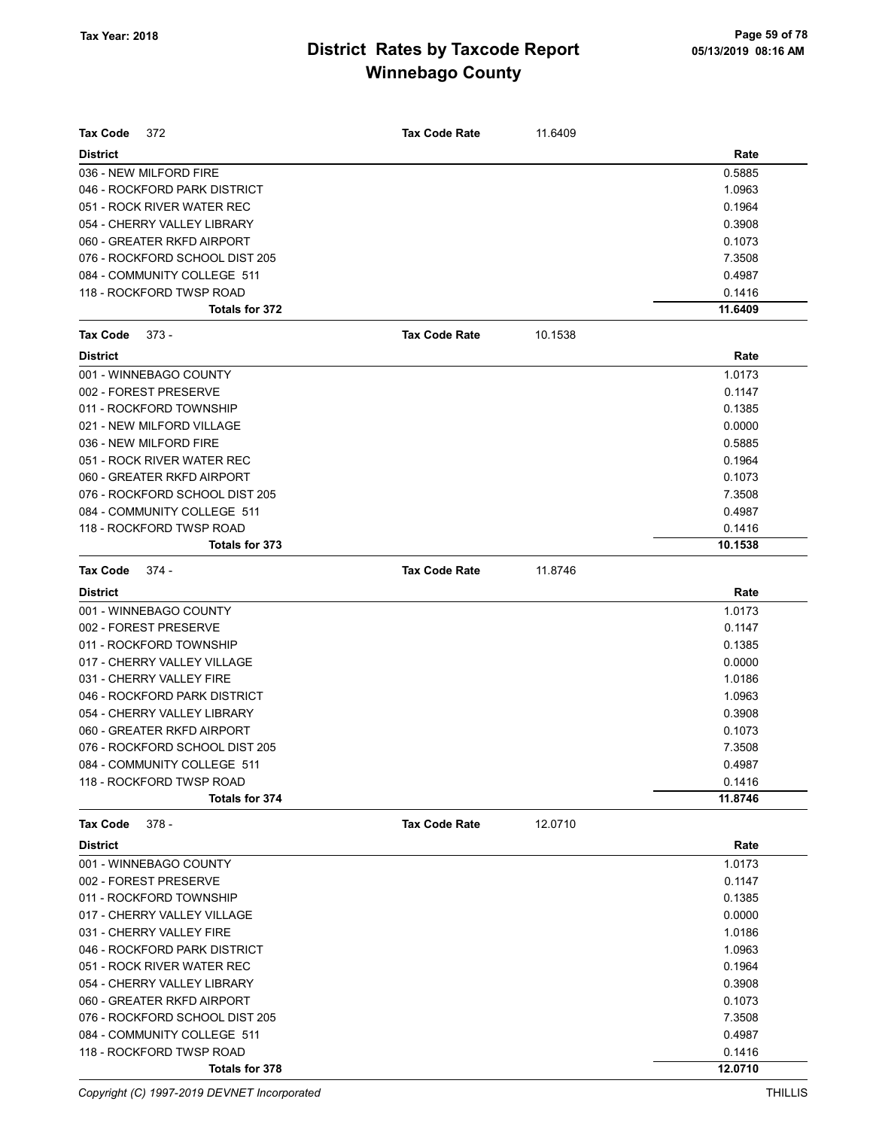| <b>Tax Code</b><br>372         | <b>Tax Code Rate</b> | 11.6409 |         |
|--------------------------------|----------------------|---------|---------|
| <b>District</b>                |                      |         | Rate    |
| 036 - NEW MILFORD FIRE         |                      |         | 0.5885  |
| 046 - ROCKFORD PARK DISTRICT   |                      |         | 1.0963  |
| 051 - ROCK RIVER WATER REC     |                      |         | 0.1964  |
| 054 - CHERRY VALLEY LIBRARY    |                      |         | 0.3908  |
| 060 - GREATER RKFD AIRPORT     |                      |         | 0.1073  |
| 076 - ROCKFORD SCHOOL DIST 205 |                      |         | 7.3508  |
| 084 - COMMUNITY COLLEGE 511    |                      |         | 0.4987  |
| 118 - ROCKFORD TWSP ROAD       |                      |         | 0.1416  |
| <b>Totals for 372</b>          |                      |         | 11.6409 |
| <b>Tax Code</b><br>$373 -$     | <b>Tax Code Rate</b> | 10.1538 |         |
| <b>District</b>                |                      |         | Rate    |
| 001 - WINNEBAGO COUNTY         |                      |         | 1.0173  |
| 002 - FOREST PRESERVE          |                      |         | 0.1147  |
| 011 - ROCKFORD TOWNSHIP        |                      |         | 0.1385  |
| 021 - NEW MILFORD VILLAGE      |                      |         | 0.0000  |
| 036 - NEW MILFORD FIRE         |                      |         | 0.5885  |
| 051 - ROCK RIVER WATER REC     |                      |         | 0.1964  |
| 060 - GREATER RKFD AIRPORT     |                      |         | 0.1073  |
| 076 - ROCKFORD SCHOOL DIST 205 |                      |         | 7.3508  |
| 084 - COMMUNITY COLLEGE 511    |                      |         | 0.4987  |
| 118 - ROCKFORD TWSP ROAD       |                      |         | 0.1416  |
| Totals for 373                 |                      |         | 10.1538 |
| Tax Code<br>374 -              | <b>Tax Code Rate</b> | 11.8746 |         |
| <b>District</b>                |                      |         | Rate    |
| 001 - WINNEBAGO COUNTY         |                      |         | 1.0173  |
| 002 - FOREST PRESERVE          |                      |         | 0.1147  |
| 011 - ROCKFORD TOWNSHIP        |                      |         | 0.1385  |
| 017 - CHERRY VALLEY VILLAGE    |                      |         | 0.0000  |
| 031 - CHERRY VALLEY FIRE       |                      |         | 1.0186  |
| 046 - ROCKFORD PARK DISTRICT   |                      |         | 1.0963  |
| 054 - CHERRY VALLEY LIBRARY    |                      |         | 0.3908  |
| 060 - GREATER RKFD AIRPORT     |                      |         | 0.1073  |
| 076 - ROCKFORD SCHOOL DIST 205 |                      |         | 7.3508  |
| 084 - COMMUNITY COLLEGE 511    |                      |         | 0.4987  |
| 118 - ROCKFORD TWSP ROAD       |                      |         | 0.1416  |
| Totals for 374                 |                      |         | 11.8746 |
| $378 -$<br>Tax Code            | <b>Tax Code Rate</b> | 12.0710 |         |
| <b>District</b>                |                      |         | Rate    |
| 001 - WINNEBAGO COUNTY         |                      |         | 1.0173  |
| 002 - FOREST PRESERVE          |                      |         | 0.1147  |
| 011 - ROCKFORD TOWNSHIP        |                      |         | 0.1385  |
| 017 - CHERRY VALLEY VILLAGE    |                      |         | 0.0000  |
| 031 - CHERRY VALLEY FIRE       |                      |         | 1.0186  |
| 046 - ROCKFORD PARK DISTRICT   |                      |         | 1.0963  |
| 051 - ROCK RIVER WATER REC     |                      |         | 0.1964  |
| 054 - CHERRY VALLEY LIBRARY    |                      |         | 0.3908  |
| 060 - GREATER RKFD AIRPORT     |                      |         | 0.1073  |
| 076 - ROCKFORD SCHOOL DIST 205 |                      |         | 7.3508  |
| 084 - COMMUNITY COLLEGE 511    |                      |         | 0.4987  |
| 118 - ROCKFORD TWSP ROAD       |                      |         | 0.1416  |
| <b>Totals for 378</b>          |                      |         | 12.0710 |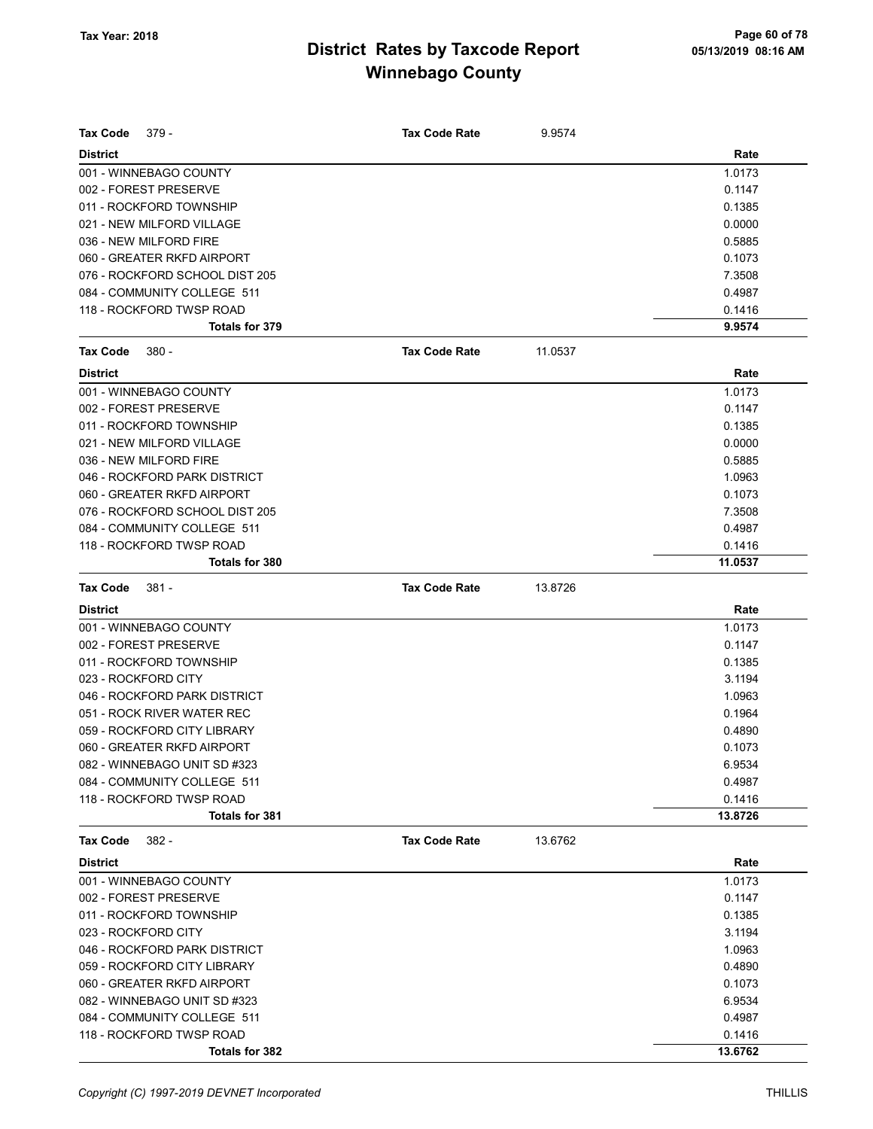| Tax Code<br>379 -              | <b>Tax Code Rate</b> | 9.9574  |         |
|--------------------------------|----------------------|---------|---------|
| <b>District</b>                |                      |         | Rate    |
| 001 - WINNEBAGO COUNTY         |                      |         | 1.0173  |
| 002 - FOREST PRESERVE          |                      |         | 0.1147  |
| 011 - ROCKFORD TOWNSHIP        |                      |         | 0.1385  |
| 021 - NEW MILFORD VILLAGE      |                      |         | 0.0000  |
| 036 - NEW MILFORD FIRE         |                      |         | 0.5885  |
| 060 - GREATER RKFD AIRPORT     |                      |         | 0.1073  |
| 076 - ROCKFORD SCHOOL DIST 205 |                      |         | 7.3508  |
| 084 - COMMUNITY COLLEGE 511    |                      |         | 0.4987  |
| 118 - ROCKFORD TWSP ROAD       |                      |         | 0.1416  |
| Totals for 379                 |                      |         | 9.9574  |
| <b>Tax Code</b><br>$380 -$     | <b>Tax Code Rate</b> | 11.0537 |         |
| <b>District</b>                |                      |         | Rate    |
| 001 - WINNEBAGO COUNTY         |                      |         | 1.0173  |
| 002 - FOREST PRESERVE          |                      |         | 0.1147  |
| 011 - ROCKFORD TOWNSHIP        |                      |         | 0.1385  |
| 021 - NEW MILFORD VILLAGE      |                      |         | 0.0000  |
| 036 - NEW MILFORD FIRE         |                      |         | 0.5885  |
| 046 - ROCKFORD PARK DISTRICT   |                      |         | 1.0963  |
| 060 - GREATER RKFD AIRPORT     |                      |         | 0.1073  |
| 076 - ROCKFORD SCHOOL DIST 205 |                      |         | 7.3508  |
| 084 - COMMUNITY COLLEGE 511    |                      |         | 0.4987  |
| 118 - ROCKFORD TWSP ROAD       |                      |         | 0.1416  |
| Totals for 380                 |                      |         | 11.0537 |
| Tax Code<br>$381 -$            | <b>Tax Code Rate</b> | 13.8726 |         |
| <b>District</b>                |                      |         | Rate    |
| 001 - WINNEBAGO COUNTY         |                      |         | 1.0173  |
| 002 - FOREST PRESERVE          |                      |         | 0.1147  |
| 011 - ROCKFORD TOWNSHIP        |                      |         | 0.1385  |
| 023 - ROCKFORD CITY            |                      |         | 3.1194  |
| 046 - ROCKFORD PARK DISTRICT   |                      |         | 1.0963  |
| 051 - ROCK RIVER WATER REC     |                      |         | 0.1964  |
| 059 - ROCKFORD CITY LIBRARY    |                      |         | 0.4890  |
| 060 - GREATER RKFD AIRPORT     |                      |         | 0.1073  |
| 082 - WINNEBAGO UNIT SD #323   |                      |         | 6.9534  |
| 084 - COMMUNITY COLLEGE 511    |                      |         | 0.4987  |
| 118 - ROCKFORD TWSP ROAD       |                      |         | 0.1416  |
| Totals for 381                 |                      |         | 13.8726 |
| Tax Code<br>382 -              | <b>Tax Code Rate</b> | 13.6762 |         |
| <b>District</b>                |                      |         | Rate    |
| 001 - WINNEBAGO COUNTY         |                      |         | 1.0173  |
| 002 - FOREST PRESERVE          |                      |         | 0.1147  |
| 011 - ROCKFORD TOWNSHIP        |                      |         | 0.1385  |
| 023 - ROCKFORD CITY            |                      |         | 3.1194  |
| 046 - ROCKFORD PARK DISTRICT   |                      |         | 1.0963  |
| 059 - ROCKFORD CITY LIBRARY    |                      |         | 0.4890  |
| 060 - GREATER RKFD AIRPORT     |                      |         | 0.1073  |
| 082 - WINNEBAGO UNIT SD #323   |                      |         | 6.9534  |
| 084 - COMMUNITY COLLEGE 511    |                      |         | 0.4987  |
| 118 - ROCKFORD TWSP ROAD       |                      |         | 0.1416  |
| Totals for 382                 |                      |         | 13.6762 |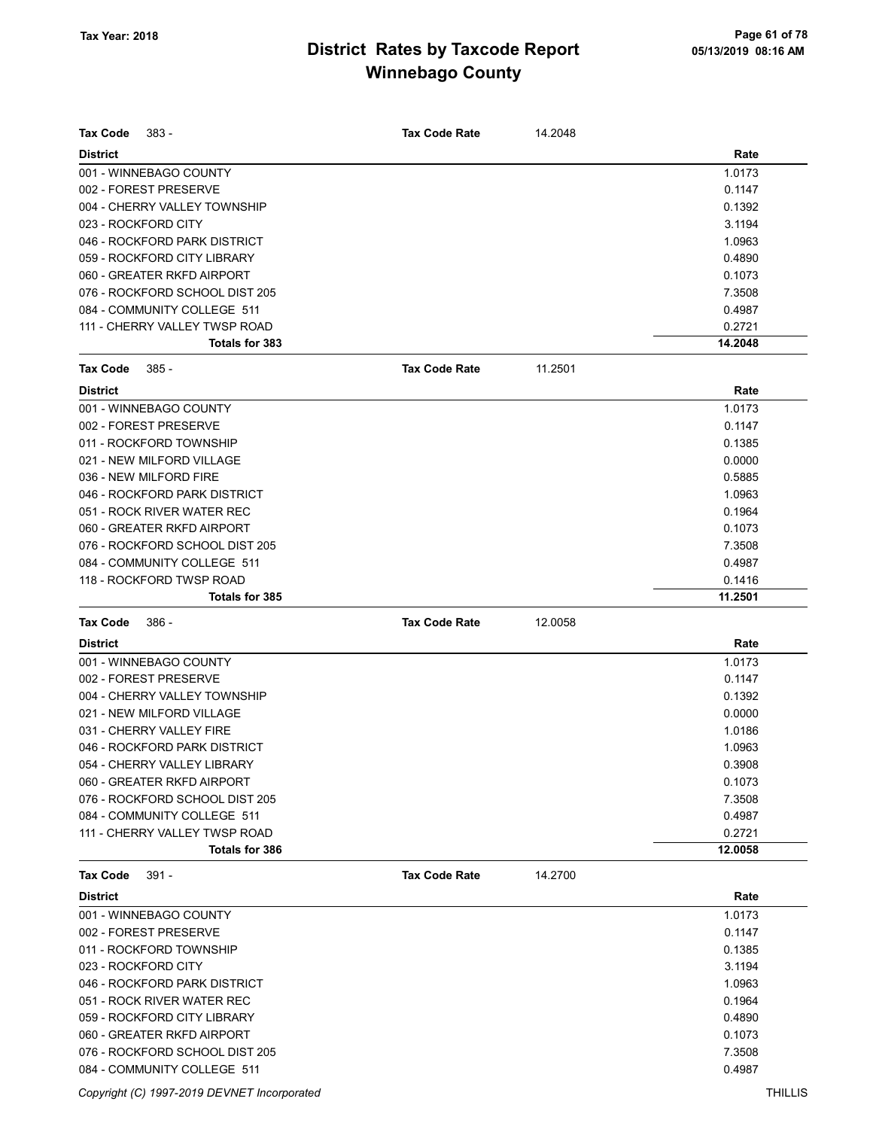| <b>Tax Code</b><br>383 -       | <b>Tax Code Rate</b> | 14.2048 |         |
|--------------------------------|----------------------|---------|---------|
| <b>District</b>                |                      |         | Rate    |
| 001 - WINNEBAGO COUNTY         |                      |         | 1.0173  |
| 002 - FOREST PRESERVE          |                      |         | 0.1147  |
| 004 - CHERRY VALLEY TOWNSHIP   |                      |         | 0.1392  |
| 023 - ROCKFORD CITY            |                      |         | 3.1194  |
| 046 - ROCKFORD PARK DISTRICT   |                      |         | 1.0963  |
| 059 - ROCKFORD CITY LIBRARY    |                      |         | 0.4890  |
| 060 - GREATER RKFD AIRPORT     |                      |         | 0.1073  |
| 076 - ROCKFORD SCHOOL DIST 205 |                      |         | 7.3508  |
| 084 - COMMUNITY COLLEGE 511    |                      |         | 0.4987  |
| 111 - CHERRY VALLEY TWSP ROAD  |                      |         | 0.2721  |
| Totals for 383                 |                      |         | 14.2048 |
| <b>Tax Code</b><br>385 -       | <b>Tax Code Rate</b> | 11.2501 |         |
| <b>District</b>                |                      |         | Rate    |
| 001 - WINNEBAGO COUNTY         |                      |         | 1.0173  |
| 002 - FOREST PRESERVE          |                      |         | 0.1147  |
| 011 - ROCKFORD TOWNSHIP        |                      |         | 0.1385  |
| 021 - NEW MILFORD VILLAGE      |                      |         | 0.0000  |
| 036 - NEW MILFORD FIRE         |                      |         | 0.5885  |
| 046 - ROCKFORD PARK DISTRICT   |                      |         | 1.0963  |
| 051 - ROCK RIVER WATER REC     |                      |         | 0.1964  |
| 060 - GREATER RKFD AIRPORT     |                      |         | 0.1073  |
| 076 - ROCKFORD SCHOOL DIST 205 |                      |         | 7.3508  |
| 084 - COMMUNITY COLLEGE 511    |                      |         | 0.4987  |
| 118 - ROCKFORD TWSP ROAD       |                      |         | 0.1416  |
| Totals for 385                 |                      |         | 11.2501 |
|                                |                      |         |         |
| <b>Tax Code</b><br>386 -       | <b>Tax Code Rate</b> | 12.0058 |         |
| <b>District</b>                |                      |         | Rate    |
| 001 - WINNEBAGO COUNTY         |                      |         | 1.0173  |
| 002 - FOREST PRESERVE          |                      |         | 0.1147  |
| 004 - CHERRY VALLEY TOWNSHIP   |                      |         | 0.1392  |
| 021 - NEW MILFORD VILLAGE      |                      |         | 0.0000  |
| 031 - CHERRY VALLEY FIRE       |                      |         | 1.0186  |
| 046 - ROCKFORD PARK DISTRICT   |                      |         | 1.0963  |
| 054 - CHERRY VALLEY LIBRARY    |                      |         | 0.3908  |
| 060 - GREATER RKFD AIRPORT     |                      |         | 0.1073  |
| 076 - ROCKFORD SCHOOL DIST 205 |                      |         | 7.3508  |
| 084 - COMMUNITY COLLEGE 511    |                      |         | 0.4987  |
| 111 - CHERRY VALLEY TWSP ROAD  |                      |         | 0.2721  |
| <b>Totals for 386</b>          |                      |         | 12.0058 |
| <b>Tax Code</b><br>391 -       | <b>Tax Code Rate</b> | 14.2700 |         |
| <b>District</b>                |                      |         | Rate    |
| 001 - WINNEBAGO COUNTY         |                      |         | 1.0173  |
| 002 - FOREST PRESERVE          |                      |         | 0.1147  |
| 011 - ROCKFORD TOWNSHIP        |                      |         | 0.1385  |
| 023 - ROCKFORD CITY            |                      |         | 3.1194  |
| 046 - ROCKFORD PARK DISTRICT   |                      |         | 1.0963  |
| 051 - ROCK RIVER WATER REC     |                      |         | 0.1964  |
| 059 - ROCKFORD CITY LIBRARY    |                      |         | 0.4890  |
| 060 - GREATER RKFD AIRPORT     |                      |         | 0.1073  |
| 076 - ROCKFORD SCHOOL DIST 205 |                      |         | 7.3508  |

Copyright (C) 1997-2019 DEVNET Incorporated THILLIS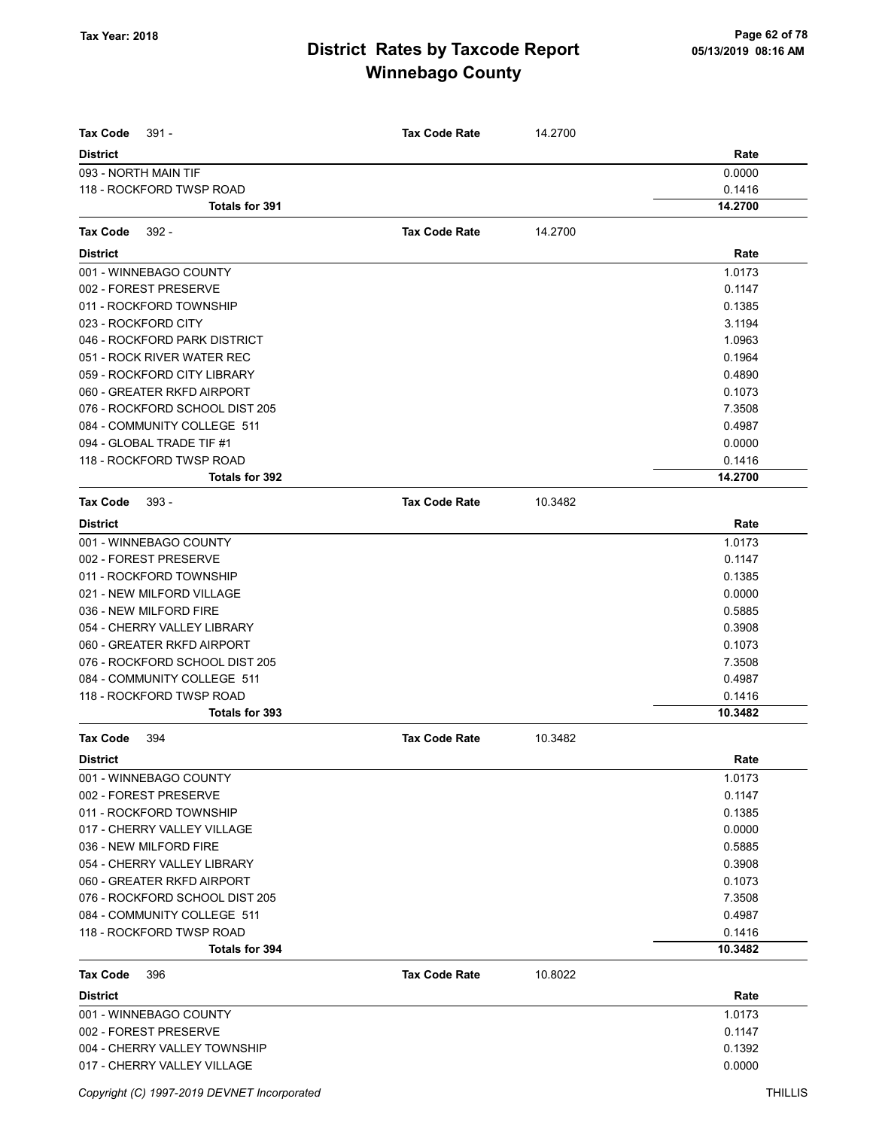| <b>Tax Code</b><br>$391 -$     | <b>Tax Code Rate</b> | 14.2700 |         |
|--------------------------------|----------------------|---------|---------|
| <b>District</b>                |                      |         | Rate    |
| 093 - NORTH MAIN TIF           |                      |         | 0.0000  |
| 118 - ROCKFORD TWSP ROAD       |                      |         | 0.1416  |
| Totals for 391                 |                      |         | 14.2700 |
| <b>Tax Code</b><br>$392 -$     | <b>Tax Code Rate</b> | 14.2700 |         |
| <b>District</b>                |                      |         | Rate    |
| 001 - WINNEBAGO COUNTY         |                      |         | 1.0173  |
| 002 - FOREST PRESERVE          |                      |         | 0.1147  |
| 011 - ROCKFORD TOWNSHIP        |                      |         | 0.1385  |
| 023 - ROCKFORD CITY            |                      |         | 3.1194  |
| 046 - ROCKFORD PARK DISTRICT   |                      |         | 1.0963  |
| 051 - ROCK RIVER WATER REC     |                      |         | 0.1964  |
| 059 - ROCKFORD CITY LIBRARY    |                      |         | 0.4890  |
| 060 - GREATER RKFD AIRPORT     |                      |         | 0.1073  |
| 076 - ROCKFORD SCHOOL DIST 205 |                      |         | 7.3508  |
| 084 - COMMUNITY COLLEGE 511    |                      |         | 0.4987  |
| 094 - GLOBAL TRADE TIF #1      |                      |         | 0.0000  |
| 118 - ROCKFORD TWSP ROAD       |                      |         | 0.1416  |
| <b>Totals for 392</b>          |                      |         | 14.2700 |
| <b>Tax Code</b><br>$393 -$     | <b>Tax Code Rate</b> | 10.3482 |         |
| <b>District</b>                |                      |         | Rate    |
| 001 - WINNEBAGO COUNTY         |                      |         | 1.0173  |
| 002 - FOREST PRESERVE          |                      |         | 0.1147  |
| 011 - ROCKFORD TOWNSHIP        |                      |         | 0.1385  |
| 021 - NEW MILFORD VILLAGE      |                      |         | 0.0000  |
| 036 - NEW MILFORD FIRE         |                      |         | 0.5885  |
| 054 - CHERRY VALLEY LIBRARY    |                      |         | 0.3908  |
| 060 - GREATER RKFD AIRPORT     |                      |         | 0.1073  |
| 076 - ROCKFORD SCHOOL DIST 205 |                      |         | 7.3508  |
| 084 - COMMUNITY COLLEGE 511    |                      |         | 0.4987  |
| 118 - ROCKFORD TWSP ROAD       |                      |         | 0.1416  |
| Totals for 393                 |                      |         | 10.3482 |
| <b>Tax Code</b><br>394         | <b>Tax Code Rate</b> | 10.3482 |         |
| <b>District</b>                |                      |         | Rate    |
| 001 - WINNEBAGO COUNTY         |                      |         | 1.0173  |
| 002 - FOREST PRESERVE          |                      |         | 0.1147  |
| 011 - ROCKFORD TOWNSHIP        |                      |         | 0.1385  |
| 017 - CHERRY VALLEY VILLAGE    |                      |         | 0.0000  |
| 036 - NEW MILFORD FIRE         |                      |         | 0.5885  |
| 054 - CHERRY VALLEY LIBRARY    |                      |         | 0.3908  |
| 060 - GREATER RKFD AIRPORT     |                      |         | 0.1073  |
| 076 - ROCKFORD SCHOOL DIST 205 |                      |         | 7.3508  |
| 084 - COMMUNITY COLLEGE 511    |                      |         | 0.4987  |
| 118 - ROCKFORD TWSP ROAD       |                      |         | 0.1416  |
| Totals for 394                 |                      |         | 10.3482 |
| <b>Tax Code</b><br>396         | <b>Tax Code Rate</b> | 10.8022 |         |
| <b>District</b>                |                      |         | Rate    |
| 001 - WINNEBAGO COUNTY         |                      |         | 1.0173  |
| 002 - FOREST PRESERVE          |                      |         | 0.1147  |
| 004 - CHERRY VALLEY TOWNSHIP   |                      |         | 0.1392  |
| 017 - CHERRY VALLEY VILLAGE    |                      |         | 0.0000  |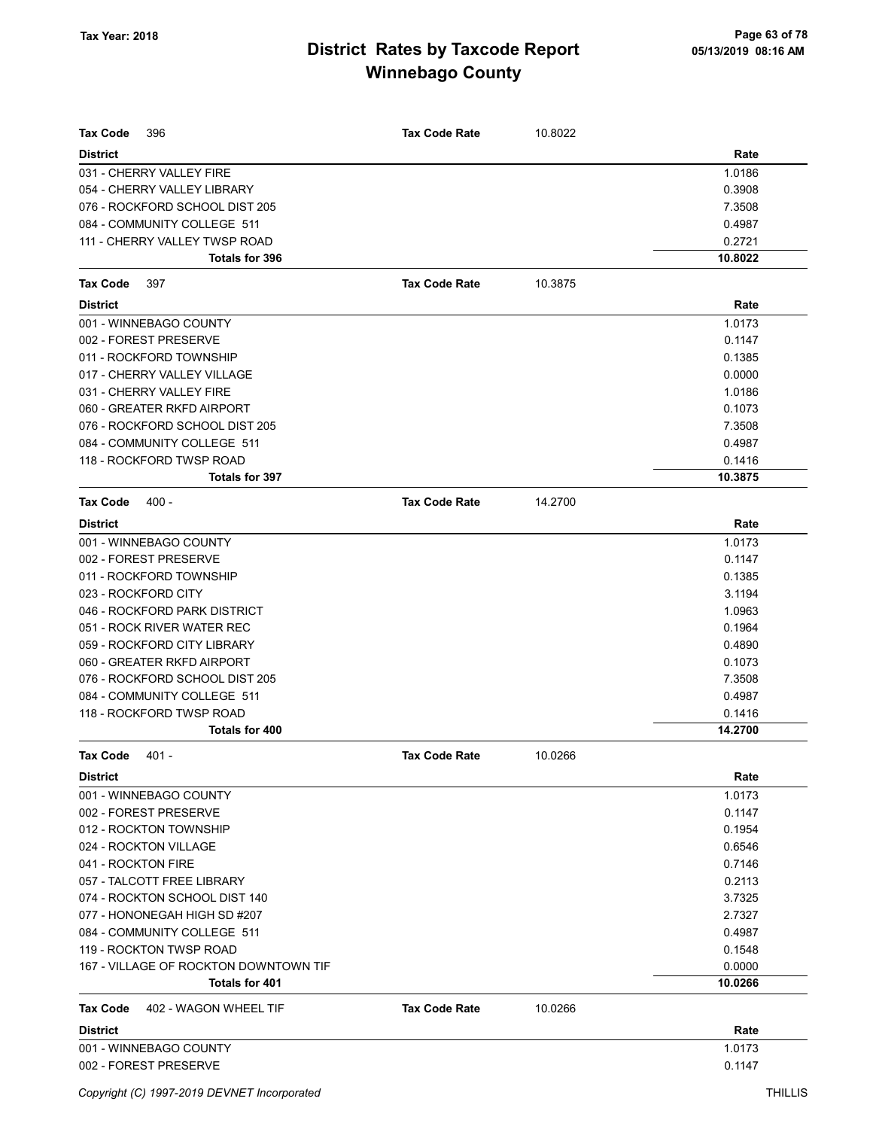| <b>Tax Code</b><br>396                | <b>Tax Code Rate</b> | 10.8022 |         |
|---------------------------------------|----------------------|---------|---------|
| <b>District</b>                       |                      |         | Rate    |
| 031 - CHERRY VALLEY FIRE              |                      |         | 1.0186  |
| 054 - CHERRY VALLEY LIBRARY           |                      |         | 0.3908  |
| 076 - ROCKFORD SCHOOL DIST 205        |                      |         | 7.3508  |
| 084 - COMMUNITY COLLEGE 511           |                      |         | 0.4987  |
| 111 - CHERRY VALLEY TWSP ROAD         |                      |         | 0.2721  |
| Totals for 396                        |                      |         | 10.8022 |
| <b>Tax Code</b><br>397                | <b>Tax Code Rate</b> | 10.3875 |         |
| <b>District</b>                       |                      |         | Rate    |
| 001 - WINNEBAGO COUNTY                |                      |         | 1.0173  |
| 002 - FOREST PRESERVE                 |                      |         | 0.1147  |
| 011 - ROCKFORD TOWNSHIP               |                      |         | 0.1385  |
| 017 - CHERRY VALLEY VILLAGE           |                      |         | 0.0000  |
| 031 - CHERRY VALLEY FIRE              |                      |         | 1.0186  |
| 060 - GREATER RKFD AIRPORT            |                      |         | 0.1073  |
| 076 - ROCKFORD SCHOOL DIST 205        |                      |         | 7.3508  |
| 084 - COMMUNITY COLLEGE 511           |                      |         | 0.4987  |
| 118 - ROCKFORD TWSP ROAD              |                      |         | 0.1416  |
| Totals for 397                        |                      |         | 10.3875 |
| $400 -$<br>Tax Code                   | <b>Tax Code Rate</b> | 14.2700 |         |
| <b>District</b>                       |                      |         | Rate    |
| 001 - WINNEBAGO COUNTY                |                      |         | 1.0173  |
| 002 - FOREST PRESERVE                 |                      |         | 0.1147  |
| 011 - ROCKFORD TOWNSHIP               |                      |         | 0.1385  |
| 023 - ROCKFORD CITY                   |                      |         | 3.1194  |
| 046 - ROCKFORD PARK DISTRICT          |                      |         | 1.0963  |
| 051 - ROCK RIVER WATER REC            |                      |         | 0.1964  |
| 059 - ROCKFORD CITY LIBRARY           |                      |         | 0.4890  |
| 060 - GREATER RKFD AIRPORT            |                      |         | 0.1073  |
| 076 - ROCKFORD SCHOOL DIST 205        |                      |         | 7.3508  |
| 084 - COMMUNITY COLLEGE 511           |                      |         | 0.4987  |
| 118 - ROCKFORD TWSP ROAD              |                      |         | 0.1416  |
| Totals for 400                        |                      |         | 14.2700 |
| Tax Code<br>401 -                     | <b>Tax Code Rate</b> | 10.0266 |         |
| <b>District</b>                       |                      |         | Rate    |
| 001 - WINNEBAGO COUNTY                |                      |         | 1.0173  |
| 002 - FOREST PRESERVE                 |                      |         | 0.1147  |
| 012 - ROCKTON TOWNSHIP                |                      |         | 0.1954  |
| 024 - ROCKTON VILLAGE                 |                      |         | 0.6546  |
| 041 - ROCKTON FIRE                    |                      |         | 0.7146  |
| 057 - TALCOTT FREE LIBRARY            |                      |         | 0.2113  |
| 074 - ROCKTON SCHOOL DIST 140         |                      |         | 3.7325  |
| 077 - HONONEGAH HIGH SD #207          |                      |         | 2.7327  |
| 084 - COMMUNITY COLLEGE 511           |                      |         | 0.4987  |
| 119 - ROCKTON TWSP ROAD               |                      |         | 0.1548  |
| 167 - VILLAGE OF ROCKTON DOWNTOWN TIF |                      |         | 0.0000  |
| Totals for 401                        |                      |         | 10.0266 |
| Tax Code<br>402 - WAGON WHEEL TIF     | <b>Tax Code Rate</b> | 10.0266 |         |
|                                       |                      |         |         |
| <b>District</b>                       |                      |         | Rate    |
| 001 - WINNEBAGO COUNTY                |                      |         | 1.0173  |
| 002 - FOREST PRESERVE                 |                      |         | 0.1147  |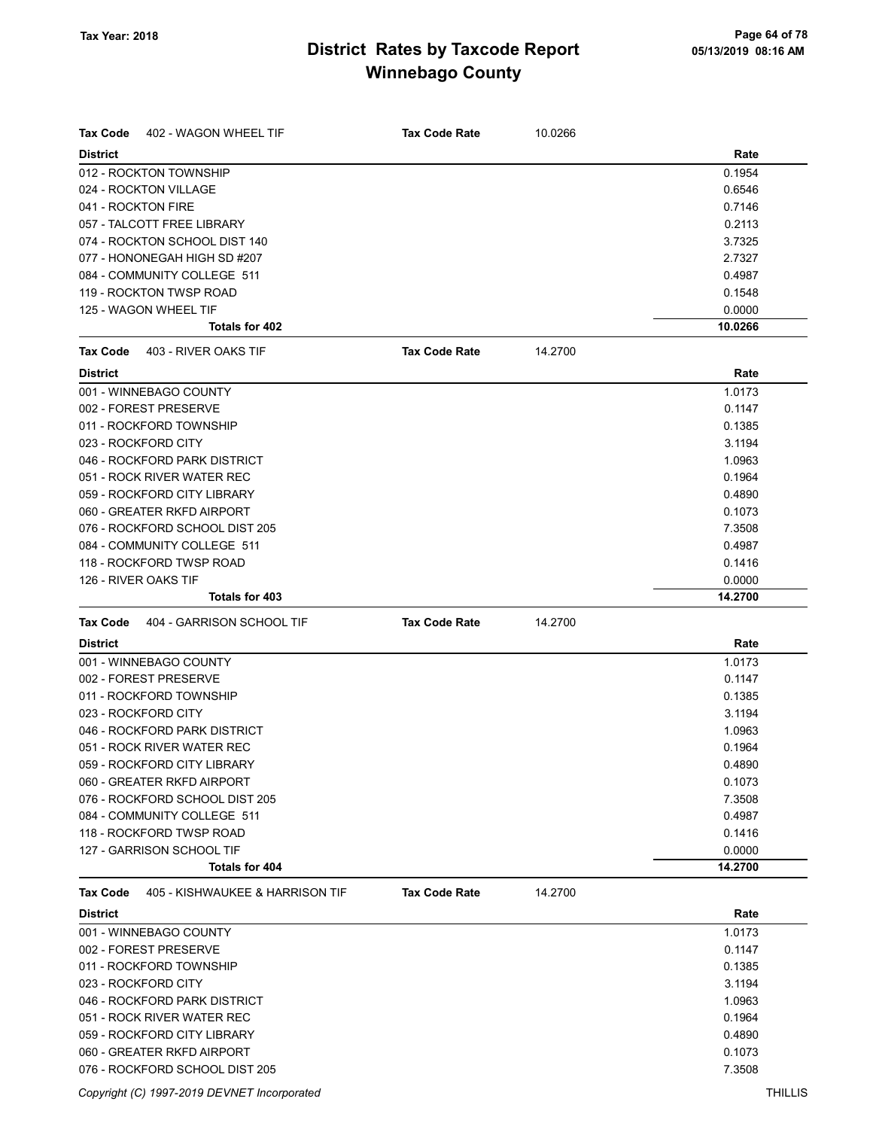| Tax Code<br>402 - WAGON WHEEL TIF            | <b>Tax Code Rate</b> | 10.0266 |                   |
|----------------------------------------------|----------------------|---------|-------------------|
|                                              |                      |         |                   |
| <b>District</b><br>012 - ROCKTON TOWNSHIP    |                      |         | Rate<br>0.1954    |
|                                              |                      |         |                   |
| 024 - ROCKTON VILLAGE<br>041 - ROCKTON FIRE  |                      |         | 0.6546            |
|                                              |                      |         | 0.7146            |
| 057 - TALCOTT FREE LIBRARY                   |                      |         | 0.2113            |
| 074 - ROCKTON SCHOOL DIST 140                |                      |         | 3.7325            |
| 077 - HONONEGAH HIGH SD #207                 |                      |         | 2.7327            |
| 084 - COMMUNITY COLLEGE 511                  |                      |         | 0.4987            |
| 119 - ROCKTON TWSP ROAD                      |                      |         | 0.1548            |
| 125 - WAGON WHEEL TIF<br>Totals for 402      |                      |         | 0.0000<br>10.0266 |
|                                              |                      |         |                   |
| 403 - RIVER OAKS TIF<br><b>Tax Code</b>      | <b>Tax Code Rate</b> | 14.2700 |                   |
| <b>District</b>                              |                      |         | Rate              |
| 001 - WINNEBAGO COUNTY                       |                      |         | 1.0173            |
| 002 - FOREST PRESERVE                        |                      |         | 0.1147            |
| 011 - ROCKFORD TOWNSHIP                      |                      |         | 0.1385            |
| 023 - ROCKFORD CITY                          |                      |         | 3.1194            |
| 046 - ROCKFORD PARK DISTRICT                 |                      |         | 1.0963            |
| 051 - ROCK RIVER WATER REC                   |                      |         | 0.1964            |
| 059 - ROCKFORD CITY LIBRARY                  |                      |         | 0.4890            |
| 060 - GREATER RKFD AIRPORT                   |                      |         | 0.1073            |
| 076 - ROCKFORD SCHOOL DIST 205               |                      |         | 7.3508            |
| 084 - COMMUNITY COLLEGE 511                  |                      |         | 0.4987            |
| 118 - ROCKFORD TWSP ROAD                     |                      |         | 0.1416            |
| 126 - RIVER OAKS TIF                         |                      |         | 0.0000            |
| Totals for 403                               |                      |         | 14.2700           |
| 404 - GARRISON SCHOOL TIF<br><b>Tax Code</b> | <b>Tax Code Rate</b> | 14.2700 |                   |
| <b>District</b>                              |                      |         | Rate              |
| 001 - WINNEBAGO COUNTY                       |                      |         | 1.0173            |
| 002 - FOREST PRESERVE                        |                      |         | 0.1147            |
| 011 - ROCKFORD TOWNSHIP                      |                      |         | 0.1385            |
| 023 - ROCKFORD CITY                          |                      |         | 3.1194            |
| 046 - ROCKFORD PARK DISTRICT                 |                      |         | 1.0963            |
|                                              |                      |         |                   |
| 051 - ROCK RIVER WATER REC                   |                      |         | 0.1964            |
| 059 - ROCKFORD CITY LIBRARY                  |                      |         | 0.4890            |
| 060 - GREATER RKFD AIRPORT                   |                      |         | 0.1073            |
| 076 - ROCKFORD SCHOOL DIST 205               |                      |         | 7.3508            |
| 084 - COMMUNITY COLLEGE 511                  |                      |         | 0.4987            |
| 118 - ROCKFORD TWSP ROAD                     |                      |         | 0.1416            |
| 127 - GARRISON SCHOOL TIF                    |                      |         | 0.0000            |
| <b>Totals for 404</b>                        |                      |         | 14.2700           |
| 405 - KISHWAUKEE & HARRISON TIF<br>Tax Code  | <b>Tax Code Rate</b> | 14.2700 |                   |
| <b>District</b>                              |                      |         | Rate              |
| 001 - WINNEBAGO COUNTY                       |                      |         | 1.0173            |
| 002 - FOREST PRESERVE                        |                      |         | 0.1147            |
| 011 - ROCKFORD TOWNSHIP                      |                      |         | 0.1385            |
| 023 - ROCKFORD CITY                          |                      |         | 3.1194            |
| 046 - ROCKFORD PARK DISTRICT                 |                      |         | 1.0963            |
| 051 - ROCK RIVER WATER REC                   |                      |         | 0.1964            |
| 059 - ROCKFORD CITY LIBRARY                  |                      |         |                   |
|                                              |                      |         |                   |
| 060 - GREATER RKFD AIRPORT                   |                      |         | 0.4890<br>0.1073  |

Copyright (C) 1997-2019 DEVNET Incorporated THILLIS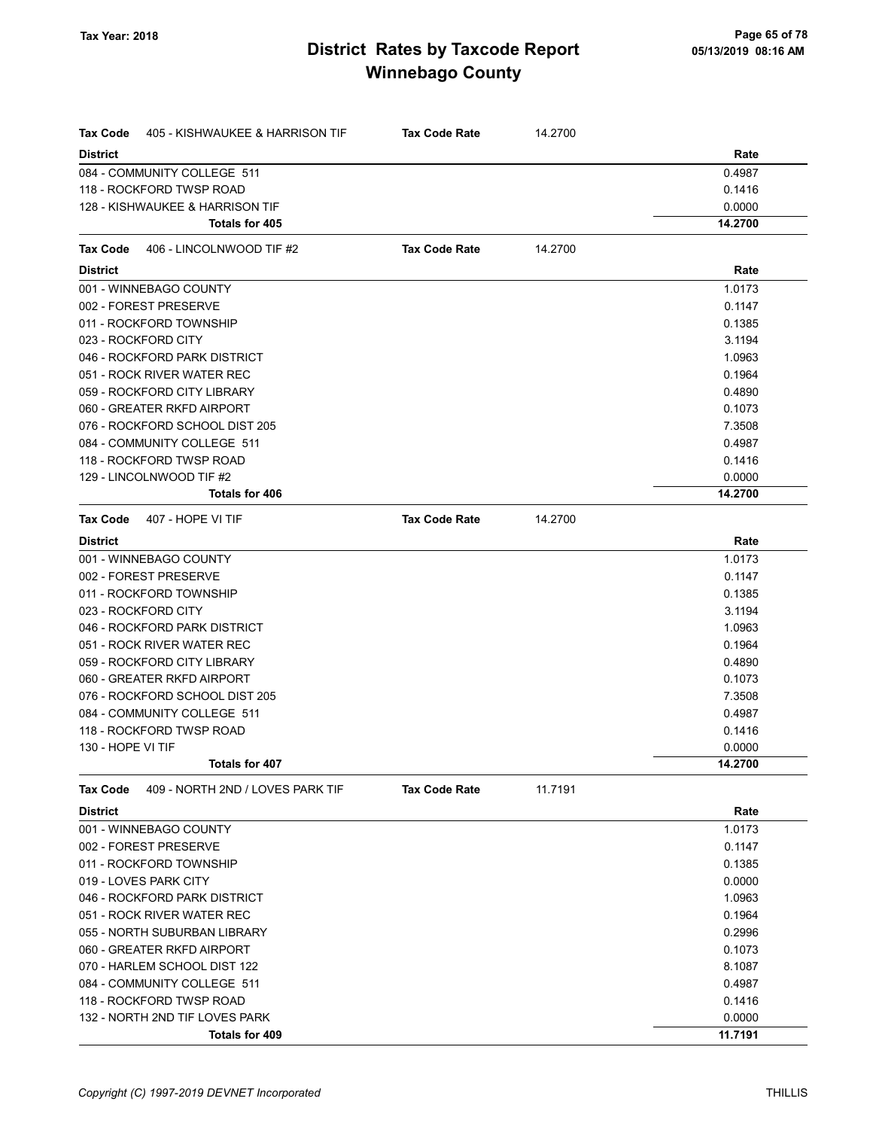| <b>Tax Code</b>   | 405 - KISHWAUKEE & HARRISON TIF  | <b>Tax Code Rate</b> | 14.2700 |         |
|-------------------|----------------------------------|----------------------|---------|---------|
| <b>District</b>   |                                  |                      |         | Rate    |
|                   | 084 - COMMUNITY COLLEGE 511      |                      |         | 0.4987  |
|                   | 118 - ROCKFORD TWSP ROAD         |                      |         | 0.1416  |
|                   | 128 - KISHWAUKEE & HARRISON TIF  |                      |         | 0.0000  |
|                   | Totals for 405                   |                      |         | 14.2700 |
| Tax Code          | 406 - LINCOLNWOOD TIF #2         | <b>Tax Code Rate</b> | 14.2700 |         |
| <b>District</b>   |                                  |                      |         | Rate    |
|                   | 001 - WINNEBAGO COUNTY           |                      |         | 1.0173  |
|                   | 002 - FOREST PRESERVE            |                      |         | 0.1147  |
|                   | 011 - ROCKFORD TOWNSHIP          |                      |         | 0.1385  |
|                   | 023 - ROCKFORD CITY              |                      |         | 3.1194  |
|                   | 046 - ROCKFORD PARK DISTRICT     |                      |         | 1.0963  |
|                   | 051 - ROCK RIVER WATER REC       |                      |         | 0.1964  |
|                   | 059 - ROCKFORD CITY LIBRARY      |                      |         | 0.4890  |
|                   | 060 - GREATER RKFD AIRPORT       |                      |         | 0.1073  |
|                   | 076 - ROCKFORD SCHOOL DIST 205   |                      |         | 7.3508  |
|                   | 084 - COMMUNITY COLLEGE 511      |                      |         | 0.4987  |
|                   | 118 - ROCKFORD TWSP ROAD         |                      |         | 0.1416  |
|                   | 129 - LINCOLNWOOD TIF #2         |                      |         | 0.0000  |
|                   | <b>Totals for 406</b>            |                      |         | 14.2700 |
| Tax Code          | 407 - HOPE VI TIF                | <b>Tax Code Rate</b> | 14.2700 |         |
| <b>District</b>   |                                  |                      |         | Rate    |
|                   | 001 - WINNEBAGO COUNTY           |                      |         | 1.0173  |
|                   | 002 - FOREST PRESERVE            |                      |         | 0.1147  |
|                   | 011 - ROCKFORD TOWNSHIP          |                      |         | 0.1385  |
|                   | 023 - ROCKFORD CITY              |                      |         | 3.1194  |
|                   | 046 - ROCKFORD PARK DISTRICT     |                      |         | 1.0963  |
|                   | 051 - ROCK RIVER WATER REC       |                      |         | 0.1964  |
|                   | 059 - ROCKFORD CITY LIBRARY      |                      |         | 0.4890  |
|                   | 060 - GREATER RKFD AIRPORT       |                      |         | 0.1073  |
|                   | 076 - ROCKFORD SCHOOL DIST 205   |                      |         | 7.3508  |
|                   | 084 - COMMUNITY COLLEGE 511      |                      |         | 0.4987  |
|                   | 118 - ROCKFORD TWSP ROAD         |                      |         | 0.1416  |
| 130 - HOPE VI TIF |                                  |                      |         | 0.0000  |
|                   | <b>Totals for 407</b>            |                      |         | 14.2700 |
| <b>Tax Code</b>   | 409 - NORTH 2ND / LOVES PARK TIF | <b>Tax Code Rate</b> | 11.7191 |         |
| <b>District</b>   |                                  |                      |         | Rate    |
|                   | 001 - WINNEBAGO COUNTY           |                      |         | 1.0173  |
|                   | 002 - FOREST PRESERVE            |                      |         | 0.1147  |
|                   | 011 - ROCKFORD TOWNSHIP          |                      |         | 0.1385  |
|                   | 019 - LOVES PARK CITY            |                      |         | 0.0000  |
|                   | 046 - ROCKFORD PARK DISTRICT     |                      |         | 1.0963  |
|                   | 051 - ROCK RIVER WATER REC       |                      |         | 0.1964  |
|                   | 055 - NORTH SUBURBAN LIBRARY     |                      |         | 0.2996  |
|                   | 060 - GREATER RKFD AIRPORT       |                      |         | 0.1073  |
|                   | 070 - HARLEM SCHOOL DIST 122     |                      |         | 8.1087  |
|                   | 084 - COMMUNITY COLLEGE 511      |                      |         | 0.4987  |
|                   | 118 - ROCKFORD TWSP ROAD         |                      |         | 0.1416  |
|                   | 132 - NORTH 2ND TIF LOVES PARK   |                      |         | 0.0000  |
|                   | Totals for 409                   |                      |         | 11.7191 |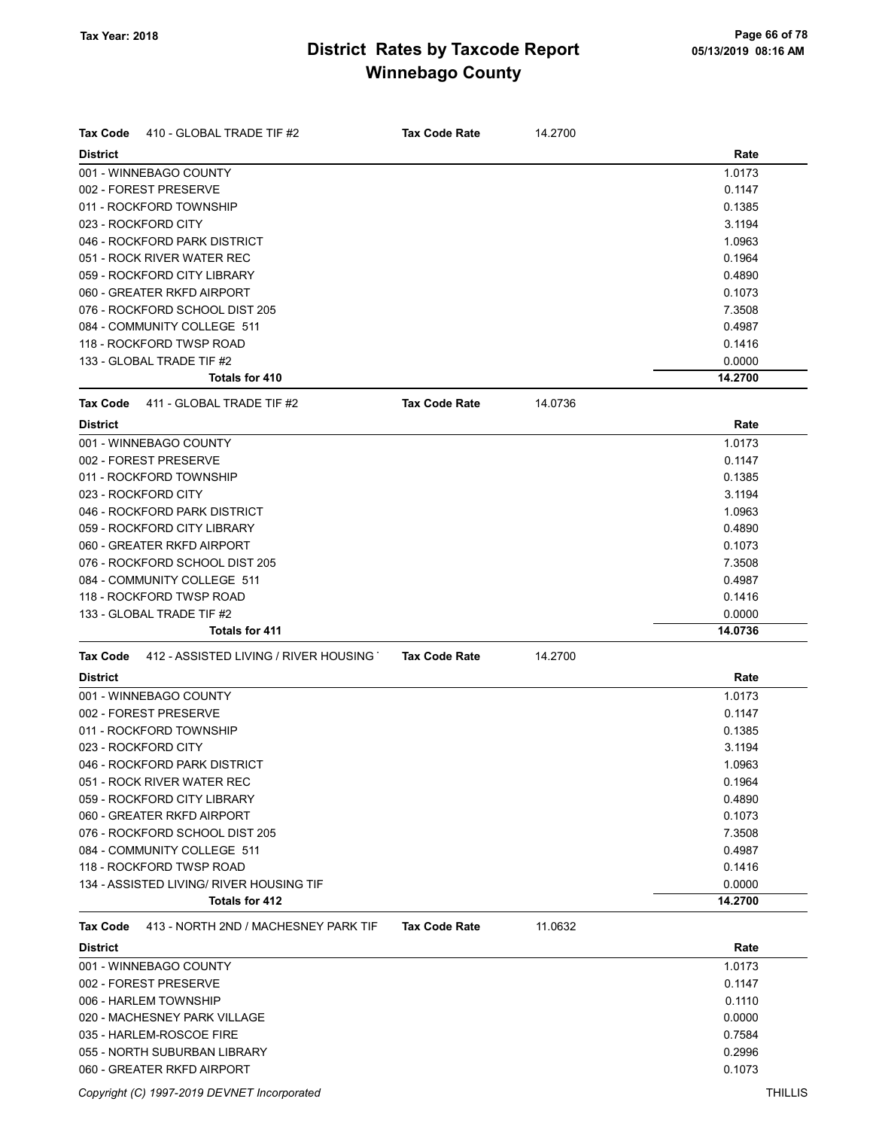| <b>Tax Code</b><br>410 - GLOBAL TRADE TIF #2            | <b>Tax Code Rate</b> | 14.2700 |         |
|---------------------------------------------------------|----------------------|---------|---------|
| <b>District</b>                                         |                      |         | Rate    |
| 001 - WINNEBAGO COUNTY                                  |                      |         | 1.0173  |
| 002 - FOREST PRESERVE                                   |                      |         | 0.1147  |
| 011 - ROCKFORD TOWNSHIP                                 |                      |         | 0.1385  |
| 023 - ROCKFORD CITY                                     |                      |         | 3.1194  |
| 046 - ROCKFORD PARK DISTRICT                            |                      |         | 1.0963  |
| 051 - ROCK RIVER WATER REC                              |                      |         | 0.1964  |
| 059 - ROCKFORD CITY LIBRARY                             |                      |         | 0.4890  |
| 060 - GREATER RKFD AIRPORT                              |                      |         | 0.1073  |
| 076 - ROCKFORD SCHOOL DIST 205                          |                      |         | 7.3508  |
| 084 - COMMUNITY COLLEGE 511                             |                      |         | 0.4987  |
| 118 - ROCKFORD TWSP ROAD                                |                      |         | 0.1416  |
| 133 - GLOBAL TRADE TIF #2                               |                      |         | 0.0000  |
| Totals for 410                                          |                      |         | 14.2700 |
| <b>Tax Code</b><br>411 - GLOBAL TRADE TIF #2            | <b>Tax Code Rate</b> | 14.0736 |         |
| <b>District</b>                                         |                      |         | Rate    |
| 001 - WINNEBAGO COUNTY                                  |                      |         | 1.0173  |
| 002 - FOREST PRESERVE                                   |                      |         | 0.1147  |
| 011 - ROCKFORD TOWNSHIP                                 |                      |         | 0.1385  |
| 023 - ROCKFORD CITY                                     |                      |         | 3.1194  |
| 046 - ROCKFORD PARK DISTRICT                            |                      |         | 1.0963  |
| 059 - ROCKFORD CITY LIBRARY                             |                      |         | 0.4890  |
| 060 - GREATER RKFD AIRPORT                              |                      |         | 0.1073  |
| 076 - ROCKFORD SCHOOL DIST 205                          |                      |         | 7.3508  |
| 084 - COMMUNITY COLLEGE 511                             |                      |         | 0.4987  |
| 118 - ROCKFORD TWSP ROAD                                |                      |         | 0.1416  |
| 133 - GLOBAL TRADE TIF #2                               |                      |         | 0.0000  |
| <b>Totals for 411</b>                                   |                      |         | 14.0736 |
| 412 - ASSISTED LIVING / RIVER HOUSING<br>Tax Code       | <b>Tax Code Rate</b> | 14.2700 |         |
| <b>District</b>                                         |                      |         | Rate    |
| 001 - WINNEBAGO COUNTY                                  |                      |         | 1.0173  |
| 002 - FOREST PRESERVE                                   |                      |         | 0.1147  |
| 011 - ROCKFORD TOWNSHIP                                 |                      |         | 0.1385  |
| 023 - ROCKFORD CITY                                     |                      |         | 3.1194  |
| 046 - ROCKFORD PARK DISTRICT                            |                      |         | 1.0963  |
| 051 - ROCK RIVER WATER REC                              |                      |         | 0.1964  |
| 059 - ROCKFORD CITY LIBRARY                             |                      |         | 0.4890  |
| 060 - GREATER RKFD AIRPORT                              |                      |         | 0.1073  |
| 076 - ROCKFORD SCHOOL DIST 205                          |                      |         | 7.3508  |
| 084 - COMMUNITY COLLEGE 511                             |                      |         | 0.4987  |
| 118 - ROCKFORD TWSP ROAD                                |                      |         | 0.1416  |
| 134 - ASSISTED LIVING/ RIVER HOUSING TIF                |                      |         | 0.0000  |
| Totals for 412                                          |                      |         | 14.2700 |
| 413 - NORTH 2ND / MACHESNEY PARK TIF<br><b>Tax Code</b> | <b>Tax Code Rate</b> | 11.0632 |         |
| <b>District</b>                                         |                      |         | Rate    |
| 001 - WINNEBAGO COUNTY                                  |                      |         | 1.0173  |
| 002 - FOREST PRESERVE                                   |                      |         | 0.1147  |
| 006 - HARLEM TOWNSHIP                                   |                      |         | 0.1110  |
| 020 - MACHESNEY PARK VILLAGE                            |                      |         | 0.0000  |
| 035 - HARLEM-ROSCOE FIRE                                |                      |         | 0.7584  |
| 055 - NORTH SUBURBAN LIBRARY                            |                      |         | 0.2996  |

060 - GREATER RKFD AIRPORT 0.1073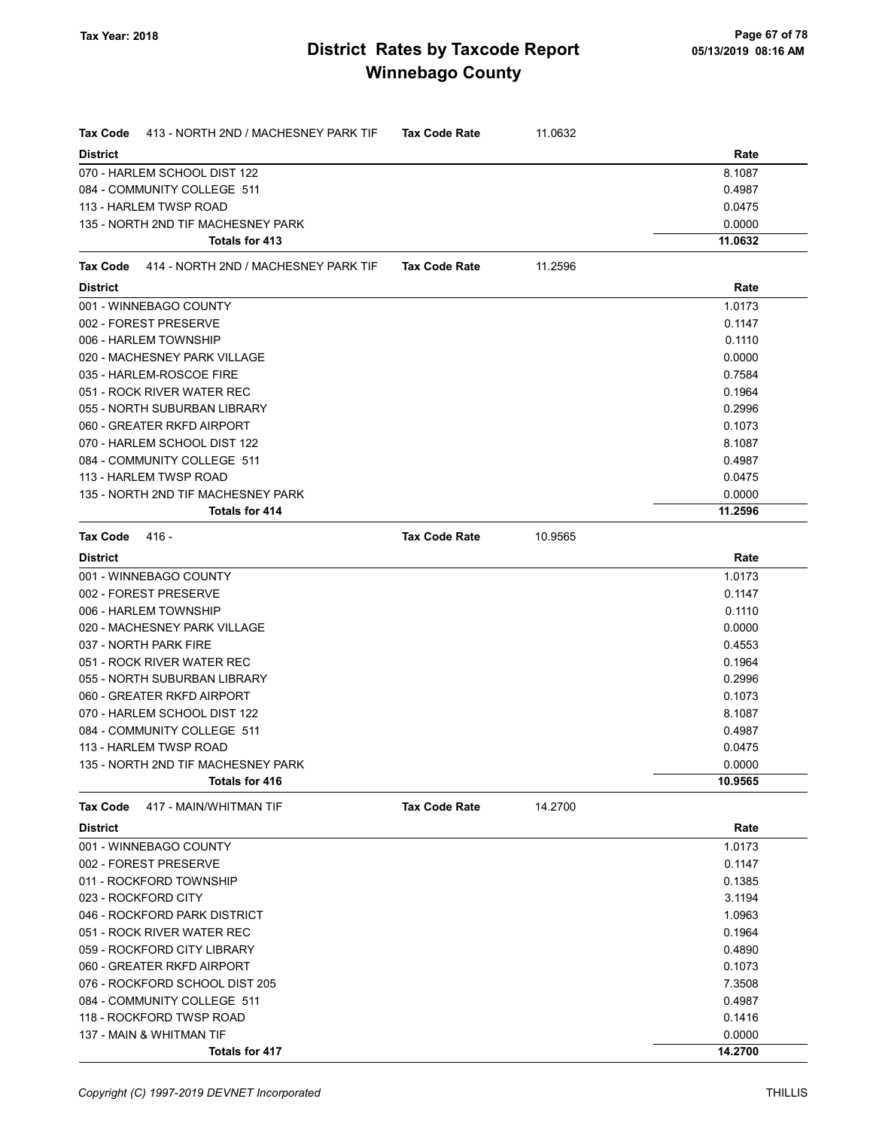| <b>Tax Code</b><br>413 - NORTH 2ND / MACHESNEY PARK TIF | <b>Tax Code Rate</b> | 11.0632 |         |
|---------------------------------------------------------|----------------------|---------|---------|
| <b>District</b>                                         |                      |         | Rate    |
| 070 - HARLEM SCHOOL DIST 122                            |                      |         | 8.1087  |
| 084 - COMMUNITY COLLEGE 511                             |                      |         | 0.4987  |
| 113 - HARLEM TWSP ROAD                                  |                      |         | 0.0475  |
| 135 - NORTH 2ND TIF MACHESNEY PARK                      |                      |         | 0.0000  |
| Totals for 413                                          |                      |         | 11.0632 |
| 414 - NORTH 2ND / MACHESNEY PARK TIF<br>Tax Code        | <b>Tax Code Rate</b> | 11.2596 |         |
| <b>District</b>                                         |                      |         | Rate    |
| 001 - WINNEBAGO COUNTY                                  |                      |         | 1.0173  |
| 002 - FOREST PRESERVE                                   |                      |         | 0.1147  |
| 006 - HARLEM TOWNSHIP                                   |                      |         | 0.1110  |
| 020 - MACHESNEY PARK VILLAGE                            |                      |         | 0.0000  |
| 035 - HARLEM-ROSCOE FIRE                                |                      |         | 0.7584  |
| 051 - ROCK RIVER WATER REC                              |                      |         | 0.1964  |
| 055 - NORTH SUBURBAN LIBRARY                            |                      |         | 0.2996  |
| 060 - GREATER RKFD AIRPORT                              |                      |         | 0.1073  |
| 070 - HARLEM SCHOOL DIST 122                            |                      |         | 8.1087  |
| 084 - COMMUNITY COLLEGE 511                             |                      |         | 0.4987  |
| 113 - HARLEM TWSP ROAD                                  |                      |         | 0.0475  |
| 135 - NORTH 2ND TIF MACHESNEY PARK                      |                      |         | 0.0000  |
| <b>Totals for 414</b>                                   |                      |         | 11.2596 |
| <b>Tax Code</b><br>416 -                                | <b>Tax Code Rate</b> | 10.9565 |         |
| <b>District</b>                                         |                      |         | Rate    |
| 001 - WINNEBAGO COUNTY                                  |                      |         | 1.0173  |
| 002 - FOREST PRESERVE                                   |                      |         | 0.1147  |
| 006 - HARLEM TOWNSHIP                                   |                      |         | 0.1110  |
| 020 - MACHESNEY PARK VILLAGE                            |                      |         | 0.0000  |
| 037 - NORTH PARK FIRE                                   |                      |         | 0.4553  |
| 051 - ROCK RIVER WATER REC                              |                      |         | 0.1964  |
| 055 - NORTH SUBURBAN LIBRARY                            |                      |         | 0.2996  |
| 060 - GREATER RKFD AIRPORT                              |                      |         | 0.1073  |
| 070 - HARLEM SCHOOL DIST 122                            |                      |         | 8.1087  |
| 084 - COMMUNITY COLLEGE 511                             |                      |         | 0.4987  |
| 113 - HARLEM TWSP ROAD                                  |                      |         | 0.0475  |
| 135 - NORTH 2ND TIF MACHESNEY PARK                      |                      |         | 0.0000  |
| Totals for 416                                          |                      |         | 10.9565 |
| <b>Tax Code</b><br>417 - MAIN/WHITMAN TIF               | <b>Tax Code Rate</b> | 14.2700 |         |
| <b>District</b>                                         |                      |         | Rate    |
| 001 - WINNEBAGO COUNTY                                  |                      |         | 1.0173  |
| 002 - FOREST PRESERVE                                   |                      |         | 0.1147  |
| 011 - ROCKFORD TOWNSHIP                                 |                      |         | 0.1385  |
| 023 - ROCKFORD CITY                                     |                      |         | 3.1194  |
| 046 - ROCKFORD PARK DISTRICT                            |                      |         | 1.0963  |
| 051 - ROCK RIVER WATER REC                              |                      |         | 0.1964  |
| 059 - ROCKFORD CITY LIBRARY                             |                      |         | 0.4890  |
| 060 - GREATER RKFD AIRPORT                              |                      |         | 0.1073  |
| 076 - ROCKFORD SCHOOL DIST 205                          |                      |         | 7.3508  |
| 084 - COMMUNITY COLLEGE 511                             |                      |         | 0.4987  |
| 118 - ROCKFORD TWSP ROAD                                |                      |         | 0.1416  |
| 137 - MAIN & WHITMAN TIF                                |                      |         | 0.0000  |
| <b>Totals for 417</b>                                   |                      |         | 14.2700 |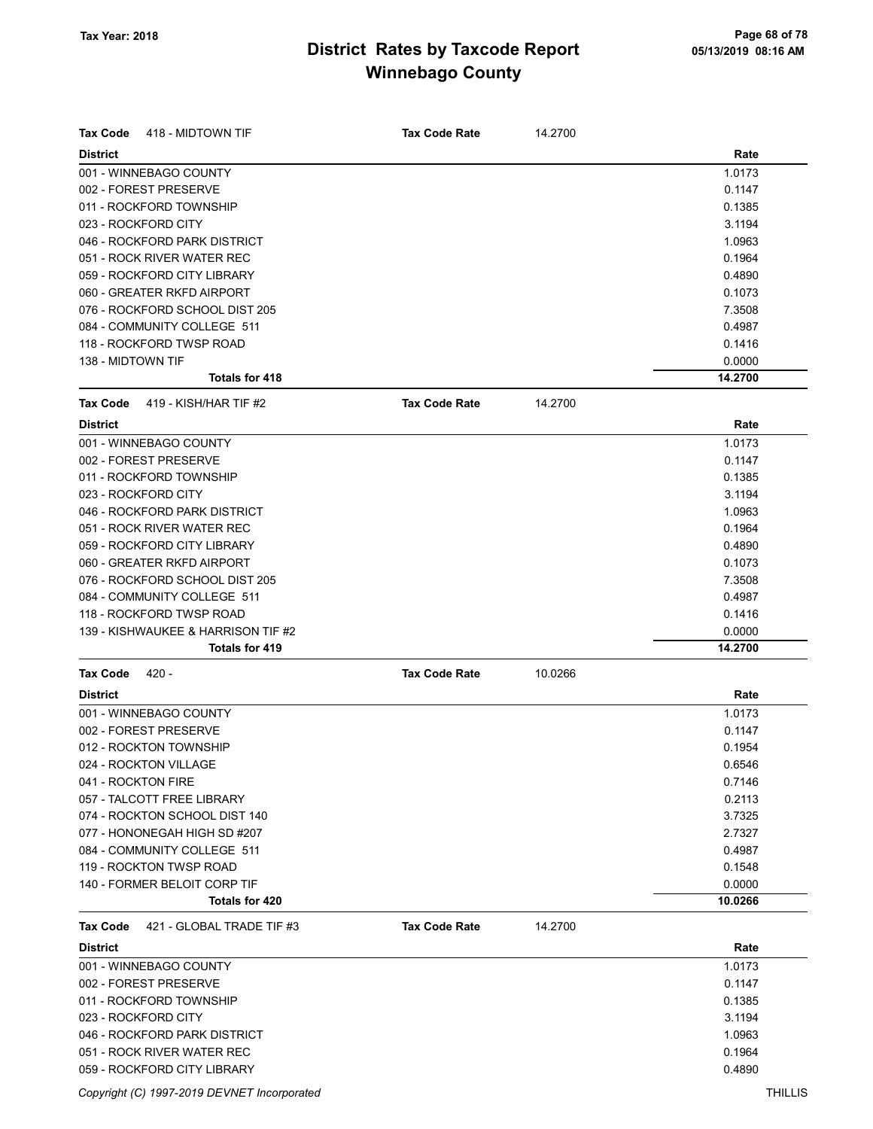| Rate<br><b>District</b><br>1.0173<br>001 - WINNEBAGO COUNTY<br>002 - FOREST PRESERVE<br>0.1147<br>011 - ROCKFORD TOWNSHIP<br>0.1385<br>023 - ROCKFORD CITY<br>3.1194<br>046 - ROCKFORD PARK DISTRICT<br>1.0963<br>051 - ROCK RIVER WATER REC<br>0.1964<br>059 - ROCKFORD CITY LIBRARY<br>0.4890<br>060 - GREATER RKFD AIRPORT<br>0.1073<br>076 - ROCKFORD SCHOOL DIST 205<br>7.3508<br>084 - COMMUNITY COLLEGE 511<br>0.4987<br>118 - ROCKFORD TWSP ROAD<br>0.1416<br>138 - MIDTOWN TIF<br>0.0000<br>Totals for 418<br>14.2700<br>14.2700<br><b>Tax Code</b><br>419 - KISH/HAR TIF #2<br><b>Tax Code Rate</b><br><b>District</b><br>Rate<br>1.0173<br>002 - FOREST PRESERVE<br>0.1147<br>011 - ROCKFORD TOWNSHIP<br>0.1385<br>023 - ROCKFORD CITY<br>3.1194<br>046 - ROCKFORD PARK DISTRICT<br>1.0963<br>051 - ROCK RIVER WATER REC<br>0.1964<br>059 - ROCKFORD CITY LIBRARY<br>0.4890<br>060 - GREATER RKFD AIRPORT<br>0.1073<br>076 - ROCKFORD SCHOOL DIST 205<br>7.3508<br>084 - COMMUNITY COLLEGE 511<br>0.4987<br>118 - ROCKFORD TWSP ROAD<br>0.1416<br>139 - KISHWAUKEE & HARRISON TIF #2<br>0.0000<br><b>Totals for 419</b><br>14.2700<br>$420 -$<br><b>Tax Code Rate</b><br>10.0266<br><b>Tax Code</b><br>Rate<br><b>District</b><br>1.0173<br>002 - FOREST PRESERVE<br>0.1147<br>0.1954<br>024 - ROCKTON VILLAGE<br>0.6546<br>0.7146<br>041 - ROCKTON FIRE<br>0.2113<br>057 - TALCOTT FREE LIBRARY<br>074 - ROCKTON SCHOOL DIST 140<br>3.7325<br>077 - HONONEGAH HIGH SD #207<br>2.7327<br>084 - COMMUNITY COLLEGE 511<br>0.4987<br>119 - ROCKTON TWSP ROAD<br>0.1548<br>0.0000<br>140 - FORMER BELOIT CORP TIF<br>Totals for 420<br>10.0266<br>421 - GLOBAL TRADE TIF #3<br>14.2700<br><b>Tax Code</b><br><b>Tax Code Rate</b><br>Rate<br><b>District</b><br>001 - WINNEBAGO COUNTY<br>1.0173<br>002 - FOREST PRESERVE<br>0.1147<br>011 - ROCKFORD TOWNSHIP<br>0.1385<br>023 - ROCKFORD CITY<br>3.1194<br>046 - ROCKFORD PARK DISTRICT<br>1.0963<br>051 - ROCK RIVER WATER REC<br>0.1964<br>059 - ROCKFORD CITY LIBRARY<br>0.4890 | <b>Tax Code</b><br>418 - MIDTOWN TIF | <b>Tax Code Rate</b> | 14.2700 |  |
|---------------------------------------------------------------------------------------------------------------------------------------------------------------------------------------------------------------------------------------------------------------------------------------------------------------------------------------------------------------------------------------------------------------------------------------------------------------------------------------------------------------------------------------------------------------------------------------------------------------------------------------------------------------------------------------------------------------------------------------------------------------------------------------------------------------------------------------------------------------------------------------------------------------------------------------------------------------------------------------------------------------------------------------------------------------------------------------------------------------------------------------------------------------------------------------------------------------------------------------------------------------------------------------------------------------------------------------------------------------------------------------------------------------------------------------------------------------------------------------------------------------------------------------------------------------------------------------------------------------------------------------------------------------------------------------------------------------------------------------------------------------------------------------------------------------------------------------------------------------------------------------------------------------------------------------------------------------------------------------------------------------------------------------------|--------------------------------------|----------------------|---------|--|
|                                                                                                                                                                                                                                                                                                                                                                                                                                                                                                                                                                                                                                                                                                                                                                                                                                                                                                                                                                                                                                                                                                                                                                                                                                                                                                                                                                                                                                                                                                                                                                                                                                                                                                                                                                                                                                                                                                                                                                                                                                             |                                      |                      |         |  |
|                                                                                                                                                                                                                                                                                                                                                                                                                                                                                                                                                                                                                                                                                                                                                                                                                                                                                                                                                                                                                                                                                                                                                                                                                                                                                                                                                                                                                                                                                                                                                                                                                                                                                                                                                                                                                                                                                                                                                                                                                                             |                                      |                      |         |  |
|                                                                                                                                                                                                                                                                                                                                                                                                                                                                                                                                                                                                                                                                                                                                                                                                                                                                                                                                                                                                                                                                                                                                                                                                                                                                                                                                                                                                                                                                                                                                                                                                                                                                                                                                                                                                                                                                                                                                                                                                                                             |                                      |                      |         |  |
|                                                                                                                                                                                                                                                                                                                                                                                                                                                                                                                                                                                                                                                                                                                                                                                                                                                                                                                                                                                                                                                                                                                                                                                                                                                                                                                                                                                                                                                                                                                                                                                                                                                                                                                                                                                                                                                                                                                                                                                                                                             |                                      |                      |         |  |
|                                                                                                                                                                                                                                                                                                                                                                                                                                                                                                                                                                                                                                                                                                                                                                                                                                                                                                                                                                                                                                                                                                                                                                                                                                                                                                                                                                                                                                                                                                                                                                                                                                                                                                                                                                                                                                                                                                                                                                                                                                             |                                      |                      |         |  |
|                                                                                                                                                                                                                                                                                                                                                                                                                                                                                                                                                                                                                                                                                                                                                                                                                                                                                                                                                                                                                                                                                                                                                                                                                                                                                                                                                                                                                                                                                                                                                                                                                                                                                                                                                                                                                                                                                                                                                                                                                                             |                                      |                      |         |  |
|                                                                                                                                                                                                                                                                                                                                                                                                                                                                                                                                                                                                                                                                                                                                                                                                                                                                                                                                                                                                                                                                                                                                                                                                                                                                                                                                                                                                                                                                                                                                                                                                                                                                                                                                                                                                                                                                                                                                                                                                                                             |                                      |                      |         |  |
|                                                                                                                                                                                                                                                                                                                                                                                                                                                                                                                                                                                                                                                                                                                                                                                                                                                                                                                                                                                                                                                                                                                                                                                                                                                                                                                                                                                                                                                                                                                                                                                                                                                                                                                                                                                                                                                                                                                                                                                                                                             |                                      |                      |         |  |
|                                                                                                                                                                                                                                                                                                                                                                                                                                                                                                                                                                                                                                                                                                                                                                                                                                                                                                                                                                                                                                                                                                                                                                                                                                                                                                                                                                                                                                                                                                                                                                                                                                                                                                                                                                                                                                                                                                                                                                                                                                             |                                      |                      |         |  |
|                                                                                                                                                                                                                                                                                                                                                                                                                                                                                                                                                                                                                                                                                                                                                                                                                                                                                                                                                                                                                                                                                                                                                                                                                                                                                                                                                                                                                                                                                                                                                                                                                                                                                                                                                                                                                                                                                                                                                                                                                                             |                                      |                      |         |  |
|                                                                                                                                                                                                                                                                                                                                                                                                                                                                                                                                                                                                                                                                                                                                                                                                                                                                                                                                                                                                                                                                                                                                                                                                                                                                                                                                                                                                                                                                                                                                                                                                                                                                                                                                                                                                                                                                                                                                                                                                                                             |                                      |                      |         |  |
|                                                                                                                                                                                                                                                                                                                                                                                                                                                                                                                                                                                                                                                                                                                                                                                                                                                                                                                                                                                                                                                                                                                                                                                                                                                                                                                                                                                                                                                                                                                                                                                                                                                                                                                                                                                                                                                                                                                                                                                                                                             |                                      |                      |         |  |
|                                                                                                                                                                                                                                                                                                                                                                                                                                                                                                                                                                                                                                                                                                                                                                                                                                                                                                                                                                                                                                                                                                                                                                                                                                                                                                                                                                                                                                                                                                                                                                                                                                                                                                                                                                                                                                                                                                                                                                                                                                             |                                      |                      |         |  |
|                                                                                                                                                                                                                                                                                                                                                                                                                                                                                                                                                                                                                                                                                                                                                                                                                                                                                                                                                                                                                                                                                                                                                                                                                                                                                                                                                                                                                                                                                                                                                                                                                                                                                                                                                                                                                                                                                                                                                                                                                                             |                                      |                      |         |  |
|                                                                                                                                                                                                                                                                                                                                                                                                                                                                                                                                                                                                                                                                                                                                                                                                                                                                                                                                                                                                                                                                                                                                                                                                                                                                                                                                                                                                                                                                                                                                                                                                                                                                                                                                                                                                                                                                                                                                                                                                                                             |                                      |                      |         |  |
|                                                                                                                                                                                                                                                                                                                                                                                                                                                                                                                                                                                                                                                                                                                                                                                                                                                                                                                                                                                                                                                                                                                                                                                                                                                                                                                                                                                                                                                                                                                                                                                                                                                                                                                                                                                                                                                                                                                                                                                                                                             |                                      |                      |         |  |
|                                                                                                                                                                                                                                                                                                                                                                                                                                                                                                                                                                                                                                                                                                                                                                                                                                                                                                                                                                                                                                                                                                                                                                                                                                                                                                                                                                                                                                                                                                                                                                                                                                                                                                                                                                                                                                                                                                                                                                                                                                             | 001 - WINNEBAGO COUNTY               |                      |         |  |
|                                                                                                                                                                                                                                                                                                                                                                                                                                                                                                                                                                                                                                                                                                                                                                                                                                                                                                                                                                                                                                                                                                                                                                                                                                                                                                                                                                                                                                                                                                                                                                                                                                                                                                                                                                                                                                                                                                                                                                                                                                             |                                      |                      |         |  |
|                                                                                                                                                                                                                                                                                                                                                                                                                                                                                                                                                                                                                                                                                                                                                                                                                                                                                                                                                                                                                                                                                                                                                                                                                                                                                                                                                                                                                                                                                                                                                                                                                                                                                                                                                                                                                                                                                                                                                                                                                                             |                                      |                      |         |  |
|                                                                                                                                                                                                                                                                                                                                                                                                                                                                                                                                                                                                                                                                                                                                                                                                                                                                                                                                                                                                                                                                                                                                                                                                                                                                                                                                                                                                                                                                                                                                                                                                                                                                                                                                                                                                                                                                                                                                                                                                                                             |                                      |                      |         |  |
|                                                                                                                                                                                                                                                                                                                                                                                                                                                                                                                                                                                                                                                                                                                                                                                                                                                                                                                                                                                                                                                                                                                                                                                                                                                                                                                                                                                                                                                                                                                                                                                                                                                                                                                                                                                                                                                                                                                                                                                                                                             |                                      |                      |         |  |
|                                                                                                                                                                                                                                                                                                                                                                                                                                                                                                                                                                                                                                                                                                                                                                                                                                                                                                                                                                                                                                                                                                                                                                                                                                                                                                                                                                                                                                                                                                                                                                                                                                                                                                                                                                                                                                                                                                                                                                                                                                             |                                      |                      |         |  |
|                                                                                                                                                                                                                                                                                                                                                                                                                                                                                                                                                                                                                                                                                                                                                                                                                                                                                                                                                                                                                                                                                                                                                                                                                                                                                                                                                                                                                                                                                                                                                                                                                                                                                                                                                                                                                                                                                                                                                                                                                                             |                                      |                      |         |  |
|                                                                                                                                                                                                                                                                                                                                                                                                                                                                                                                                                                                                                                                                                                                                                                                                                                                                                                                                                                                                                                                                                                                                                                                                                                                                                                                                                                                                                                                                                                                                                                                                                                                                                                                                                                                                                                                                                                                                                                                                                                             |                                      |                      |         |  |
|                                                                                                                                                                                                                                                                                                                                                                                                                                                                                                                                                                                                                                                                                                                                                                                                                                                                                                                                                                                                                                                                                                                                                                                                                                                                                                                                                                                                                                                                                                                                                                                                                                                                                                                                                                                                                                                                                                                                                                                                                                             |                                      |                      |         |  |
|                                                                                                                                                                                                                                                                                                                                                                                                                                                                                                                                                                                                                                                                                                                                                                                                                                                                                                                                                                                                                                                                                                                                                                                                                                                                                                                                                                                                                                                                                                                                                                                                                                                                                                                                                                                                                                                                                                                                                                                                                                             |                                      |                      |         |  |
|                                                                                                                                                                                                                                                                                                                                                                                                                                                                                                                                                                                                                                                                                                                                                                                                                                                                                                                                                                                                                                                                                                                                                                                                                                                                                                                                                                                                                                                                                                                                                                                                                                                                                                                                                                                                                                                                                                                                                                                                                                             |                                      |                      |         |  |
|                                                                                                                                                                                                                                                                                                                                                                                                                                                                                                                                                                                                                                                                                                                                                                                                                                                                                                                                                                                                                                                                                                                                                                                                                                                                                                                                                                                                                                                                                                                                                                                                                                                                                                                                                                                                                                                                                                                                                                                                                                             |                                      |                      |         |  |
|                                                                                                                                                                                                                                                                                                                                                                                                                                                                                                                                                                                                                                                                                                                                                                                                                                                                                                                                                                                                                                                                                                                                                                                                                                                                                                                                                                                                                                                                                                                                                                                                                                                                                                                                                                                                                                                                                                                                                                                                                                             |                                      |                      |         |  |
|                                                                                                                                                                                                                                                                                                                                                                                                                                                                                                                                                                                                                                                                                                                                                                                                                                                                                                                                                                                                                                                                                                                                                                                                                                                                                                                                                                                                                                                                                                                                                                                                                                                                                                                                                                                                                                                                                                                                                                                                                                             |                                      |                      |         |  |
|                                                                                                                                                                                                                                                                                                                                                                                                                                                                                                                                                                                                                                                                                                                                                                                                                                                                                                                                                                                                                                                                                                                                                                                                                                                                                                                                                                                                                                                                                                                                                                                                                                                                                                                                                                                                                                                                                                                                                                                                                                             |                                      |                      |         |  |
|                                                                                                                                                                                                                                                                                                                                                                                                                                                                                                                                                                                                                                                                                                                                                                                                                                                                                                                                                                                                                                                                                                                                                                                                                                                                                                                                                                                                                                                                                                                                                                                                                                                                                                                                                                                                                                                                                                                                                                                                                                             | 001 - WINNEBAGO COUNTY               |                      |         |  |
|                                                                                                                                                                                                                                                                                                                                                                                                                                                                                                                                                                                                                                                                                                                                                                                                                                                                                                                                                                                                                                                                                                                                                                                                                                                                                                                                                                                                                                                                                                                                                                                                                                                                                                                                                                                                                                                                                                                                                                                                                                             |                                      |                      |         |  |
|                                                                                                                                                                                                                                                                                                                                                                                                                                                                                                                                                                                                                                                                                                                                                                                                                                                                                                                                                                                                                                                                                                                                                                                                                                                                                                                                                                                                                                                                                                                                                                                                                                                                                                                                                                                                                                                                                                                                                                                                                                             | 012 - ROCKTON TOWNSHIP               |                      |         |  |
|                                                                                                                                                                                                                                                                                                                                                                                                                                                                                                                                                                                                                                                                                                                                                                                                                                                                                                                                                                                                                                                                                                                                                                                                                                                                                                                                                                                                                                                                                                                                                                                                                                                                                                                                                                                                                                                                                                                                                                                                                                             |                                      |                      |         |  |
|                                                                                                                                                                                                                                                                                                                                                                                                                                                                                                                                                                                                                                                                                                                                                                                                                                                                                                                                                                                                                                                                                                                                                                                                                                                                                                                                                                                                                                                                                                                                                                                                                                                                                                                                                                                                                                                                                                                                                                                                                                             |                                      |                      |         |  |
|                                                                                                                                                                                                                                                                                                                                                                                                                                                                                                                                                                                                                                                                                                                                                                                                                                                                                                                                                                                                                                                                                                                                                                                                                                                                                                                                                                                                                                                                                                                                                                                                                                                                                                                                                                                                                                                                                                                                                                                                                                             |                                      |                      |         |  |
|                                                                                                                                                                                                                                                                                                                                                                                                                                                                                                                                                                                                                                                                                                                                                                                                                                                                                                                                                                                                                                                                                                                                                                                                                                                                                                                                                                                                                                                                                                                                                                                                                                                                                                                                                                                                                                                                                                                                                                                                                                             |                                      |                      |         |  |
|                                                                                                                                                                                                                                                                                                                                                                                                                                                                                                                                                                                                                                                                                                                                                                                                                                                                                                                                                                                                                                                                                                                                                                                                                                                                                                                                                                                                                                                                                                                                                                                                                                                                                                                                                                                                                                                                                                                                                                                                                                             |                                      |                      |         |  |
|                                                                                                                                                                                                                                                                                                                                                                                                                                                                                                                                                                                                                                                                                                                                                                                                                                                                                                                                                                                                                                                                                                                                                                                                                                                                                                                                                                                                                                                                                                                                                                                                                                                                                                                                                                                                                                                                                                                                                                                                                                             |                                      |                      |         |  |
|                                                                                                                                                                                                                                                                                                                                                                                                                                                                                                                                                                                                                                                                                                                                                                                                                                                                                                                                                                                                                                                                                                                                                                                                                                                                                                                                                                                                                                                                                                                                                                                                                                                                                                                                                                                                                                                                                                                                                                                                                                             |                                      |                      |         |  |
|                                                                                                                                                                                                                                                                                                                                                                                                                                                                                                                                                                                                                                                                                                                                                                                                                                                                                                                                                                                                                                                                                                                                                                                                                                                                                                                                                                                                                                                                                                                                                                                                                                                                                                                                                                                                                                                                                                                                                                                                                                             |                                      |                      |         |  |
|                                                                                                                                                                                                                                                                                                                                                                                                                                                                                                                                                                                                                                                                                                                                                                                                                                                                                                                                                                                                                                                                                                                                                                                                                                                                                                                                                                                                                                                                                                                                                                                                                                                                                                                                                                                                                                                                                                                                                                                                                                             |                                      |                      |         |  |
|                                                                                                                                                                                                                                                                                                                                                                                                                                                                                                                                                                                                                                                                                                                                                                                                                                                                                                                                                                                                                                                                                                                                                                                                                                                                                                                                                                                                                                                                                                                                                                                                                                                                                                                                                                                                                                                                                                                                                                                                                                             |                                      |                      |         |  |
|                                                                                                                                                                                                                                                                                                                                                                                                                                                                                                                                                                                                                                                                                                                                                                                                                                                                                                                                                                                                                                                                                                                                                                                                                                                                                                                                                                                                                                                                                                                                                                                                                                                                                                                                                                                                                                                                                                                                                                                                                                             |                                      |                      |         |  |
|                                                                                                                                                                                                                                                                                                                                                                                                                                                                                                                                                                                                                                                                                                                                                                                                                                                                                                                                                                                                                                                                                                                                                                                                                                                                                                                                                                                                                                                                                                                                                                                                                                                                                                                                                                                                                                                                                                                                                                                                                                             |                                      |                      |         |  |
|                                                                                                                                                                                                                                                                                                                                                                                                                                                                                                                                                                                                                                                                                                                                                                                                                                                                                                                                                                                                                                                                                                                                                                                                                                                                                                                                                                                                                                                                                                                                                                                                                                                                                                                                                                                                                                                                                                                                                                                                                                             |                                      |                      |         |  |
|                                                                                                                                                                                                                                                                                                                                                                                                                                                                                                                                                                                                                                                                                                                                                                                                                                                                                                                                                                                                                                                                                                                                                                                                                                                                                                                                                                                                                                                                                                                                                                                                                                                                                                                                                                                                                                                                                                                                                                                                                                             |                                      |                      |         |  |
|                                                                                                                                                                                                                                                                                                                                                                                                                                                                                                                                                                                                                                                                                                                                                                                                                                                                                                                                                                                                                                                                                                                                                                                                                                                                                                                                                                                                                                                                                                                                                                                                                                                                                                                                                                                                                                                                                                                                                                                                                                             |                                      |                      |         |  |
|                                                                                                                                                                                                                                                                                                                                                                                                                                                                                                                                                                                                                                                                                                                                                                                                                                                                                                                                                                                                                                                                                                                                                                                                                                                                                                                                                                                                                                                                                                                                                                                                                                                                                                                                                                                                                                                                                                                                                                                                                                             |                                      |                      |         |  |
|                                                                                                                                                                                                                                                                                                                                                                                                                                                                                                                                                                                                                                                                                                                                                                                                                                                                                                                                                                                                                                                                                                                                                                                                                                                                                                                                                                                                                                                                                                                                                                                                                                                                                                                                                                                                                                                                                                                                                                                                                                             |                                      |                      |         |  |
|                                                                                                                                                                                                                                                                                                                                                                                                                                                                                                                                                                                                                                                                                                                                                                                                                                                                                                                                                                                                                                                                                                                                                                                                                                                                                                                                                                                                                                                                                                                                                                                                                                                                                                                                                                                                                                                                                                                                                                                                                                             |                                      |                      |         |  |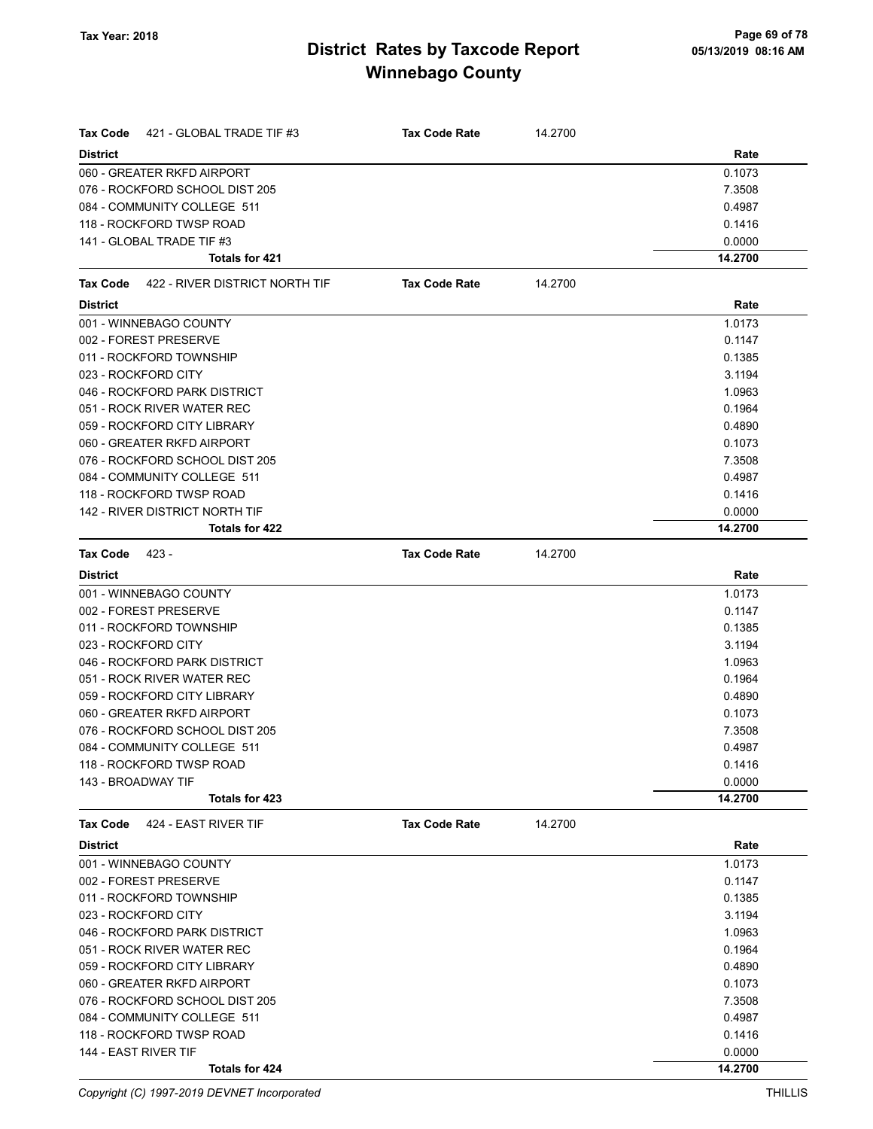| Tax Code<br>421 - GLOBAL TRADE TIF #3   | <b>Tax Code Rate</b> | 14.2700 |         |
|-----------------------------------------|----------------------|---------|---------|
| <b>District</b>                         |                      |         | Rate    |
| 060 - GREATER RKFD AIRPORT              |                      |         | 0.1073  |
| 076 - ROCKFORD SCHOOL DIST 205          |                      |         | 7.3508  |
| 084 - COMMUNITY COLLEGE 511             |                      |         | 0.4987  |
| 118 - ROCKFORD TWSP ROAD                |                      |         | 0.1416  |
| 141 - GLOBAL TRADE TIF #3               |                      |         | 0.0000  |
| Totals for 421                          |                      |         | 14.2700 |
| Tax Code 422 - RIVER DISTRICT NORTH TIF | <b>Tax Code Rate</b> | 14.2700 |         |
| <b>District</b>                         |                      |         | Rate    |
| 001 - WINNEBAGO COUNTY                  |                      |         | 1.0173  |
| 002 - FOREST PRESERVE                   |                      |         | 0.1147  |
| 011 - ROCKFORD TOWNSHIP                 |                      |         | 0.1385  |
| 023 - ROCKFORD CITY                     |                      |         | 3.1194  |
| 046 - ROCKFORD PARK DISTRICT            |                      |         | 1.0963  |
| 051 - ROCK RIVER WATER REC              |                      |         | 0.1964  |
| 059 - ROCKFORD CITY LIBRARY             |                      |         | 0.4890  |
| 060 - GREATER RKFD AIRPORT              |                      |         | 0.1073  |
| 076 - ROCKFORD SCHOOL DIST 205          |                      |         | 7.3508  |
| 084 - COMMUNITY COLLEGE 511             |                      |         | 0.4987  |
| 118 - ROCKFORD TWSP ROAD                |                      |         | 0.1416  |
| 142 - RIVER DISTRICT NORTH TIF          |                      |         | 0.0000  |
| Totals for 422                          |                      |         | 14.2700 |
| <b>Tax Code</b><br>423 -                | <b>Tax Code Rate</b> | 14.2700 |         |
| <b>District</b>                         |                      |         | Rate    |
| 001 - WINNEBAGO COUNTY                  |                      |         | 1.0173  |
| 002 - FOREST PRESERVE                   |                      |         | 0.1147  |
| 011 - ROCKFORD TOWNSHIP                 |                      |         | 0.1385  |
| 023 - ROCKFORD CITY                     |                      |         | 3.1194  |
| 046 - ROCKFORD PARK DISTRICT            |                      |         | 1.0963  |
| 051 - ROCK RIVER WATER REC              |                      |         | 0.1964  |
| 059 - ROCKFORD CITY LIBRARY             |                      |         | 0.4890  |
| 060 - GREATER RKFD AIRPORT              |                      |         | 0.1073  |
| 076 - ROCKFORD SCHOOL DIST 205          |                      |         | 7.3508  |
| 084 - COMMUNITY COLLEGE 511             |                      |         | 0.4987  |
| 118 - ROCKFORD TWSP ROAD                |                      |         | 0.1416  |
| 143 - BROADWAY TIF                      |                      |         | 0.0000  |
| Totals for 423                          |                      |         | 14.2700 |
| 424 - EAST RIVER TIF<br>Tax Code        | <b>Tax Code Rate</b> | 14.2700 |         |
| <b>District</b>                         |                      |         | Rate    |
| 001 - WINNEBAGO COUNTY                  |                      |         | 1.0173  |
| 002 - FOREST PRESERVE                   |                      |         | 0.1147  |
| 011 - ROCKFORD TOWNSHIP                 |                      |         | 0.1385  |
| 023 - ROCKFORD CITY                     |                      |         | 3.1194  |
| 046 - ROCKFORD PARK DISTRICT            |                      |         | 1.0963  |
| 051 - ROCK RIVER WATER REC              |                      |         | 0.1964  |
| 059 - ROCKFORD CITY LIBRARY             |                      |         | 0.4890  |
| 060 - GREATER RKFD AIRPORT              |                      |         | 0.1073  |
| 076 - ROCKFORD SCHOOL DIST 205          |                      |         | 7.3508  |
| 084 - COMMUNITY COLLEGE 511             |                      |         | 0.4987  |
| 118 - ROCKFORD TWSP ROAD                |                      |         | 0.1416  |
| 144 - EAST RIVER TIF                    |                      |         | 0.0000  |
| Totals for 424                          |                      |         | 14.2700 |

Copyright (C) 1997-2019 DEVNET Incorporated THILLIS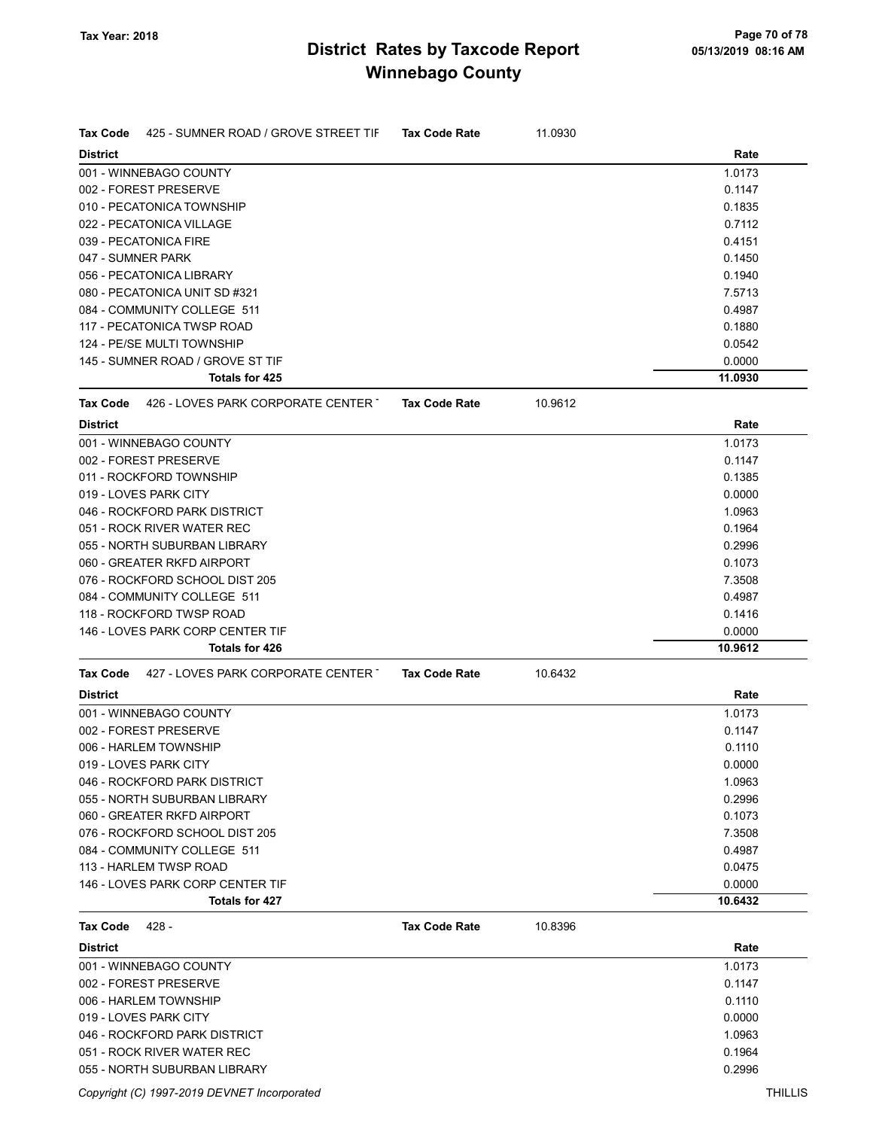| <b>District</b><br>Rate<br>001 - WINNEBAGO COUNTY<br>1.0173<br>002 - FOREST PRESERVE<br>0.1147<br>010 - PECATONICA TOWNSHIP<br>0.1835<br>022 - PECATONICA VILLAGE<br>0.7112<br>039 - PECATONICA FIRE<br>0.4151<br>047 - SUMNER PARK<br>0.1450<br>056 - PECATONICA LIBRARY<br>0.1940<br>080 - PECATONICA UNIT SD #321<br>7.5713<br>084 - COMMUNITY COLLEGE 511<br>0.4987<br>117 - PECATONICA TWSP ROAD<br>0.1880<br>124 - PE/SE MULTI TOWNSHIP<br>0.0542<br>145 - SUMNER ROAD / GROVE ST TIF<br>0.0000<br><b>Totals for 425</b><br>11.0930<br>426 - LOVES PARK CORPORATE CENTER T<br><b>Tax Code Rate</b><br>10.9612<br><b>Tax Code</b><br>Rate<br><b>District</b><br>001 - WINNEBAGO COUNTY<br>1.0173<br>002 - FOREST PRESERVE<br>0.1147<br>011 - ROCKFORD TOWNSHIP<br>0.1385<br>019 - LOVES PARK CITY<br>0.0000<br>046 - ROCKFORD PARK DISTRICT<br>1.0963<br>051 - ROCK RIVER WATER REC<br>0.1964<br>055 - NORTH SUBURBAN LIBRARY<br>0.2996<br>060 - GREATER RKFD AIRPORT<br>0.1073<br>076 - ROCKFORD SCHOOL DIST 205<br>7.3508<br>084 - COMMUNITY COLLEGE 511<br>0.4987<br>118 - ROCKFORD TWSP ROAD<br>0.1416<br>146 - LOVES PARK CORP CENTER TIF<br>0.0000<br>Totals for 426<br>10.9612<br>427 - LOVES PARK CORPORATE CENTER T<br><b>Tax Code</b><br><b>Tax Code Rate</b><br>10.6432<br><b>District</b><br>Rate<br>001 - WINNEBAGO COUNTY<br>1.0173<br>002 - FOREST PRESERVE<br>0.1147<br>006 - HARLEM TOWNSHIP<br>0.1110<br>019 - LOVES PARK CITY<br>0.0000<br>046 - ROCKFORD PARK DISTRICT<br>1.0963<br>0.2996<br>055 - NORTH SUBURBAN LIBRARY<br>060 - GREATER RKFD AIRPORT<br>0.1073<br>076 - ROCKFORD SCHOOL DIST 205<br>7.3508<br>084 - COMMUNITY COLLEGE 511<br>0.4987<br>113 - HARLEM TWSP ROAD<br>0.0475<br>146 - LOVES PARK CORP CENTER TIF<br>0.0000<br>Totals for 427<br>10.6432<br>10.8396<br><b>Tax Code</b><br>428 -<br><b>Tax Code Rate</b><br><b>District</b><br>Rate<br>001 - WINNEBAGO COUNTY<br>1.0173<br>002 - FOREST PRESERVE<br>0.1147<br>006 - HARLEM TOWNSHIP<br>0.1110<br>019 - LOVES PARK CITY<br>0.0000<br>046 - ROCKFORD PARK DISTRICT<br>1.0963<br>051 - ROCK RIVER WATER REC<br>0.1964<br>055 - NORTH SUBURBAN LIBRARY<br>0.2996 | Tax Code | 425 - SUMNER ROAD / GROVE STREET TIF | <b>Tax Code Rate</b> | 11.0930 |  |
|--------------------------------------------------------------------------------------------------------------------------------------------------------------------------------------------------------------------------------------------------------------------------------------------------------------------------------------------------------------------------------------------------------------------------------------------------------------------------------------------------------------------------------------------------------------------------------------------------------------------------------------------------------------------------------------------------------------------------------------------------------------------------------------------------------------------------------------------------------------------------------------------------------------------------------------------------------------------------------------------------------------------------------------------------------------------------------------------------------------------------------------------------------------------------------------------------------------------------------------------------------------------------------------------------------------------------------------------------------------------------------------------------------------------------------------------------------------------------------------------------------------------------------------------------------------------------------------------------------------------------------------------------------------------------------------------------------------------------------------------------------------------------------------------------------------------------------------------------------------------------------------------------------------------------------------------------------------------------------------------------------------------------------------------------------------------------------------------------------------------------------------------------------------------|----------|--------------------------------------|----------------------|---------|--|
|                                                                                                                                                                                                                                                                                                                                                                                                                                                                                                                                                                                                                                                                                                                                                                                                                                                                                                                                                                                                                                                                                                                                                                                                                                                                                                                                                                                                                                                                                                                                                                                                                                                                                                                                                                                                                                                                                                                                                                                                                                                                                                                                                                    |          |                                      |                      |         |  |
|                                                                                                                                                                                                                                                                                                                                                                                                                                                                                                                                                                                                                                                                                                                                                                                                                                                                                                                                                                                                                                                                                                                                                                                                                                                                                                                                                                                                                                                                                                                                                                                                                                                                                                                                                                                                                                                                                                                                                                                                                                                                                                                                                                    |          |                                      |                      |         |  |
|                                                                                                                                                                                                                                                                                                                                                                                                                                                                                                                                                                                                                                                                                                                                                                                                                                                                                                                                                                                                                                                                                                                                                                                                                                                                                                                                                                                                                                                                                                                                                                                                                                                                                                                                                                                                                                                                                                                                                                                                                                                                                                                                                                    |          |                                      |                      |         |  |
|                                                                                                                                                                                                                                                                                                                                                                                                                                                                                                                                                                                                                                                                                                                                                                                                                                                                                                                                                                                                                                                                                                                                                                                                                                                                                                                                                                                                                                                                                                                                                                                                                                                                                                                                                                                                                                                                                                                                                                                                                                                                                                                                                                    |          |                                      |                      |         |  |
|                                                                                                                                                                                                                                                                                                                                                                                                                                                                                                                                                                                                                                                                                                                                                                                                                                                                                                                                                                                                                                                                                                                                                                                                                                                                                                                                                                                                                                                                                                                                                                                                                                                                                                                                                                                                                                                                                                                                                                                                                                                                                                                                                                    |          |                                      |                      |         |  |
|                                                                                                                                                                                                                                                                                                                                                                                                                                                                                                                                                                                                                                                                                                                                                                                                                                                                                                                                                                                                                                                                                                                                                                                                                                                                                                                                                                                                                                                                                                                                                                                                                                                                                                                                                                                                                                                                                                                                                                                                                                                                                                                                                                    |          |                                      |                      |         |  |
|                                                                                                                                                                                                                                                                                                                                                                                                                                                                                                                                                                                                                                                                                                                                                                                                                                                                                                                                                                                                                                                                                                                                                                                                                                                                                                                                                                                                                                                                                                                                                                                                                                                                                                                                                                                                                                                                                                                                                                                                                                                                                                                                                                    |          |                                      |                      |         |  |
|                                                                                                                                                                                                                                                                                                                                                                                                                                                                                                                                                                                                                                                                                                                                                                                                                                                                                                                                                                                                                                                                                                                                                                                                                                                                                                                                                                                                                                                                                                                                                                                                                                                                                                                                                                                                                                                                                                                                                                                                                                                                                                                                                                    |          |                                      |                      |         |  |
|                                                                                                                                                                                                                                                                                                                                                                                                                                                                                                                                                                                                                                                                                                                                                                                                                                                                                                                                                                                                                                                                                                                                                                                                                                                                                                                                                                                                                                                                                                                                                                                                                                                                                                                                                                                                                                                                                                                                                                                                                                                                                                                                                                    |          |                                      |                      |         |  |
|                                                                                                                                                                                                                                                                                                                                                                                                                                                                                                                                                                                                                                                                                                                                                                                                                                                                                                                                                                                                                                                                                                                                                                                                                                                                                                                                                                                                                                                                                                                                                                                                                                                                                                                                                                                                                                                                                                                                                                                                                                                                                                                                                                    |          |                                      |                      |         |  |
|                                                                                                                                                                                                                                                                                                                                                                                                                                                                                                                                                                                                                                                                                                                                                                                                                                                                                                                                                                                                                                                                                                                                                                                                                                                                                                                                                                                                                                                                                                                                                                                                                                                                                                                                                                                                                                                                                                                                                                                                                                                                                                                                                                    |          |                                      |                      |         |  |
|                                                                                                                                                                                                                                                                                                                                                                                                                                                                                                                                                                                                                                                                                                                                                                                                                                                                                                                                                                                                                                                                                                                                                                                                                                                                                                                                                                                                                                                                                                                                                                                                                                                                                                                                                                                                                                                                                                                                                                                                                                                                                                                                                                    |          |                                      |                      |         |  |
|                                                                                                                                                                                                                                                                                                                                                                                                                                                                                                                                                                                                                                                                                                                                                                                                                                                                                                                                                                                                                                                                                                                                                                                                                                                                                                                                                                                                                                                                                                                                                                                                                                                                                                                                                                                                                                                                                                                                                                                                                                                                                                                                                                    |          |                                      |                      |         |  |
|                                                                                                                                                                                                                                                                                                                                                                                                                                                                                                                                                                                                                                                                                                                                                                                                                                                                                                                                                                                                                                                                                                                                                                                                                                                                                                                                                                                                                                                                                                                                                                                                                                                                                                                                                                                                                                                                                                                                                                                                                                                                                                                                                                    |          |                                      |                      |         |  |
|                                                                                                                                                                                                                                                                                                                                                                                                                                                                                                                                                                                                                                                                                                                                                                                                                                                                                                                                                                                                                                                                                                                                                                                                                                                                                                                                                                                                                                                                                                                                                                                                                                                                                                                                                                                                                                                                                                                                                                                                                                                                                                                                                                    |          |                                      |                      |         |  |
|                                                                                                                                                                                                                                                                                                                                                                                                                                                                                                                                                                                                                                                                                                                                                                                                                                                                                                                                                                                                                                                                                                                                                                                                                                                                                                                                                                                                                                                                                                                                                                                                                                                                                                                                                                                                                                                                                                                                                                                                                                                                                                                                                                    |          |                                      |                      |         |  |
|                                                                                                                                                                                                                                                                                                                                                                                                                                                                                                                                                                                                                                                                                                                                                                                                                                                                                                                                                                                                                                                                                                                                                                                                                                                                                                                                                                                                                                                                                                                                                                                                                                                                                                                                                                                                                                                                                                                                                                                                                                                                                                                                                                    |          |                                      |                      |         |  |
|                                                                                                                                                                                                                                                                                                                                                                                                                                                                                                                                                                                                                                                                                                                                                                                                                                                                                                                                                                                                                                                                                                                                                                                                                                                                                                                                                                                                                                                                                                                                                                                                                                                                                                                                                                                                                                                                                                                                                                                                                                                                                                                                                                    |          |                                      |                      |         |  |
|                                                                                                                                                                                                                                                                                                                                                                                                                                                                                                                                                                                                                                                                                                                                                                                                                                                                                                                                                                                                                                                                                                                                                                                                                                                                                                                                                                                                                                                                                                                                                                                                                                                                                                                                                                                                                                                                                                                                                                                                                                                                                                                                                                    |          |                                      |                      |         |  |
|                                                                                                                                                                                                                                                                                                                                                                                                                                                                                                                                                                                                                                                                                                                                                                                                                                                                                                                                                                                                                                                                                                                                                                                                                                                                                                                                                                                                                                                                                                                                                                                                                                                                                                                                                                                                                                                                                                                                                                                                                                                                                                                                                                    |          |                                      |                      |         |  |
|                                                                                                                                                                                                                                                                                                                                                                                                                                                                                                                                                                                                                                                                                                                                                                                                                                                                                                                                                                                                                                                                                                                                                                                                                                                                                                                                                                                                                                                                                                                                                                                                                                                                                                                                                                                                                                                                                                                                                                                                                                                                                                                                                                    |          |                                      |                      |         |  |
|                                                                                                                                                                                                                                                                                                                                                                                                                                                                                                                                                                                                                                                                                                                                                                                                                                                                                                                                                                                                                                                                                                                                                                                                                                                                                                                                                                                                                                                                                                                                                                                                                                                                                                                                                                                                                                                                                                                                                                                                                                                                                                                                                                    |          |                                      |                      |         |  |
|                                                                                                                                                                                                                                                                                                                                                                                                                                                                                                                                                                                                                                                                                                                                                                                                                                                                                                                                                                                                                                                                                                                                                                                                                                                                                                                                                                                                                                                                                                                                                                                                                                                                                                                                                                                                                                                                                                                                                                                                                                                                                                                                                                    |          |                                      |                      |         |  |
|                                                                                                                                                                                                                                                                                                                                                                                                                                                                                                                                                                                                                                                                                                                                                                                                                                                                                                                                                                                                                                                                                                                                                                                                                                                                                                                                                                                                                                                                                                                                                                                                                                                                                                                                                                                                                                                                                                                                                                                                                                                                                                                                                                    |          |                                      |                      |         |  |
|                                                                                                                                                                                                                                                                                                                                                                                                                                                                                                                                                                                                                                                                                                                                                                                                                                                                                                                                                                                                                                                                                                                                                                                                                                                                                                                                                                                                                                                                                                                                                                                                                                                                                                                                                                                                                                                                                                                                                                                                                                                                                                                                                                    |          |                                      |                      |         |  |
|                                                                                                                                                                                                                                                                                                                                                                                                                                                                                                                                                                                                                                                                                                                                                                                                                                                                                                                                                                                                                                                                                                                                                                                                                                                                                                                                                                                                                                                                                                                                                                                                                                                                                                                                                                                                                                                                                                                                                                                                                                                                                                                                                                    |          |                                      |                      |         |  |
|                                                                                                                                                                                                                                                                                                                                                                                                                                                                                                                                                                                                                                                                                                                                                                                                                                                                                                                                                                                                                                                                                                                                                                                                                                                                                                                                                                                                                                                                                                                                                                                                                                                                                                                                                                                                                                                                                                                                                                                                                                                                                                                                                                    |          |                                      |                      |         |  |
|                                                                                                                                                                                                                                                                                                                                                                                                                                                                                                                                                                                                                                                                                                                                                                                                                                                                                                                                                                                                                                                                                                                                                                                                                                                                                                                                                                                                                                                                                                                                                                                                                                                                                                                                                                                                                                                                                                                                                                                                                                                                                                                                                                    |          |                                      |                      |         |  |
|                                                                                                                                                                                                                                                                                                                                                                                                                                                                                                                                                                                                                                                                                                                                                                                                                                                                                                                                                                                                                                                                                                                                                                                                                                                                                                                                                                                                                                                                                                                                                                                                                                                                                                                                                                                                                                                                                                                                                                                                                                                                                                                                                                    |          |                                      |                      |         |  |
|                                                                                                                                                                                                                                                                                                                                                                                                                                                                                                                                                                                                                                                                                                                                                                                                                                                                                                                                                                                                                                                                                                                                                                                                                                                                                                                                                                                                                                                                                                                                                                                                                                                                                                                                                                                                                                                                                                                                                                                                                                                                                                                                                                    |          |                                      |                      |         |  |
|                                                                                                                                                                                                                                                                                                                                                                                                                                                                                                                                                                                                                                                                                                                                                                                                                                                                                                                                                                                                                                                                                                                                                                                                                                                                                                                                                                                                                                                                                                                                                                                                                                                                                                                                                                                                                                                                                                                                                                                                                                                                                                                                                                    |          |                                      |                      |         |  |
|                                                                                                                                                                                                                                                                                                                                                                                                                                                                                                                                                                                                                                                                                                                                                                                                                                                                                                                                                                                                                                                                                                                                                                                                                                                                                                                                                                                                                                                                                                                                                                                                                                                                                                                                                                                                                                                                                                                                                                                                                                                                                                                                                                    |          |                                      |                      |         |  |
|                                                                                                                                                                                                                                                                                                                                                                                                                                                                                                                                                                                                                                                                                                                                                                                                                                                                                                                                                                                                                                                                                                                                                                                                                                                                                                                                                                                                                                                                                                                                                                                                                                                                                                                                                                                                                                                                                                                                                                                                                                                                                                                                                                    |          |                                      |                      |         |  |
|                                                                                                                                                                                                                                                                                                                                                                                                                                                                                                                                                                                                                                                                                                                                                                                                                                                                                                                                                                                                                                                                                                                                                                                                                                                                                                                                                                                                                                                                                                                                                                                                                                                                                                                                                                                                                                                                                                                                                                                                                                                                                                                                                                    |          |                                      |                      |         |  |
|                                                                                                                                                                                                                                                                                                                                                                                                                                                                                                                                                                                                                                                                                                                                                                                                                                                                                                                                                                                                                                                                                                                                                                                                                                                                                                                                                                                                                                                                                                                                                                                                                                                                                                                                                                                                                                                                                                                                                                                                                                                                                                                                                                    |          |                                      |                      |         |  |
|                                                                                                                                                                                                                                                                                                                                                                                                                                                                                                                                                                                                                                                                                                                                                                                                                                                                                                                                                                                                                                                                                                                                                                                                                                                                                                                                                                                                                                                                                                                                                                                                                                                                                                                                                                                                                                                                                                                                                                                                                                                                                                                                                                    |          |                                      |                      |         |  |
|                                                                                                                                                                                                                                                                                                                                                                                                                                                                                                                                                                                                                                                                                                                                                                                                                                                                                                                                                                                                                                                                                                                                                                                                                                                                                                                                                                                                                                                                                                                                                                                                                                                                                                                                                                                                                                                                                                                                                                                                                                                                                                                                                                    |          |                                      |                      |         |  |
|                                                                                                                                                                                                                                                                                                                                                                                                                                                                                                                                                                                                                                                                                                                                                                                                                                                                                                                                                                                                                                                                                                                                                                                                                                                                                                                                                                                                                                                                                                                                                                                                                                                                                                                                                                                                                                                                                                                                                                                                                                                                                                                                                                    |          |                                      |                      |         |  |
|                                                                                                                                                                                                                                                                                                                                                                                                                                                                                                                                                                                                                                                                                                                                                                                                                                                                                                                                                                                                                                                                                                                                                                                                                                                                                                                                                                                                                                                                                                                                                                                                                                                                                                                                                                                                                                                                                                                                                                                                                                                                                                                                                                    |          |                                      |                      |         |  |
|                                                                                                                                                                                                                                                                                                                                                                                                                                                                                                                                                                                                                                                                                                                                                                                                                                                                                                                                                                                                                                                                                                                                                                                                                                                                                                                                                                                                                                                                                                                                                                                                                                                                                                                                                                                                                                                                                                                                                                                                                                                                                                                                                                    |          |                                      |                      |         |  |
|                                                                                                                                                                                                                                                                                                                                                                                                                                                                                                                                                                                                                                                                                                                                                                                                                                                                                                                                                                                                                                                                                                                                                                                                                                                                                                                                                                                                                                                                                                                                                                                                                                                                                                                                                                                                                                                                                                                                                                                                                                                                                                                                                                    |          |                                      |                      |         |  |
|                                                                                                                                                                                                                                                                                                                                                                                                                                                                                                                                                                                                                                                                                                                                                                                                                                                                                                                                                                                                                                                                                                                                                                                                                                                                                                                                                                                                                                                                                                                                                                                                                                                                                                                                                                                                                                                                                                                                                                                                                                                                                                                                                                    |          |                                      |                      |         |  |
|                                                                                                                                                                                                                                                                                                                                                                                                                                                                                                                                                                                                                                                                                                                                                                                                                                                                                                                                                                                                                                                                                                                                                                                                                                                                                                                                                                                                                                                                                                                                                                                                                                                                                                                                                                                                                                                                                                                                                                                                                                                                                                                                                                    |          |                                      |                      |         |  |
|                                                                                                                                                                                                                                                                                                                                                                                                                                                                                                                                                                                                                                                                                                                                                                                                                                                                                                                                                                                                                                                                                                                                                                                                                                                                                                                                                                                                                                                                                                                                                                                                                                                                                                                                                                                                                                                                                                                                                                                                                                                                                                                                                                    |          |                                      |                      |         |  |
|                                                                                                                                                                                                                                                                                                                                                                                                                                                                                                                                                                                                                                                                                                                                                                                                                                                                                                                                                                                                                                                                                                                                                                                                                                                                                                                                                                                                                                                                                                                                                                                                                                                                                                                                                                                                                                                                                                                                                                                                                                                                                                                                                                    |          |                                      |                      |         |  |
|                                                                                                                                                                                                                                                                                                                                                                                                                                                                                                                                                                                                                                                                                                                                                                                                                                                                                                                                                                                                                                                                                                                                                                                                                                                                                                                                                                                                                                                                                                                                                                                                                                                                                                                                                                                                                                                                                                                                                                                                                                                                                                                                                                    |          |                                      |                      |         |  |
|                                                                                                                                                                                                                                                                                                                                                                                                                                                                                                                                                                                                                                                                                                                                                                                                                                                                                                                                                                                                                                                                                                                                                                                                                                                                                                                                                                                                                                                                                                                                                                                                                                                                                                                                                                                                                                                                                                                                                                                                                                                                                                                                                                    |          |                                      |                      |         |  |
|                                                                                                                                                                                                                                                                                                                                                                                                                                                                                                                                                                                                                                                                                                                                                                                                                                                                                                                                                                                                                                                                                                                                                                                                                                                                                                                                                                                                                                                                                                                                                                                                                                                                                                                                                                                                                                                                                                                                                                                                                                                                                                                                                                    |          |                                      |                      |         |  |
|                                                                                                                                                                                                                                                                                                                                                                                                                                                                                                                                                                                                                                                                                                                                                                                                                                                                                                                                                                                                                                                                                                                                                                                                                                                                                                                                                                                                                                                                                                                                                                                                                                                                                                                                                                                                                                                                                                                                                                                                                                                                                                                                                                    |          |                                      |                      |         |  |
|                                                                                                                                                                                                                                                                                                                                                                                                                                                                                                                                                                                                                                                                                                                                                                                                                                                                                                                                                                                                                                                                                                                                                                                                                                                                                                                                                                                                                                                                                                                                                                                                                                                                                                                                                                                                                                                                                                                                                                                                                                                                                                                                                                    |          |                                      |                      |         |  |
|                                                                                                                                                                                                                                                                                                                                                                                                                                                                                                                                                                                                                                                                                                                                                                                                                                                                                                                                                                                                                                                                                                                                                                                                                                                                                                                                                                                                                                                                                                                                                                                                                                                                                                                                                                                                                                                                                                                                                                                                                                                                                                                                                                    |          |                                      |                      |         |  |
|                                                                                                                                                                                                                                                                                                                                                                                                                                                                                                                                                                                                                                                                                                                                                                                                                                                                                                                                                                                                                                                                                                                                                                                                                                                                                                                                                                                                                                                                                                                                                                                                                                                                                                                                                                                                                                                                                                                                                                                                                                                                                                                                                                    |          |                                      |                      |         |  |
|                                                                                                                                                                                                                                                                                                                                                                                                                                                                                                                                                                                                                                                                                                                                                                                                                                                                                                                                                                                                                                                                                                                                                                                                                                                                                                                                                                                                                                                                                                                                                                                                                                                                                                                                                                                                                                                                                                                                                                                                                                                                                                                                                                    |          |                                      |                      |         |  |
|                                                                                                                                                                                                                                                                                                                                                                                                                                                                                                                                                                                                                                                                                                                                                                                                                                                                                                                                                                                                                                                                                                                                                                                                                                                                                                                                                                                                                                                                                                                                                                                                                                                                                                                                                                                                                                                                                                                                                                                                                                                                                                                                                                    |          |                                      |                      |         |  |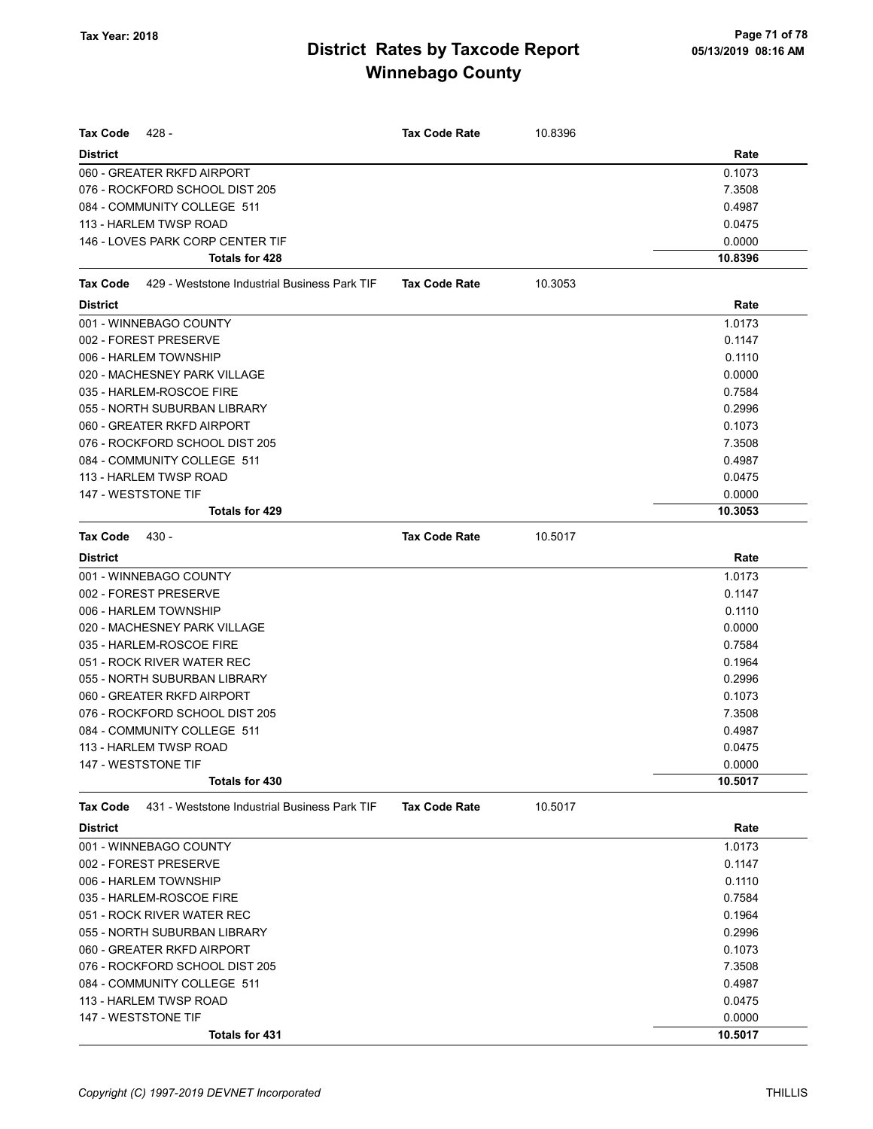| 428 -<br><b>Tax Code</b>                                        | <b>Tax Code Rate</b> | 10.8396 |         |
|-----------------------------------------------------------------|----------------------|---------|---------|
| <b>District</b>                                                 |                      |         | Rate    |
| 060 - GREATER RKFD AIRPORT                                      |                      |         | 0.1073  |
| 076 - ROCKFORD SCHOOL DIST 205                                  |                      |         | 7.3508  |
| 084 - COMMUNITY COLLEGE 511                                     |                      |         | 0.4987  |
| 113 - HARLEM TWSP ROAD                                          |                      |         | 0.0475  |
| 146 - LOVES PARK CORP CENTER TIF                                |                      |         | 0.0000  |
| Totals for 428                                                  |                      |         | 10.8396 |
| 429 - Weststone Industrial Business Park TIF<br><b>Tax Code</b> | <b>Tax Code Rate</b> | 10.3053 |         |
| <b>District</b>                                                 |                      |         | Rate    |
| 001 - WINNEBAGO COUNTY                                          |                      |         | 1.0173  |
| 002 - FOREST PRESERVE                                           |                      |         | 0.1147  |
| 006 - HARLEM TOWNSHIP                                           |                      |         | 0.1110  |
| 020 - MACHESNEY PARK VILLAGE                                    |                      |         | 0.0000  |
| 035 - HARLEM-ROSCOE FIRE                                        |                      |         | 0.7584  |
| 055 - NORTH SUBURBAN LIBRARY                                    |                      |         | 0.2996  |
| 060 - GREATER RKFD AIRPORT                                      |                      |         | 0.1073  |
| 076 - ROCKFORD SCHOOL DIST 205                                  |                      |         | 7.3508  |
| 084 - COMMUNITY COLLEGE 511                                     |                      |         | 0.4987  |
| 113 - HARLEM TWSP ROAD                                          |                      |         | 0.0475  |
| 147 - WESTSTONE TIF                                             |                      |         | 0.0000  |
| <b>Totals for 429</b>                                           |                      |         | 10.3053 |
| <b>Tax Code</b><br>430 -                                        | <b>Tax Code Rate</b> | 10.5017 |         |
| <b>District</b>                                                 |                      |         | Rate    |
| 001 - WINNEBAGO COUNTY                                          |                      |         | 1.0173  |
| 002 - FOREST PRESERVE                                           |                      |         | 0.1147  |
| 006 - HARLEM TOWNSHIP                                           |                      |         | 0.1110  |
| 020 - MACHESNEY PARK VILLAGE                                    |                      |         | 0.0000  |
| 035 - HARLEM-ROSCOE FIRE                                        |                      |         | 0.7584  |
| 051 - ROCK RIVER WATER REC                                      |                      |         | 0.1964  |
| 055 - NORTH SUBURBAN LIBRARY                                    |                      |         | 0.2996  |
| 060 - GREATER RKFD AIRPORT                                      |                      |         | 0.1073  |
| 076 - ROCKFORD SCHOOL DIST 205                                  |                      |         | 7.3508  |
| 084 - COMMUNITY COLLEGE 511                                     |                      |         | 0.4987  |
| 113 - HARLEM TWSP ROAD                                          |                      |         | 0.0475  |
| 147 - WESTSTONE TIF                                             |                      |         | 0.0000  |
| Totals for 430                                                  |                      |         | 10.5017 |
| 431 - Weststone Industrial Business Park TIF<br><b>Tax Code</b> | <b>Tax Code Rate</b> | 10.5017 |         |
| <b>District</b>                                                 |                      |         | Rate    |
| 001 - WINNEBAGO COUNTY                                          |                      |         | 1.0173  |
| 002 - FOREST PRESERVE                                           |                      |         | 0.1147  |
| 006 - HARLEM TOWNSHIP                                           |                      |         | 0.1110  |
| 035 - HARLEM-ROSCOE FIRE                                        |                      |         | 0.7584  |
| 051 - ROCK RIVER WATER REC                                      |                      |         | 0.1964  |
| 055 - NORTH SUBURBAN LIBRARY                                    |                      |         | 0.2996  |
| 060 - GREATER RKFD AIRPORT                                      |                      |         | 0.1073  |
| 076 - ROCKFORD SCHOOL DIST 205                                  |                      |         | 7.3508  |

084 - COMMUNITY COLLEGE 511 0.4987 113 - HARLEM TWSP ROAD 0.0475 147 - WESTSTONE TIF 0.0000

Totals for  $431$  10.5017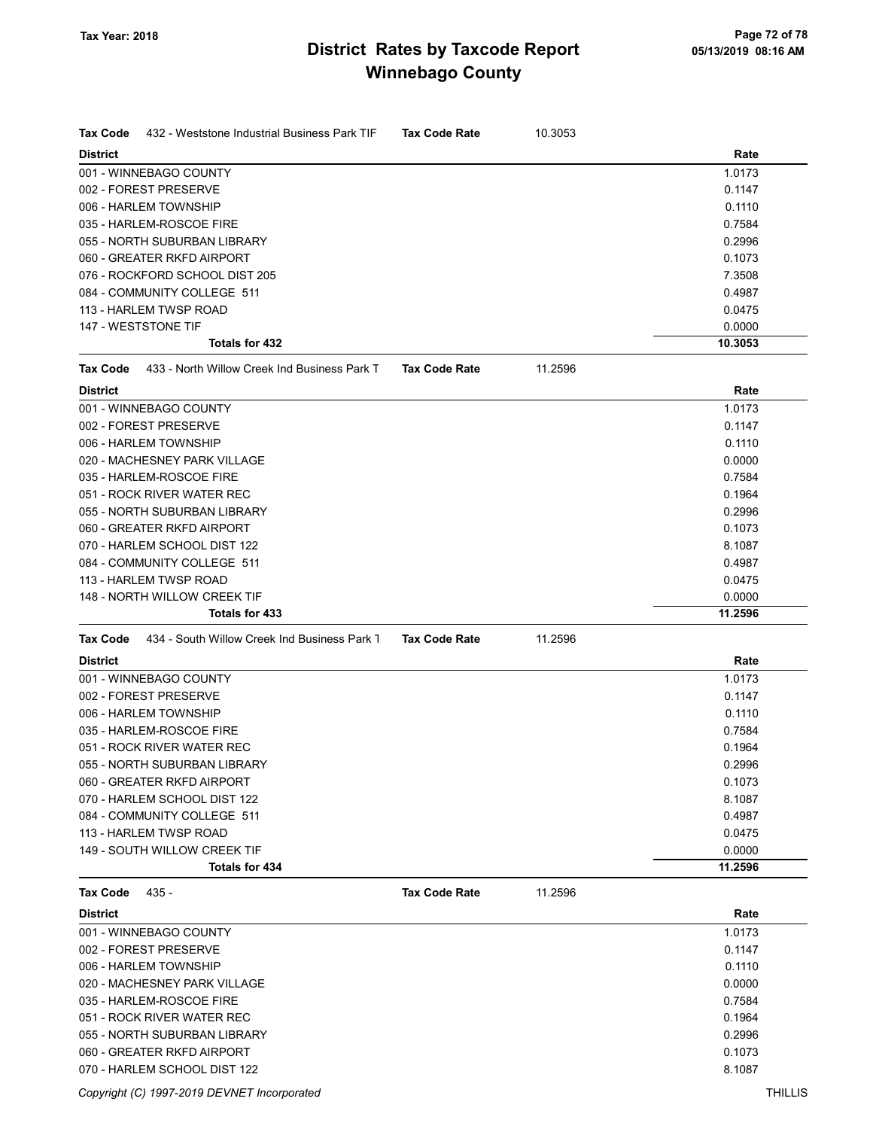| <b>Tax Code</b><br>432 - Weststone Industrial Business Park TIF<br><b>District</b> | <b>Tax Code Rate</b> | 10.3053 | Rate              |
|------------------------------------------------------------------------------------|----------------------|---------|-------------------|
| 001 - WINNEBAGO COUNTY                                                             |                      |         | 1.0173            |
| 002 - FOREST PRESERVE                                                              |                      |         | 0.1147            |
| 006 - HARLEM TOWNSHIP                                                              |                      |         | 0.1110            |
| 035 - HARLEM-ROSCOE FIRE                                                           |                      |         | 0.7584            |
| 055 - NORTH SUBURBAN LIBRARY                                                       |                      |         | 0.2996            |
| 060 - GREATER RKFD AIRPORT                                                         |                      |         | 0.1073            |
| 076 - ROCKFORD SCHOOL DIST 205                                                     |                      |         | 7.3508            |
|                                                                                    |                      |         |                   |
| 084 - COMMUNITY COLLEGE 511<br>113 - HARLEM TWSP ROAD                              |                      |         | 0.4987            |
|                                                                                    |                      |         | 0.0475            |
| 147 - WESTSTONE TIF<br>Totals for 432                                              |                      |         | 0.0000<br>10.3053 |
|                                                                                    |                      |         |                   |
| <b>Tax Code</b><br>433 - North Willow Creek Ind Business Park T                    | <b>Tax Code Rate</b> | 11.2596 |                   |
| <b>District</b>                                                                    |                      |         | Rate              |
| 001 - WINNEBAGO COUNTY                                                             |                      |         | 1.0173            |
| 002 - FOREST PRESERVE                                                              |                      |         | 0.1147            |
| 006 - HARLEM TOWNSHIP                                                              |                      |         | 0.1110            |
| 020 - MACHESNEY PARK VILLAGE                                                       |                      |         | 0.0000            |
| 035 - HARLEM-ROSCOE FIRE                                                           |                      |         | 0.7584            |
| 051 - ROCK RIVER WATER REC                                                         |                      |         | 0.1964            |
| 055 - NORTH SUBURBAN LIBRARY                                                       |                      |         | 0.2996            |
| 060 - GREATER RKFD AIRPORT                                                         |                      |         | 0.1073            |
| 070 - HARLEM SCHOOL DIST 122                                                       |                      |         | 8.1087            |
| 084 - COMMUNITY COLLEGE 511                                                        |                      |         | 0.4987            |
| 113 - HARLEM TWSP ROAD                                                             |                      |         | 0.0475            |
| 148 - NORTH WILLOW CREEK TIF                                                       |                      |         | 0.0000            |
| <b>Totals for 433</b>                                                              |                      |         | 11.2596           |
| 434 - South Willow Creek Ind Business Park 1<br><b>Tax Code</b>                    | <b>Tax Code Rate</b> | 11.2596 |                   |
| <b>District</b>                                                                    |                      |         | Rate              |
| 001 - WINNEBAGO COUNTY                                                             |                      |         | 1.0173            |
| 002 - FOREST PRESERVE                                                              |                      |         | 0.1147            |
| 006 - HARLEM TOWNSHIP                                                              |                      |         | 0.1110            |
| 035 - HARLEM-ROSCOE FIRE                                                           |                      |         | 0.7584            |
| 051 - ROCK RIVER WATER REC                                                         |                      |         | 0.1964            |
| 055 - NORTH SUBURBAN LIBRARY                                                       |                      |         | 0.2996            |
| 060 - GREATER RKFD AIRPORT                                                         |                      |         | 0.1073            |
| 070 - HARLEM SCHOOL DIST 122                                                       |                      |         | 8.1087            |
| 084 - COMMUNITY COLLEGE 511                                                        |                      |         | 0.4987            |
| 113 - HARLEM TWSP ROAD                                                             |                      |         | 0.0475            |
| 149 - SOUTH WILLOW CREEK TIF                                                       |                      |         | 0.0000            |
| Totals for 434                                                                     |                      |         | 11.2596           |
| <b>Tax Code</b><br>$435 -$                                                         | <b>Tax Code Rate</b> | 11.2596 |                   |
| <b>District</b>                                                                    |                      |         | Rate              |
| 001 - WINNEBAGO COUNTY                                                             |                      |         | 1.0173            |
| 002 - FOREST PRESERVE                                                              |                      |         | 0.1147            |
| 006 - HARLEM TOWNSHIP                                                              |                      |         | 0.1110            |
| 020 - MACHESNEY PARK VILLAGE                                                       |                      |         | 0.0000            |
| 035 - HARLEM-ROSCOE FIRE                                                           |                      |         | 0.7584            |
|                                                                                    |                      |         |                   |
| 051 - ROCK RIVER WATER REC                                                         |                      |         | 0.1964            |
| 055 - NORTH SUBURBAN LIBRARY                                                       |                      |         | 0.2996            |
| 060 - GREATER RKFD AIRPORT                                                         |                      |         | 0.1073            |

070 - HARLEM SCHOOL DIST 122 8.1087

Copyright (C) 1997-2019 DEVNET Incorporated THILLIS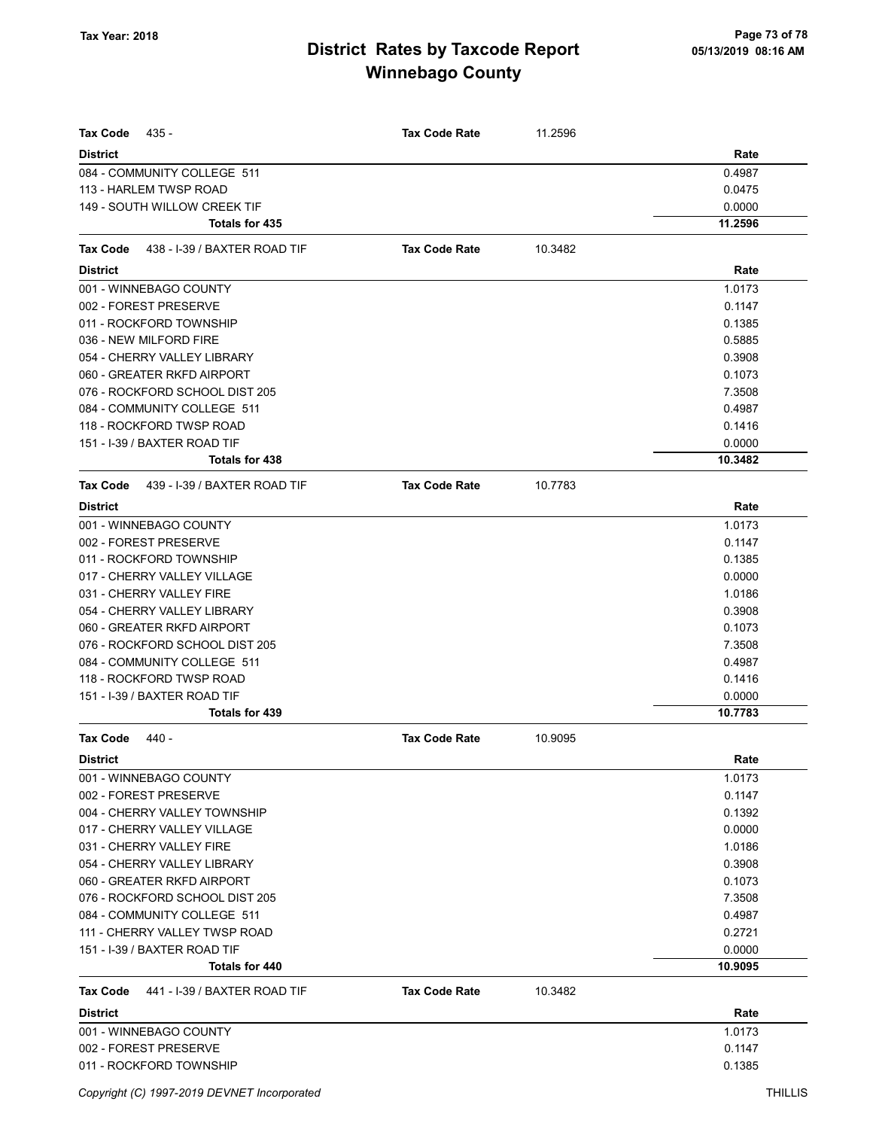| <b>Tax Code</b><br>435 -                        | Tax Code Rate        | 11.2596 |         |
|-------------------------------------------------|----------------------|---------|---------|
| <b>District</b>                                 |                      |         | Rate    |
| 084 - COMMUNITY COLLEGE 511                     |                      |         | 0.4987  |
| 113 - HARLEM TWSP ROAD                          |                      |         | 0.0475  |
| 149 - SOUTH WILLOW CREEK TIF                    |                      |         | 0.0000  |
| Totals for 435                                  |                      |         | 11.2596 |
| Tax Code<br>438 - I-39 / BAXTER ROAD TIF        | <b>Tax Code Rate</b> | 10.3482 |         |
| <b>District</b>                                 |                      |         | Rate    |
| 001 - WINNEBAGO COUNTY                          |                      |         | 1.0173  |
| 002 - FOREST PRESERVE                           |                      |         | 0.1147  |
| 011 - ROCKFORD TOWNSHIP                         |                      |         | 0.1385  |
| 036 - NEW MILFORD FIRE                          |                      |         | 0.5885  |
| 054 - CHERRY VALLEY LIBRARY                     |                      |         | 0.3908  |
| 060 - GREATER RKFD AIRPORT                      |                      |         | 0.1073  |
| 076 - ROCKFORD SCHOOL DIST 205                  |                      |         | 7.3508  |
| 084 - COMMUNITY COLLEGE 511                     |                      |         | 0.4987  |
| 118 - ROCKFORD TWSP ROAD                        |                      |         | 0.1416  |
| 151 - I-39 / BAXTER ROAD TIF                    |                      |         | 0.0000  |
| Totals for 438                                  |                      |         | 10.3482 |
| <b>Tax Code</b><br>439 - I-39 / BAXTER ROAD TIF | <b>Tax Code Rate</b> | 10.7783 |         |
| <b>District</b>                                 |                      |         | Rate    |
| 001 - WINNEBAGO COUNTY                          |                      |         | 1.0173  |
| 002 - FOREST PRESERVE                           |                      |         | 0.1147  |
| 011 - ROCKFORD TOWNSHIP                         |                      |         | 0.1385  |
| 017 - CHERRY VALLEY VILLAGE                     |                      |         | 0.0000  |
| 031 - CHERRY VALLEY FIRE                        |                      |         | 1.0186  |
| 054 - CHERRY VALLEY LIBRARY                     |                      |         | 0.3908  |
| 060 - GREATER RKFD AIRPORT                      |                      |         | 0.1073  |
| 076 - ROCKFORD SCHOOL DIST 205                  |                      |         | 7.3508  |
| 084 - COMMUNITY COLLEGE 511                     |                      |         | 0.4987  |
| 118 - ROCKFORD TWSP ROAD                        |                      |         | 0.1416  |
| 151 - I-39 / BAXTER ROAD TIF                    |                      |         | 0.0000  |
| Totals for 439                                  |                      |         | 10.7783 |
| <b>Tax Code</b><br>$440 -$                      | <b>Tax Code Rate</b> | 10.9095 |         |
| <b>District</b>                                 |                      |         | Rate    |
| 001 - WINNEBAGO COUNTY                          |                      |         | 1.0173  |
| 002 - FOREST PRESERVE                           |                      |         | 0.1147  |
| 004 - CHERRY VALLEY TOWNSHIP                    |                      |         | 0.1392  |
| 017 - CHERRY VALLEY VILLAGE                     |                      |         | 0.0000  |
| 031 - CHERRY VALLEY FIRE                        |                      |         | 1.0186  |
| 054 - CHERRY VALLEY LIBRARY                     |                      |         | 0.3908  |
| 060 - GREATER RKFD AIRPORT                      |                      |         | 0.1073  |
| 076 - ROCKFORD SCHOOL DIST 205                  |                      |         | 7.3508  |
| 084 - COMMUNITY COLLEGE 511                     |                      |         | 0.4987  |
| 111 - CHERRY VALLEY TWSP ROAD                   |                      |         | 0.2721  |
| 151 - I-39 / BAXTER ROAD TIF                    |                      |         | 0.0000  |
| Totals for 440                                  |                      |         | 10.9095 |
| Tax Code<br>441 - I-39 / BAXTER ROAD TIF        | <b>Tax Code Rate</b> | 10.3482 |         |
| <b>District</b>                                 |                      |         | Rate    |
| 001 - WINNEBAGO COUNTY                          |                      |         | 1.0173  |
| 002 - FOREST PRESERVE                           |                      |         | 0.1147  |
| 011 - ROCKFORD TOWNSHIP                         |                      |         | 0.1385  |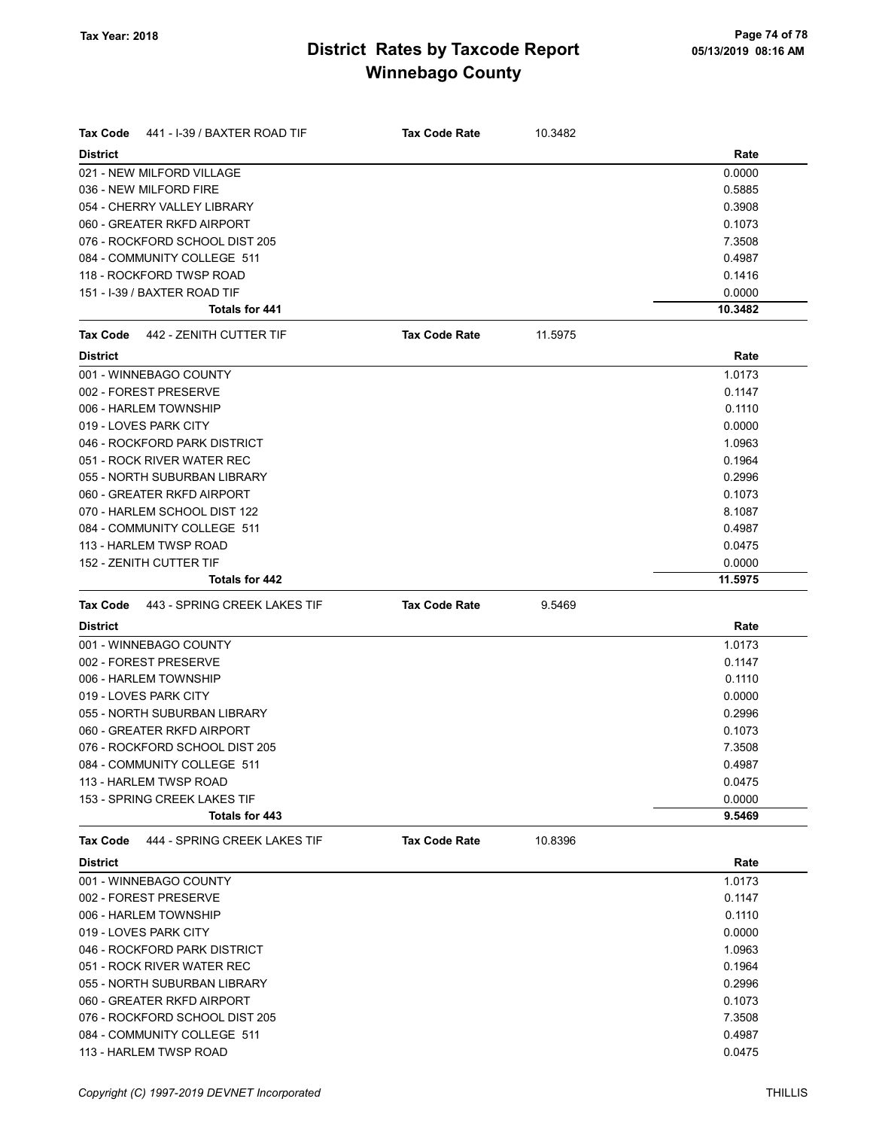| <b>Tax Code</b><br>441 - I-39 / BAXTER ROAD TIF             | <b>Tax Code Rate</b> | 10.3482 |                  |
|-------------------------------------------------------------|----------------------|---------|------------------|
| <b>District</b>                                             |                      |         | Rate             |
| 021 - NEW MILFORD VILLAGE                                   |                      |         | 0.0000           |
| 036 - NEW MILFORD FIRE                                      |                      |         | 0.5885           |
| 054 - CHERRY VALLEY LIBRARY                                 |                      |         | 0.3908           |
| 060 - GREATER RKFD AIRPORT                                  |                      |         | 0.1073           |
| 076 - ROCKFORD SCHOOL DIST 205                              |                      |         | 7.3508           |
| 084 - COMMUNITY COLLEGE 511                                 |                      |         | 0.4987           |
| 118 - ROCKFORD TWSP ROAD                                    |                      |         | 0.1416           |
| 151 - I-39 / BAXTER ROAD TIF                                |                      |         | 0.0000           |
| <b>Totals for 441</b>                                       |                      |         | 10.3482          |
| 442 - ZENITH CUTTER TIF<br>Tax Code                         | <b>Tax Code Rate</b> | 11.5975 |                  |
| <b>District</b>                                             |                      |         | Rate             |
| 001 - WINNEBAGO COUNTY                                      |                      |         | 1.0173           |
| 002 - FOREST PRESERVE                                       |                      |         | 0.1147           |
| 006 - HARLEM TOWNSHIP                                       |                      |         | 0.1110           |
| 019 - LOVES PARK CITY                                       |                      |         | 0.0000           |
| 046 - ROCKFORD PARK DISTRICT                                |                      |         | 1.0963           |
| 051 - ROCK RIVER WATER REC                                  |                      |         | 0.1964           |
| 055 - NORTH SUBURBAN LIBRARY                                |                      |         | 0.2996           |
| 060 - GREATER RKFD AIRPORT                                  |                      |         | 0.1073           |
| 070 - HARLEM SCHOOL DIST 122                                |                      |         | 8.1087           |
| 084 - COMMUNITY COLLEGE 511                                 |                      |         | 0.4987           |
| 113 - HARLEM TWSP ROAD                                      |                      |         | 0.0475           |
| 152 - ZENITH CUTTER TIF                                     |                      |         | 0.0000           |
| <b>Totals for 442</b>                                       |                      |         | 11.5975          |
|                                                             |                      |         |                  |
| Tax Code<br>443 - SPRING CREEK LAKES TIF<br><b>District</b> | <b>Tax Code Rate</b> | 9.5469  | Rate             |
| 001 - WINNEBAGO COUNTY                                      |                      |         | 1.0173           |
| 002 - FOREST PRESERVE                                       |                      |         | 0.1147           |
| 006 - HARLEM TOWNSHIP                                       |                      |         |                  |
|                                                             |                      |         | 0.1110           |
| 019 - LOVES PARK CITY                                       |                      |         | 0.0000           |
| 055 - NORTH SUBURBAN LIBRARY                                |                      |         | 0.2996           |
| 060 - GREATER RKFD AIRPORT                                  |                      |         | 0.1073           |
| 076 - ROCKFORD SCHOOL DIST 205                              |                      |         | 7.3508           |
| 084 - COMMUNITY COLLEGE 511                                 |                      |         | 0.4987           |
| 113 - HARLEM TWSP ROAD                                      |                      |         | 0.0475           |
| 153 - SPRING CREEK LAKES TIF<br>Totals for 443              |                      |         | 0.0000<br>9.5469 |
|                                                             |                      |         |                  |
| Tax Code<br>444 - SPRING CREEK LAKES TIF                    | <b>Tax Code Rate</b> | 10.8396 |                  |
| <b>District</b>                                             |                      |         | Rate             |
| 001 - WINNEBAGO COUNTY                                      |                      |         | 1.0173           |
| 002 - FOREST PRESERVE                                       |                      |         | 0.1147           |
| 006 - HARLEM TOWNSHIP                                       |                      |         | 0.1110           |
| 019 - LOVES PARK CITY                                       |                      |         | 0.0000           |
| 046 - ROCKFORD PARK DISTRICT                                |                      |         | 1.0963           |
| 051 - ROCK RIVER WATER REC                                  |                      |         | 0.1964           |
| 055 - NORTH SUBURBAN LIBRARY                                |                      |         | 0.2996           |
| 060 - GREATER RKFD AIRPORT                                  |                      |         | 0.1073           |
| 076 - ROCKFORD SCHOOL DIST 205                              |                      |         | 7.3508           |
| 084 - COMMUNITY COLLEGE 511                                 |                      |         | 0.4987           |
| 113 - HARLEM TWSP ROAD                                      |                      |         | 0.0475           |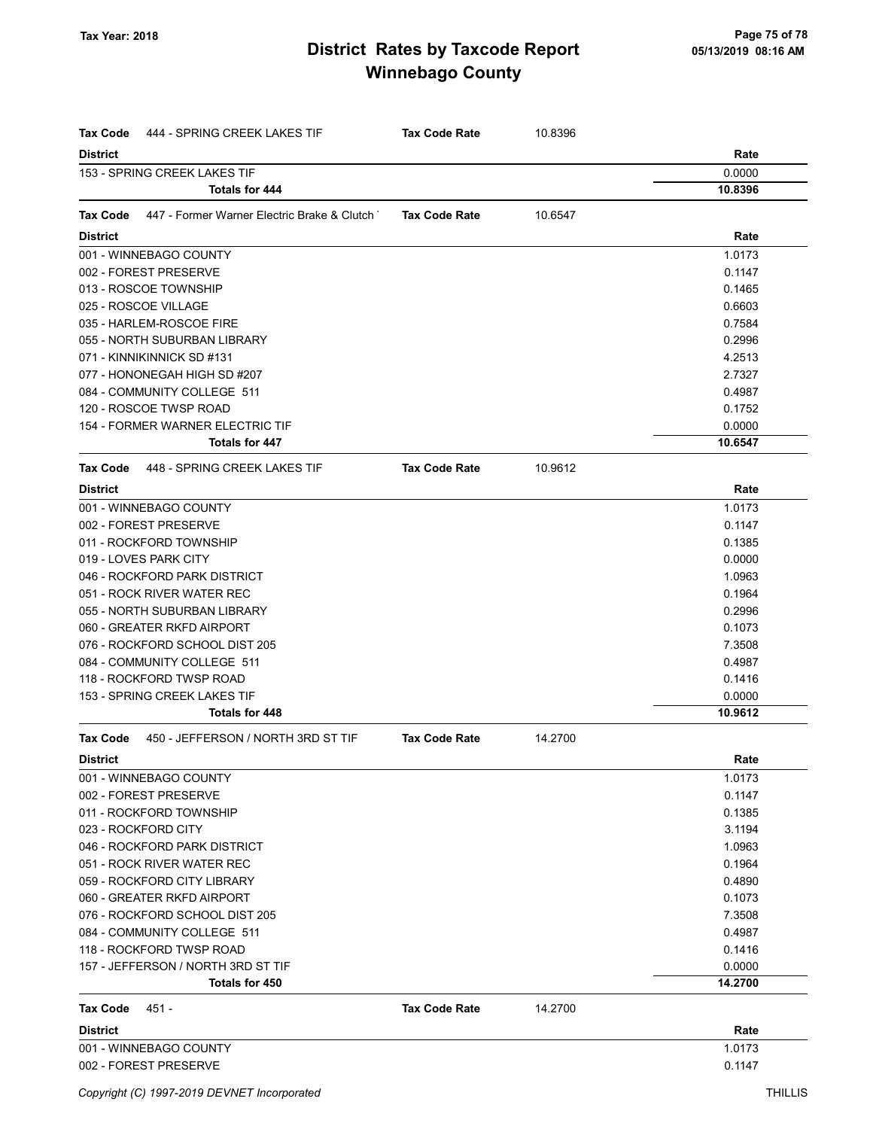| Tax Code<br>444 - SPRING CREEK LAKES TIF                | <b>Tax Code Rate</b> | 10.8396 |         |
|---------------------------------------------------------|----------------------|---------|---------|
| <b>District</b>                                         |                      |         | Rate    |
| 153 - SPRING CREEK LAKES TIF                            |                      |         | 0.0000  |
| <b>Totals for 444</b>                                   |                      |         | 10.8396 |
| Tax Code<br>447 - Former Warner Electric Brake & Clutch | <b>Tax Code Rate</b> | 10.6547 |         |
| <b>District</b>                                         |                      |         | Rate    |
| 001 - WINNEBAGO COUNTY                                  |                      |         | 1.0173  |
| 002 - FOREST PRESERVE                                   |                      |         | 0.1147  |
| 013 - ROSCOE TOWNSHIP                                   |                      |         | 0.1465  |
| 025 - ROSCOE VILLAGE                                    |                      |         | 0.6603  |
| 035 - HARLEM-ROSCOE FIRE                                |                      |         | 0.7584  |
| 055 - NORTH SUBURBAN LIBRARY                            |                      |         | 0.2996  |
| 071 - KINNIKINNICK SD #131                              |                      |         | 4.2513  |
| 077 - HONONEGAH HIGH SD #207                            |                      |         | 2.7327  |
| 084 - COMMUNITY COLLEGE 511                             |                      |         | 0.4987  |
| 120 - ROSCOE TWSP ROAD                                  |                      |         | 0.1752  |
| 154 - FORMER WARNER ELECTRIC TIF                        |                      |         | 0.0000  |
| Totals for 447                                          |                      |         | 10.6547 |
| Tax Code<br>448 - SPRING CREEK LAKES TIF                | <b>Tax Code Rate</b> | 10.9612 |         |
| <b>District</b>                                         |                      |         | Rate    |
| 001 - WINNEBAGO COUNTY                                  |                      |         | 1.0173  |
| 002 - FOREST PRESERVE                                   |                      |         | 0.1147  |
| 011 - ROCKFORD TOWNSHIP                                 |                      |         | 0.1385  |
| 019 - LOVES PARK CITY                                   |                      |         | 0.0000  |
| 046 - ROCKFORD PARK DISTRICT                            |                      |         | 1.0963  |
| 051 - ROCK RIVER WATER REC                              |                      |         | 0.1964  |
| 055 - NORTH SUBURBAN LIBRARY                            |                      |         | 0.2996  |
| 060 - GREATER RKFD AIRPORT                              |                      |         | 0.1073  |
| 076 - ROCKFORD SCHOOL DIST 205                          |                      |         | 7.3508  |
| 084 - COMMUNITY COLLEGE 511                             |                      |         | 0.4987  |
| 118 - ROCKFORD TWSP ROAD                                |                      |         | 0.1416  |
| 153 - SPRING CREEK LAKES TIF                            |                      |         | 0.0000  |
| Totals for 448                                          |                      |         | 10.9612 |
| <b>Tax Code</b><br>450 - JEFFERSON / NORTH 3RD ST TIF   | <b>Tax Code Rate</b> | 14.2700 |         |
| <b>District</b>                                         |                      |         | Rate    |
| 001 - WINNEBAGO COUNTY                                  |                      |         | 1.0173  |
| 002 - FOREST PRESERVE                                   |                      |         | 0.1147  |
| 011 - ROCKFORD TOWNSHIP                                 |                      |         | 0.1385  |
| 023 - ROCKFORD CITY                                     |                      |         | 3.1194  |
| 046 - ROCKFORD PARK DISTRICT                            |                      |         | 1.0963  |
| 051 - ROCK RIVER WATER REC                              |                      |         | 0.1964  |
| 059 - ROCKFORD CITY LIBRARY                             |                      |         | 0.4890  |
| 060 - GREATER RKFD AIRPORT                              |                      |         | 0.1073  |
| 076 - ROCKFORD SCHOOL DIST 205                          |                      |         | 7.3508  |
| 084 - COMMUNITY COLLEGE 511                             |                      |         | 0.4987  |
| 118 - ROCKFORD TWSP ROAD                                |                      |         | 0.1416  |
| 157 - JEFFERSON / NORTH 3RD ST TIF                      |                      |         | 0.0000  |
| Totals for 450                                          |                      |         | 14.2700 |
| Tax Code<br>451 -                                       | <b>Tax Code Rate</b> | 14.2700 |         |
| <b>District</b>                                         |                      |         | Rate    |
| 001 - WINNEBAGO COUNTY                                  |                      |         | 1.0173  |
| 002 - FOREST PRESERVE                                   |                      |         | 0.1147  |
|                                                         |                      |         |         |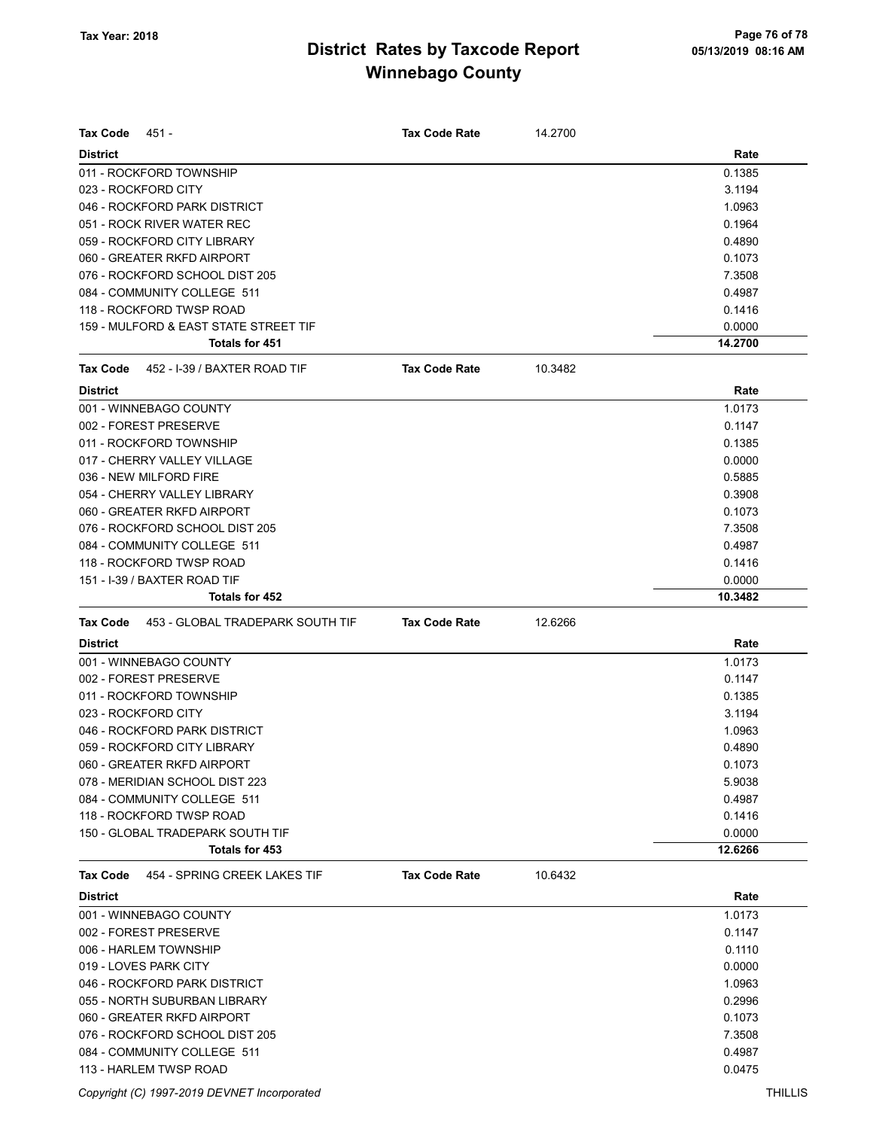| <b>Tax Code</b><br>451 -                            | <b>Tax Code Rate</b> | 14.2700 |         |
|-----------------------------------------------------|----------------------|---------|---------|
| <b>District</b>                                     |                      |         | Rate    |
| 011 - ROCKFORD TOWNSHIP                             |                      |         | 0.1385  |
| 023 - ROCKFORD CITY                                 |                      |         | 3.1194  |
| 046 - ROCKFORD PARK DISTRICT                        |                      |         | 1.0963  |
| 051 - ROCK RIVER WATER REC                          |                      |         | 0.1964  |
| 059 - ROCKFORD CITY LIBRARY                         |                      |         | 0.4890  |
| 060 - GREATER RKFD AIRPORT                          |                      |         | 0.1073  |
| 076 - ROCKFORD SCHOOL DIST 205                      |                      |         | 7.3508  |
| 084 - COMMUNITY COLLEGE 511                         |                      |         | 0.4987  |
| 118 - ROCKFORD TWSP ROAD                            |                      |         | 0.1416  |
| 159 - MULFORD & EAST STATE STREET TIF               |                      |         | 0.0000  |
| <b>Totals for 451</b>                               |                      |         | 14.2700 |
| 452 - I-39 / BAXTER ROAD TIF<br><b>Tax Code</b>     | <b>Tax Code Rate</b> | 10.3482 |         |
| <b>District</b>                                     |                      |         | Rate    |
| 001 - WINNEBAGO COUNTY                              |                      |         | 1.0173  |
| 002 - FOREST PRESERVE                               |                      |         | 0.1147  |
| 011 - ROCKFORD TOWNSHIP                             |                      |         | 0.1385  |
| 017 - CHERRY VALLEY VILLAGE                         |                      |         | 0.0000  |
| 036 - NEW MILFORD FIRE                              |                      |         | 0.5885  |
| 054 - CHERRY VALLEY LIBRARY                         |                      |         | 0.3908  |
| 060 - GREATER RKFD AIRPORT                          |                      |         | 0.1073  |
| 076 - ROCKFORD SCHOOL DIST 205                      |                      |         | 7.3508  |
| 084 - COMMUNITY COLLEGE 511                         |                      |         | 0.4987  |
| 118 - ROCKFORD TWSP ROAD                            |                      |         | 0.1416  |
| 151 - I-39 / BAXTER ROAD TIF                        |                      |         | 0.0000  |
| Totals for 452                                      |                      |         | 10.3482 |
| <b>Tax Code</b><br>453 - GLOBAL TRADEPARK SOUTH TIF | <b>Tax Code Rate</b> | 12.6266 |         |
| <b>District</b>                                     |                      |         | Rate    |
| 001 - WINNEBAGO COUNTY                              |                      |         | 1.0173  |
| 002 - FOREST PRESERVE                               |                      |         | 0.1147  |
| 011 - ROCKFORD TOWNSHIP                             |                      |         | 0.1385  |
| 023 - ROCKFORD CITY                                 |                      |         | 3.1194  |
| 046 - ROCKFORD PARK DISTRICT                        |                      |         | 1.0963  |
| 059 - ROCKFORD CITY LIBRARY                         |                      |         | 0.4890  |
| 060 - GREATER RKFD AIRPORT                          |                      |         | 0.1073  |
| 078 - MERIDIAN SCHOOL DIST 223                      |                      |         | 5.9038  |
| 084 - COMMUNITY COLLEGE 511                         |                      |         | 0.4987  |
| 118 - ROCKFORD TWSP ROAD                            |                      |         | 0.1416  |
| 150 - GLOBAL TRADEPARK SOUTH TIF                    |                      |         | 0.0000  |
| Totals for 453                                      |                      |         | 12.6266 |
| 454 - SPRING CREEK LAKES TIF<br>Tax Code            | <b>Tax Code Rate</b> | 10.6432 |         |
| <b>District</b>                                     |                      |         | Rate    |
| 001 - WINNEBAGO COUNTY                              |                      |         | 1.0173  |
| 002 - FOREST PRESERVE                               |                      |         | 0.1147  |
| 006 - HARLEM TOWNSHIP                               |                      |         | 0.1110  |
| 019 - LOVES PARK CITY                               |                      |         | 0.0000  |
| 046 - ROCKFORD PARK DISTRICT                        |                      |         | 1.0963  |
| 055 - NORTH SUBURBAN LIBRARY                        |                      |         | 0.2996  |
| 060 - GREATER RKFD AIRPORT                          |                      |         | 0.1073  |
| 076 - ROCKFORD SCHOOL DIST 205                      |                      |         | 7.3508  |
| 084 - COMMUNITY COLLEGE 511                         |                      |         | 0.4987  |
| 113 - HARLEM TWSP ROAD                              |                      |         | 0.0475  |

Copyright (C) 1997-2019 DEVNET Incorporated THILLIS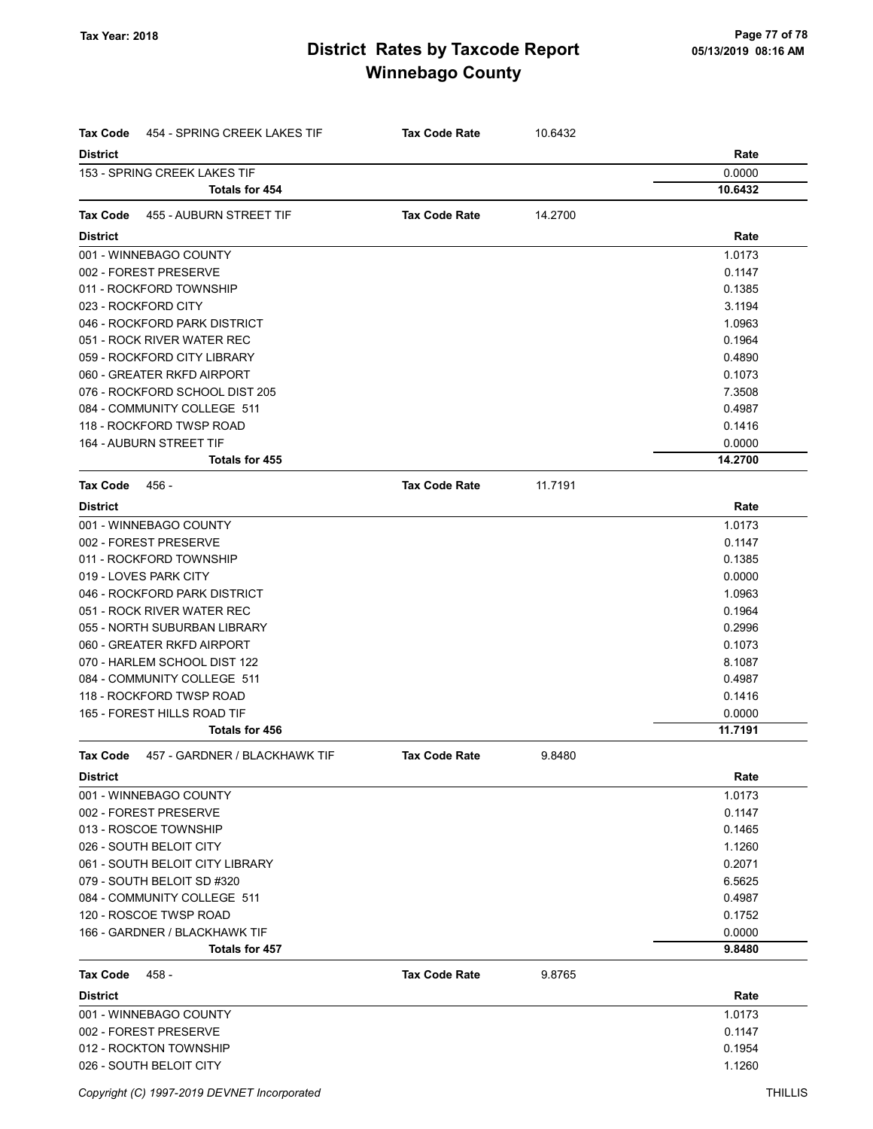| <b>Tax Code</b><br>454 - SPRING CREEK LAKES TIF | <b>Tax Code Rate</b> | 10.6432 |         |
|-------------------------------------------------|----------------------|---------|---------|
| <b>District</b>                                 |                      |         | Rate    |
| 153 - SPRING CREEK LAKES TIF                    |                      |         | 0.0000  |
| <b>Totals for 454</b>                           |                      |         | 10.6432 |
| <b>Tax Code</b><br>455 - AUBURN STREET TIF      | <b>Tax Code Rate</b> | 14.2700 |         |
| <b>District</b>                                 |                      |         | Rate    |
| 001 - WINNEBAGO COUNTY                          |                      |         | 1.0173  |
| 002 - FOREST PRESERVE                           |                      |         | 0.1147  |
| 011 - ROCKFORD TOWNSHIP                         |                      |         | 0.1385  |
| 023 - ROCKFORD CITY                             |                      |         | 3.1194  |
| 046 - ROCKFORD PARK DISTRICT                    |                      |         | 1.0963  |
| 051 - ROCK RIVER WATER REC                      |                      |         | 0.1964  |
| 059 - ROCKFORD CITY LIBRARY                     |                      |         | 0.4890  |
| 060 - GREATER RKFD AIRPORT                      |                      |         | 0.1073  |
| 076 - ROCKFORD SCHOOL DIST 205                  |                      |         | 7.3508  |
| 084 - COMMUNITY COLLEGE 511                     |                      |         | 0.4987  |
| 118 - ROCKFORD TWSP ROAD                        |                      |         | 0.1416  |
| 164 - AUBURN STREET TIF                         |                      |         | 0.0000  |
| Totals for 455                                  |                      |         | 14.2700 |
| Tax Code<br>456 -                               | <b>Tax Code Rate</b> | 11.7191 |         |
| <b>District</b>                                 |                      |         | Rate    |
| 001 - WINNEBAGO COUNTY                          |                      |         | 1.0173  |
| 002 - FOREST PRESERVE                           |                      |         | 0.1147  |
| 011 - ROCKFORD TOWNSHIP                         |                      |         | 0.1385  |
| 019 - LOVES PARK CITY                           |                      |         | 0.0000  |
| 046 - ROCKFORD PARK DISTRICT                    |                      |         | 1.0963  |
| 051 - ROCK RIVER WATER REC                      |                      |         | 0.1964  |
| 055 - NORTH SUBURBAN LIBRARY                    |                      |         | 0.2996  |
| 060 - GREATER RKFD AIRPORT                      |                      |         | 0.1073  |
| 070 - HARLEM SCHOOL DIST 122                    |                      |         | 8.1087  |
| 084 - COMMUNITY COLLEGE 511                     |                      |         | 0.4987  |
| 118 - ROCKFORD TWSP ROAD                        |                      |         | 0.1416  |
| 165 - FOREST HILLS ROAD TIF                     |                      |         | 0.0000  |
| Totals for 456                                  |                      |         | 11.7191 |
| Tax Code 457 - GARDNER / BLACKHAWK TIF          | <b>Tax Code Rate</b> | 9.8480  |         |
| <b>District</b>                                 |                      |         | Rate    |
| 001 - WINNEBAGO COUNTY                          |                      |         | 1.0173  |
| 002 - FOREST PRESERVE                           |                      |         | 0.1147  |
| 013 - ROSCOE TOWNSHIP                           |                      |         | 0.1465  |
| 026 - SOUTH BELOIT CITY                         |                      |         | 1.1260  |
| 061 - SOUTH BELOIT CITY LIBRARY                 |                      |         | 0.2071  |
| 079 - SOUTH BELOIT SD #320                      |                      |         | 6.5625  |
| 084 - COMMUNITY COLLEGE 511                     |                      |         | 0.4987  |
| 120 - ROSCOE TWSP ROAD                          |                      |         | 0.1752  |
| 166 - GARDNER / BLACKHAWK TIF                   |                      |         | 0.0000  |
| Totals for 457                                  |                      |         | 9.8480  |
| Tax Code<br>458 -                               | <b>Tax Code Rate</b> | 9.8765  |         |
| <b>District</b>                                 |                      |         | Rate    |
| 001 - WINNEBAGO COUNTY                          |                      |         | 1.0173  |
| 002 - FOREST PRESERVE                           |                      |         | 0.1147  |
| 012 - ROCKTON TOWNSHIP                          |                      |         | 0.1954  |
| 026 - SOUTH BELOIT CITY                         |                      |         | 1.1260  |